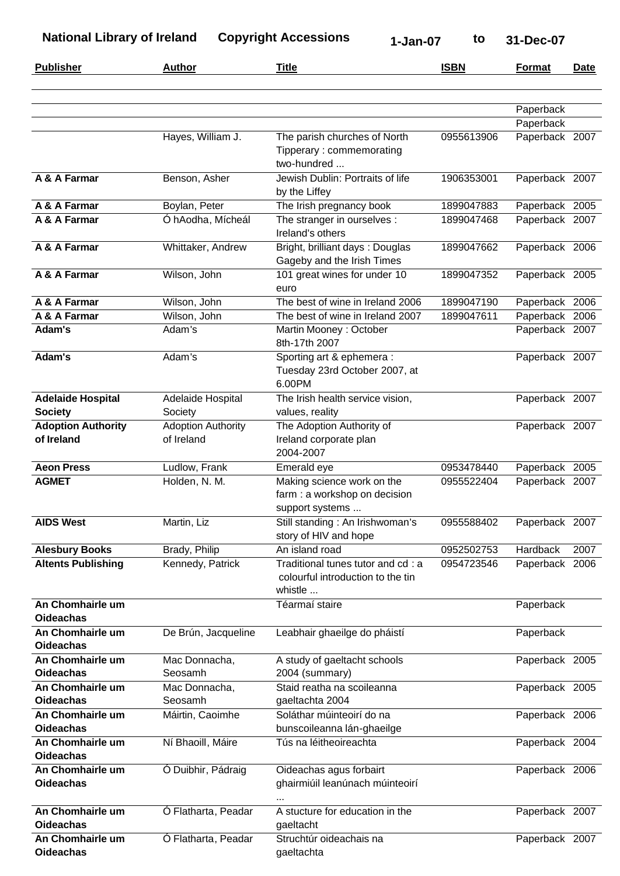| <b>Publisher</b>                           | <b>Author</b>                           | <b>Title</b>                                                                      | <b>ISBN</b> | <b>Format</b>  | Date |
|--------------------------------------------|-----------------------------------------|-----------------------------------------------------------------------------------|-------------|----------------|------|
|                                            |                                         |                                                                                   |             |                |      |
|                                            |                                         |                                                                                   |             | Paperback      |      |
|                                            |                                         |                                                                                   |             | Paperback      |      |
|                                            | Hayes, William J.                       | The parish churches of North<br>Tipperary: commemorating<br>two-hundred           | 0955613906  | Paperback 2007 |      |
| A & A Farmar                               | Benson, Asher                           | Jewish Dublin: Portraits of life<br>by the Liffey                                 | 1906353001  | Paperback 2007 |      |
| A & A Farmar                               | Boylan, Peter                           | The Irish pregnancy book                                                          | 1899047883  | Paperback 2005 |      |
| A & A Farmar                               | Ó hAodha, Mícheál                       | The stranger in ourselves :<br>Ireland's others                                   | 1899047468  | Paperback 2007 |      |
| A & A Farmar                               | Whittaker, Andrew                       | Bright, brilliant days: Douglas<br>Gageby and the Irish Times                     | 1899047662  | Paperback 2006 |      |
| A & A Farmar                               | Wilson, John                            | 101 great wines for under 10<br>euro                                              | 1899047352  | Paperback 2005 |      |
| A & A Farmar                               | Wilson, John                            | The best of wine in Ireland 2006                                                  | 1899047190  | Paperback 2006 |      |
| A & A Farmar                               | Wilson, John                            | The best of wine in Ireland 2007                                                  | 1899047611  | Paperback 2006 |      |
| Adam's                                     | Adam's                                  | Martin Mooney: October<br>8th-17th 2007                                           |             | Paperback 2007 |      |
| Adam's                                     | Adam's                                  | Sporting art & ephemera :<br>Tuesday 23rd October 2007, at<br>6.00PM              |             | Paperback 2007 |      |
| <b>Adelaide Hospital</b><br><b>Society</b> | Adelaide Hospital<br>Society            | The Irish health service vision,<br>values, reality                               |             | Paperback 2007 |      |
| <b>Adoption Authority</b><br>of Ireland    | <b>Adoption Authority</b><br>of Ireland | The Adoption Authority of<br>Ireland corporate plan<br>2004-2007                  |             | Paperback 2007 |      |
| <b>Aeon Press</b>                          | Ludlow, Frank                           | Emerald eye                                                                       | 0953478440  | Paperback 2005 |      |
| <b>AGMET</b>                               | Holden, N. M.                           | Making science work on the<br>farm : a workshop on decision<br>support systems    | 0955522404  | Paperback 2007 |      |
| <b>AIDS West</b>                           | Martin, Liz                             | Still standing: An Irishwoman's<br>story of HIV and hope                          | 0955588402  | Paperback 2007 |      |
| <b>Alesbury Books</b>                      | Brady, Philip                           | An island road                                                                    | 0952502753  | Hardback       | 2007 |
| <b>Altents Publishing</b>                  | Kennedy, Patrick                        | Traditional tunes tutor and cd: a<br>colourful introduction to the tin<br>whistle | 0954723546  | Paperback 2006 |      |
| An Chomhairle um<br><b>Oideachas</b>       |                                         | Téarmaí staire                                                                    |             | Paperback      |      |
| An Chomhairle um<br><b>Oideachas</b>       | De Brún, Jacqueline                     | Leabhair ghaeilge do pháistí                                                      |             | Paperback      |      |
| An Chomhairle um                           | Mac Donnacha,                           | A study of gaeltacht schools                                                      |             | Paperback 2005 |      |
| <b>Oideachas</b>                           | Seosamh                                 | 2004 (summary)                                                                    |             |                |      |
| An Chomhairle um                           | Mac Donnacha,                           | Staid reatha na scoileanna                                                        |             | Paperback 2005 |      |
| <b>Oideachas</b>                           | Seosamh                                 | gaeltachta 2004                                                                   |             |                |      |
| An Chomhairle um<br><b>Oideachas</b>       | Máirtin, Caoimhe                        | Soláthar múinteoirí do na<br>bunscoileanna lán-ghaeilge                           |             | Paperback 2006 |      |
| An Chomhairle um<br><b>Oideachas</b>       | Ní Bhaoill, Máire                       | Tús na léitheoireachta                                                            |             | Paperback 2004 |      |
| An Chomhairle um<br><b>Oideachas</b>       | Ó Duibhir, Pádraig                      | Oideachas agus forbairt<br>ghairmiúil leanúnach múinteoirí                        |             | Paperback 2006 |      |
| An Chomhairle um<br><b>Oideachas</b>       | Ó Flatharta, Peadar                     | A stucture for education in the<br>gaeltacht                                      |             | Paperback 2007 |      |
| An Chomhairle um<br><b>Oideachas</b>       | O Flatharta, Peadar                     | Struchtúr oideachais na<br>gaeltachta                                             |             | Paperback 2007 |      |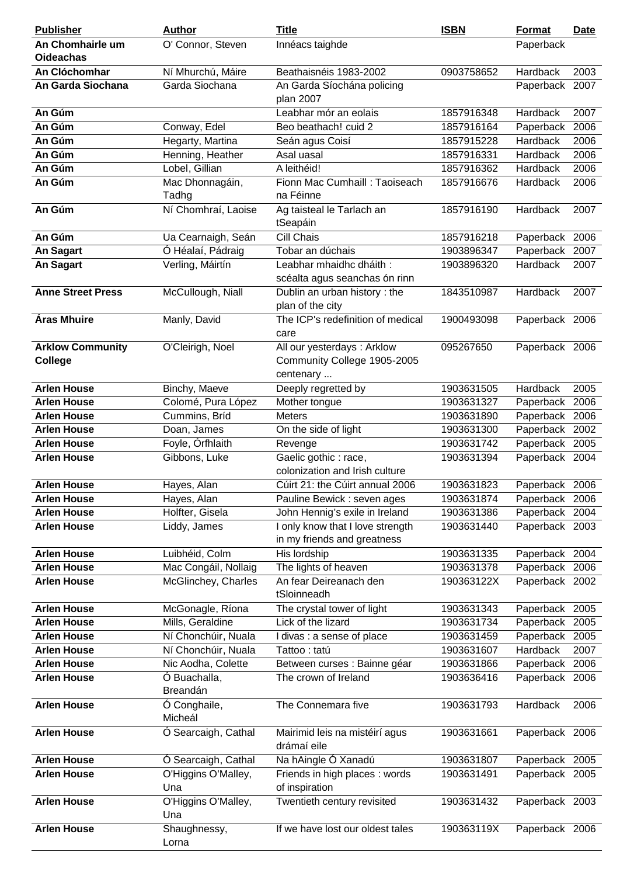| <b>Publisher</b>         | <b>Author</b>                | <b>Title</b>                               | <b>ISBN</b> | <b>Format</b>   | <b>Date</b> |
|--------------------------|------------------------------|--------------------------------------------|-------------|-----------------|-------------|
| An Chomhairle um         | O' Connor, Steven            | Innéacs taighde                            |             | Paperback       |             |
| <b>Oideachas</b>         |                              |                                            |             |                 |             |
| An Clóchomhar            | Ní Mhurchú, Máire            | Beathaisnéis 1983-2002                     | 0903758652  | Hardback        | 2003        |
| An Garda Siochana        | Garda Siochana               | An Garda Síochána policing                 |             | Paperback 2007  |             |
|                          |                              | plan 2007                                  |             |                 |             |
| An Gúm                   |                              | Leabhar mór an eolais                      | 1857916348  | Hardback        | 2007        |
| An Gúm                   | Conway, Edel                 | Beo beathach! cuid 2                       | 1857916164  | Paperback       | 2006        |
| An Gúm                   | Hegarty, Martina             | Seán agus Coisí                            | 1857915228  | Hardback        | 2006        |
| An Gúm                   | Henning, Heather             | Asal uasal                                 | 1857916331  | <b>Hardback</b> | 2006        |
| An Gúm                   | Lobel, Gillian               | A leithéid!                                | 1857916362  | Hardback        | 2006        |
| An Gúm                   | Mac Dhonnagáin,              | Fionn Mac Cumhaill: Taoiseach<br>na Féinne | 1857916676  | Hardback        | 2006        |
| An Gúm                   | Tadhg<br>Ní Chomhraí, Laoise | Ag taisteal le Tarlach an                  | 1857916190  | Hardback        | 2007        |
|                          |                              | tSeapáin                                   |             |                 |             |
| An Gúm                   | Ua Cearnaigh, Seán           | Cill Chais                                 | 1857916218  | Paperback       | 2006        |
| <b>An Sagart</b>         | Ó Héalaí, Pádraig            | Tobar an dúchais                           | 1903896347  | Paperback       | 2007        |
| <b>An Sagart</b>         | Verling, Máirtín             | Leabhar mhaidhc dháith:                    | 1903896320  | Hardback        | 2007        |
|                          |                              | scéalta agus seanchas ón rinn              |             |                 |             |
| <b>Anne Street Press</b> | McCullough, Niall            | Dublin an urban history: the               | 1843510987  | Hardback        | 2007        |
|                          |                              | plan of the city                           |             |                 |             |
| <b>Áras Mhuire</b>       | Manly, David                 | The ICP's redefinition of medical          | 1900493098  | Paperback 2006  |             |
|                          |                              | care                                       |             |                 |             |
| <b>Arklow Community</b>  | O'Cleirigh, Noel             | All our yesterdays : Arklow                | 095267650   | Paperback 2006  |             |
| <b>College</b>           |                              | Community College 1905-2005                |             |                 |             |
|                          |                              | centenary                                  |             |                 |             |
| <b>Arlen House</b>       | Binchy, Maeve                | Deeply regretted by                        | 1903631505  | Hardback        | 2005        |
| <b>Arlen House</b>       | Colomé, Pura López           | Mother tongue                              | 1903631327  | Paperback       | 2006        |
| <b>Arlen House</b>       | Cummins, Bríd                | <b>Meters</b>                              | 1903631890  | Paperback 2006  |             |
| <b>Arlen House</b>       | Doan, James                  | On the side of light                       | 1903631300  | Paperback 2002  |             |
| <b>Arlen House</b>       | Foyle, Órfhlaith             | Revenge                                    | 1903631742  | Paperback 2005  |             |
| <b>Arlen House</b>       | Gibbons, Luke                | Gaelic gothic: race,                       | 1903631394  | Paperback 2004  |             |
|                          |                              | colonization and Irish culture             |             |                 |             |
| <b>Arlen House</b>       | Hayes, Alan                  | Cúirt 21: the Cúirt annual 2006            | 1903631823  | Paperback 2006  |             |
| <b>Arlen House</b>       | Hayes, Alan                  | Pauline Bewick : seven ages                | 1903631874  | Paperback 2006  |             |
| <b>Arlen House</b>       | Holfter, Gisela              | John Hennig's exile in Ireland             | 1903631386  | Paperback 2004  |             |
| <b>Arlen House</b>       | Liddy, James                 | I only know that I love strength           | 1903631440  | Paperback 2003  |             |
|                          |                              | in my friends and greatness                |             |                 |             |
| <b>Arlen House</b>       | Luibhéid, Colm               | His lordship                               | 1903631335  | Paperback 2004  |             |
| <b>Arlen House</b>       | Mac Congáil, Nollaig         | The lights of heaven                       | 1903631378  | Paperback 2006  |             |
| <b>Arlen House</b>       | McGlinchey, Charles          | An fear Deireanach den<br>tSloinneadh      | 190363122X  | Paperback 2002  |             |
| <b>Arlen House</b>       | McGonagle, Ríona             | The crystal tower of light                 | 1903631343  | Paperback       | 2005        |
| <b>Arlen House</b>       | Mills, Geraldine             | Lick of the lizard                         | 1903631734  | Paperback 2005  |             |
| <b>Arlen House</b>       | Ní Chonchúir, Nuala          | I divas : a sense of place                 | 1903631459  | Paperback       | 2005        |
| <b>Arlen House</b>       | Ní Chonchúir, Nuala          | Tattoo: tatú                               | 1903631607  | Hardback        | 2007        |
| <b>Arlen House</b>       | Nic Aodha, Colette           | Between curses : Bainne géar               | 1903631866  | Paperback 2006  |             |
| <b>Arlen House</b>       | Ó Buachalla,                 | The crown of Ireland                       | 1903636416  | Paperback 2006  |             |
|                          | Breandán                     |                                            |             |                 |             |
| <b>Arlen House</b>       | Ó Conghaile,                 | The Connemara five                         | 1903631793  | Hardback        | 2006        |
|                          | Micheál                      |                                            |             |                 |             |
| <b>Arlen House</b>       | Ó Searcaigh, Cathal          | Mairimid leis na mistéirí agus             | 1903631661  | Paperback 2006  |             |
|                          |                              | drámaí eile                                |             |                 |             |
| <b>Arlen House</b>       | Ó Searcaigh, Cathal          | Na hAingle Ó Xanadú                        | 1903631807  | Paperback 2005  |             |
| <b>Arlen House</b>       | O'Higgins O'Malley,          | Friends in high places: words              | 1903631491  | Paperback 2005  |             |
|                          | Una                          | of inspiration                             |             |                 |             |
| <b>Arlen House</b>       | O'Higgins O'Malley,          | Twentieth century revisited                | 1903631432  | Paperback 2003  |             |
|                          | Una                          |                                            |             |                 |             |
| <b>Arlen House</b>       | Shaughnessy,                 | If we have lost our oldest tales           | 190363119X  | Paperback 2006  |             |
|                          | Lorna                        |                                            |             |                 |             |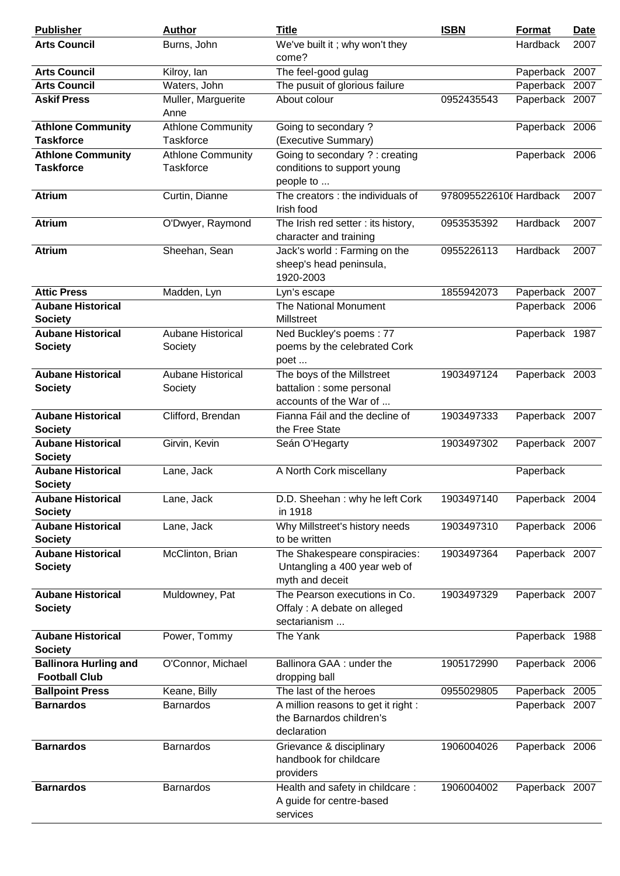| <b>Publisher</b>                                     | <b>Author</b>                         | <b>Title</b>                                                                      | <b>ISBN</b>            | <b>Format</b>   | <b>Date</b> |
|------------------------------------------------------|---------------------------------------|-----------------------------------------------------------------------------------|------------------------|-----------------|-------------|
| <b>Arts Council</b>                                  | Burns, John                           | We've built it; why won't they<br>come?                                           |                        | <b>Hardback</b> | 2007        |
| <b>Arts Council</b>                                  | Kilroy, lan                           | The feel-good gulag                                                               |                        | Paperback 2007  |             |
| <b>Arts Council</b>                                  | Waters, John                          | The pusuit of glorious failure                                                    |                        | Paperback 2007  |             |
| <b>Askif Press</b>                                   | Muller, Marguerite<br>Anne            | About colour                                                                      | 0952435543             | Paperback 2007  |             |
| <b>Athlone Community</b><br><b>Taskforce</b>         | <b>Athlone Community</b><br>Taskforce | Going to secondary?<br>(Executive Summary)                                        |                        | Paperback 2006  |             |
| <b>Athlone Community</b>                             | <b>Athlone Community</b>              | Going to secondary ? : creating                                                   |                        | Paperback 2006  |             |
| <b>Taskforce</b>                                     | <b>Taskforce</b>                      | conditions to support young<br>people to                                          |                        |                 |             |
| <b>Atrium</b>                                        | Curtin, Dianne                        | The creators : the individuals of<br>Irish food                                   | 9780955226106 Hardback |                 | 2007        |
| <b>Atrium</b>                                        | O'Dwyer, Raymond                      | The Irish red setter : its history,<br>character and training                     | 0953535392             | Hardback        | 2007        |
| <b>Atrium</b>                                        | Sheehan, Sean                         | Jack's world: Farming on the<br>sheep's head peninsula,<br>1920-2003              | 0955226113             | Hardback        | 2007        |
| <b>Attic Press</b>                                   | Madden, Lyn                           | Lyn's escape                                                                      | 1855942073             | Paperback 2007  |             |
| <b>Aubane Historical</b><br><b>Society</b>           |                                       | The National Monument<br>Millstreet                                               |                        | Paperback 2006  |             |
| <b>Aubane Historical</b><br><b>Society</b>           | <b>Aubane Historical</b><br>Society   | Ned Buckley's poems: 77<br>poems by the celebrated Cork<br>poet                   |                        | Paperback 1987  |             |
| <b>Aubane Historical</b><br><b>Society</b>           | Aubane Historical<br>Society          | The boys of the Millstreet<br>battalion : some personal<br>accounts of the War of | 1903497124             | Paperback 2003  |             |
| <b>Aubane Historical</b><br><b>Society</b>           | Clifford, Brendan                     | Fianna Fáil and the decline of<br>the Free State                                  | 1903497333             | Paperback 2007  |             |
| <b>Aubane Historical</b><br><b>Society</b>           | Girvin, Kevin                         | Seán O'Hegarty                                                                    | 1903497302             | Paperback 2007  |             |
| <b>Aubane Historical</b><br><b>Society</b>           | Lane, Jack                            | A North Cork miscellany                                                           |                        | Paperback       |             |
| <b>Aubane Historical</b><br><b>Society</b>           | Lane, Jack                            | D.D. Sheehan: why he left Cork<br>in 1918                                         | 1903497140             | Paperback 2004  |             |
| <b>Aubane Historical</b><br><b>Society</b>           | Lane, Jack                            | Why Millstreet's history needs<br>to be written                                   | 1903497310             | Paperback 2006  |             |
| <b>Aubane Historical</b><br><b>Society</b>           | McClinton, Brian                      | The Shakespeare conspiracies:<br>Untangling a 400 year web of<br>myth and deceit  | 1903497364             | Paperback 2007  |             |
| <b>Aubane Historical</b><br><b>Society</b>           | Muldowney, Pat                        | The Pearson executions in Co.<br>Offaly : A debate on alleged<br>sectarianism     | 1903497329             | Paperback 2007  |             |
| <b>Aubane Historical</b><br><b>Society</b>           | Power, Tommy                          | The Yank                                                                          |                        | Paperback 1988  |             |
| <b>Ballinora Hurling and</b><br><b>Football Club</b> | O'Connor, Michael                     | Ballinora GAA : under the<br>dropping ball                                        | 1905172990             | Paperback 2006  |             |
| <b>Ballpoint Press</b>                               | Keane, Billy                          | The last of the heroes                                                            | 0955029805             | Paperback 2005  |             |
| <b>Barnardos</b>                                     | <b>Barnardos</b>                      | A million reasons to get it right :<br>the Barnardos children's<br>declaration    |                        | Paperback 2007  |             |
| <b>Barnardos</b>                                     | <b>Barnardos</b>                      | Grievance & disciplinary<br>handbook for childcare<br>providers                   | 1906004026             | Paperback 2006  |             |
| <b>Barnardos</b>                                     | <b>Barnardos</b>                      | Health and safety in childcare:<br>A guide for centre-based<br>services           | 1906004002             | Paperback 2007  |             |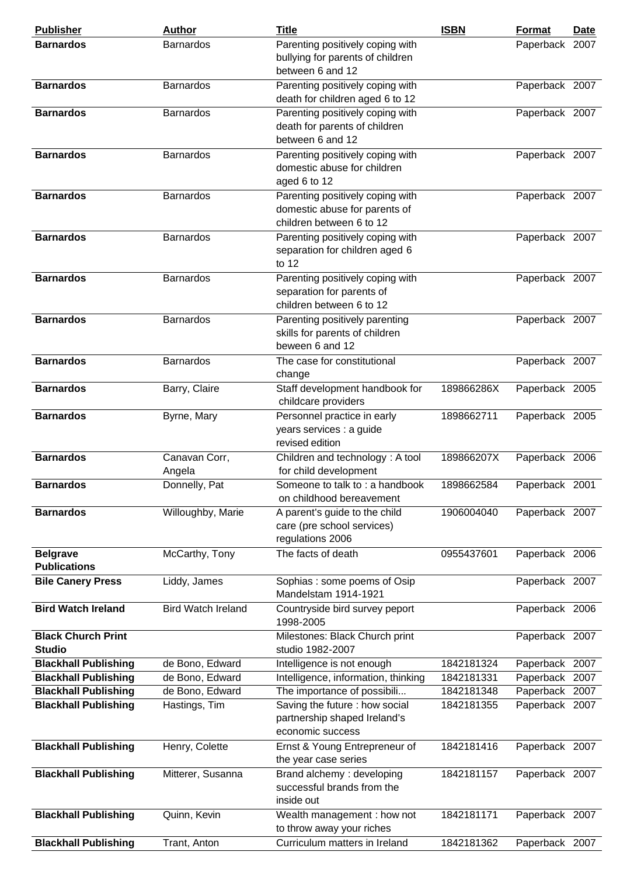| <b>Publisher</b>            | <b>Author</b>             | <b>Title</b>                                             | <b>ISBN</b> | <b>Format</b>  | <b>Date</b> |
|-----------------------------|---------------------------|----------------------------------------------------------|-------------|----------------|-------------|
| <b>Barnardos</b>            | <b>Barnardos</b>          | Parenting positively coping with                         |             | Paperback 2007 |             |
|                             |                           | bullying for parents of children                         |             |                |             |
|                             |                           | between 6 and 12                                         |             |                |             |
| <b>Barnardos</b>            | <b>Barnardos</b>          | Parenting positively coping with                         |             | Paperback 2007 |             |
|                             |                           | death for children aged 6 to 12                          |             |                |             |
| <b>Barnardos</b>            | <b>Barnardos</b>          | Parenting positively coping with                         |             | Paperback 2007 |             |
|                             |                           | death for parents of children                            |             |                |             |
|                             |                           | between 6 and 12                                         |             |                |             |
| <b>Barnardos</b>            | <b>Barnardos</b>          | Parenting positively coping with                         |             | Paperback 2007 |             |
|                             |                           | domestic abuse for children                              |             |                |             |
|                             |                           | aged 6 to 12                                             |             |                |             |
| <b>Barnardos</b>            | <b>Barnardos</b>          | Parenting positively coping with                         |             | Paperback 2007 |             |
|                             |                           | domestic abuse for parents of                            |             |                |             |
|                             |                           | children between 6 to 12                                 |             |                |             |
| <b>Barnardos</b>            | <b>Barnardos</b>          | Parenting positively coping with                         |             | Paperback 2007 |             |
|                             |                           | separation for children aged 6                           |             |                |             |
|                             |                           | to $12$                                                  |             |                |             |
| <b>Barnardos</b>            | <b>Barnardos</b>          | Parenting positively coping with                         |             | Paperback 2007 |             |
|                             |                           | separation for parents of                                |             |                |             |
|                             |                           | children between 6 to 12                                 |             |                |             |
| <b>Barnardos</b>            | <b>Barnardos</b>          | Parenting positively parenting                           |             | Paperback 2007 |             |
|                             |                           | skills for parents of children                           |             |                |             |
|                             |                           | beween 6 and 12                                          |             |                |             |
| <b>Barnardos</b>            | <b>Barnardos</b>          | The case for constitutional                              |             | Paperback 2007 |             |
|                             |                           | change                                                   |             |                |             |
| <b>Barnardos</b>            | Barry, Claire             | Staff development handbook for                           | 189866286X  | Paperback 2005 |             |
| <b>Barnardos</b>            |                           | childcare providers<br>Personnel practice in early       | 1898662711  |                |             |
|                             | Byrne, Mary               | years services : a guide                                 |             | Paperback 2005 |             |
|                             |                           | revised edition                                          |             |                |             |
| <b>Barnardos</b>            |                           |                                                          | 189866207X  |                |             |
|                             | Canavan Corr,<br>Angela   | Children and technology: A tool<br>for child development |             | Paperback 2006 |             |
| <b>Barnardos</b>            | Donnelly, Pat             | Someone to talk to: a handbook                           | 1898662584  | Paperback 2001 |             |
|                             |                           | on childhood bereavement                                 |             |                |             |
| <b>Barnardos</b>            | Willoughby, Marie         | A parent's guide to the child                            | 1906004040  | Paperback 2007 |             |
|                             |                           | care (pre school services)                               |             |                |             |
|                             |                           | regulations 2006                                         |             |                |             |
| <b>Belgrave</b>             | McCarthy, Tony            | The facts of death                                       | 0955437601  | Paperback 2006 |             |
| <b>Publications</b>         |                           |                                                          |             |                |             |
| <b>Bile Canery Press</b>    | Liddy, James              | Sophias: some poems of Osip                              |             | Paperback 2007 |             |
|                             |                           | Mandelstam 1914-1921                                     |             |                |             |
| <b>Bird Watch Ireland</b>   | <b>Bird Watch Ireland</b> | Countryside bird survey peport                           |             | Paperback 2006 |             |
|                             |                           | 1998-2005                                                |             |                |             |
| <b>Black Church Print</b>   |                           | Milestones: Black Church print                           |             | Paperback 2007 |             |
| <b>Studio</b>               |                           | studio 1982-2007                                         |             |                |             |
| <b>Blackhall Publishing</b> | de Bono, Edward           | Intelligence is not enough                               | 1842181324  | Paperback 2007 |             |
| <b>Blackhall Publishing</b> | de Bono, Edward           | Intelligence, information, thinking                      | 1842181331  | Paperback 2007 |             |
| <b>Blackhall Publishing</b> | de Bono, Edward           | The importance of possibili                              | 1842181348  | Paperback      | 2007        |
| <b>Blackhall Publishing</b> | Hastings, Tim             | Saving the future : how social                           | 1842181355  | Paperback 2007 |             |
|                             |                           | partnership shaped Ireland's                             |             |                |             |
|                             |                           | economic success                                         |             |                |             |
| <b>Blackhall Publishing</b> | Henry, Colette            | Ernst & Young Entrepreneur of                            | 1842181416  | Paperback 2007 |             |
|                             |                           | the year case series                                     |             |                |             |
| <b>Blackhall Publishing</b> | Mitterer, Susanna         | Brand alchemy: developing                                | 1842181157  | Paperback 2007 |             |
|                             |                           | successful brands from the                               |             |                |             |
|                             |                           | inside out                                               |             |                |             |
| <b>Blackhall Publishing</b> | Quinn, Kevin              | Wealth management: how not                               | 1842181171  | Paperback 2007 |             |
|                             |                           | to throw away your riches                                |             |                |             |
| <b>Blackhall Publishing</b> | Trant, Anton              | Curriculum matters in Ireland                            | 1842181362  | Paperback 2007 |             |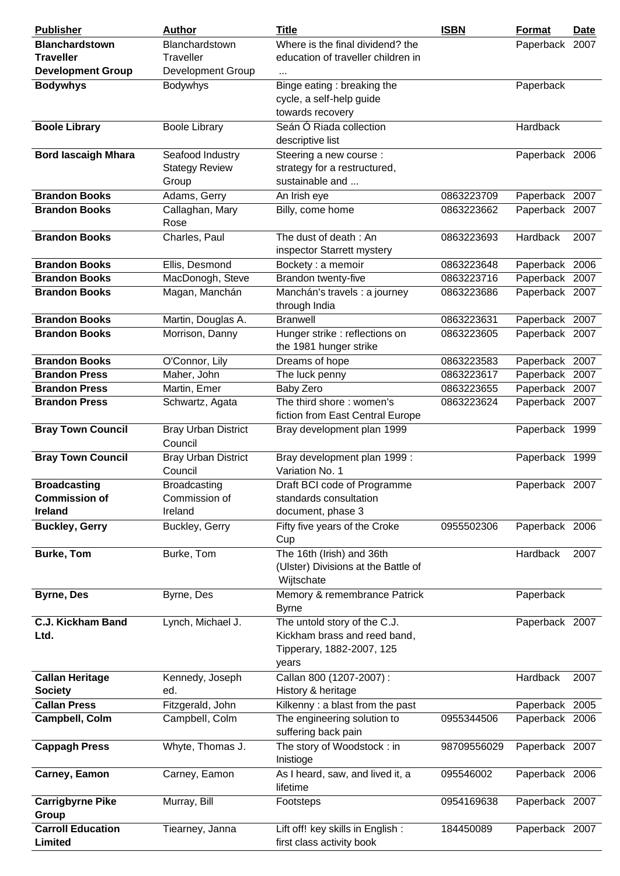| <b>Publisher</b>           | <b>Author</b>              | <b>Title</b>                        | <b>ISBN</b> | Format         | <b>Date</b> |
|----------------------------|----------------------------|-------------------------------------|-------------|----------------|-------------|
| <b>Blanchardstown</b>      | Blanchardstown             | Where is the final dividend? the    |             | Paperback 2007 |             |
| <b>Traveller</b>           | Traveller                  | education of traveller children in  |             |                |             |
| <b>Development Group</b>   | <b>Development Group</b>   |                                     |             |                |             |
| <b>Bodywhys</b>            | <b>Bodywhys</b>            | Binge eating: breaking the          |             | Paperback      |             |
|                            |                            | cycle, a self-help guide            |             |                |             |
|                            |                            | towards recovery                    |             |                |             |
| <b>Boole Library</b>       | <b>Boole Library</b>       | Seán Ó Riada collection             |             | Hardback       |             |
|                            |                            | descriptive list                    |             |                |             |
| <b>Bord lascaigh Mhara</b> | Seafood Industry           | Steering a new course :             |             | Paperback 2006 |             |
|                            | <b>Stategy Review</b>      | strategy for a restructured,        |             |                |             |
|                            | Group                      | sustainable and                     |             |                |             |
| <b>Brandon Books</b>       | Adams, Gerry               | An Irish eye                        | 0863223709  | Paperback 2007 |             |
| <b>Brandon Books</b>       | Callaghan, Mary            | Billy, come home                    | 0863223662  | Paperback 2007 |             |
|                            | Rose                       |                                     |             |                |             |
| <b>Brandon Books</b>       | Charles, Paul              | The dust of death: An               | 0863223693  | Hardback       | 2007        |
|                            |                            | inspector Starrett mystery          |             |                |             |
| <b>Brandon Books</b>       | Ellis, Desmond             | Bockety : a memoir                  | 0863223648  | Paperback 2006 |             |
| <b>Brandon Books</b>       | MacDonogh, Steve           | Brandon twenty-five                 | 0863223716  | Paperback      | 2007        |
| <b>Brandon Books</b>       | Magan, Manchán             | Manchán's travels : a journey       | 0863223686  | Paperback 2007 |             |
|                            |                            | through India                       |             |                |             |
| <b>Brandon Books</b>       | Martin, Douglas A.         | <b>Branwell</b>                     | 0863223631  | Paperback 2007 |             |
| <b>Brandon Books</b>       | Morrison, Danny            | Hunger strike : reflections on      | 0863223605  | Paperback 2007 |             |
|                            |                            | the 1981 hunger strike              |             |                |             |
| <b>Brandon Books</b>       | O'Connor, Lily             | Dreams of hope                      | 0863223583  | Paperback 2007 |             |
| <b>Brandon Press</b>       | Maher, John                | The luck penny                      | 0863223617  | Paperback 2007 |             |
| <b>Brandon Press</b>       | Martin, Emer               | Baby Zero                           | 0863223655  | Paperback 2007 |             |
| <b>Brandon Press</b>       | Schwartz, Agata            | The third shore: women's            | 0863223624  | Paperback 2007 |             |
|                            |                            | fiction from East Central Europe    |             |                |             |
| <b>Bray Town Council</b>   | <b>Bray Urban District</b> | Bray development plan 1999          |             | Paperback 1999 |             |
|                            | Council                    |                                     |             |                |             |
| <b>Bray Town Council</b>   | <b>Bray Urban District</b> | Bray development plan 1999 :        |             | Paperback 1999 |             |
|                            | Council                    | Variation No. 1                     |             |                |             |
| <b>Broadcasting</b>        | <b>Broadcasting</b>        | Draft BCI code of Programme         |             | Paperback 2007 |             |
| <b>Commission of</b>       | Commission of              | standards consultation              |             |                |             |
| <b>Ireland</b>             | Ireland                    | document, phase 3                   |             |                |             |
| <b>Buckley, Gerry</b>      | Buckley, Gerry             | Fifty five years of the Croke       | 0955502306  | Paperback 2006 |             |
|                            |                            | Cup                                 |             |                |             |
| <b>Burke, Tom</b>          | Burke, Tom                 | The 16th (Irish) and 36th           |             | Hardback       | 2007        |
|                            |                            | (Ulster) Divisions at the Battle of |             |                |             |
|                            |                            | Wijtschate                          |             |                |             |
| <b>Byrne, Des</b>          | Byrne, Des                 | Memory & remembrance Patrick        |             | Paperback      |             |
|                            |                            | <b>Byrne</b>                        |             |                |             |
| <b>C.J. Kickham Band</b>   | Lynch, Michael J.          | The untold story of the C.J.        |             | Paperback 2007 |             |
| Ltd.                       |                            | Kickham brass and reed band,        |             |                |             |
|                            |                            | Tipperary, 1882-2007, 125           |             |                |             |
|                            |                            | years                               |             |                |             |
| <b>Callan Heritage</b>     | Kennedy, Joseph            | Callan 800 (1207-2007):             |             | Hardback       | 2007        |
| <b>Society</b>             | ed.                        | History & heritage                  |             |                |             |
| <b>Callan Press</b>        | Fitzgerald, John           | Kilkenny: a blast from the past     |             | Paperback 2005 |             |
| Campbell, Colm             | Campbell, Colm             | The engineering solution to         | 0955344506  | Paperback 2006 |             |
|                            |                            | suffering back pain                 |             |                |             |
| <b>Cappagh Press</b>       | Whyte, Thomas J.           | The story of Woodstock: in          | 98709556029 | Paperback 2007 |             |
|                            |                            | Inistioge                           |             |                |             |
| Carney, Eamon              | Carney, Eamon              | As I heard, saw, and lived it, a    | 095546002   | Paperback 2006 |             |
|                            |                            | lifetime                            |             |                |             |
| <b>Carrigbyrne Pike</b>    | Murray, Bill               | Footsteps                           | 0954169638  | Paperback 2007 |             |
| Group                      |                            |                                     |             |                |             |
| <b>Carroll Education</b>   | Tiearney, Janna            | Lift off! key skills in English :   | 184450089   | Paperback 2007 |             |
| Limited                    |                            | first class activity book           |             |                |             |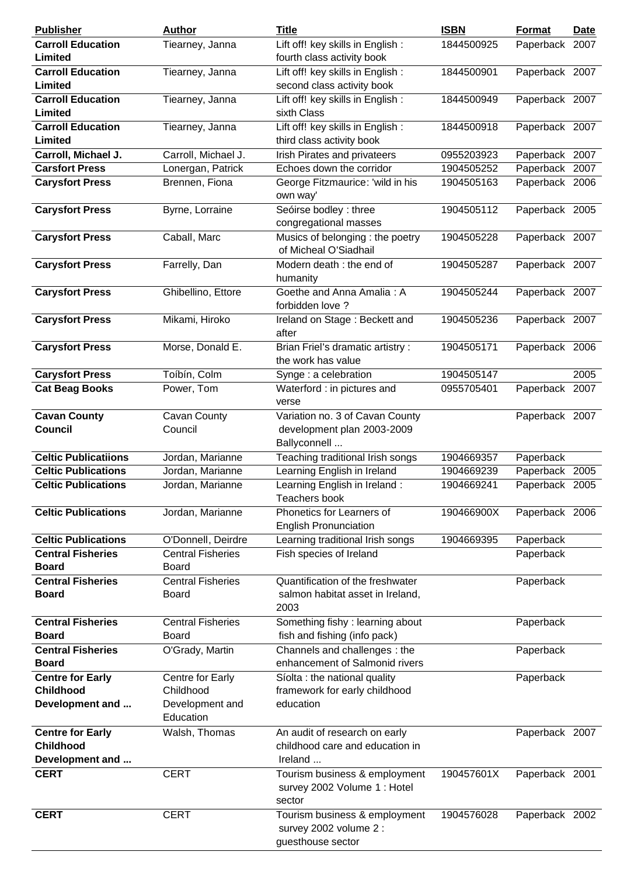| <b>Publisher</b>                            | <b>Author</b>                | <b>Title</b>                                                                 | <b>ISBN</b> | Format         | <b>Date</b> |
|---------------------------------------------|------------------------------|------------------------------------------------------------------------------|-------------|----------------|-------------|
| <b>Carroll Education</b>                    | Tiearney, Janna              | Lift off! key skills in English :                                            | 1844500925  | Paperback 2007 |             |
| Limited                                     |                              | fourth class activity book                                                   |             |                |             |
| <b>Carroll Education</b>                    | Tiearney, Janna              | Lift off! key skills in English :                                            | 1844500901  | Paperback 2007 |             |
| Limited                                     |                              | second class activity book                                                   |             |                |             |
| <b>Carroll Education</b>                    | Tiearney, Janna              | Lift off! key skills in English :                                            | 1844500949  | Paperback 2007 |             |
| Limited                                     |                              | sixth Class                                                                  |             |                |             |
| <b>Carroll Education</b>                    | Tiearney, Janna              | Lift off! key skills in English :                                            | 1844500918  | Paperback 2007 |             |
| Limited                                     |                              | third class activity book                                                    |             |                |             |
| Carroll, Michael J.                         | Carroll, Michael J.          | Irish Pirates and privateers                                                 | 0955203923  | Paperback 2007 |             |
| <b>Carsfort Press</b>                       | Lonergan, Patrick            | Echoes down the corridor                                                     | 1904505252  | Paperback 2007 |             |
| <b>Carysfort Press</b>                      | Brennen, Fiona               | George Fitzmaurice: 'wild in his<br>own way'                                 | 1904505163  | Paperback 2006 |             |
| <b>Carysfort Press</b>                      | Byrne, Lorraine              | Seóirse bodley : three<br>congregational masses                              | 1904505112  | Paperback 2005 |             |
| <b>Carysfort Press</b>                      | Caball, Marc                 | Musics of belonging : the poetry<br>of Micheal O'Siadhail                    | 1904505228  | Paperback 2007 |             |
| <b>Carysfort Press</b>                      | Farrelly, Dan                | Modern death : the end of<br>humanity                                        | 1904505287  | Paperback 2007 |             |
| <b>Carysfort Press</b>                      | Ghibellino, Ettore           | Goethe and Anna Amalia: A<br>forbidden love ?                                | 1904505244  | Paperback 2007 |             |
| <b>Carysfort Press</b>                      | Mikami, Hiroko               | Ireland on Stage: Beckett and<br>after                                       | 1904505236  | Paperback 2007 |             |
| <b>Carysfort Press</b>                      | Morse, Donald E.             | Brian Friel's dramatic artistry:<br>the work has value                       | 1904505171  | Paperback 2006 |             |
| <b>Carysfort Press</b>                      | Toíbín, Colm                 | Synge : a celebration                                                        | 1904505147  |                | 2005        |
| <b>Cat Beag Books</b>                       | Power, Tom                   | Waterford : in pictures and                                                  | 0955705401  | Paperback 2007 |             |
|                                             |                              | verse                                                                        |             |                |             |
| <b>Cavan County</b>                         | Cavan County                 | Variation no. 3 of Cavan County                                              |             | Paperback 2007 |             |
| <b>Council</b>                              | Council                      | development plan 2003-2009                                                   |             |                |             |
|                                             |                              | Ballyconnell                                                                 |             |                |             |
| <b>Celtic Publicatiions</b>                 | Jordan, Marianne             | Teaching traditional Irish songs                                             | 1904669357  | Paperback      |             |
| <b>Celtic Publications</b>                  | Jordan, Marianne             | Learning English in Ireland                                                  | 1904669239  | Paperback      | 2005        |
| <b>Celtic Publications</b>                  | Jordan, Marianne             | Learning English in Ireland:                                                 | 1904669241  | Paperback 2005 |             |
|                                             |                              | <b>Teachers book</b>                                                         |             |                |             |
| <b>Celtic Publications</b>                  | Jordan, Marianne             | Phonetics for Learners of<br><b>English Pronunciation</b>                    | 190466900X  | Paperback 2006 |             |
| <b>Celtic Publications</b>                  | O'Donnell, Deirdre           | Learning traditional Irish songs                                             | 1904669395  | Paperback      |             |
| <b>Central Fisheries</b>                    | <b>Central Fisheries</b>     | Fish species of Ireland                                                      |             | Paperback      |             |
| <b>Board</b>                                | Board                        |                                                                              |             |                |             |
| <b>Central Fisheries</b>                    | <b>Central Fisheries</b>     | Quantification of the freshwater                                             |             | Paperback      |             |
| <b>Board</b>                                | <b>Board</b>                 | salmon habitat asset in Ireland,<br>2003                                     |             |                |             |
| <b>Central Fisheries</b>                    | <b>Central Fisheries</b>     | Something fishy: learning about                                              |             | Paperback      |             |
| <b>Board</b>                                | <b>Board</b>                 | fish and fishing (info pack)                                                 |             |                |             |
| <b>Central Fisheries</b>                    | O'Grady, Martin              | Channels and challenges: the                                                 |             | Paperback      |             |
| <b>Board</b>                                |                              | enhancement of Salmonid rivers                                               |             |                |             |
| <b>Centre for Early</b>                     | Centre for Early             | Síolta : the national quality                                                |             | Paperback      |             |
| <b>Childhood</b>                            | Childhood                    | framework for early childhood                                                |             |                |             |
| Development and                             | Development and<br>Education | education                                                                    |             |                |             |
| <b>Centre for Early</b><br><b>Childhood</b> | Walsh, Thomas                | An audit of research on early<br>childhood care and education in             |             | Paperback 2007 |             |
| Development and                             |                              | Ireland                                                                      |             |                |             |
| <b>CERT</b>                                 | <b>CERT</b>                  | Tourism business & employment<br>survey 2002 Volume 1 : Hotel                | 190457601X  | Paperback 2001 |             |
|                                             |                              | sector                                                                       |             |                |             |
| <b>CERT</b>                                 | <b>CERT</b>                  | Tourism business & employment<br>survey 2002 volume 2 :<br>guesthouse sector | 1904576028  | Paperback 2002 |             |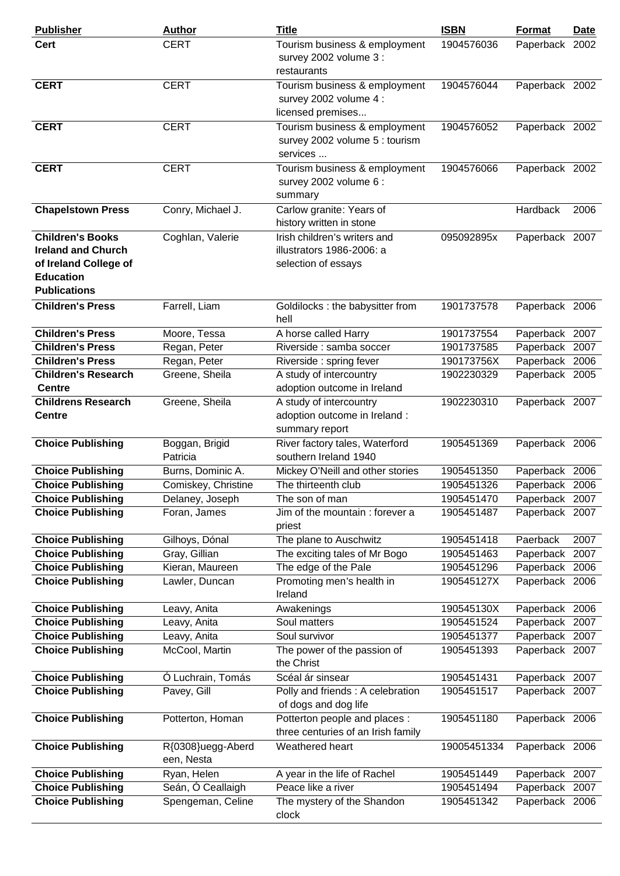| <b>Publisher</b>                                                                                                         | <b>Author</b>                   | <b>Title</b>                                                                     | <b>ISBN</b> | Format         | <b>Date</b> |
|--------------------------------------------------------------------------------------------------------------------------|---------------------------------|----------------------------------------------------------------------------------|-------------|----------------|-------------|
| <b>Cert</b>                                                                                                              | <b>CERT</b>                     | Tourism business & employment<br>survey 2002 volume 3 :<br>restaurants           | 1904576036  | Paperback 2002 |             |
| <b>CERT</b>                                                                                                              | <b>CERT</b>                     | Tourism business & employment<br>survey 2002 volume 4 :<br>licensed premises     | 1904576044  | Paperback 2002 |             |
| <b>CERT</b>                                                                                                              | <b>CERT</b>                     | Tourism business & employment<br>survey 2002 volume 5 : tourism<br>services      | 1904576052  | Paperback 2002 |             |
| <b>CERT</b>                                                                                                              | <b>CERT</b>                     | Tourism business & employment<br>survey 2002 volume 6 :<br>summary               | 1904576066  | Paperback 2002 |             |
| <b>Chapelstown Press</b>                                                                                                 | Conry, Michael J.               | Carlow granite: Years of<br>history written in stone                             |             | Hardback       | 2006        |
| <b>Children's Books</b><br><b>Ireland and Church</b><br>of Ireland College of<br><b>Education</b><br><b>Publications</b> | Coghlan, Valerie                | Irish children's writers and<br>illustrators 1986-2006: a<br>selection of essays | 095092895x  | Paperback 2007 |             |
| <b>Children's Press</b>                                                                                                  | Farrell, Liam                   | Goldilocks : the babysitter from<br>hell                                         | 1901737578  | Paperback 2006 |             |
| <b>Children's Press</b>                                                                                                  | Moore, Tessa                    | A horse called Harry                                                             | 1901737554  | Paperback 2007 |             |
| <b>Children's Press</b>                                                                                                  | Regan, Peter                    | Riverside : samba soccer                                                         | 1901737585  | Paperback 2007 |             |
| <b>Children's Press</b>                                                                                                  | Regan, Peter                    | Riverside: spring fever                                                          | 190173756X  | Paperback 2006 |             |
| <b>Children's Research</b><br><b>Centre</b>                                                                              | Greene, Sheila                  | A study of intercountry<br>adoption outcome in Ireland                           | 1902230329  | Paperback 2005 |             |
| <b>Childrens Research</b><br><b>Centre</b>                                                                               | Greene, Sheila                  | A study of intercountry<br>adoption outcome in Ireland :<br>summary report       | 1902230310  | Paperback 2007 |             |
| <b>Choice Publishing</b>                                                                                                 | Boggan, Brigid<br>Patricia      | River factory tales, Waterford<br>southern Ireland 1940                          | 1905451369  | Paperback 2006 |             |
| <b>Choice Publishing</b>                                                                                                 | Burns, Dominic A.               | Mickey O'Neill and other stories                                                 | 1905451350  | Paperback 2006 |             |
| <b>Choice Publishing</b>                                                                                                 | Comiskey, Christine             | The thirteenth club                                                              | 1905451326  | Paperback 2006 |             |
| <b>Choice Publishing</b>                                                                                                 | Delaney, Joseph                 | The son of man                                                                   | 1905451470  | Paperback 2007 |             |
| <b>Choice Publishing</b>                                                                                                 | Foran, James                    | Jim of the mountain : forever a<br>priest                                        | 1905451487  | Paperback 2007 |             |
| <b>Choice Publishing</b>                                                                                                 | Gilhoys, Dónal                  | The plane to Auschwitz                                                           | 1905451418  | Paerback       | 2007        |
| <b>Choice Publishing</b>                                                                                                 | Gray, Gillian                   | The exciting tales of Mr Bogo                                                    | 1905451463  | Paperback      | 2007        |
| <b>Choice Publishing</b>                                                                                                 | Kieran, Maureen                 | The edge of the Pale                                                             | 1905451296  | Paperback      | 2006        |
| <b>Choice Publishing</b>                                                                                                 | Lawler, Duncan                  | Promoting men's health in<br>Ireland                                             | 190545127X  | Paperback 2006 |             |
| <b>Choice Publishing</b>                                                                                                 | Leavy, Anita                    | Awakenings                                                                       | 190545130X  | Paperback 2006 |             |
| <b>Choice Publishing</b>                                                                                                 | Leavy, Anita                    | Soul matters                                                                     | 1905451524  | Paperback      | 2007        |
| <b>Choice Publishing</b>                                                                                                 | Leavy, Anita                    | Soul survivor                                                                    | 1905451377  | Paperback      | 2007        |
| <b>Choice Publishing</b>                                                                                                 | McCool, Martin                  | The power of the passion of<br>the Christ                                        | 1905451393  | Paperback 2007 |             |
| <b>Choice Publishing</b>                                                                                                 | Ó Luchrain, Tomás               | Scéal ár sinsear                                                                 | 1905451431  | Paperback 2007 |             |
| <b>Choice Publishing</b>                                                                                                 | Pavey, Gill                     | Polly and friends : A celebration<br>of dogs and dog life                        | 1905451517  | Paperback 2007 |             |
| <b>Choice Publishing</b>                                                                                                 | Potterton, Homan                | Potterton people and places :<br>three centuries of an Irish family              | 1905451180  | Paperback 2006 |             |
| <b>Choice Publishing</b>                                                                                                 | R{0308}uegg-Aberd<br>een, Nesta | Weathered heart                                                                  | 19005451334 | Paperback 2006 |             |
| <b>Choice Publishing</b>                                                                                                 | Ryan, Helen                     | A year in the life of Rachel                                                     | 1905451449  | Paperback 2007 |             |
| <b>Choice Publishing</b>                                                                                                 | Seán, Ó Ceallaigh               | Peace like a river                                                               | 1905451494  | Paperback 2007 |             |
| <b>Choice Publishing</b>                                                                                                 | Spengeman, Celine               | The mystery of the Shandon<br>clock                                              | 1905451342  | Paperback 2006 |             |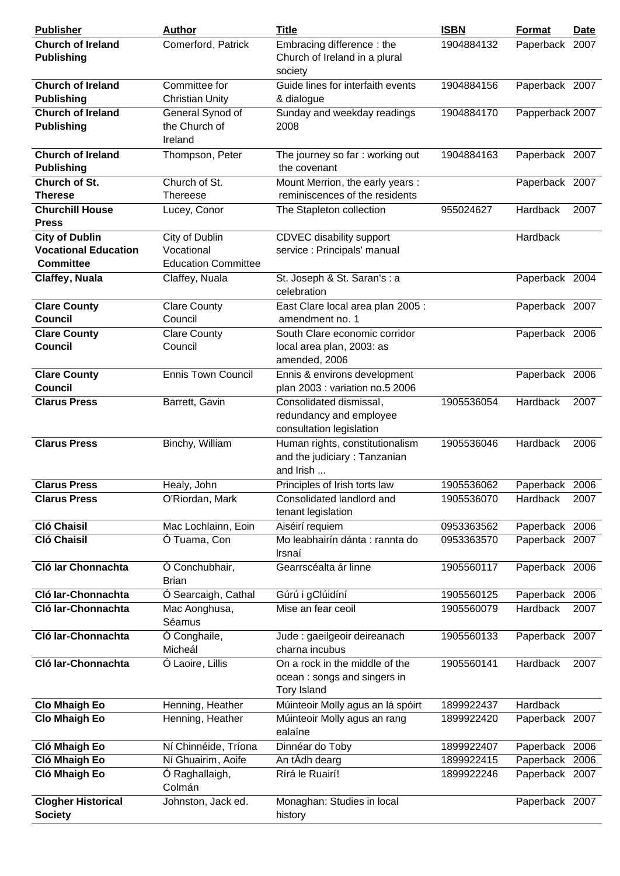| <b>Publisher</b>                                                         | <b>Author</b>                                              | <b>Title</b>                                                                        | <b>ISBN</b> | Format          | <b>Date</b> |
|--------------------------------------------------------------------------|------------------------------------------------------------|-------------------------------------------------------------------------------------|-------------|-----------------|-------------|
| <b>Church of Ireland</b><br><b>Publishing</b>                            | Comerford, Patrick                                         | Embracing difference: the<br>Church of Ireland in a plural<br>society               | 1904884132  | Paperback 2007  |             |
| <b>Church of Ireland</b><br><b>Publishing</b>                            | Committee for<br><b>Christian Unity</b>                    | Guide lines for interfaith events<br>& dialogue                                     | 1904884156  | Paperback 2007  |             |
| <b>Church of Ireland</b><br><b>Publishing</b>                            | General Synod of<br>the Church of<br>Ireland               | Sunday and weekday readings<br>2008                                                 | 1904884170  | Papperback 2007 |             |
| <b>Church of Ireland</b><br><b>Publishing</b>                            | Thompson, Peter                                            | The journey so far: working out<br>the covenant                                     | 1904884163  | Paperback 2007  |             |
| Church of St.<br><b>Therese</b>                                          | Church of St.<br>Thereese                                  | Mount Merrion, the early years :<br>reminiscences of the residents                  |             | Paperback 2007  |             |
| <b>Churchill House</b><br><b>Press</b>                                   | Lucey, Conor                                               | The Stapleton collection                                                            | 955024627   | Hardback        | 2007        |
| <b>City of Dublin</b><br><b>Vocational Education</b><br><b>Committee</b> | City of Dublin<br>Vocational<br><b>Education Committee</b> | CDVEC disability support<br>service : Principals' manual                            |             | Hardback        |             |
| Claffey, Nuala                                                           | Claffey, Nuala                                             | St. Joseph & St. Saran's : a<br>celebration                                         |             | Paperback 2004  |             |
| <b>Clare County</b><br><b>Council</b>                                    | <b>Clare County</b><br>Council                             | East Clare local area plan 2005 :<br>amendment no. 1                                |             | Paperback 2007  |             |
| <b>Clare County</b><br><b>Council</b>                                    | <b>Clare County</b><br>Council                             | South Clare economic corridor<br>local area plan, 2003: as<br>amended, 2006         |             | Paperback 2006  |             |
| <b>Clare County</b><br><b>Council</b>                                    | <b>Ennis Town Council</b>                                  | Ennis & environs development<br>plan 2003 : variation no.5 2006                     |             | Paperback 2006  |             |
| <b>Clarus Press</b>                                                      | Barrett, Gavin                                             | Consolidated dismissal,<br>redundancy and employee<br>consultation legislation      | 1905536054  | Hardback        | 2007        |
| <b>Clarus Press</b>                                                      | Binchy, William                                            | Human rights, constitutionalism<br>and the judiciary: Tanzanian<br>and Irish        | 1905536046  | Hardback        | 2006        |
| <b>Clarus Press</b>                                                      | Healy, John                                                | Principles of Irish torts law                                                       | 1905536062  | Paperback 2006  |             |
| <b>Clarus Press</b>                                                      | O'Riordan, Mark                                            | Consolidated landlord and<br>tenant legislation                                     | 1905536070  | Hardback        | 2007        |
| <b>Cló Chaisil</b>                                                       | Mac Lochlainn, Eoin                                        | Aiséirí requiem                                                                     | 0953363562  | Paperback 2006  |             |
| <b>Cló Chaisil</b>                                                       | Ó Tuama, Con                                               | Mo leabhairín dánta : rannta do<br>Irsnaí                                           | 0953363570  | Paperback 2007  |             |
| Cló Iar Chonnachta                                                       | Ó Conchubhair,<br><b>Brian</b>                             | Gearrscéalta ár linne                                                               | 1905560117  | Paperback 2006  |             |
| Cló Iar-Chonnachta                                                       | Ó Searcaigh, Cathal                                        | Gúrú i gClúidíní                                                                    | 1905560125  | Paperback 2006  |             |
| Cló Iar-Chonnachta                                                       | Mac Aonghusa,<br>Séamus                                    | Mise an fear ceoil                                                                  | 1905560079  | Hardback        | 2007        |
| Cló Iar-Chonnachta                                                       | Ó Conghaile,<br>Micheál                                    | Jude : gaeilgeoir deireanach<br>charna incubus                                      | 1905560133  | Paperback 2007  |             |
| Cló Iar-Chonnachta                                                       | Ó Laoire, Lillis                                           | On a rock in the middle of the<br>ocean: songs and singers in<br><b>Tory Island</b> | 1905560141  | Hardback        | 2007        |
| <b>Clo Mhaigh Eo</b>                                                     | Henning, Heather                                           | Múinteoir Molly agus an lá spóirt                                                   | 1899922437  | Hardback        |             |
| <b>Clo Mhaigh Eo</b>                                                     | Henning, Heather                                           | Múinteoir Molly agus an rang<br>ealaíne                                             | 1899922420  | Paperback 2007  |             |
| Cló Mhaigh Eo                                                            | Ní Chinnéide, Tríona                                       | Dinnéar do Toby                                                                     | 1899922407  | Paperback 2006  |             |
| Cló Mhaigh Eo                                                            | Ní Ghuairim, Aoife                                         | An tÁdh dearg                                                                       | 1899922415  | Paperback       | 2006        |
| Cló Mhaigh Eo                                                            | Ó Raghallaigh,<br>Colmán                                   | Rírá le Ruairí!                                                                     | 1899922246  | Paperback 2007  |             |
| <b>Clogher Historical</b><br><b>Society</b>                              | Johnston, Jack ed.                                         | Monaghan: Studies in local<br>history                                               |             | Paperback 2007  |             |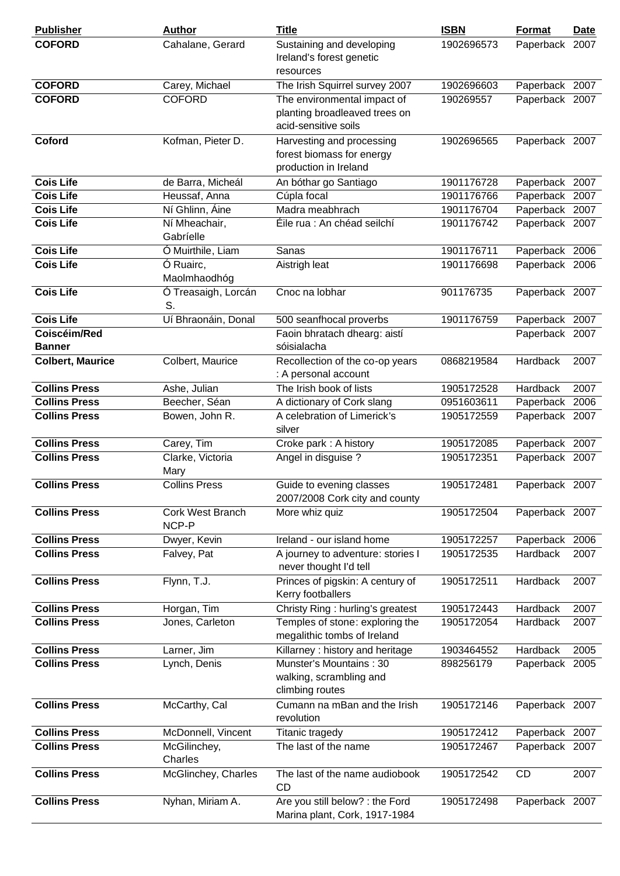| <b>Publisher</b>              | <b>Author</b>                    | <b>Title</b>                                                                         | <b>ISBN</b> | Format         | <b>Date</b> |
|-------------------------------|----------------------------------|--------------------------------------------------------------------------------------|-------------|----------------|-------------|
| <b>COFORD</b>                 | Cahalane, Gerard                 | Sustaining and developing<br>Ireland's forest genetic<br>resources                   | 1902696573  | Paperback      | 2007        |
| <b>COFORD</b>                 | Carey, Michael                   | The Irish Squirrel survey 2007                                                       | 1902696603  | Paperback 2007 |             |
| <b>COFORD</b>                 | <b>COFORD</b>                    | The environmental impact of<br>planting broadleaved trees on<br>acid-sensitive soils | 190269557   | Paperback 2007 |             |
| Coford                        | Kofman, Pieter D.                | Harvesting and processing<br>forest biomass for energy<br>production in Ireland      | 1902696565  | Paperback 2007 |             |
| <b>Cois Life</b>              | de Barra, Micheál                | An bóthar go Santiago                                                                | 1901176728  | Paperback 2007 |             |
| <b>Cois Life</b>              | Heussaf, Anna                    | Cúpla focal                                                                          | 1901176766  | Paperback      | 2007        |
| <b>Cois Life</b>              | Ní Ghlinn, Áine                  | Madra meabhrach                                                                      | 1901176704  | Paperback 2007 |             |
| <b>Cois Life</b>              | Ní Mheachair,<br>Gabríelle       | Éile rua : An chéad seilchí                                                          | 1901176742  | Paperback 2007 |             |
| <b>Cois Life</b>              | Ó Muirthile, Liam                | Sanas                                                                                | 1901176711  | Paperback 2006 |             |
| <b>Cois Life</b>              | Ó Ruairc,<br>Maolmhaodhóg        | Aistrigh leat                                                                        | 1901176698  | Paperback 2006 |             |
| <b>Cois Life</b>              | Ó Treasaigh, Lorcán<br>S.        | Cnoc na lobhar                                                                       | 901176735   | Paperback 2007 |             |
| <b>Cois Life</b>              | Uí Bhraonáin, Donal              | 500 seanfhocal proverbs                                                              | 1901176759  | Paperback 2007 |             |
| Coiscéim/Red<br><b>Banner</b> |                                  | Faoin bhratach dhearg: aistí<br>sóisialacha                                          |             | Paperback 2007 |             |
| <b>Colbert, Maurice</b>       | Colbert, Maurice                 | Recollection of the co-op years<br>: A personal account                              | 0868219584  | Hardback       | 2007        |
| <b>Collins Press</b>          | Ashe, Julian                     | The Irish book of lists                                                              | 1905172528  | Hardback       | 2007        |
| <b>Collins Press</b>          | Beecher, Séan                    | A dictionary of Cork slang                                                           | 0951603611  | Paperback      | 2006        |
| <b>Collins Press</b>          | Bowen, John R.                   | A celebration of Limerick's<br>silver                                                | 1905172559  | Paperback 2007 |             |
| <b>Collins Press</b>          | Carey, Tim                       | Croke park: A history                                                                | 1905172085  | Paperback 2007 |             |
| <b>Collins Press</b>          | Clarke, Victoria<br>Mary         | Angel in disguise ?                                                                  | 1905172351  | Paperback 2007 |             |
| <b>Collins Press</b>          | <b>Collins Press</b>             | Guide to evening classes<br>2007/2008 Cork city and county                           | 1905172481  | Paperback 2007 |             |
| <b>Collins Press</b>          | <b>Cork West Branch</b><br>NCP-P | More whiz quiz                                                                       | 1905172504  | Paperback 2007 |             |
| <b>Collins Press</b>          | Dwyer, Kevin                     | Ireland - our island home                                                            | 1905172257  | Paperback      | 2006        |
| <b>Collins Press</b>          | Falvey, Pat                      | A journey to adventure: stories I<br>never thought I'd tell                          | 1905172535  | Hardback       | 2007        |
| <b>Collins Press</b>          | Flynn, T.J.                      | Princes of pigskin: A century of<br>Kerry footballers                                | 1905172511  | Hardback       | 2007        |
| <b>Collins Press</b>          | Horgan, Tim                      | Christy Ring: hurling's greatest                                                     | 1905172443  | Hardback       | 2007        |
| <b>Collins Press</b>          | Jones, Carleton                  | Temples of stone: exploring the<br>megalithic tombs of Ireland                       | 1905172054  | Hardback       | 2007        |
| <b>Collins Press</b>          | Larner, Jim                      | Killarney: history and heritage                                                      | 1903464552  | Hardback       | 2005        |
| <b>Collins Press</b>          | Lynch, Denis                     | Munster's Mountains: 30<br>walking, scrambling and<br>climbing routes                | 898256179   | Paperback 2005 |             |
| <b>Collins Press</b>          | McCarthy, Cal                    | Cumann na mBan and the Irish<br>revolution                                           | 1905172146  | Paperback 2007 |             |
| <b>Collins Press</b>          | McDonnell, Vincent               | Titanic tragedy                                                                      | 1905172412  | Paperback 2007 |             |
| <b>Collins Press</b>          | McGilinchey,<br>Charles          | The last of the name                                                                 | 1905172467  | Paperback 2007 |             |
| <b>Collins Press</b>          | McGlinchey, Charles              | The last of the name audiobook<br><b>CD</b>                                          | 1905172542  | <b>CD</b>      | 2007        |
| <b>Collins Press</b>          | Nyhan, Miriam A.                 | Are you still below? : the Ford<br>Marina plant, Cork, 1917-1984                     | 1905172498  | Paperback 2007 |             |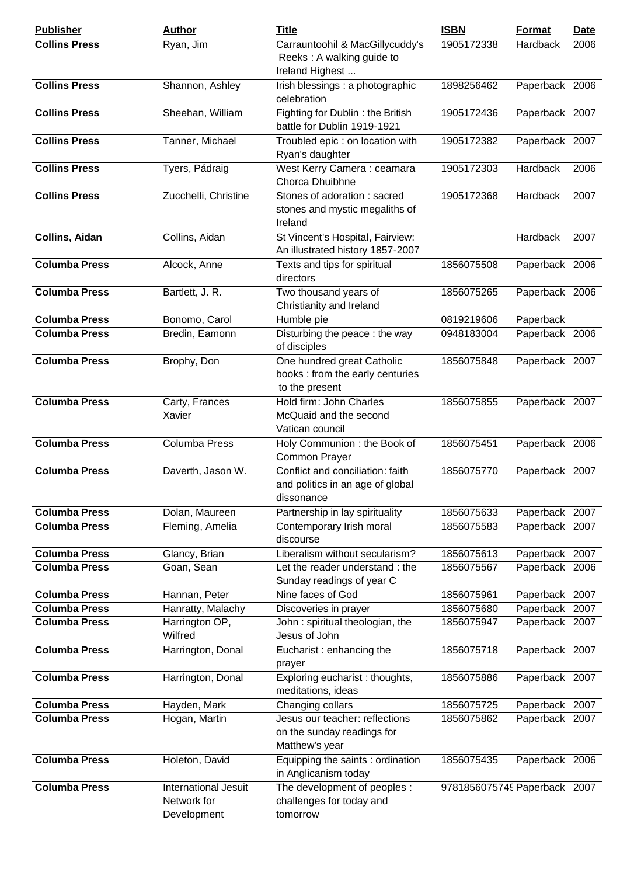| <b>Publisher</b>      | <b>Author</b>                                      | <b>Title</b>                                                                       | <b>ISBN</b>                  | Format          | <u>Date</u> |
|-----------------------|----------------------------------------------------|------------------------------------------------------------------------------------|------------------------------|-----------------|-------------|
| <b>Collins Press</b>  | Ryan, Jim                                          | Carrauntoohil & MacGillycuddy's<br>Reeks: A walking guide to<br>Ireland Highest    | 1905172338                   | Hardback        | 2006        |
| <b>Collins Press</b>  | Shannon, Ashley                                    | Irish blessings : a photographic<br>celebration                                    | 1898256462                   | Paperback 2006  |             |
| <b>Collins Press</b>  | Sheehan, William                                   | Fighting for Dublin: the British<br>battle for Dublin 1919-1921                    | 1905172436                   | Paperback 2007  |             |
| <b>Collins Press</b>  | Tanner, Michael                                    | Troubled epic : on location with<br>Ryan's daughter                                | 1905172382                   | Paperback 2007  |             |
| <b>Collins Press</b>  | Tyers, Pádraig                                     | West Kerry Camera: ceamara<br>Chorca Dhuibhne                                      | 1905172303                   | <b>Hardback</b> | 2006        |
| <b>Collins Press</b>  | Zucchelli, Christine                               | Stones of adoration: sacred<br>stones and mystic megaliths of<br>Ireland           | 1905172368                   | Hardback        | 2007        |
| <b>Collins, Aidan</b> | Collins, Aidan                                     | St Vincent's Hospital, Fairview:<br>An illustrated history 1857-2007               |                              | Hardback        | 2007        |
| <b>Columba Press</b>  | Alcock, Anne                                       | Texts and tips for spiritual<br>directors                                          | 1856075508                   | Paperback 2006  |             |
| <b>Columba Press</b>  | Bartlett, J. R.                                    | Two thousand years of<br>Christianity and Ireland                                  | 1856075265                   | Paperback 2006  |             |
| <b>Columba Press</b>  | Bonomo, Carol                                      | Humble pie                                                                         | 0819219606                   | Paperback       |             |
| <b>Columba Press</b>  | Bredin, Eamonn                                     | Disturbing the peace: the way<br>of disciples                                      | 0948183004                   | Paperback 2006  |             |
| <b>Columba Press</b>  | Brophy, Don                                        | One hundred great Catholic<br>books : from the early centuries<br>to the present   | 1856075848                   | Paperback 2007  |             |
| <b>Columba Press</b>  | Carty, Frances<br>Xavier                           | Hold firm: John Charles<br>McQuaid and the second<br>Vatican council               | 1856075855                   | Paperback 2007  |             |
| <b>Columba Press</b>  | <b>Columba Press</b>                               | Holy Communion : the Book of<br>Common Prayer                                      | 1856075451                   | Paperback 2006  |             |
| <b>Columba Press</b>  | Daverth, Jason W.                                  | Conflict and conciliation: faith<br>and politics in an age of global<br>dissonance | 1856075770                   | Paperback 2007  |             |
| <b>Columba Press</b>  | Dolan, Maureen                                     | Partnership in lay spirituality                                                    | 1856075633                   | Paperback 2007  |             |
| <b>Columba Press</b>  | Fleming, Amelia                                    | Contemporary Irish moral<br>discourse                                              | 1856075583                   | Paperback 2007  |             |
| <b>Columba Press</b>  | Glancy, Brian                                      | Liberalism without secularism?                                                     | 1856075613                   | Paperback 2007  |             |
| <b>Columba Press</b>  | Goan, Sean                                         | Let the reader understand: the<br>Sunday readings of year C                        | 1856075567                   | Paperback 2006  |             |
| <b>Columba Press</b>  | Hannan, Peter                                      | Nine faces of God                                                                  | 1856075961                   | Paperback 2007  |             |
| <b>Columba Press</b>  | Hanratty, Malachy                                  | Discoveries in prayer                                                              | 1856075680                   | Paperback 2007  |             |
| <b>Columba Press</b>  | Harrington OP,                                     | John: spiritual theologian, the                                                    | 1856075947                   | Paperback 2007  |             |
|                       | Wilfred                                            | Jesus of John                                                                      |                              |                 |             |
| <b>Columba Press</b>  | Harrington, Donal                                  | Eucharist: enhancing the<br>prayer                                                 | 1856075718                   | Paperback 2007  |             |
| <b>Columba Press</b>  | Harrington, Donal                                  | Exploring eucharist: thoughts,<br>meditations, ideas                               | 1856075886                   | Paperback 2007  |             |
| <b>Columba Press</b>  | Hayden, Mark                                       | Changing collars                                                                   | 1856075725                   | Paperback       | 2007        |
| <b>Columba Press</b>  | Hogan, Martin                                      | Jesus our teacher: reflections<br>on the sunday readings for<br>Matthew's year     | 1856075862                   | Paperback 2007  |             |
| <b>Columba Press</b>  | Holeton, David                                     | Equipping the saints : ordination<br>in Anglicanism today                          | 1856075435                   | Paperback 2006  |             |
| <b>Columba Press</b>  | International Jesuit<br>Network for<br>Development | The development of peoples :<br>challenges for today and<br>tomorrow               | 9781856075749 Paperback 2007 |                 |             |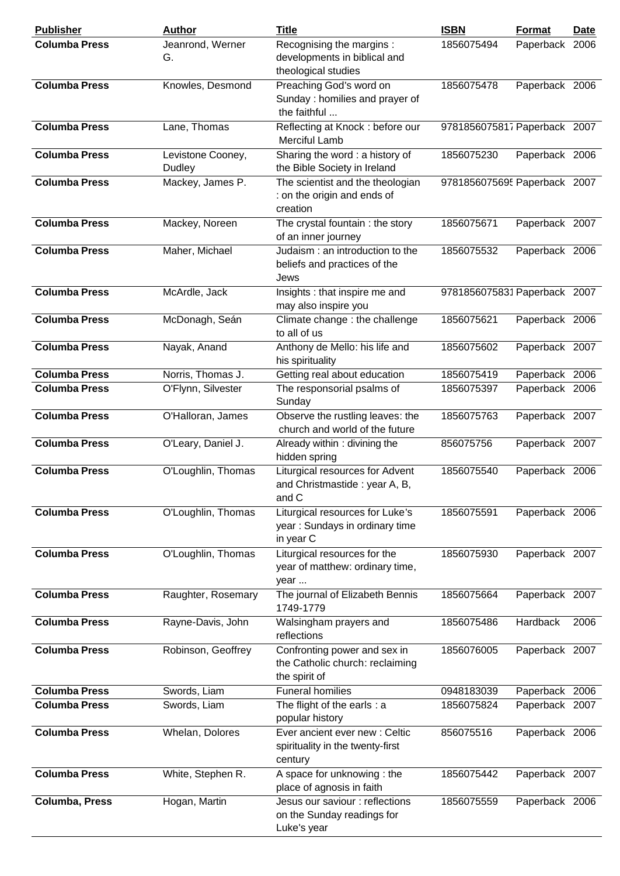| <b>Publisher</b>      | <b>Author</b>               | <b>Title</b>                                                                     | <b>ISBN</b>                  | Format         | Date |
|-----------------------|-----------------------------|----------------------------------------------------------------------------------|------------------------------|----------------|------|
| <b>Columba Press</b>  | Jeanrond, Werner<br>G.      | Recognising the margins:<br>developments in biblical and<br>theological studies  | 1856075494                   | Paperback 2006 |      |
| <b>Columba Press</b>  | Knowles, Desmond            | Preaching God's word on<br>Sunday: homilies and prayer of<br>the faithful        | 1856075478                   | Paperback 2006 |      |
| <b>Columba Press</b>  | Lane, Thomas                | Reflecting at Knock: before our<br><b>Merciful Lamb</b>                          | 9781856075817 Paperback 2007 |                |      |
| <b>Columba Press</b>  | Levistone Cooney,<br>Dudley | Sharing the word : a history of<br>the Bible Society in Ireland                  | 1856075230                   | Paperback 2006 |      |
| <b>Columba Press</b>  | Mackey, James P.            | The scientist and the theologian<br>: on the origin and ends of<br>creation      | 9781856075695 Paperback 2007 |                |      |
| <b>Columba Press</b>  | Mackey, Noreen              | The crystal fountain : the story<br>of an inner journey                          | 1856075671                   | Paperback 2007 |      |
| <b>Columba Press</b>  | Maher, Michael              | Judaism: an introduction to the<br>beliefs and practices of the<br>Jews          | 1856075532                   | Paperback 2006 |      |
| <b>Columba Press</b>  | McArdle, Jack               | Insights : that inspire me and<br>may also inspire you                           | 9781856075831 Paperback 2007 |                |      |
| <b>Columba Press</b>  | McDonagh, Seán              | Climate change : the challenge<br>to all of us                                   | 1856075621                   | Paperback 2006 |      |
| <b>Columba Press</b>  | Nayak, Anand                | Anthony de Mello: his life and<br>his spirituality                               | 1856075602                   | Paperback 2007 |      |
| <b>Columba Press</b>  | Norris, Thomas J.           | Getting real about education                                                     | 1856075419                   | Paperback 2006 |      |
| <b>Columba Press</b>  | O'Flynn, Silvester          | The responsorial psalms of<br>Sunday                                             | 1856075397                   | Paperback 2006 |      |
| <b>Columba Press</b>  | O'Halloran, James           | Observe the rustling leaves: the<br>church and world of the future               | 1856075763                   | Paperback 2007 |      |
| <b>Columba Press</b>  | O'Leary, Daniel J.          | Already within: divining the<br>hidden spring                                    | 856075756                    | Paperback 2007 |      |
| <b>Columba Press</b>  | O'Loughlin, Thomas          | Liturgical resources for Advent<br>and Christmastide: year A, B,<br>and C        | 1856075540                   | Paperback 2006 |      |
| <b>Columba Press</b>  | O'Loughlin, Thomas          | Liturgical resources for Luke's<br>year: Sundays in ordinary time<br>in year C   | 1856075591                   | Paperback 2006 |      |
| <b>Columba Press</b>  | O'Loughlin, Thomas          | Liturgical resources for the<br>year of matthew: ordinary time,<br>year          | 1856075930                   | Paperback 2007 |      |
| <b>Columba Press</b>  | Raughter, Rosemary          | The journal of Elizabeth Bennis<br>1749-1779                                     | 1856075664                   | Paperback 2007 |      |
| <b>Columba Press</b>  | Rayne-Davis, John           | Walsingham prayers and<br>reflections                                            | 1856075486                   | Hardback       | 2006 |
| <b>Columba Press</b>  | Robinson, Geoffrey          | Confronting power and sex in<br>the Catholic church: reclaiming<br>the spirit of | 1856076005                   | Paperback 2007 |      |
| <b>Columba Press</b>  | Swords, Liam                | <b>Funeral homilies</b>                                                          | 0948183039                   | Paperback 2006 |      |
| <b>Columba Press</b>  | Swords, Liam                | The flight of the earls : a<br>popular history                                   | 1856075824                   | Paperback 2007 |      |
| <b>Columba Press</b>  | Whelan, Dolores             | Ever ancient ever new : Celtic<br>spirituality in the twenty-first<br>century    | 856075516                    | Paperback 2006 |      |
| <b>Columba Press</b>  | White, Stephen R.           | A space for unknowing: the<br>place of agnosis in faith                          | 1856075442                   | Paperback 2007 |      |
| <b>Columba, Press</b> | Hogan, Martin               | Jesus our saviour : reflections<br>on the Sunday readings for<br>Luke's year     | 1856075559                   | Paperback 2006 |      |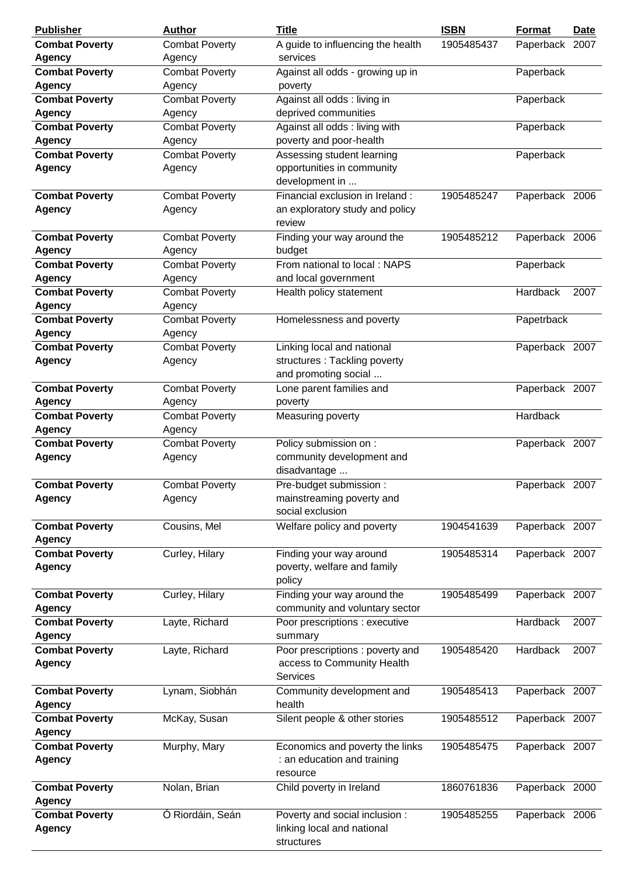| <b>Publisher</b>                       | <b>Author</b>         | <b>Title</b>                      | <b>ISBN</b> | Format         | <b>Date</b> |
|----------------------------------------|-----------------------|-----------------------------------|-------------|----------------|-------------|
| <b>Combat Poverty</b>                  | <b>Combat Poverty</b> | A guide to influencing the health | 1905485437  | Paperback 2007 |             |
| <b>Agency</b>                          | Agency                | services                          |             |                |             |
| <b>Combat Poverty</b>                  | <b>Combat Poverty</b> | Against all odds - growing up in  |             | Paperback      |             |
| <b>Agency</b>                          | Agency                | poverty                           |             |                |             |
| <b>Combat Poverty</b>                  | <b>Combat Poverty</b> | Against all odds: living in       |             | Paperback      |             |
| <b>Agency</b>                          | Agency                | deprived communities              |             |                |             |
| <b>Combat Poverty</b>                  | <b>Combat Poverty</b> | Against all odds: living with     |             | Paperback      |             |
| <b>Agency</b>                          | Agency                | poverty and poor-health           |             |                |             |
| <b>Combat Poverty</b>                  | <b>Combat Poverty</b> | Assessing student learning        |             | Paperback      |             |
| <b>Agency</b>                          | Agency                | opportunities in community        |             |                |             |
|                                        |                       | development in                    |             |                |             |
| <b>Combat Poverty</b>                  | <b>Combat Poverty</b> | Financial exclusion in Ireland:   | 1905485247  | Paperback 2006 |             |
| Agency                                 | Agency                | an exploratory study and policy   |             |                |             |
|                                        |                       | review                            |             |                |             |
| <b>Combat Poverty</b>                  | <b>Combat Poverty</b> | Finding your way around the       | 1905485212  | Paperback 2006 |             |
| <b>Agency</b>                          | Agency                | budget                            |             |                |             |
| <b>Combat Poverty</b>                  | <b>Combat Poverty</b> | From national to local: NAPS      |             |                |             |
|                                        |                       |                                   |             | Paperback      |             |
| <b>Agency</b><br><b>Combat Poverty</b> | Agency                | and local government              |             |                |             |
|                                        | <b>Combat Poverty</b> | Health policy statement           |             | Hardback       | 2007        |
| <b>Agency</b>                          | Agency                |                                   |             |                |             |
| <b>Combat Poverty</b>                  | <b>Combat Poverty</b> | Homelessness and poverty          |             | Papetrback     |             |
| <b>Agency</b>                          | Agency                |                                   |             |                |             |
| <b>Combat Poverty</b>                  | <b>Combat Poverty</b> | Linking local and national        |             | Paperback 2007 |             |
| <b>Agency</b>                          | Agency                | structures: Tackling poverty      |             |                |             |
|                                        |                       | and promoting social              |             |                |             |
| <b>Combat Poverty</b>                  | <b>Combat Poverty</b> | Lone parent families and          |             | Paperback 2007 |             |
| <b>Agency</b>                          | Agency                | poverty                           |             |                |             |
| <b>Combat Poverty</b>                  | Combat Poverty        | Measuring poverty                 |             | Hardback       |             |
| <b>Agency</b>                          | Agency                |                                   |             |                |             |
| <b>Combat Poverty</b>                  | <b>Combat Poverty</b> | Policy submission on :            |             | Paperback 2007 |             |
| <b>Agency</b>                          | Agency                | community development and         |             |                |             |
|                                        |                       | disadvantage                      |             |                |             |
| <b>Combat Poverty</b>                  | <b>Combat Poverty</b> | Pre-budget submission :           |             | Paperback 2007 |             |
| <b>Agency</b>                          | Agency                | mainstreaming poverty and         |             |                |             |
|                                        |                       | social exclusion                  |             |                |             |
| <b>Combat Poverty</b>                  | Cousins, Mel          | Welfare policy and poverty        | 1904541639  | Paperback 2007 |             |
| Agency                                 |                       |                                   |             |                |             |
| <b>Combat Poverty</b>                  | Curley, Hilary        | Finding your way around           | 1905485314  | Paperback 2007 |             |
| <b>Agency</b>                          |                       | poverty, welfare and family       |             |                |             |
|                                        |                       | policy                            |             |                |             |
| <b>Combat Poverty</b>                  | Curley, Hilary        | Finding your way around the       | 1905485499  | Paperback 2007 |             |
| <b>Agency</b>                          |                       | community and voluntary sector    |             |                |             |
| <b>Combat Poverty</b>                  | Layte, Richard        | Poor prescriptions : executive    |             | Hardback       | 2007        |
| <b>Agency</b>                          |                       | summary                           |             |                |             |
| <b>Combat Poverty</b>                  | Layte, Richard        | Poor prescriptions: poverty and   | 1905485420  | Hardback       | 2007        |
| <b>Agency</b>                          |                       | access to Community Health        |             |                |             |
|                                        |                       | <b>Services</b>                   |             |                |             |
| <b>Combat Poverty</b>                  | Lynam, Siobhán        | Community development and         | 1905485413  | Paperback 2007 |             |
| <b>Agency</b>                          |                       | health                            |             |                |             |
| <b>Combat Poverty</b>                  | McKay, Susan          | Silent people & other stories     | 1905485512  | Paperback 2007 |             |
| <b>Agency</b>                          |                       |                                   |             |                |             |
| <b>Combat Poverty</b>                  | Murphy, Mary          | Economics and poverty the links   | 1905485475  | Paperback 2007 |             |
| <b>Agency</b>                          |                       | : an education and training       |             |                |             |
|                                        |                       | resource                          |             |                |             |
| <b>Combat Poverty</b>                  | Nolan, Brian          | Child poverty in Ireland          | 1860761836  | Paperback 2000 |             |
| <b>Agency</b>                          |                       |                                   |             |                |             |
| <b>Combat Poverty</b>                  | Ó Riordáin, Seán      | Poverty and social inclusion :    | 1905485255  | Paperback 2006 |             |
| <b>Agency</b>                          |                       | linking local and national        |             |                |             |
|                                        |                       | structures                        |             |                |             |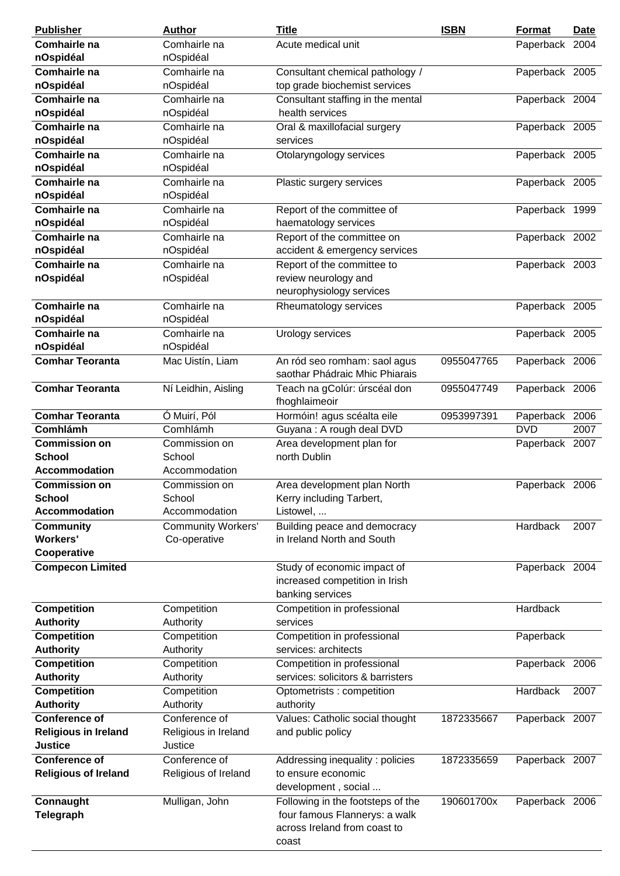| <b>Publisher</b>            | <b>Author</b>             | <b>Title</b>                                                   | <b>ISBN</b> | Format         | <b>Date</b> |
|-----------------------------|---------------------------|----------------------------------------------------------------|-------------|----------------|-------------|
| Comhairle na                | Comhairle na              | Acute medical unit                                             |             | Paperback 2004 |             |
| nOspidéal                   | nOspidéal                 |                                                                |             |                |             |
| Comhairle na                | Comhairle na              | Consultant chemical pathology /                                |             | Paperback 2005 |             |
| nOspidéal                   | nOspidéal                 | top grade biochemist services                                  |             |                |             |
| Comhairle na                | Comhairle na              | Consultant staffing in the mental                              |             | Paperback 2004 |             |
| nOspidéal                   | nOspidéal                 | health services                                                |             |                |             |
| Comhairle na                | Comhairle na              | Oral & maxillofacial surgery                                   |             | Paperback 2005 |             |
| nOspidéal                   | nOspidéal                 | services                                                       |             |                |             |
| Comhairle na                | Comhairle na              | Otolaryngology services                                        |             | Paperback 2005 |             |
| nOspidéal                   | nOspidéal                 |                                                                |             |                |             |
| Comhairle na                | Comhairle na              | Plastic surgery services                                       |             | Paperback 2005 |             |
| nOspidéal                   | nOspidéal                 |                                                                |             |                |             |
| Comhairle na                | Comhairle na              | Report of the committee of                                     |             | Paperback 1999 |             |
| nOspidéal                   | nOspidéal                 | haematology services                                           |             |                |             |
| Comhairle na                | Comhairle na              | Report of the committee on                                     |             | Paperback 2002 |             |
| nOspidéal                   | nOspidéal                 | accident & emergency services                                  |             |                |             |
| Comhairle na                | Comhairle na              |                                                                |             |                |             |
|                             |                           | Report of the committee to                                     |             | Paperback 2003 |             |
| nOspidéal                   | nOspidéal                 | review neurology and                                           |             |                |             |
|                             |                           | neurophysiology services                                       |             |                |             |
| Comhairle na                | Comhairle na              | Rheumatology services                                          |             | Paperback 2005 |             |
| nOspidéal                   | nOspidéal                 |                                                                |             |                |             |
| Comhairle na                | Comhairle na              | Urology services                                               |             | Paperback 2005 |             |
| nOspidéal                   | nOspidéal                 |                                                                |             |                |             |
| <b>Comhar Teoranta</b>      | Mac Uistín, Liam          | An ród seo romham: saol agus<br>saothar Phádraic Mhic Phiarais | 0955047765  | Paperback 2006 |             |
| <b>Comhar Teoranta</b>      | Ní Leidhin, Aisling       | Teach na gColúr: úrscéal don<br>fhoghlaimeoir                  | 0955047749  | Paperback 2006 |             |
| <b>Comhar Teoranta</b>      | Ó Muirí, Pól              | Hormóin! agus scéalta eile                                     | 0953997391  | Paperback      | 2006        |
| <b>Comhlámh</b>             | Comhlámh                  | Guyana: A rough deal DVD                                       |             | <b>DVD</b>     | 2007        |
| <b>Commission on</b>        | Commission on             | Area development plan for                                      |             | Paperback 2007 |             |
| <b>School</b>               | School                    | north Dublin                                                   |             |                |             |
| <b>Accommodation</b>        | Accommodation             |                                                                |             |                |             |
| <b>Commission on</b>        | Commission on             | Area development plan North                                    |             | Paperback 2006 |             |
| <b>School</b>               | School                    | Kerry including Tarbert,                                       |             |                |             |
| <b>Accommodation</b>        | Accommodation             | Listowel,                                                      |             |                |             |
| <b>Community</b>            | <b>Community Workers'</b> | Building peace and democracy                                   |             | Hardback       | 2007        |
| <b>Workers'</b>             | Co-operative              | in Ireland North and South                                     |             |                |             |
| Cooperative                 |                           |                                                                |             |                |             |
| <b>Compecon Limited</b>     |                           | Study of economic impact of                                    |             | Paperback 2004 |             |
|                             |                           | increased competition in Irish                                 |             |                |             |
|                             |                           | banking services                                               |             |                |             |
| <b>Competition</b>          | Competition               | Competition in professional                                    |             | Hardback       |             |
| <b>Authority</b>            | Authority                 | services                                                       |             |                |             |
| Competition                 | Competition               | Competition in professional                                    |             | Paperback      |             |
| <b>Authority</b>            | Authority                 | services: architects                                           |             |                |             |
| <b>Competition</b>          | Competition               | Competition in professional                                    |             | Paperback 2006 |             |
| <b>Authority</b>            | Authority                 | services: solicitors & barristers                              |             |                |             |
| <b>Competition</b>          | Competition               | Optometrists : competition                                     |             | Hardback       | 2007        |
| <b>Authority</b>            | Authority                 | authority                                                      |             |                |             |
| <b>Conference of</b>        | Conference of             | Values: Catholic social thought                                | 1872335667  | Paperback 2007 |             |
| <b>Religious in Ireland</b> | Religious in Ireland      | and public policy                                              |             |                |             |
| <b>Justice</b>              | Justice                   |                                                                |             |                |             |
| <b>Conference of</b>        | Conference of             | Addressing inequality: policies                                | 1872335659  | Paperback 2007 |             |
| <b>Religious of Ireland</b> | Religious of Ireland      | to ensure economic                                             |             |                |             |
|                             |                           | development, social                                            |             |                |             |
| Connaught                   | Mulligan, John            | Following in the footsteps of the                              | 190601700x  | Paperback 2006 |             |
| Telegraph                   |                           | four famous Flannerys: a walk                                  |             |                |             |
|                             |                           | across Ireland from coast to                                   |             |                |             |
|                             |                           | coast                                                          |             |                |             |
|                             |                           |                                                                |             |                |             |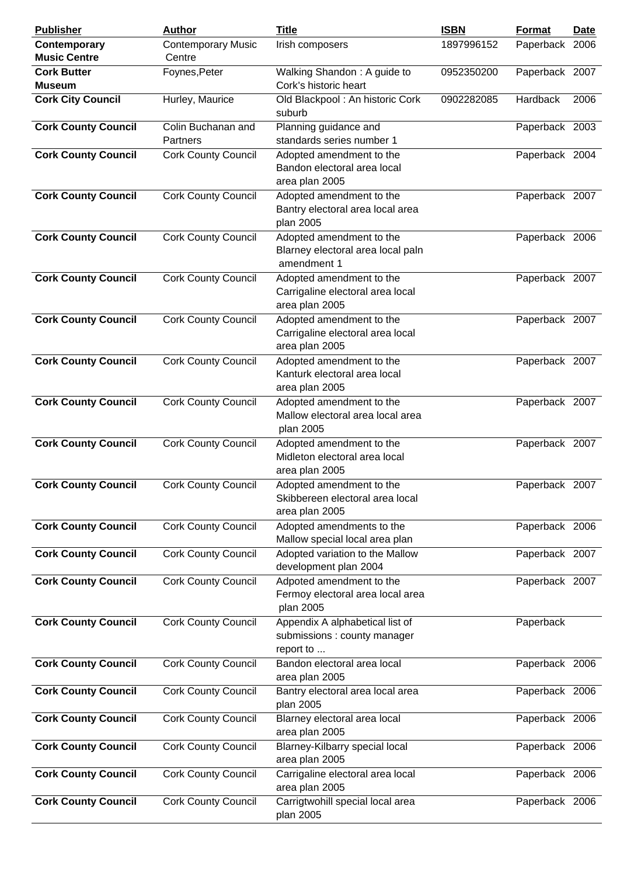| <b>Publisher</b>                    | <b>Author</b>                       | <b>Title</b>                                                                   | <b>ISBN</b> | <b>Format</b>  | <b>Date</b> |
|-------------------------------------|-------------------------------------|--------------------------------------------------------------------------------|-------------|----------------|-------------|
| Contemporary<br><b>Music Centre</b> | <b>Contemporary Music</b><br>Centre | Irish composers                                                                | 1897996152  | Paperback 2006 |             |
| <b>Cork Butter</b>                  | Foynes, Peter                       | Walking Shandon: A guide to                                                    | 0952350200  | Paperback 2007 |             |
| <b>Museum</b>                       |                                     | Cork's historic heart                                                          |             |                |             |
| <b>Cork City Council</b>            | Hurley, Maurice                     | Old Blackpool: An historic Cork<br>suburb                                      | 0902282085  | Hardback       | 2006        |
| <b>Cork County Council</b>          | Colin Buchanan and<br>Partners      | Planning guidance and<br>standards series number 1                             |             | Paperback 2003 |             |
| <b>Cork County Council</b>          | <b>Cork County Council</b>          | Adopted amendment to the<br>Bandon electoral area local<br>area plan 2005      |             | Paperback 2004 |             |
| <b>Cork County Council</b>          | <b>Cork County Council</b>          | Adopted amendment to the<br>Bantry electoral area local area<br>plan 2005      |             | Paperback 2007 |             |
| <b>Cork County Council</b>          | <b>Cork County Council</b>          | Adopted amendment to the<br>Blarney electoral area local paln<br>amendment 1   |             | Paperback 2006 |             |
| <b>Cork County Council</b>          | <b>Cork County Council</b>          | Adopted amendment to the<br>Carrigaline electoral area local<br>area plan 2005 |             | Paperback 2007 |             |
| <b>Cork County Council</b>          | <b>Cork County Council</b>          | Adopted amendment to the<br>Carrigaline electoral area local<br>area plan 2005 |             | Paperback 2007 |             |
| <b>Cork County Council</b>          | <b>Cork County Council</b>          | Adopted amendment to the<br>Kanturk electoral area local<br>area plan 2005     |             | Paperback 2007 |             |
| <b>Cork County Council</b>          | <b>Cork County Council</b>          | Adopted amendment to the<br>Mallow electoral area local area<br>plan 2005      |             | Paperback 2007 |             |
| <b>Cork County Council</b>          | <b>Cork County Council</b>          | Adopted amendment to the<br>Midleton electoral area local<br>area plan 2005    |             | Paperback 2007 |             |
| <b>Cork County Council</b>          | <b>Cork County Council</b>          | Adopted amendment to the<br>Skibbereen electoral area local<br>area plan 2005  |             | Paperback 2007 |             |
| <b>Cork County Council</b>          | <b>Cork County Council</b>          | Adopted amendments to the<br>Mallow special local area plan                    |             | Paperback 2006 |             |
| <b>Cork County Council</b>          | <b>Cork County Council</b>          | Adopted variation to the Mallow<br>development plan 2004                       |             | Paperback 2007 |             |
| <b>Cork County Council</b>          | <b>Cork County Council</b>          | Adpoted amendment to the<br>Fermoy electoral area local area<br>plan 2005      |             | Paperback 2007 |             |
| <b>Cork County Council</b>          | <b>Cork County Council</b>          | Appendix A alphabetical list of<br>submissions : county manager<br>report to   |             | Paperback      |             |
| <b>Cork County Council</b>          | <b>Cork County Council</b>          | Bandon electoral area local<br>area plan 2005                                  |             | Paperback 2006 |             |
| <b>Cork County Council</b>          | <b>Cork County Council</b>          | Bantry electoral area local area<br>plan 2005                                  |             | Paperback 2006 |             |
| <b>Cork County Council</b>          | <b>Cork County Council</b>          | Blarney electoral area local<br>area plan 2005                                 |             | Paperback 2006 |             |
| <b>Cork County Council</b>          | <b>Cork County Council</b>          | Blarney-Kilbarry special local<br>area plan 2005                               |             | Paperback 2006 |             |
| <b>Cork County Council</b>          | <b>Cork County Council</b>          | Carrigaline electoral area local<br>area plan 2005                             |             | Paperback 2006 |             |
| <b>Cork County Council</b>          | <b>Cork County Council</b>          | Carrigtwohill special local area<br>plan 2005                                  |             | Paperback 2006 |             |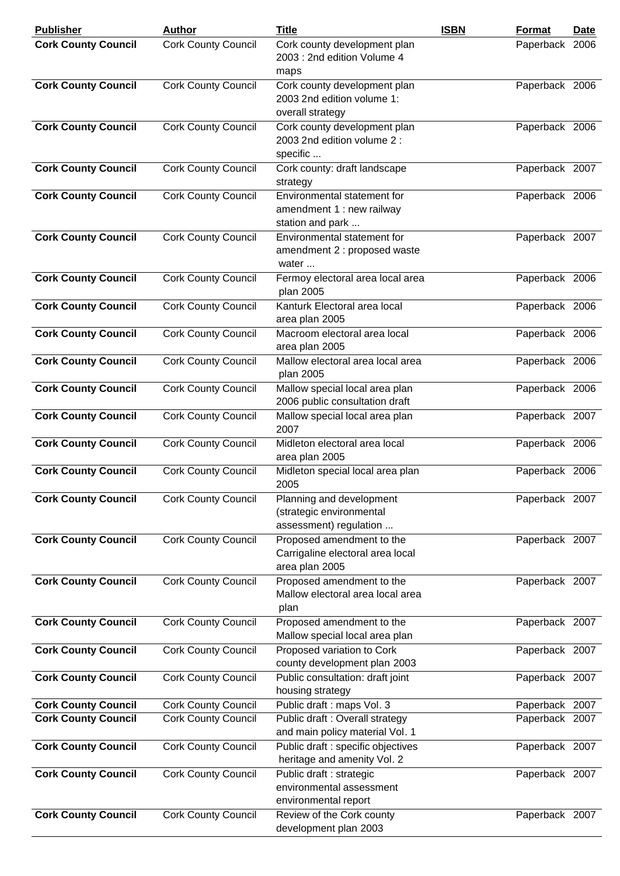| <b>Publisher</b>           | <b>Author</b>              | <b>Title</b>                                                                    | <b>ISBN</b> | Format         | <u>Date</u> |
|----------------------------|----------------------------|---------------------------------------------------------------------------------|-------------|----------------|-------------|
| <b>Cork County Council</b> | <b>Cork County Council</b> | Cork county development plan<br>2003 : 2nd edition Volume 4<br>maps             |             | Paperback 2006 |             |
| <b>Cork County Council</b> | <b>Cork County Council</b> | Cork county development plan<br>2003 2nd edition volume 1:<br>overall strategy  |             | Paperback 2006 |             |
| <b>Cork County Council</b> | <b>Cork County Council</b> | Cork county development plan<br>2003 2nd edition volume 2 :<br>specific         |             | Paperback 2006 |             |
| <b>Cork County Council</b> | <b>Cork County Council</b> | Cork county: draft landscape<br>strategy                                        |             | Paperback 2007 |             |
| <b>Cork County Council</b> | <b>Cork County Council</b> | Environmental statement for<br>amendment 1 : new railway<br>station and park    |             | Paperback 2006 |             |
| <b>Cork County Council</b> | <b>Cork County Council</b> | Environmental statement for<br>amendment 2 : proposed waste<br>water            |             | Paperback 2007 |             |
| <b>Cork County Council</b> | <b>Cork County Council</b> | Fermoy electoral area local area<br>plan 2005                                   |             | Paperback 2006 |             |
| <b>Cork County Council</b> | <b>Cork County Council</b> | Kanturk Electoral area local<br>area plan 2005                                  |             | Paperback 2006 |             |
| <b>Cork County Council</b> | <b>Cork County Council</b> | Macroom electoral area local<br>area plan 2005                                  |             | Paperback 2006 |             |
| <b>Cork County Council</b> | <b>Cork County Council</b> | Mallow electoral area local area<br>plan 2005                                   |             | Paperback 2006 |             |
| <b>Cork County Council</b> | <b>Cork County Council</b> | Mallow special local area plan<br>2006 public consultation draft                |             | Paperback 2006 |             |
| <b>Cork County Council</b> | <b>Cork County Council</b> | Mallow special local area plan<br>2007                                          |             | Paperback 2007 |             |
| <b>Cork County Council</b> | <b>Cork County Council</b> | Midleton electoral area local<br>area plan 2005                                 |             | Paperback 2006 |             |
| <b>Cork County Council</b> | <b>Cork County Council</b> | Midleton special local area plan<br>2005                                        |             | Paperback 2006 |             |
| <b>Cork County Council</b> | <b>Cork County Council</b> | Planning and development<br>(strategic environmental<br>assessment) regulation  |             | Paperback 2007 |             |
| <b>Cork County Council</b> | <b>Cork County Council</b> | Proposed amendment to the<br>Carrigaline electoral area local<br>area plan 2005 |             | Paperback 2007 |             |
| <b>Cork County Council</b> | <b>Cork County Council</b> | Proposed amendment to the<br>Mallow electoral area local area<br>plan           |             | Paperback 2007 |             |
| <b>Cork County Council</b> | <b>Cork County Council</b> | Proposed amendment to the<br>Mallow special local area plan                     |             | Paperback 2007 |             |
| <b>Cork County Council</b> | <b>Cork County Council</b> | Proposed variation to Cork<br>county development plan 2003                      |             | Paperback 2007 |             |
| <b>Cork County Council</b> | <b>Cork County Council</b> | Public consultation: draft joint<br>housing strategy                            |             | Paperback 2007 |             |
| <b>Cork County Council</b> | <b>Cork County Council</b> | Public draft : maps Vol. 3                                                      |             | Paperback 2007 |             |
| <b>Cork County Council</b> | <b>Cork County Council</b> | Public draft : Overall strategy<br>and main policy material Vol. 1              |             | Paperback 2007 |             |
| <b>Cork County Council</b> | <b>Cork County Council</b> | Public draft : specific objectives<br>heritage and amenity Vol. 2               |             | Paperback 2007 |             |
| <b>Cork County Council</b> | <b>Cork County Council</b> | Public draft : strategic<br>environmental assessment<br>environmental report    |             | Paperback 2007 |             |
| <b>Cork County Council</b> | <b>Cork County Council</b> | Review of the Cork county<br>development plan 2003                              |             | Paperback 2007 |             |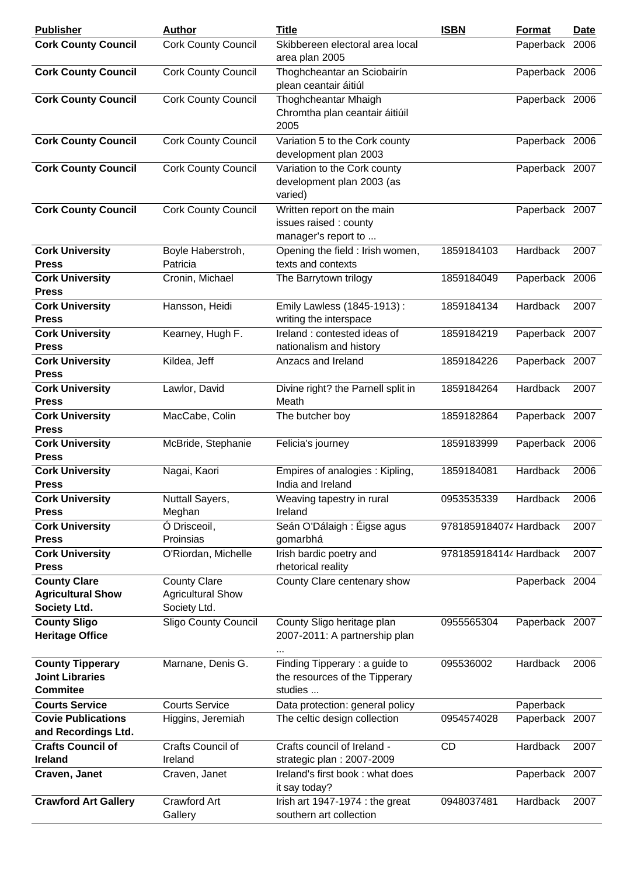| <b>Publisher</b>                                                     | <b>Author</b>                                                   | <b>Title</b>                                                               | <b>ISBN</b>            | Format         | Date |
|----------------------------------------------------------------------|-----------------------------------------------------------------|----------------------------------------------------------------------------|------------------------|----------------|------|
| <b>Cork County Council</b>                                           | <b>Cork County Council</b>                                      | Skibbereen electoral area local<br>area plan 2005                          |                        | Paperback 2006 |      |
| <b>Cork County Council</b>                                           | <b>Cork County Council</b>                                      | Thoghcheantar an Sciobairín<br>plean ceantair áitiúl                       |                        | Paperback 2006 |      |
| <b>Cork County Council</b>                                           | <b>Cork County Council</b>                                      | Thoghcheantar Mhaigh<br>Chromtha plan ceantair áitiúil<br>2005             |                        | Paperback 2006 |      |
| <b>Cork County Council</b>                                           | <b>Cork County Council</b>                                      | Variation 5 to the Cork county<br>development plan 2003                    |                        | Paperback 2006 |      |
| <b>Cork County Council</b>                                           | <b>Cork County Council</b>                                      | Variation to the Cork county<br>development plan 2003 (as<br>varied)       |                        | Paperback 2007 |      |
| <b>Cork County Council</b>                                           | <b>Cork County Council</b>                                      | Written report on the main<br>issues raised: county<br>manager's report to |                        | Paperback 2007 |      |
| <b>Cork University</b><br><b>Press</b>                               | Boyle Haberstroh,<br>Patricia                                   | Opening the field : Irish women,<br>texts and contexts                     | 1859184103             | Hardback       | 2007 |
| <b>Cork University</b><br><b>Press</b>                               | Cronin, Michael                                                 | The Barrytown trilogy                                                      | 1859184049             | Paperback 2006 |      |
| <b>Cork University</b><br><b>Press</b>                               | Hansson, Heidi                                                  | Emily Lawless (1845-1913):<br>writing the interspace                       | 1859184134             | Hardback       | 2007 |
| <b>Cork University</b><br><b>Press</b>                               | Kearney, Hugh F.                                                | Ireland: contested ideas of<br>nationalism and history                     | 1859184219             | Paperback 2007 |      |
| <b>Cork University</b><br><b>Press</b>                               | Kildea, Jeff                                                    | Anzacs and Ireland                                                         | 1859184226             | Paperback 2007 |      |
| <b>Cork University</b><br><b>Press</b>                               | Lawlor, David                                                   | Divine right? the Parnell split in<br>Meath                                | 1859184264             | Hardback       | 2007 |
| <b>Cork University</b><br><b>Press</b>                               | MacCabe, Colin                                                  | The butcher boy                                                            | 1859182864             | Paperback 2007 |      |
| <b>Cork University</b><br><b>Press</b>                               | McBride, Stephanie                                              | Felicia's journey                                                          | 1859183999             | Paperback 2006 |      |
| <b>Cork University</b><br><b>Press</b>                               | Nagai, Kaori                                                    | Empires of analogies : Kipling,<br>India and Ireland                       | 1859184081             | Hardback       | 2006 |
| <b>Cork University</b><br><b>Press</b>                               | Nuttall Sayers,<br>Meghan                                       | Weaving tapestry in rural<br>Ireland                                       | 0953535339             | Hardback       | 2006 |
| <b>Cork University</b><br><b>Press</b>                               | Ó Drisceoil,<br>Proinsias                                       | Seán O'Dálaigh : Éigse agus<br>gomarbhá                                    | 9781859184074 Hardback |                | 2007 |
| <b>Cork University</b><br><b>Press</b>                               | O'Riordan, Michelle                                             | Irish bardic poetry and<br>rhetorical reality                              | 9781859184144 Hardback |                | 2007 |
| <b>County Clare</b><br><b>Agricultural Show</b><br>Society Ltd.      | <b>County Clare</b><br><b>Agricultural Show</b><br>Society Ltd. | County Clare centenary show                                                |                        | Paperback 2004 |      |
| <b>County Sligo</b><br><b>Heritage Office</b>                        | Sligo County Council                                            | County Sligo heritage plan<br>2007-2011: A partnership plan                | 0955565304             | Paperback 2007 |      |
| <b>County Tipperary</b><br><b>Joint Libraries</b><br><b>Commitee</b> | Marnane, Denis G.                                               | Finding Tipperary: a guide to<br>the resources of the Tipperary<br>studies | 095536002              | Hardback       | 2006 |
| <b>Courts Service</b>                                                | <b>Courts Service</b>                                           | Data protection: general policy                                            |                        | Paperback      |      |
| <b>Covie Publications</b><br>and Recordings Ltd.                     | Higgins, Jeremiah                                               | The celtic design collection                                               | 0954574028             | Paperback 2007 |      |
| <b>Crafts Council of</b>                                             | Crafts Council of                                               | Crafts council of Ireland -                                                | <b>CD</b>              | Hardback       | 2007 |
| <b>Ireland</b>                                                       | Ireland                                                         | strategic plan: 2007-2009                                                  |                        |                |      |
| Craven, Janet                                                        | Craven, Janet                                                   | Ireland's first book: what does<br>it say today?                           |                        | Paperback 2007 |      |
| <b>Crawford Art Gallery</b>                                          | Crawford Art<br>Gallery                                         | Irish art 1947-1974 : the great<br>southern art collection                 | 0948037481             | Hardback       | 2007 |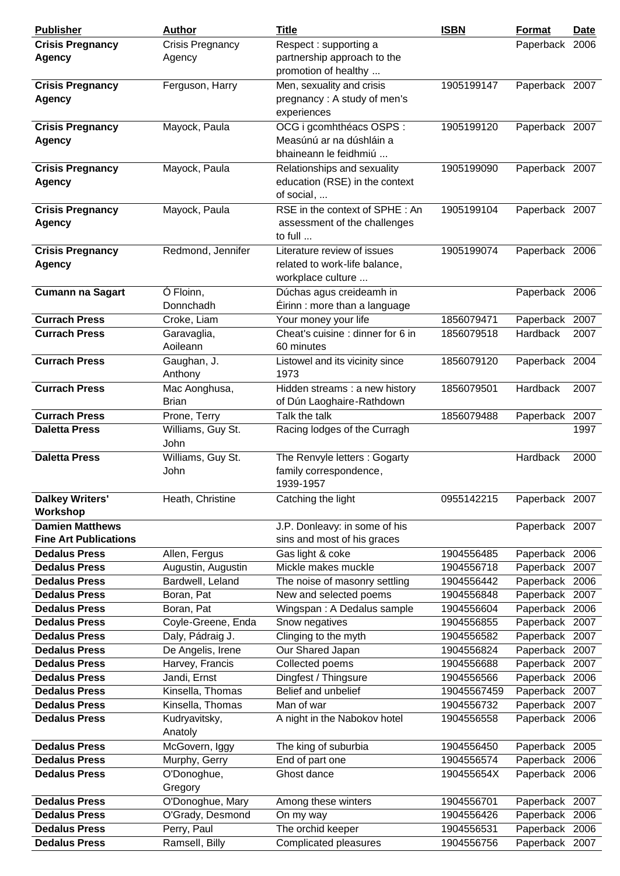| <b>Publisher</b>             | <b>Author</b>           | <b>Title</b>                                              | <b>ISBN</b> | <b>Format</b>  | Date |
|------------------------------|-------------------------|-----------------------------------------------------------|-------------|----------------|------|
| <b>Crisis Pregnancy</b>      | <b>Crisis Pregnancy</b> | Respect: supporting a                                     |             | Paperback 2006 |      |
| <b>Agency</b>                | Agency                  | partnership approach to the                               |             |                |      |
|                              |                         | promotion of healthy                                      |             |                |      |
| <b>Crisis Pregnancy</b>      | Ferguson, Harry         | Men, sexuality and crisis                                 | 1905199147  | Paperback 2007 |      |
| <b>Agency</b>                |                         | pregnancy: A study of men's                               |             |                |      |
|                              |                         | experiences                                               |             |                |      |
| <b>Crisis Pregnancy</b>      | Mayock, Paula           | OCG i gcomhthéacs OSPS :                                  | 1905199120  | Paperback 2007 |      |
| <b>Agency</b>                |                         | Measúnú ar na dúshláin a                                  |             |                |      |
|                              |                         | bhaineann le feidhmiú                                     |             |                |      |
| <b>Crisis Pregnancy</b>      | Mayock, Paula           | Relationships and sexuality                               | 1905199090  | Paperback 2007 |      |
| <b>Agency</b>                |                         | education (RSE) in the context                            |             |                |      |
|                              |                         | of social,                                                |             |                |      |
| <b>Crisis Pregnancy</b>      | Mayock, Paula           | RSE in the context of SPHE: An                            | 1905199104  | Paperback 2007 |      |
| Agency                       |                         | assessment of the challenges                              |             |                |      |
|                              |                         | to full                                                   |             |                |      |
| <b>Crisis Pregnancy</b>      | Redmond, Jennifer       | Literature review of issues                               | 1905199074  | Paperback 2006 |      |
| <b>Agency</b>                |                         | related to work-life balance,                             |             |                |      |
|                              |                         | workplace culture                                         |             |                |      |
|                              |                         |                                                           |             |                |      |
| <b>Cumann na Sagart</b>      | Ó Floinn,<br>Donnchadh  | Dúchas agus creideamh in<br>Éirinn : more than a language |             | Paperback 2006 |      |
|                              |                         |                                                           |             |                |      |
| <b>Currach Press</b>         | Croke, Liam             | Your money your life                                      | 1856079471  | Paperback 2007 |      |
| <b>Currach Press</b>         | Garavaglia,             | Cheat's cuisine : dinner for 6 in                         | 1856079518  | Hardback       | 2007 |
|                              | Aoileann                | 60 minutes                                                |             |                |      |
| <b>Currach Press</b>         | Gaughan, J.             | Listowel and its vicinity since                           | 1856079120  | Paperback 2004 |      |
|                              | Anthony                 | 1973                                                      |             |                |      |
| <b>Currach Press</b>         | Mac Aonghusa,           | Hidden streams : a new history                            | 1856079501  | Hardback       | 2007 |
|                              | <b>Brian</b>            | of Dún Laoghaire-Rathdown                                 |             |                |      |
| <b>Currach Press</b>         | Prone, Terry            | Talk the talk                                             | 1856079488  | Paperback 2007 |      |
| <b>Daletta Press</b>         | Williams, Guy St.       | Racing lodges of the Curragh                              |             |                | 1997 |
|                              | John                    |                                                           |             |                |      |
| <b>Daletta Press</b>         | Williams, Guy St.       | The Renvyle letters: Gogarty                              |             | Hardback       | 2000 |
|                              | John                    | family correspondence,                                    |             |                |      |
|                              |                         | 1939-1957                                                 |             |                |      |
| <b>Dalkey Writers'</b>       | Heath, Christine        | Catching the light                                        | 0955142215  | Paperback 2007 |      |
| Workshop                     |                         |                                                           |             |                |      |
| <b>Damien Matthews</b>       |                         | J.P. Donleavy: in some of his                             |             | Paperback 2007 |      |
| <b>Fine Art Publications</b> |                         | sins and most of his graces                               |             |                |      |
| <b>Dedalus Press</b>         | Allen, Fergus           | Gas light & coke                                          | 1904556485  | Paperback 2006 |      |
| <b>Dedalus Press</b>         | Augustin, Augustin      | Mickle makes muckle                                       | 1904556718  | Paperback      | 2007 |
| <b>Dedalus Press</b>         | Bardwell, Leland        | The noise of masonry settling                             | 1904556442  | Paperback 2006 |      |
| <b>Dedalus Press</b>         | Boran, Pat              | New and selected poems                                    | 1904556848  | Paperback      | 2007 |
| <b>Dedalus Press</b>         | Boran, Pat              | Wingspan: A Dedalus sample                                | 1904556604  | Paperback      | 2006 |
| <b>Dedalus Press</b>         | Coyle-Greene, Enda      | Snow negatives                                            | 1904556855  | Paperback      | 2007 |
| <b>Dedalus Press</b>         | Daly, Pádraig J.        | Clinging to the myth                                      | 1904556582  | Paperback      | 2007 |
| <b>Dedalus Press</b>         | De Angelis, Irene       | Our Shared Japan                                          | 1904556824  | Paperback 2007 |      |
| <b>Dedalus Press</b>         | Harvey, Francis         | Collected poems                                           | 1904556688  | Paperback      | 2007 |
| <b>Dedalus Press</b>         | Jandi, Ernst            | Dingfest / Thingsure                                      | 1904556566  | Paperback      | 2006 |
| <b>Dedalus Press</b>         | Kinsella, Thomas        | Belief and unbelief                                       | 19045567459 | Paperback      | 2007 |
| <b>Dedalus Press</b>         | Kinsella, Thomas        | Man of war                                                | 1904556732  | Paperback      | 2007 |
| <b>Dedalus Press</b>         | Kudryavitsky,           | A night in the Nabokov hotel                              | 1904556558  | Paperback 2006 |      |
|                              | Anatoly                 |                                                           |             |                |      |
| <b>Dedalus Press</b>         | McGovern, Iggy          | The king of suburbia                                      | 1904556450  | Paperback 2005 |      |
| <b>Dedalus Press</b>         | Murphy, Gerry           | End of part one                                           | 1904556574  | Paperback 2006 |      |
| <b>Dedalus Press</b>         | O'Donoghue,             | Ghost dance                                               | 190455654X  | Paperback 2006 |      |
|                              | Gregory                 |                                                           |             |                |      |
| <b>Dedalus Press</b>         | O'Donoghue, Mary        | Among these winters                                       | 1904556701  | Paperback 2007 |      |
| <b>Dedalus Press</b>         | O'Grady, Desmond        | On my way                                                 | 1904556426  | Paperback 2006 |      |
| <b>Dedalus Press</b>         | Perry, Paul             | The orchid keeper                                         | 1904556531  | Paperback      | 2006 |
| <b>Dedalus Press</b>         | Ramsell, Billy          | Complicated pleasures                                     | 1904556756  | Paperback 2007 |      |
|                              |                         |                                                           |             |                |      |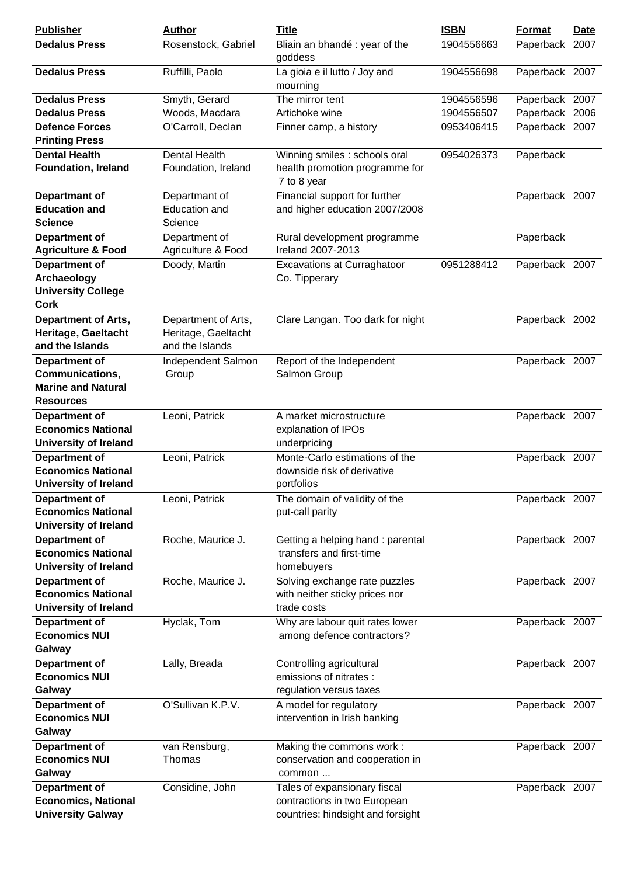| <b>Publisher</b>              | Author               | <b>Title</b>                                  | <b>ISBN</b> | <b>Format</b>  | Date |
|-------------------------------|----------------------|-----------------------------------------------|-------------|----------------|------|
| <b>Dedalus Press</b>          | Rosenstock, Gabriel  | Bliain an bhandé : year of the<br>goddess     | 1904556663  | Paperback 2007 |      |
| <b>Dedalus Press</b>          | Ruffilli, Paolo      | La gioia e il lutto / Joy and<br>mourning     | 1904556698  | Paperback 2007 |      |
| <b>Dedalus Press</b>          | Smyth, Gerard        | The mirror tent                               | 1904556596  | Paperback 2007 |      |
| <b>Dedalus Press</b>          | Woods, Macdara       | Artichoke wine                                | 1904556507  | Paperback 2006 |      |
| <b>Defence Forces</b>         |                      |                                               | 0953406415  |                |      |
|                               | O'Carroll, Declan    | Finner camp, a history                        |             | Paperback 2007 |      |
| <b>Printing Press</b>         |                      |                                               |             |                |      |
| <b>Dental Health</b>          | <b>Dental Health</b> | Winning smiles : schools oral                 | 0954026373  | Paperback      |      |
| <b>Foundation, Ireland</b>    | Foundation, Ireland  | health promotion programme for<br>7 to 8 year |             |                |      |
| Departmant of                 | Departmant of        | Financial support for further                 |             | Paperback 2007 |      |
| <b>Education and</b>          | Education and        | and higher education 2007/2008                |             |                |      |
| <b>Science</b>                | Science              |                                               |             |                |      |
| <b>Department of</b>          | Department of        | Rural development programme                   |             | Paperback      |      |
| <b>Agriculture &amp; Food</b> | Agriculture & Food   | Ireland 2007-2013                             |             |                |      |
| <b>Department of</b>          | Doody, Martin        | <b>Excavations at Curraghatoor</b>            | 0951288412  | Paperback 2007 |      |
| Archaeology                   |                      | Co. Tipperary                                 |             |                |      |
| <b>University College</b>     |                      |                                               |             |                |      |
| <b>Cork</b>                   |                      |                                               |             |                |      |
| <b>Department of Arts,</b>    | Department of Arts,  | Clare Langan. Too dark for night              |             | Paperback 2002 |      |
| Heritage, Gaeltacht           | Heritage, Gaeltacht  |                                               |             |                |      |
| and the Islands               | and the Islands      |                                               |             |                |      |
| <b>Department of</b>          | Independent Salmon   | Report of the Independent                     |             | Paperback 2007 |      |
| Communications,               | Group                | Salmon Group                                  |             |                |      |
| <b>Marine and Natural</b>     |                      |                                               |             |                |      |
| <b>Resources</b>              |                      |                                               |             |                |      |
| Department of                 | Leoni, Patrick       | A market microstructure                       |             | Paperback 2007 |      |
| <b>Economics National</b>     |                      | explanation of IPOs                           |             |                |      |
|                               |                      |                                               |             |                |      |
| <b>University of Ireland</b>  |                      | underpricing                                  |             |                |      |
| <b>Department of</b>          | Leoni, Patrick       | Monte-Carlo estimations of the                |             | Paperback 2007 |      |
| <b>Economics National</b>     |                      | downside risk of derivative                   |             |                |      |
| <b>University of Ireland</b>  |                      | portfolios                                    |             |                |      |
| <b>Department of</b>          | Leoni, Patrick       | The domain of validity of the                 |             | Paperback 2007 |      |
| <b>Economics National</b>     |                      | put-call parity                               |             |                |      |
| <b>University of Ireland</b>  |                      |                                               |             |                |      |
| Department of                 | Roche, Maurice J.    | Getting a helping hand: parental              |             | Paperback 2007 |      |
| <b>Economics National</b>     |                      | transfers and first-time                      |             |                |      |
| <b>University of Ireland</b>  |                      | homebuyers                                    |             |                |      |
| <b>Department of</b>          | Roche, Maurice J.    | Solving exchange rate puzzles                 |             | Paperback 2007 |      |
| <b>Economics National</b>     |                      | with neither sticky prices nor                |             |                |      |
| <b>University of Ireland</b>  |                      | trade costs                                   |             |                |      |
| <b>Department of</b>          | Hyclak, Tom          | Why are labour quit rates lower               |             | Paperback 2007 |      |
| <b>Economics NUI</b>          |                      | among defence contractors?                    |             |                |      |
| Galway                        |                      |                                               |             |                |      |
| <b>Department of</b>          | Lally, Breada        | Controlling agricultural                      |             | Paperback 2007 |      |
| <b>Economics NUI</b>          |                      | emissions of nitrates :                       |             |                |      |
| Galway                        |                      | regulation versus taxes                       |             |                |      |
| <b>Department of</b>          | O'Sullivan K.P.V.    | A model for regulatory                        |             | Paperback 2007 |      |
| <b>Economics NUI</b>          |                      | intervention in Irish banking                 |             |                |      |
| Galway                        |                      |                                               |             |                |      |
| Department of                 | van Rensburg,        | Making the commons work:                      |             | Paperback 2007 |      |
| <b>Economics NUI</b>          | Thomas               | conservation and cooperation in               |             |                |      |
| Galway                        |                      | common                                        |             |                |      |
| <b>Department of</b>          | Considine, John      | Tales of expansionary fiscal                  |             | Paperback 2007 |      |
| <b>Economics, National</b>    |                      | contractions in two European                  |             |                |      |
| <b>University Galway</b>      |                      | countries: hindsight and forsight             |             |                |      |
|                               |                      |                                               |             |                |      |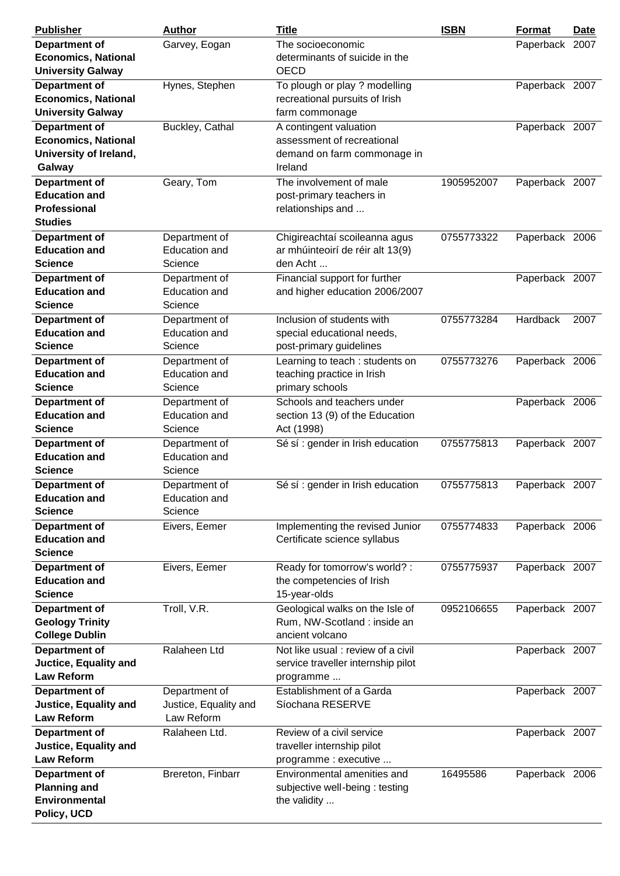| <b>Publisher</b>             | <b>Author</b>         | <b>Title</b>                       | <b>ISBN</b> | <b>Format</b>  | Date |
|------------------------------|-----------------------|------------------------------------|-------------|----------------|------|
| <b>Department of</b>         | Garvey, Eogan         | The socioeconomic                  |             | Paperback 2007 |      |
| <b>Economics, National</b>   |                       | determinants of suicide in the     |             |                |      |
| <b>University Galway</b>     |                       | <b>OECD</b>                        |             |                |      |
| <b>Department of</b>         | Hynes, Stephen        | To plough or play ? modelling      |             | Paperback 2007 |      |
| <b>Economics, National</b>   |                       | recreational pursuits of Irish     |             |                |      |
|                              |                       |                                    |             |                |      |
| <b>University Galway</b>     |                       | farm commonage                     |             |                |      |
| <b>Department of</b>         | Buckley, Cathal       | A contingent valuation             |             | Paperback 2007 |      |
| <b>Economics, National</b>   |                       | assessment of recreational         |             |                |      |
| University of Ireland,       |                       | demand on farm commonage in        |             |                |      |
| Galway                       |                       | Ireland                            |             |                |      |
| <b>Department of</b>         | Geary, Tom            | The involvement of male            | 1905952007  | Paperback 2007 |      |
| <b>Education and</b>         |                       | post-primary teachers in           |             |                |      |
| Professional                 |                       | relationships and                  |             |                |      |
| <b>Studies</b>               |                       |                                    |             |                |      |
|                              |                       |                                    |             |                |      |
| <b>Department of</b>         | Department of         | Chigireachtaí scoileanna agus      | 0755773322  | Paperback 2006 |      |
| <b>Education and</b>         | Education and         | ar mhúinteoirí de réir alt 13(9)   |             |                |      |
| <b>Science</b>               | Science               | den Acht                           |             |                |      |
| <b>Department of</b>         | Department of         | Financial support for further      |             | Paperback 2007 |      |
| <b>Education and</b>         | Education and         | and higher education 2006/2007     |             |                |      |
| <b>Science</b>               | Science               |                                    |             |                |      |
| <b>Department of</b>         | Department of         | Inclusion of students with         | 0755773284  | Hardback       | 2007 |
| <b>Education and</b>         | <b>Education and</b>  | special educational needs,         |             |                |      |
| <b>Science</b>               | Science               | post-primary guidelines            |             |                |      |
| <b>Department of</b>         | Department of         | Learning to teach: students on     | 0755773276  | Paperback 2006 |      |
| <b>Education and</b>         | Education and         | teaching practice in Irish         |             |                |      |
|                              |                       |                                    |             |                |      |
| <b>Science</b>               | Science               | primary schools                    |             |                |      |
| <b>Department of</b>         | Department of         | Schools and teachers under         |             | Paperback 2006 |      |
| <b>Education and</b>         | <b>Education and</b>  | section 13 (9) of the Education    |             |                |      |
| <b>Science</b>               | Science               | Act (1998)                         |             |                |      |
| <b>Department of</b>         | Department of         | Sé sí : gender in Irish education  | 0755775813  | Paperback 2007 |      |
| <b>Education and</b>         | <b>Education and</b>  |                                    |             |                |      |
| <b>Science</b>               | Science               |                                    |             |                |      |
| <b>Department of</b>         | Department of         | Sé sí : gender in Irish education  | 0755775813  | Paperback 2007 |      |
| <b>Education and</b>         | <b>Education and</b>  |                                    |             |                |      |
| <b>Science</b>               | Science               |                                    |             |                |      |
|                              |                       |                                    | 0755774833  |                |      |
| <b>Department of</b>         | Eivers, Eemer         | Implementing the revised Junior    |             | Paperback 2006 |      |
| <b>Education and</b>         |                       | Certificate science syllabus       |             |                |      |
| <b>Science</b>               |                       |                                    |             |                |      |
| <b>Department of</b>         | Eivers, Eemer         | Ready for tomorrow's world? :      | 0755775937  | Paperback 2007 |      |
| <b>Education and</b>         |                       | the competencies of Irish          |             |                |      |
| <b>Science</b>               |                       | 15-year-olds                       |             |                |      |
| <b>Department of</b>         | Troll, V.R.           | Geological walks on the Isle of    | 0952106655  | Paperback 2007 |      |
| <b>Geology Trinity</b>       |                       | Rum, NW-Scotland: inside an        |             |                |      |
| <b>College Dublin</b>        |                       | ancient volcano                    |             |                |      |
| <b>Department of</b>         | Ralaheen Ltd          | Not like usual : review of a civil |             | Paperback 2007 |      |
| Juctice, Equality and        |                       | service traveller internship pilot |             |                |      |
| <b>Law Reform</b>            |                       | programme                          |             |                |      |
|                              |                       |                                    |             |                |      |
| Department of                | Department of         | Establishment of a Garda           |             | Paperback 2007 |      |
| <b>Justice, Equality and</b> | Justice, Equality and | Síochana RESERVE                   |             |                |      |
| <b>Law Reform</b>            | Law Reform            |                                    |             |                |      |
| <b>Department of</b>         | Ralaheen Ltd.         | Review of a civil service          |             | Paperback 2007 |      |
| <b>Justice, Equality and</b> |                       | traveller internship pilot         |             |                |      |
| <b>Law Reform</b>            |                       | programme : executive              |             |                |      |
| <b>Department of</b>         | Brereton, Finbarr     | Environmental amenities and        | 16495586    | Paperback 2006 |      |
| <b>Planning and</b>          |                       | subjective well-being: testing     |             |                |      |
| <b>Environmental</b>         |                       | the validity                       |             |                |      |
| Policy, UCD                  |                       |                                    |             |                |      |
|                              |                       |                                    |             |                |      |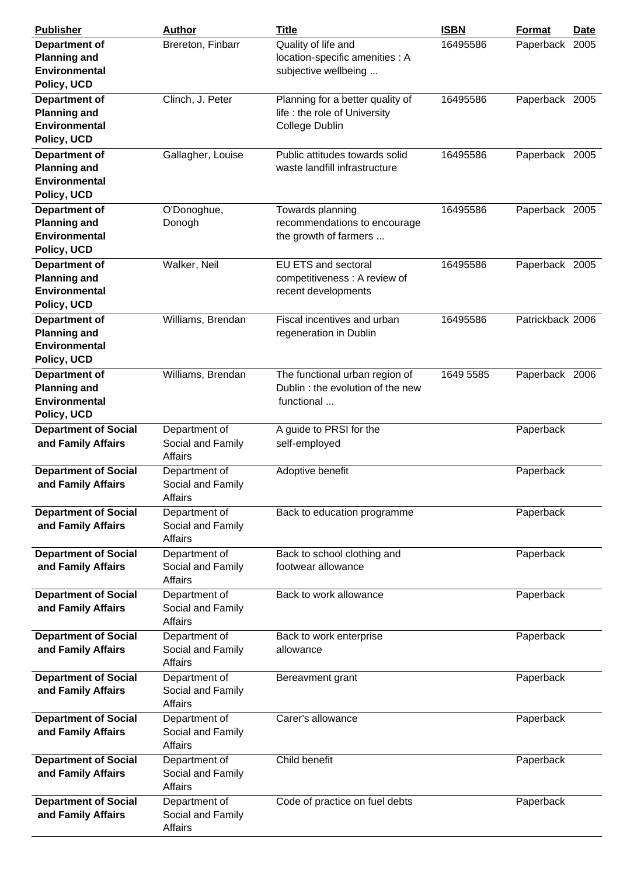| <b>Publisher</b>                                                                   | <b>Author</b>                                        | <b>Title</b>                                                                        | <b>ISBN</b> | Format           | Date |
|------------------------------------------------------------------------------------|------------------------------------------------------|-------------------------------------------------------------------------------------|-------------|------------------|------|
| <b>Department of</b><br><b>Planning and</b><br>Environmental<br>Policy, UCD        | Brereton, Finbarr                                    | Quality of life and<br>location-specific amenities : A<br>subjective wellbeing      | 16495586    | Paperback 2005   |      |
| Department of<br><b>Planning and</b><br><b>Environmental</b><br>Policy, UCD        | Clinch, J. Peter                                     | Planning for a better quality of<br>life : the role of University<br>College Dublin | 16495586    | Paperback 2005   |      |
| <b>Department of</b><br><b>Planning and</b><br>Environmental<br>Policy, UCD        | Gallagher, Louise                                    | Public attitudes towards solid<br>waste landfill infrastructure                     | 16495586    | Paperback 2005   |      |
| <b>Department of</b><br><b>Planning and</b><br><b>Environmental</b><br>Policy, UCD | O'Donoghue,<br>Donogh                                | Towards planning<br>recommendations to encourage<br>the growth of farmers           | 16495586    | Paperback 2005   |      |
| <b>Department of</b><br><b>Planning and</b><br>Environmental<br>Policy, UCD        | Walker, Neil                                         | <b>EU ETS and sectoral</b><br>competitiveness: A review of<br>recent developments   | 16495586    | Paperback 2005   |      |
| <b>Department of</b><br><b>Planning and</b><br><b>Environmental</b><br>Policy, UCD | Williams, Brendan                                    | Fiscal incentives and urban<br>regeneration in Dublin                               | 16495586    | Patrickback 2006 |      |
| <b>Department of</b><br><b>Planning and</b><br><b>Environmental</b><br>Policy, UCD | Williams, Brendan                                    | The functional urban region of<br>Dublin: the evolution of the new<br>functional    | 1649 5585   | Paperback 2006   |      |
| <b>Department of Social</b><br>and Family Affairs                                  | Department of<br>Social and Family<br>Affairs        | A guide to PRSI for the<br>self-employed                                            |             | Paperback        |      |
| <b>Department of Social</b><br>and Family Affairs                                  | Department of<br>Social and Family<br>Affairs        | Adoptive benefit                                                                    |             | Paperback        |      |
| <b>Department of Social</b><br>and Family Affairs                                  | Department of<br>Social and Family<br><b>Affairs</b> | Back to education programme                                                         |             | Paperback        |      |
| <b>Department of Social</b><br>and Family Affairs                                  | Department of<br>Social and Family<br><b>Affairs</b> | Back to school clothing and<br>footwear allowance                                   |             | Paperback        |      |
| <b>Department of Social</b><br>and Family Affairs                                  | Department of<br>Social and Family<br><b>Affairs</b> | Back to work allowance                                                              |             | Paperback        |      |
| <b>Department of Social</b><br>and Family Affairs                                  | Department of<br>Social and Family<br><b>Affairs</b> | Back to work enterprise<br>allowance                                                |             | Paperback        |      |
| <b>Department of Social</b><br>and Family Affairs                                  | Department of<br>Social and Family<br>Affairs        | Bereavment grant                                                                    |             | Paperback        |      |
| <b>Department of Social</b><br>and Family Affairs                                  | Department of<br>Social and Family<br>Affairs        | Carer's allowance                                                                   |             | Paperback        |      |
| <b>Department of Social</b><br>and Family Affairs                                  | Department of<br>Social and Family<br>Affairs        | Child benefit                                                                       |             | Paperback        |      |
| <b>Department of Social</b><br>and Family Affairs                                  | Department of<br>Social and Family<br>Affairs        | Code of practice on fuel debts                                                      |             | Paperback        |      |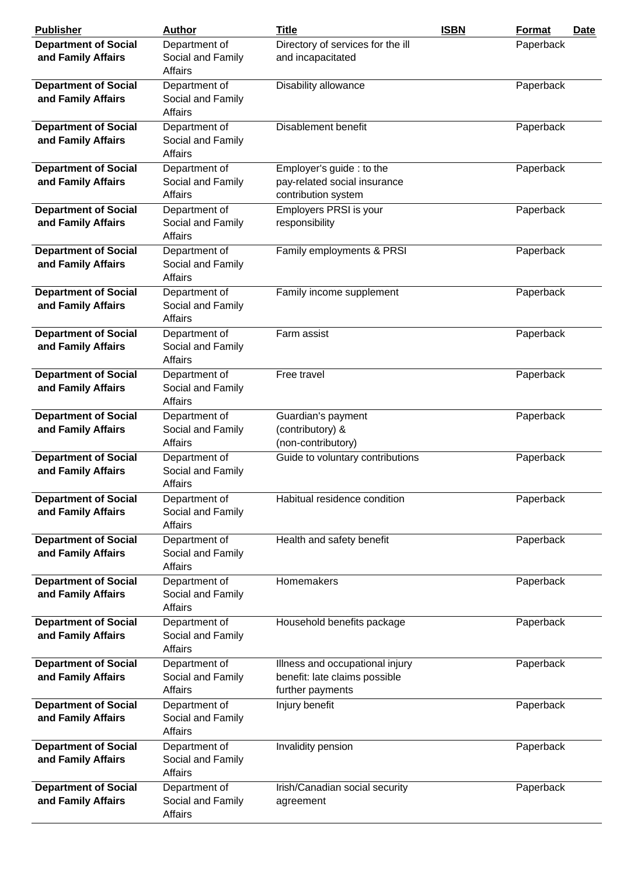| <b>Publisher</b>                                  | <b>Author</b>                                        | <b>Title</b>                                                                         | <b>ISBN</b> | Format    | Date |
|---------------------------------------------------|------------------------------------------------------|--------------------------------------------------------------------------------------|-------------|-----------|------|
| <b>Department of Social</b>                       | Department of                                        | Directory of services for the ill                                                    |             | Paperback |      |
| and Family Affairs                                | Social and Family<br>Affairs                         | and incapacitated                                                                    |             |           |      |
| <b>Department of Social</b>                       | Department of                                        | Disability allowance                                                                 |             | Paperback |      |
| and Family Affairs                                | Social and Family<br>Affairs                         |                                                                                      |             |           |      |
| <b>Department of Social</b><br>and Family Affairs | Department of<br>Social and Family<br>Affairs        | Disablement benefit                                                                  |             | Paperback |      |
| <b>Department of Social</b><br>and Family Affairs | Department of<br>Social and Family<br>Affairs        | Employer's guide: to the<br>pay-related social insurance<br>contribution system      |             | Paperback |      |
| <b>Department of Social</b><br>and Family Affairs | Department of<br>Social and Family<br><b>Affairs</b> | Employers PRSI is your<br>responsibility                                             |             | Paperback |      |
| <b>Department of Social</b><br>and Family Affairs | Department of<br>Social and Family<br>Affairs        | Family employments & PRSI                                                            |             | Paperback |      |
| <b>Department of Social</b><br>and Family Affairs | Department of<br>Social and Family<br><b>Affairs</b> | Family income supplement                                                             |             | Paperback |      |
| <b>Department of Social</b><br>and Family Affairs | Department of<br>Social and Family<br>Affairs        | Farm assist                                                                          |             | Paperback |      |
| <b>Department of Social</b><br>and Family Affairs | Department of<br>Social and Family<br>Affairs        | Free travel                                                                          |             | Paperback |      |
| <b>Department of Social</b><br>and Family Affairs | Department of<br>Social and Family<br>Affairs        | Guardian's payment<br>(contributory) &<br>(non-contributory)                         |             | Paperback |      |
| <b>Department of Social</b><br>and Family Affairs | Department of<br>Social and Family<br>Affairs        | Guide to voluntary contributions                                                     |             | Paperback |      |
| <b>Department of Social</b><br>and Family Affairs | Department of<br>Social and Family<br><b>Affairs</b> | Habitual residence condition                                                         |             | Paperback |      |
| <b>Department of Social</b><br>and Family Affairs | Department of<br>Social and Family<br>Affairs        | Health and safety benefit                                                            |             | Paperback |      |
| <b>Department of Social</b><br>and Family Affairs | Department of<br>Social and Family<br>Affairs        | Homemakers                                                                           |             | Paperback |      |
| <b>Department of Social</b><br>and Family Affairs | Department of<br>Social and Family<br>Affairs        | Household benefits package                                                           |             | Paperback |      |
| <b>Department of Social</b><br>and Family Affairs | Department of<br>Social and Family<br>Affairs        | Illness and occupational injury<br>benefit: late claims possible<br>further payments |             | Paperback |      |
| <b>Department of Social</b><br>and Family Affairs | Department of<br>Social and Family<br>Affairs        | Injury benefit                                                                       |             | Paperback |      |
| <b>Department of Social</b><br>and Family Affairs | Department of<br>Social and Family<br>Affairs        | Invalidity pension                                                                   |             | Paperback |      |
| <b>Department of Social</b><br>and Family Affairs | Department of<br>Social and Family<br>Affairs        | Irish/Canadian social security<br>agreement                                          |             | Paperback |      |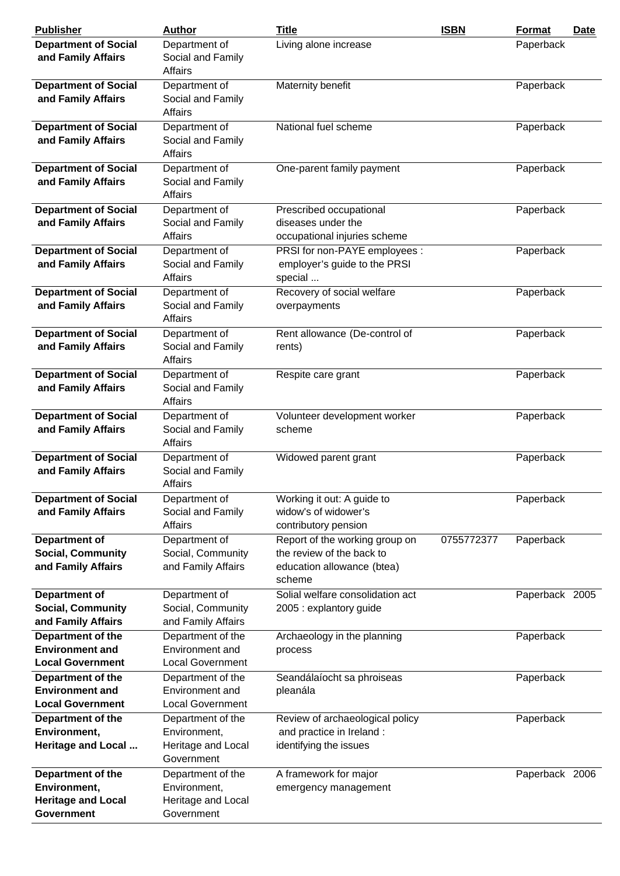| <b>Publisher</b>                                                       | <b>Author</b>                                            | <b>Title</b>                                                                  | <b>ISBN</b> | <b>Format</b>  | Date |
|------------------------------------------------------------------------|----------------------------------------------------------|-------------------------------------------------------------------------------|-------------|----------------|------|
| <b>Department of Social</b><br>and Family Affairs                      | Department of<br>Social and Family<br><b>Affairs</b>     | Living alone increase                                                         |             | Paperback      |      |
| <b>Department of Social</b><br>and Family Affairs                      | Department of<br>Social and Family<br>Affairs            | Maternity benefit                                                             |             | Paperback      |      |
| <b>Department of Social</b><br>and Family Affairs                      | Department of<br>Social and Family<br><b>Affairs</b>     | National fuel scheme                                                          |             | Paperback      |      |
| <b>Department of Social</b><br>and Family Affairs                      | Department of<br>Social and Family<br>Affairs            | One-parent family payment                                                     |             | Paperback      |      |
| <b>Department of Social</b><br>and Family Affairs                      | Department of<br>Social and Family<br>Affairs            | Prescribed occupational<br>diseases under the<br>occupational injuries scheme |             | Paperback      |      |
| <b>Department of Social</b><br>and Family Affairs                      | Department of<br>Social and Family<br>Affairs            | PRSI for non-PAYE employees :<br>employer's guide to the PRSI<br>special      |             | Paperback      |      |
| <b>Department of Social</b><br>and Family Affairs                      | Department of<br>Social and Family<br><b>Affairs</b>     | Recovery of social welfare<br>overpayments                                    |             | Paperback      |      |
| <b>Department of Social</b><br>and Family Affairs                      | Department of<br>Social and Family<br>Affairs            | Rent allowance (De-control of<br>rents)                                       |             | Paperback      |      |
| <b>Department of Social</b><br>and Family Affairs                      | Department of<br>Social and Family<br>Affairs            | Respite care grant                                                            |             | Paperback      |      |
| <b>Department of Social</b><br>and Family Affairs                      | Department of<br>Social and Family<br>Affairs            | Volunteer development worker<br>scheme                                        |             | Paperback      |      |
| <b>Department of Social</b><br>and Family Affairs                      | Department of<br>Social and Family<br>Affairs            | Widowed parent grant                                                          |             | Paperback      |      |
| <b>Department of Social</b><br>and Family Affairs                      | Department of<br>Social and Family<br>Affairs            | Working it out: A guide to<br>widow's of widower's<br>contributory pension    |             | Paperback      |      |
| <b>Department of</b>                                                   | Department of                                            | Report of the working group on                                                | 0755772377  | Paperback      |      |
| <b>Social, Community</b>                                               | Social, Community                                        | the review of the back to                                                     |             |                |      |
| and Family Affairs                                                     | and Family Affairs                                       | education allowance (btea)<br>scheme                                          |             |                |      |
| <b>Department of</b><br><b>Social, Community</b><br>and Family Affairs | Department of<br>Social, Community<br>and Family Affairs | Solial welfare consolidation act<br>2005 : explantory guide                   |             | Paperback 2005 |      |
| Department of the                                                      | Department of the                                        | Archaeology in the planning                                                   |             | Paperback      |      |
| <b>Environment and</b>                                                 | Environment and                                          | process                                                                       |             |                |      |
| <b>Local Government</b>                                                | <b>Local Government</b>                                  |                                                                               |             |                |      |
| Department of the                                                      | Department of the                                        | Seandálaíocht sa phroiseas                                                    |             | Paperback      |      |
| <b>Environment and</b>                                                 | Environment and                                          | pleanála                                                                      |             |                |      |
| <b>Local Government</b>                                                | Local Government                                         |                                                                               |             |                |      |
| Department of the                                                      | Department of the                                        | Review of archaeological policy                                               |             | Paperback      |      |
| Environment,                                                           | Environment,                                             | and practice in Ireland :                                                     |             |                |      |
| <b>Heritage and Local </b>                                             | Heritage and Local<br>Government                         | identifying the issues                                                        |             |                |      |
| Department of the                                                      | Department of the                                        | A framework for major                                                         |             | Paperback 2006 |      |
| Environment,                                                           | Environment,                                             | emergency management                                                          |             |                |      |
| <b>Heritage and Local</b><br>Government                                | Heritage and Local<br>Government                         |                                                                               |             |                |      |
|                                                                        |                                                          |                                                                               |             |                |      |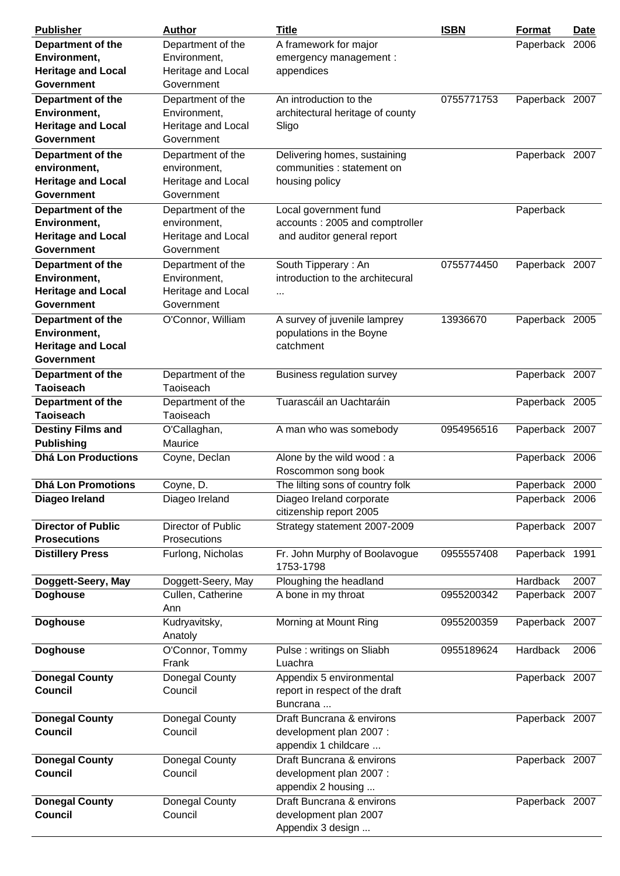| <b>Publisher</b>                               | Author             | <b>Title</b>                     | <b>ISBN</b> | <b>Format</b>  | Date |
|------------------------------------------------|--------------------|----------------------------------|-------------|----------------|------|
| Department of the                              | Department of the  | A framework for major            |             | Paperback 2006 |      |
| Environment,                                   | Environment,       | emergency management :           |             |                |      |
| <b>Heritage and Local</b>                      | Heritage and Local | appendices                       |             |                |      |
| <b>Government</b>                              | Government         |                                  |             |                |      |
| Department of the                              | Department of the  | An introduction to the           | 0755771753  | Paperback 2007 |      |
| Environment,                                   | Environment,       | architectural heritage of county |             |                |      |
| <b>Heritage and Local</b>                      | Heritage and Local | Sligo                            |             |                |      |
| <b>Government</b>                              | Government         |                                  |             |                |      |
| Department of the                              | Department of the  | Delivering homes, sustaining     |             | Paperback 2007 |      |
| environment,                                   | environment,       | communities : statement on       |             |                |      |
| <b>Heritage and Local</b>                      | Heritage and Local | housing policy                   |             |                |      |
| Government                                     | Government         |                                  |             |                |      |
| Department of the                              | Department of the  | Local government fund            |             | Paperback      |      |
| Environment,                                   | environment,       | accounts: 2005 and comptroller   |             |                |      |
| <b>Heritage and Local</b>                      | Heritage and Local | and auditor general report       |             |                |      |
| <b>Government</b>                              | Government         |                                  |             |                |      |
| Department of the                              | Department of the  | South Tipperary: An              | 0755774450  | Paperback 2007 |      |
| Environment,                                   | Environment,       | introduction to the architecural |             |                |      |
| <b>Heritage and Local</b>                      | Heritage and Local |                                  |             |                |      |
| <b>Government</b>                              | Government         | $\cdots$                         |             |                |      |
|                                                |                    |                                  |             |                |      |
| Department of the                              | O'Connor, William  | A survey of juvenile lamprey     | 13936670    | Paperback 2005 |      |
| Environment,                                   |                    | populations in the Boyne         |             |                |      |
| <b>Heritage and Local</b><br><b>Government</b> |                    | catchment                        |             |                |      |
|                                                |                    |                                  |             |                |      |
| Department of the                              | Department of the  | Business regulation survey       |             | Paperback 2007 |      |
| <b>Taoiseach</b>                               | Taoiseach          |                                  |             |                |      |
| Department of the                              | Department of the  | Tuarascáil an Uachtaráin         |             | Paperback 2005 |      |
| <b>Taoiseach</b>                               | Taoiseach          |                                  |             |                |      |
| <b>Destiny Films and</b>                       | O'Callaghan,       | A man who was somebody           | 0954956516  | Paperback 2007 |      |
| <b>Publishing</b>                              | Maurice            |                                  |             |                |      |
| <b>Dhá Lon Productions</b>                     | Coyne, Declan      | Alone by the wild wood: a        |             | Paperback 2006 |      |
|                                                |                    | Roscommon song book              |             |                |      |
| <b>Dhá Lon Promotions</b>                      | Coyne, D.          | The lilting sons of country folk |             | Paperback 2000 |      |
| Diageo Ireland                                 | Diageo Ireland     | Diageo Ireland corporate         |             | Paperback 2006 |      |
|                                                |                    | citizenship report 2005          |             |                |      |
| <b>Director of Public</b>                      | Director of Public | Strategy statement 2007-2009     |             | Paperback 2007 |      |
| <b>Prosecutions</b>                            | Prosecutions       |                                  |             |                |      |
| <b>Distillery Press</b>                        | Furlong, Nicholas  | Fr. John Murphy of Boolavogue    | 0955557408  | Paperback 1991 |      |
|                                                |                    | 1753-1798                        |             |                |      |
| Doggett-Seery, May                             | Doggett-Seery, May | Ploughing the headland           |             | Hardback       | 2007 |
| <b>Doghouse</b>                                | Cullen, Catherine  | A bone in my throat              | 0955200342  | Paperback 2007 |      |
|                                                | Ann                |                                  |             |                |      |
| <b>Doghouse</b>                                | Kudryavitsky,      | Morning at Mount Ring            | 0955200359  | Paperback 2007 |      |
|                                                | Anatoly            |                                  |             |                |      |
| <b>Doghouse</b>                                | O'Connor, Tommy    | Pulse: writings on Sliabh        | 0955189624  | Hardback       | 2006 |
|                                                | Frank              | Luachra                          |             |                |      |
| <b>Donegal County</b>                          | Donegal County     | Appendix 5 environmental         |             | Paperback 2007 |      |
| <b>Council</b>                                 | Council            | report in respect of the draft   |             |                |      |
|                                                |                    | Buncrana                         |             |                |      |
| <b>Donegal County</b>                          | Donegal County     | Draft Buncrana & environs        |             | Paperback 2007 |      |
| <b>Council</b>                                 | Council            | development plan 2007 :          |             |                |      |
|                                                |                    | appendix 1 childcare             |             |                |      |
| <b>Donegal County</b>                          | Donegal County     | Draft Buncrana & environs        |             | Paperback 2007 |      |
| <b>Council</b>                                 | Council            | development plan 2007 :          |             |                |      |
|                                                |                    | appendix 2 housing               |             |                |      |
| <b>Donegal County</b>                          | Donegal County     | Draft Buncrana & environs        |             | Paperback 2007 |      |
| <b>Council</b>                                 | Council            | development plan 2007            |             |                |      |
|                                                |                    | Appendix 3 design                |             |                |      |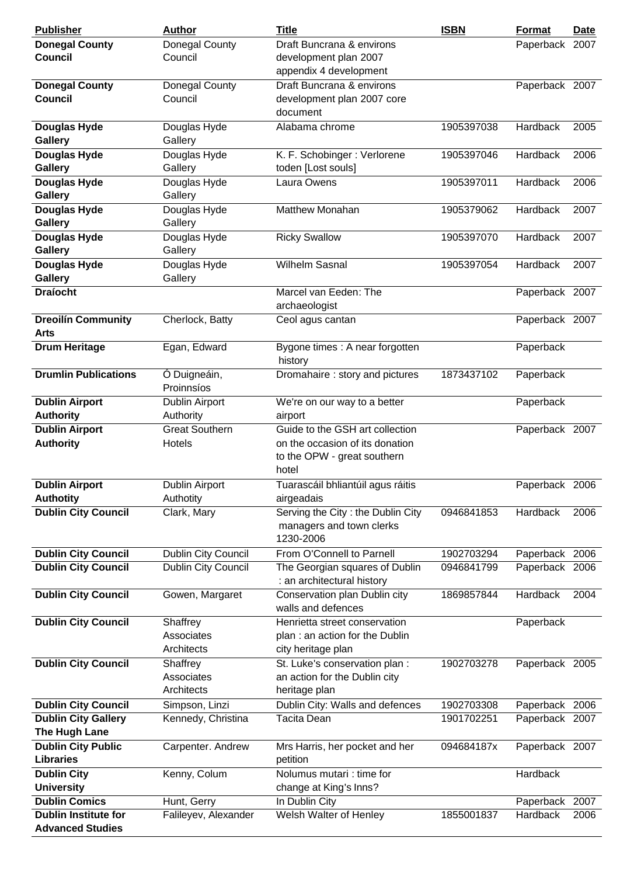| <b>Publisher</b>                              | <b>Author</b>                        | <b>Title</b>                                                                                               | <b>ISBN</b> | <b>Format</b>   | <b>Date</b> |
|-----------------------------------------------|--------------------------------------|------------------------------------------------------------------------------------------------------------|-------------|-----------------|-------------|
| <b>Donegal County</b><br><b>Council</b>       | Donegal County<br>Council            | Draft Buncrana & environs<br>development plan 2007                                                         |             | Paperback 2007  |             |
|                                               |                                      | appendix 4 development                                                                                     |             |                 |             |
| <b>Donegal County</b>                         | Donegal County                       | Draft Buncrana & environs                                                                                  |             | Paperback 2007  |             |
| <b>Council</b>                                | Council                              | development plan 2007 core<br>document                                                                     |             |                 |             |
| Douglas Hyde<br>Gallery                       | Douglas Hyde<br>Gallery              | Alabama chrome                                                                                             | 1905397038  | Hardback        | 2005        |
| Douglas Hyde<br>Gallery                       | Douglas Hyde<br>Gallery              | K. F. Schobinger: Verlorene<br>toden [Lost souls]                                                          | 1905397046  | Hardback        | 2006        |
| <b>Douglas Hyde</b><br><b>Gallery</b>         | Douglas Hyde<br>Gallery              | Laura Owens                                                                                                | 1905397011  | Hardback        | 2006        |
| <b>Douglas Hyde</b><br>Gallery                | Douglas Hyde<br>Gallery              | <b>Matthew Monahan</b>                                                                                     | 1905379062  | Hardback        | 2007        |
| <b>Douglas Hyde</b><br>Gallery                | Douglas Hyde<br>Gallery              | <b>Ricky Swallow</b>                                                                                       | 1905397070  | <b>Hardback</b> | 2007        |
| <b>Douglas Hyde</b><br>Gallery                | Douglas Hyde<br>Gallery              | <b>Wilhelm Sasnal</b>                                                                                      | 1905397054  | Hardback        | 2007        |
| <b>Draíocht</b>                               |                                      | Marcel van Eeden: The<br>archaeologist                                                                     |             | Paperback 2007  |             |
| <b>Dreoilín Community</b>                     | Cherlock, Batty                      | Ceol agus cantan                                                                                           |             | Paperback 2007  |             |
| <b>Arts</b>                                   |                                      |                                                                                                            |             |                 |             |
| <b>Drum Heritage</b>                          | Egan, Edward                         | Bygone times : A near forgotten<br>history                                                                 |             | Paperback       |             |
| <b>Drumlin Publications</b>                   | Ó Duigneáin,<br>Proinnsíos           | Dromahaire: story and pictures                                                                             | 1873437102  | Paperback       |             |
| <b>Dublin Airport</b><br><b>Authority</b>     | Dublin Airport<br>Authority          | We're on our way to a better<br>airport                                                                    |             | Paperback       |             |
| <b>Dublin Airport</b><br><b>Authority</b>     | <b>Great Southern</b><br>Hotels      | Guide to the GSH art collection<br>on the occasion of its donation<br>to the OPW - great southern<br>hotel |             | Paperback 2007  |             |
| <b>Dublin Airport</b><br><b>Authotity</b>     | <b>Dublin Airport</b><br>Authotity   | Tuarascáil bhliantúil agus ráitis<br>airgeadais                                                            |             | Paperback 2006  |             |
| <b>Dublin City Council</b>                    | Clark, Mary                          | Serving the City: the Dublin City<br>managers and town clerks<br>1230-2006                                 | 0946841853  | Hardback        | 2006        |
| <b>Dublin City Council</b>                    | <b>Dublin City Council</b>           | From O'Connell to Parnell                                                                                  | 1902703294  | Paperback 2006  |             |
| <b>Dublin City Council</b>                    | Dublin City Council                  | The Georgian squares of Dublin<br>: an architectural history                                               | 0946841799  | Paperback 2006  |             |
| <b>Dublin City Council</b>                    | Gowen, Margaret                      | Conservation plan Dublin city<br>walls and defences                                                        | 1869857844  | Hardback        | 2004        |
| <b>Dublin City Council</b>                    | Shaffrey<br>Associates<br>Architects | Henrietta street conservation<br>plan: an action for the Dublin<br>city heritage plan                      |             | Paperback       |             |
| <b>Dublin City Council</b>                    | Shaffrey<br>Associates<br>Architects | St. Luke's conservation plan :<br>an action for the Dublin city<br>heritage plan                           | 1902703278  | Paperback 2005  |             |
| <b>Dublin City Council</b>                    | Simpson, Linzi                       | Dublin City: Walls and defences                                                                            | 1902703308  | Paperback 2006  |             |
| <b>Dublin City Gallery</b><br>The Hugh Lane   | Kennedy, Christina                   | Tacita Dean                                                                                                | 1901702251  | Paperback 2007  |             |
| <b>Dublin City Public</b><br><b>Libraries</b> | Carpenter. Andrew                    | Mrs Harris, her pocket and her<br>petition                                                                 | 094684187x  | Paperback 2007  |             |
| <b>Dublin City</b><br><b>University</b>       | Kenny, Colum                         | Nolumus mutari : time for<br>change at King's Inns?                                                        |             | Hardback        |             |
| <b>Dublin Comics</b>                          | Hunt, Gerry                          | In Dublin City                                                                                             |             | Paperback       | 2007        |
| <b>Dublin Institute for</b>                   | Falileyev, Alexander                 | Welsh Walter of Henley                                                                                     | 1855001837  | Hardback        | 2006        |
| <b>Advanced Studies</b>                       |                                      |                                                                                                            |             |                 |             |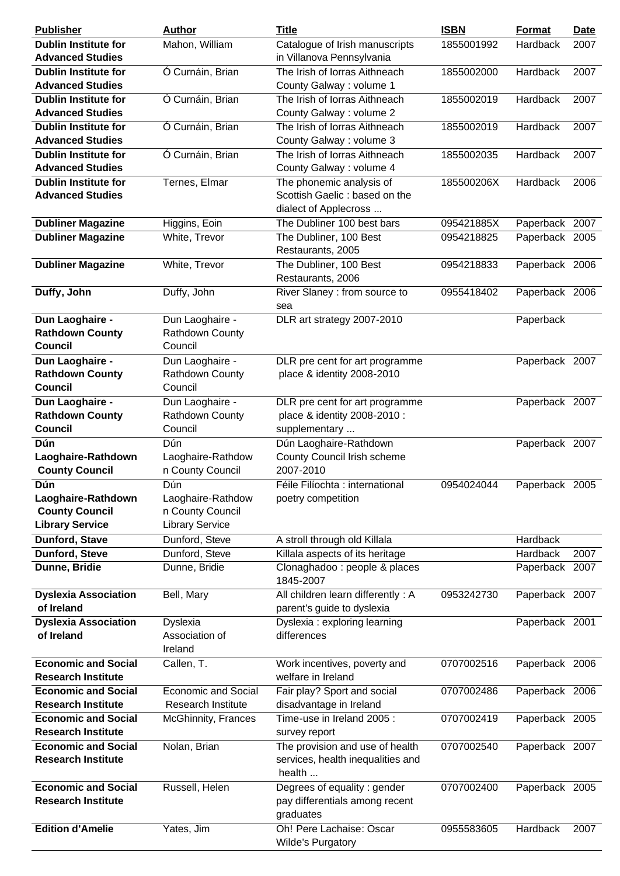| <b>Publisher</b>                                                             | <b>Author</b>                                                          | <b>Title</b>                                                                       | <b>ISBN</b> | Format          | <b>Date</b> |
|------------------------------------------------------------------------------|------------------------------------------------------------------------|------------------------------------------------------------------------------------|-------------|-----------------|-------------|
| <b>Dublin Institute for</b><br><b>Advanced Studies</b>                       | Mahon, William                                                         | Catalogue of Irish manuscripts<br>in Villanova Pennsylvania                        | 1855001992  | <b>Hardback</b> | 2007        |
| <b>Dublin Institute for</b>                                                  | Ó Curnáin, Brian                                                       | The Irish of Iorras Aithneach                                                      | 1855002000  | Hardback        | 2007        |
| <b>Advanced Studies</b>                                                      |                                                                        | County Galway : volume 1                                                           |             |                 |             |
| <b>Dublin Institute for</b><br><b>Advanced Studies</b>                       | Ó Curnáin, Brian                                                       | The Irish of Iorras Aithneach<br>County Galway: volume 2                           | 1855002019  | Hardback        | 2007        |
| <b>Dublin Institute for</b><br><b>Advanced Studies</b>                       | Ó Curnáin, Brian                                                       | The Irish of Iorras Aithneach<br>County Galway: volume 3                           | 1855002019  | Hardback        | 2007        |
| <b>Dublin Institute for</b><br><b>Advanced Studies</b>                       | Ó Curnáin, Brian                                                       | The Irish of Iorras Aithneach<br>County Galway: volume 4                           | 1855002035  | Hardback        | 2007        |
| <b>Dublin Institute for</b><br><b>Advanced Studies</b>                       | Ternes, Elmar                                                          | The phonemic analysis of<br>Scottish Gaelic: based on the<br>dialect of Applecross | 185500206X  | Hardback        | 2006        |
| <b>Dubliner Magazine</b>                                                     | Higgins, Eoin                                                          | The Dubliner 100 best bars                                                         | 095421885X  | Paperback 2007  |             |
| <b>Dubliner Magazine</b>                                                     | White, Trevor                                                          | The Dubliner, 100 Best<br>Restaurants, 2005                                        | 0954218825  | Paperback 2005  |             |
| <b>Dubliner Magazine</b>                                                     | White, Trevor                                                          | The Dubliner, 100 Best<br>Restaurants, 2006                                        | 0954218833  | Paperback 2006  |             |
| Duffy, John                                                                  | Duffy, John                                                            | River Slaney : from source to<br>sea                                               | 0955418402  | Paperback 2006  |             |
| Dun Laoghaire -<br><b>Rathdown County</b><br><b>Council</b>                  | Dun Laoghaire -<br>Rathdown County<br>Council                          | DLR art strategy 2007-2010                                                         |             | Paperback       |             |
| Dun Laoghaire -<br><b>Rathdown County</b><br><b>Council</b>                  | Dun Laoghaire -<br>Rathdown County<br>Council                          | DLR pre cent for art programme<br>place & identity 2008-2010                       |             | Paperback 2007  |             |
| Dun Laoghaire -<br><b>Rathdown County</b><br><b>Council</b>                  | Dun Laoghaire -<br>Rathdown County<br>Council                          | DLR pre cent for art programme<br>place & identity 2008-2010 :<br>supplementary    |             | Paperback 2007  |             |
| Dún<br>Laoghaire-Rathdown<br><b>County Council</b>                           | Dún<br>Laoghaire-Rathdow<br>n County Council                           | Dún Laoghaire-Rathdown<br>County Council Irish scheme<br>2007-2010                 |             | Paperback 2007  |             |
| Dún<br>Laoghaire-Rathdown<br><b>County Council</b><br><b>Library Service</b> | Dún<br>Laoghaire-Rathdow<br>n County Council<br><b>Library Service</b> | Féile Filíochta : international<br>poetry competition                              | 0954024044  | Paperback 2005  |             |
| <b>Dunford, Stave</b>                                                        | Dunford, Steve                                                         | A stroll through old Killala                                                       |             | Hardback        |             |
| Dunford, Steve                                                               | Dunford, Steve                                                         | Killala aspects of its heritage                                                    |             | Hardback        | 2007        |
| Dunne, Bridie                                                                | Dunne, Bridie                                                          | Clonaghadoo: people & places<br>1845-2007                                          |             | Paperback 2007  |             |
| <b>Dyslexia Association</b><br>of Ireland                                    | Bell, Mary                                                             | All children learn differently : A<br>parent's guide to dyslexia                   | 0953242730  | Paperback 2007  |             |
| <b>Dyslexia Association</b><br>of Ireland                                    | <b>Dyslexia</b><br>Association of<br>Ireland                           | Dyslexia : exploring learning<br>differences                                       |             | Paperback 2001  |             |
| <b>Economic and Social</b><br><b>Research Institute</b>                      | Callen, T.                                                             | Work incentives, poverty and<br>welfare in Ireland                                 | 0707002516  | Paperback 2006  |             |
| <b>Economic and Social</b>                                                   | Economic and Social                                                    | Fair play? Sport and social                                                        | 0707002486  | Paperback 2006  |             |
| <b>Research Institute</b>                                                    | Research Institute                                                     | disadvantage in Ireland                                                            |             |                 |             |
| <b>Economic and Social</b><br><b>Research Institute</b>                      | McGhinnity, Frances                                                    | Time-use in Ireland 2005:<br>survey report                                         | 0707002419  | Paperback 2005  |             |
| <b>Economic and Social</b><br><b>Research Institute</b>                      | Nolan, Brian                                                           | The provision and use of health<br>services, health inequalities and<br>health     | 0707002540  | Paperback 2007  |             |
| <b>Economic and Social</b><br><b>Research Institute</b>                      | Russell, Helen                                                         | Degrees of equality : gender<br>pay differentials among recent<br>graduates        | 0707002400  | Paperback 2005  |             |
| <b>Edition d'Amelie</b>                                                      | Yates, Jim                                                             | Oh! Pere Lachaise: Oscar<br><b>Wilde's Purgatory</b>                               | 0955583605  | Hardback        | 2007        |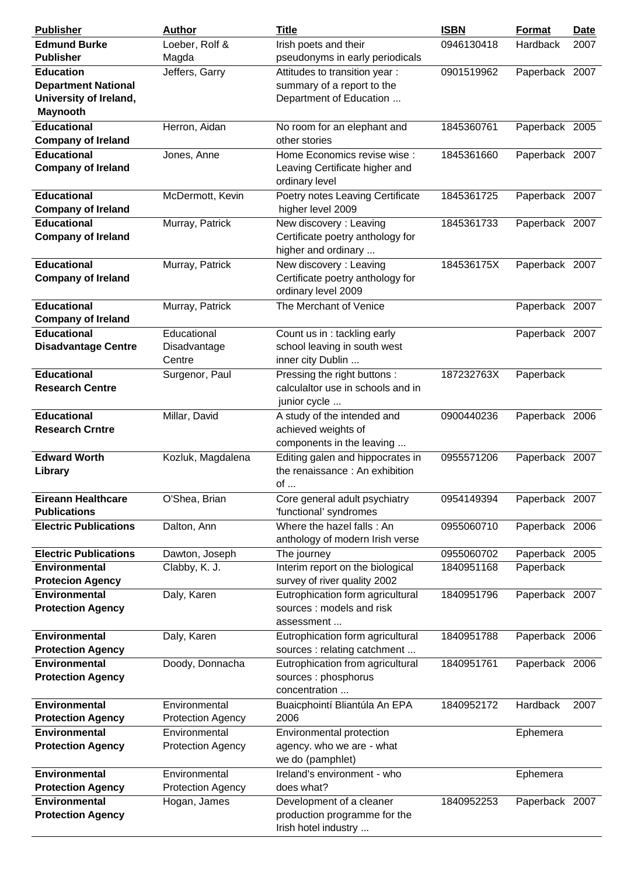| <b>Publisher</b>                                                        | <b>Author</b>                             | <b>Title</b>                                                                      | <b>ISBN</b> | Format         | <b>Date</b> |
|-------------------------------------------------------------------------|-------------------------------------------|-----------------------------------------------------------------------------------|-------------|----------------|-------------|
| <b>Edmund Burke</b><br><b>Publisher</b>                                 | Loeber, Rolf &<br>Magda                   | Irish poets and their<br>pseudonyms in early periodicals                          | 0946130418  | Hardback       | 2007        |
| <b>Education</b>                                                        | Jeffers, Garry                            | Attitudes to transition year:                                                     | 0901519962  | Paperback 2007 |             |
| <b>Department National</b><br>University of Ireland,<br><b>Maynooth</b> |                                           | summary of a report to the<br>Department of Education                             |             |                |             |
| <b>Educational</b><br><b>Company of Ireland</b>                         | Herron, Aidan                             | No room for an elephant and<br>other stories                                      | 1845360761  | Paperback 2005 |             |
| <b>Educational</b><br><b>Company of Ireland</b>                         | Jones, Anne                               | Home Economics revise wise :<br>Leaving Certificate higher and<br>ordinary level  | 1845361660  | Paperback 2007 |             |
| <b>Educational</b><br><b>Company of Ireland</b>                         | McDermott, Kevin                          | Poetry notes Leaving Certificate<br>higher level 2009                             | 1845361725  | Paperback 2007 |             |
| <b>Educational</b>                                                      | Murray, Patrick                           | New discovery: Leaving                                                            | 1845361733  | Paperback 2007 |             |
| <b>Company of Ireland</b>                                               |                                           | Certificate poetry anthology for<br>higher and ordinary                           |             |                |             |
| <b>Educational</b><br><b>Company of Ireland</b>                         | Murray, Patrick                           | New discovery: Leaving<br>Certificate poetry anthology for<br>ordinary level 2009 | 184536175X  | Paperback 2007 |             |
| <b>Educational</b><br><b>Company of Ireland</b>                         | Murray, Patrick                           | The Merchant of Venice                                                            |             | Paperback 2007 |             |
| <b>Educational</b><br><b>Disadvantage Centre</b>                        | Educational<br>Disadvantage<br>Centre     | Count us in: tackling early<br>school leaving in south west<br>inner city Dublin  |             | Paperback 2007 |             |
| <b>Educational</b><br><b>Research Centre</b>                            | Surgenor, Paul                            | Pressing the right buttons:<br>calculaltor use in schools and in<br>junior cycle  | 187232763X  | Paperback      |             |
| <b>Educational</b><br><b>Research Crntre</b>                            | Millar, David                             | A study of the intended and<br>achieved weights of<br>components in the leaving   | 0900440236  | Paperback 2006 |             |
| <b>Edward Worth</b><br>Library                                          | Kozluk, Magdalena                         | Editing galen and hippocrates in<br>the renaissance: An exhibition<br>of          | 0955571206  | Paperback 2007 |             |
| <b>Eireann Healthcare</b><br><b>Publications</b>                        | O'Shea, Brian                             | Core general adult psychiatry<br>'functional' syndromes                           | 0954149394  | Paperback 2007 |             |
| <b>Electric Publications</b>                                            | Dalton, Ann                               | Where the hazel falls: An<br>anthology of modern Irish verse                      | 0955060710  | Paperback 2006 |             |
| <b>Electric Publications</b>                                            | Dawton, Joseph                            | The journey                                                                       | 0955060702  | Paperback 2005 |             |
| <b>Environmental</b>                                                    | Clabby, K. J.                             | Interim report on the biological                                                  | 1840951168  | Paperback      |             |
| <b>Protecion Agency</b>                                                 |                                           | survey of river quality 2002                                                      |             |                |             |
| <b>Environmental</b><br><b>Protection Agency</b>                        | Daly, Karen                               | Eutrophication form agricultural<br>sources: models and risk<br>assessment        | 1840951796  | Paperback 2007 |             |
| <b>Environmental</b><br><b>Protection Agency</b>                        | Daly, Karen                               | Eutrophication form agricultural<br>sources : relating catchment                  | 1840951788  | Paperback 2006 |             |
| <b>Environmental</b><br><b>Protection Agency</b>                        | Doody, Donnacha                           | Eutrophication from agricultural<br>sources : phosphorus<br>concentration         | 1840951761  | Paperback 2006 |             |
| <b>Environmental</b><br><b>Protection Agency</b>                        | Environmental<br><b>Protection Agency</b> | Buaicphointí Bliantúla An EPA<br>2006                                             | 1840952172  | Hardback       | 2007        |
| <b>Environmental</b><br><b>Protection Agency</b>                        | Environmental<br><b>Protection Agency</b> | Environmental protection<br>agency. who we are - what<br>we do (pamphlet)         |             | Ephemera       |             |
| Environmental<br><b>Protection Agency</b>                               | Environmental<br><b>Protection Agency</b> | Ireland's environment - who<br>does what?                                         |             | Ephemera       |             |
| Environmental<br><b>Protection Agency</b>                               | Hogan, James                              | Development of a cleaner<br>production programme for the<br>Irish hotel industry  | 1840952253  | Paperback 2007 |             |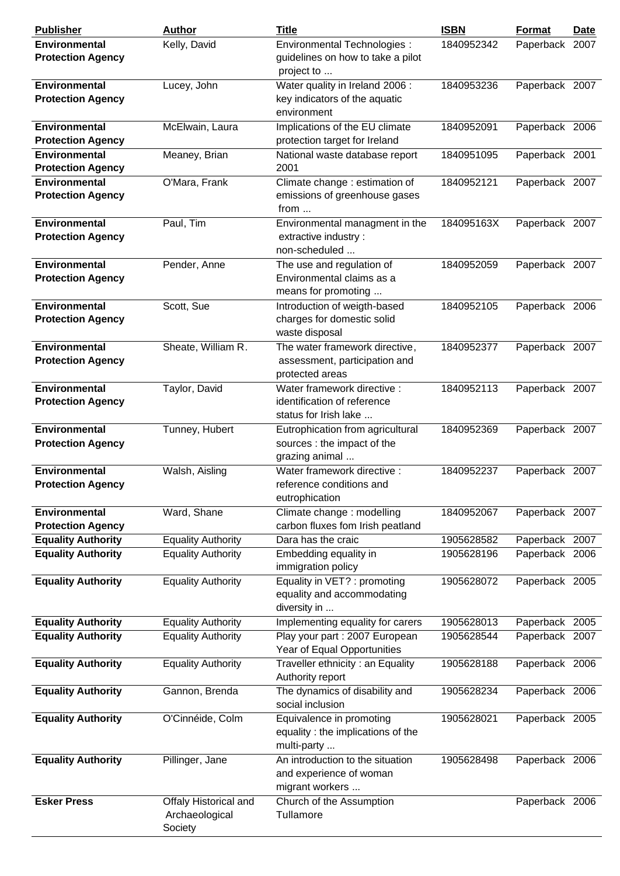| <b>Publisher</b>                                 | <b>Author</b>                                      | <b>Title</b>                                                                        | <b>ISBN</b> | <b>Format</b>  | <b>Date</b> |
|--------------------------------------------------|----------------------------------------------------|-------------------------------------------------------------------------------------|-------------|----------------|-------------|
| <b>Environmental</b><br><b>Protection Agency</b> | Kelly, David                                       | Environmental Technologies :<br>guidelines on how to take a pilot<br>project to     | 1840952342  | Paperback 2007 |             |
| <b>Environmental</b><br><b>Protection Agency</b> | Lucey, John                                        | Water quality in Ireland 2006:<br>key indicators of the aquatic<br>environment      | 1840953236  | Paperback 2007 |             |
| <b>Environmental</b><br><b>Protection Agency</b> | McElwain, Laura                                    | Implications of the EU climate<br>protection target for Ireland                     | 1840952091  | Paperback 2006 |             |
| <b>Environmental</b><br><b>Protection Agency</b> | Meaney, Brian                                      | National waste database report<br>2001                                              | 1840951095  | Paperback 2001 |             |
| <b>Environmental</b><br><b>Protection Agency</b> | O'Mara, Frank                                      | Climate change : estimation of<br>emissions of greenhouse gases<br>from $\dots$     | 1840952121  | Paperback 2007 |             |
| <b>Environmental</b><br><b>Protection Agency</b> | Paul, Tim                                          | Environmental managment in the<br>extractive industry:<br>non-scheduled             | 184095163X  | Paperback 2007 |             |
| <b>Environmental</b><br><b>Protection Agency</b> | Pender, Anne                                       | The use and regulation of<br>Environmental claims as a<br>means for promoting       | 1840952059  | Paperback 2007 |             |
| <b>Environmental</b><br><b>Protection Agency</b> | Scott, Sue                                         | Introduction of weigth-based<br>charges for domestic solid<br>waste disposal        | 1840952105  | Paperback 2006 |             |
| <b>Environmental</b><br><b>Protection Agency</b> | Sheate, William R.                                 | The water framework directive,<br>assessment, participation and<br>protected areas  | 1840952377  | Paperback 2007 |             |
| <b>Environmental</b><br><b>Protection Agency</b> | Taylor, David                                      | Water framework directive :<br>identification of reference<br>status for Irish lake | 1840952113  | Paperback 2007 |             |
| <b>Environmental</b><br><b>Protection Agency</b> | Tunney, Hubert                                     | Eutrophication from agricultural<br>sources : the impact of the<br>grazing animal   | 1840952369  | Paperback 2007 |             |
| <b>Environmental</b><br><b>Protection Agency</b> | Walsh, Aisling                                     | Water framework directive :<br>reference conditions and<br>eutrophication           | 1840952237  | Paperback 2007 |             |
| <b>Environmental</b><br><b>Protection Agency</b> | Ward, Shane                                        | Climate change : modelling<br>carbon fluxes fom Irish peatland                      | 1840952067  | Paperback 2007 |             |
| <b>Equality Authority</b>                        | <b>Equality Authority</b>                          | Dara has the craic                                                                  | 1905628582  | Paperback 2007 |             |
| <b>Equality Authority</b>                        | <b>Equality Authority</b>                          | Embedding equality in<br>immigration policy                                         | 1905628196  | Paperback 2006 |             |
| <b>Equality Authority</b>                        | <b>Equality Authority</b>                          | Equality in VET? : promoting<br>equality and accommodating<br>diversity in          | 1905628072  | Paperback 2005 |             |
| <b>Equality Authority</b>                        | <b>Equality Authority</b>                          | Implementing equality for carers                                                    | 1905628013  | Paperback      | 2005        |
| <b>Equality Authority</b>                        | <b>Equality Authority</b>                          | Play your part : 2007 European<br>Year of Equal Opportunities                       | 1905628544  | Paperback 2007 |             |
| <b>Equality Authority</b>                        | <b>Equality Authority</b>                          | Traveller ethnicity: an Equality<br>Authority report                                | 1905628188  | Paperback 2006 |             |
| <b>Equality Authority</b>                        | Gannon, Brenda                                     | The dynamics of disability and<br>social inclusion                                  | 1905628234  | Paperback 2006 |             |
| <b>Equality Authority</b>                        | O'Cinnéide, Colm                                   | Equivalence in promoting<br>equality : the implications of the<br>multi-party       | 1905628021  | Paperback 2005 |             |
| <b>Equality Authority</b>                        | Pillinger, Jane                                    | An introduction to the situation<br>and experience of woman<br>migrant workers      | 1905628498  | Paperback 2006 |             |
| <b>Esker Press</b>                               | Offaly Historical and<br>Archaeological<br>Society | Church of the Assumption<br>Tullamore                                               |             | Paperback 2006 |             |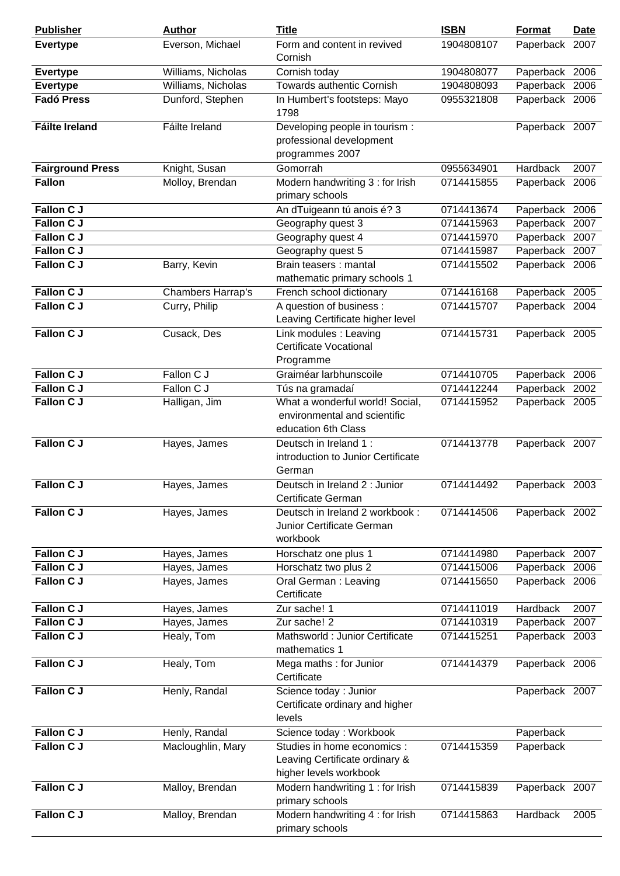| <b>Publisher</b>        | <b>Author</b>      | <b>Title</b>                                                                            | <b>ISBN</b> | Format         | <b>Date</b> |
|-------------------------|--------------------|-----------------------------------------------------------------------------------------|-------------|----------------|-------------|
| <b>Evertype</b>         | Everson, Michael   | Form and content in revived<br>Cornish                                                  | 1904808107  | Paperback      | 2007        |
| <b>Evertype</b>         | Williams, Nicholas | Cornish today                                                                           | 1904808077  | Paperback 2006 |             |
| <b>Evertype</b>         | Williams, Nicholas | <b>Towards authentic Cornish</b>                                                        | 1904808093  | Paperback 2006 |             |
| <b>Fadó Press</b>       | Dunford, Stephen   | In Humbert's footsteps: Mayo<br>1798                                                    | 0955321808  | Paperback 2006 |             |
| <b>Fáilte Ireland</b>   | Fáilte Ireland     | Developing people in tourism :<br>professional development<br>programmes 2007           |             | Paperback 2007 |             |
| <b>Fairground Press</b> | Knight, Susan      | Gomorrah                                                                                | 0955634901  | Hardback       | 2007        |
| <b>Fallon</b>           | Molloy, Brendan    | Modern handwriting 3 : for Irish<br>primary schools                                     | 0714415855  | Paperback 2006 |             |
| <b>Fallon C J</b>       |                    | An dTuigeann tú anois é? 3                                                              | 0714413674  | Paperback 2006 |             |
| Fallon C J              |                    | Geography quest 3                                                                       | 0714415963  | Paperback      | 2007        |
| Fallon C J              |                    | Geography quest 4                                                                       | 0714415970  | Paperback 2007 |             |
| <b>Fallon C J</b>       |                    | Geography quest 5                                                                       | 0714415987  | Paperback 2007 |             |
| Fallon C J              | Barry, Kevin       | Brain teasers : mantal<br>mathematic primary schools 1                                  | 0714415502  | Paperback 2006 |             |
| <b>Fallon C J</b>       | Chambers Harrap's  | French school dictionary                                                                | 0714416168  | Paperback 2005 |             |
| <b>Fallon C J</b>       | Curry, Philip      | A question of business:<br>Leaving Certificate higher level                             | 0714415707  | Paperback 2004 |             |
| <b>Fallon C J</b>       | Cusack, Des        | Link modules : Leaving<br><b>Certificate Vocational</b><br>Programme                    | 0714415731  | Paperback 2005 |             |
| Fallon C J              | Fallon C J         | Graiméar larbhunscoile                                                                  | 0714410705  | Paperback 2006 |             |
| <b>Fallon C J</b>       | Fallon C J         | Tús na gramadaí                                                                         | 0714412244  | Paperback 2002 |             |
| <b>Fallon C J</b>       | Halligan, Jim      | What a wonderful world! Social,<br>environmental and scientific<br>education 6th Class  | 0714415952  | Paperback 2005 |             |
| <b>Fallon CJ</b>        | Hayes, James       | Deutsch in Ireland 1:<br>introduction to Junior Certificate<br>German                   | 0714413778  | Paperback 2007 |             |
| <b>Fallon C J</b>       | Hayes, James       | Deutsch in Ireland 2 : Junior<br>Certificate German                                     | 0714414492  | Paperback 2003 |             |
| Fallon C J              | Hayes, James       | Deutsch in Ireland 2 workbook:<br>Junior Certificate German<br>workbook                 | 0714414506  | Paperback 2002 |             |
| Fallon C J              | Hayes, James       | Horschatz one plus 1                                                                    | 0714414980  | Paperback 2007 |             |
| <b>Fallon CJ</b>        | Hayes, James       | Horschatz two plus 2                                                                    | 0714415006  | Paperback 2006 |             |
| <b>Fallon CJ</b>        | Hayes, James       | Oral German: Leaving<br>Certificate                                                     | 0714415650  | Paperback 2006 |             |
| Fallon C J              | Hayes, James       | Zur sache! 1                                                                            | 0714411019  | Hardback       | 2007        |
| <b>Fallon CJ</b>        | Hayes, James       | Zur sache! 2                                                                            | 0714410319  | Paperback      | 2007        |
| <b>Fallon C J</b>       | Healy, Tom         | Mathsworld : Junior Certificate<br>mathematics 1                                        | 0714415251  | Paperback 2003 |             |
| Fallon C J              | Healy, Tom         | Mega maths: for Junior<br>Certificate                                                   | 0714414379  | Paperback 2006 |             |
| Fallon C J              | Henly, Randal      | Science today : Junior<br>Certificate ordinary and higher<br>levels                     |             | Paperback 2007 |             |
| Fallon C J              | Henly, Randal      | Science today: Workbook                                                                 |             | Paperback      |             |
| <b>Fallon C J</b>       | Macloughlin, Mary  | Studies in home economics :<br>Leaving Certificate ordinary &<br>higher levels workbook | 0714415359  | Paperback      |             |
| Fallon C J              | Malloy, Brendan    | Modern handwriting 1 : for Irish<br>primary schools                                     | 0714415839  | Paperback 2007 |             |
| Fallon C J              | Malloy, Brendan    | Modern handwriting 4 : for Irish<br>primary schools                                     | 0714415863  | Hardback       | 2005        |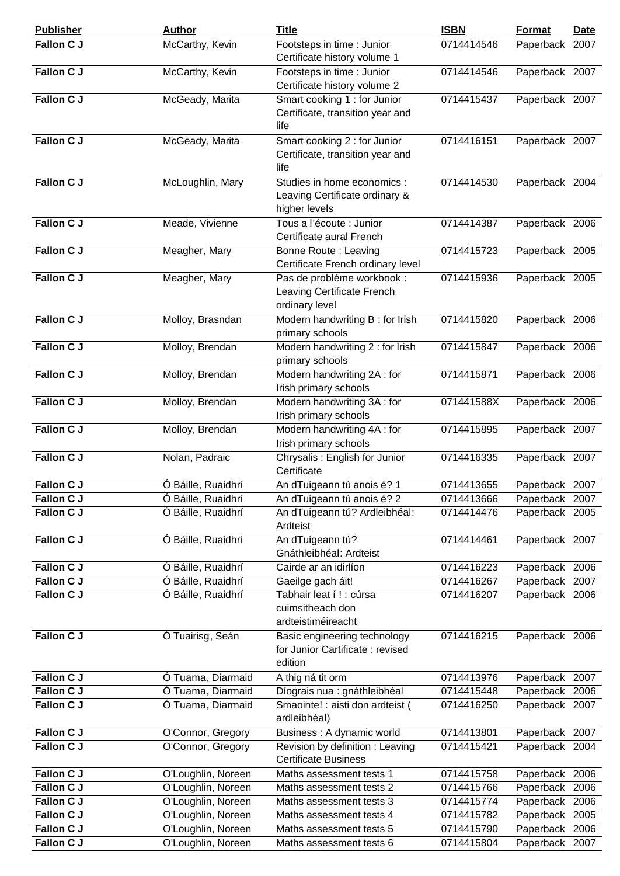| <b>Publisher</b>  | <b>Author</b>      | <b>Title</b>                                                                   | <b>ISBN</b> | <b>Format</b>  | <b>Date</b> |
|-------------------|--------------------|--------------------------------------------------------------------------------|-------------|----------------|-------------|
| <b>Fallon C J</b> | McCarthy, Kevin    | Footsteps in time : Junior<br>Certificate history volume 1                     | 0714414546  | Paperback 2007 |             |
| Fallon C J        | McCarthy, Kevin    | Footsteps in time : Junior<br>Certificate history volume 2                     | 0714414546  | Paperback 2007 |             |
| <b>Fallon CJ</b>  | McGeady, Marita    | Smart cooking 1 : for Junior<br>Certificate, transition year and<br>life       | 0714415437  | Paperback 2007 |             |
| <b>Fallon CJ</b>  | McGeady, Marita    | Smart cooking 2 : for Junior<br>Certificate, transition year and<br>life       | 0714416151  | Paperback 2007 |             |
| <b>Fallon C J</b> | McLoughlin, Mary   | Studies in home economics :<br>Leaving Certificate ordinary &<br>higher levels | 0714414530  | Paperback 2004 |             |
| <b>Fallon C J</b> | Meade, Vivienne    | Tous a l'écoute : Junior<br>Certificate aural French                           | 0714414387  | Paperback 2006 |             |
| Fallon C J        | Meagher, Mary      | Bonne Route: Leaving<br>Certificate French ordinary level                      | 0714415723  | Paperback 2005 |             |
| Fallon C J        | Meagher, Mary      | Pas de probléme workbook :<br>Leaving Certificate French<br>ordinary level     | 0714415936  | Paperback 2005 |             |
| <b>Fallon C J</b> | Molloy, Brasndan   | Modern handwriting B: for Irish<br>primary schools                             | 0714415820  | Paperback 2006 |             |
| <b>Fallon CJ</b>  | Molloy, Brendan    | Modern handwriting 2 : for Irish<br>primary schools                            | 0714415847  | Paperback 2006 |             |
| Fallon C J        | Molloy, Brendan    | Modern handwriting 2A: for<br>Irish primary schools                            | 0714415871  | Paperback 2006 |             |
| Fallon C J        | Molloy, Brendan    | Modern handwriting 3A: for<br>Irish primary schools                            | 071441588X  | Paperback 2006 |             |
| <b>Fallon C J</b> | Molloy, Brendan    | Modern handwriting 4A: for<br>Irish primary schools                            | 0714415895  | Paperback 2007 |             |
| <b>Fallon C J</b> | Nolan, Padraic     | Chrysalis: English for Junior<br>Certificate                                   | 0714416335  | Paperback 2007 |             |
| <b>Fallon C J</b> | Ó Báille, Ruaidhrí | An dTuigeann tú anois é? 1                                                     | 0714413655  | Paperback 2007 |             |
| Fallon C J        | Ó Báille, Ruaidhrí | An dTuigeann tú anois é? 2                                                     | 0714413666  | Paperback 2007 |             |
| Fallon C J        | Ó Báille, Ruaidhrí | An dTuigeann tú? Ardleibhéal:<br>Ardteist                                      | 0714414476  | Paperback 2005 |             |
| Fallon C J        | Ó Báille, Ruaidhrí | An dTuigeann tú?<br>Gnáthleibhéal: Ardteist                                    | 0714414461  | Paperback 2007 |             |
| Fallon C J        | Ó Báille, Ruaidhrí | Cairde ar an idirlíon                                                          | 0714416223  | Paperback 2006 |             |
| Fallon C J        | Ó Báille, Ruaidhrí | Gaeilge gach áit!                                                              | 0714416267  | Paperback 2007 |             |
| Fallon C J        | Ó Báille, Ruaidhrí | Tabhair leat í ! : cúrsa<br>cuimsitheach don<br>ardteistiméireacht             | 0714416207  | Paperback 2006 |             |
| Fallon C J        | Ó Tuairisg, Seán   | Basic engineering technology<br>for Junior Cartificate: revised<br>edition     | 0714416215  | Paperback 2006 |             |
| Fallon C J        | Ó Tuama, Diarmaid  | A thig ná tit orm                                                              | 0714413976  | Paperback 2007 |             |
| <b>Fallon CJ</b>  | Ó Tuama, Diarmaid  | Díograis nua : gnáthleibhéal                                                   | 0714415448  | Paperback 2006 |             |
| Fallon C J        | Ó Tuama, Diarmaid  | Smaointe! : aisti don ardteist (<br>ardleibhéal)                               | 0714416250  | Paperback 2007 |             |
| Fallon C J        | O'Connor, Gregory  | Business : A dynamic world                                                     | 0714413801  | Paperback 2007 |             |
| Fallon CJ         | O'Connor, Gregory  | Revision by definition : Leaving<br><b>Certificate Business</b>                | 0714415421  | Paperback 2004 |             |
| Fallon C J        | O'Loughlin, Noreen | Maths assessment tests 1                                                       | 0714415758  | Paperback 2006 |             |
| Fallon C J        | O'Loughlin, Noreen | Maths assessment tests 2                                                       | 0714415766  | Paperback 2006 |             |
| Fallon C J        | O'Loughlin, Noreen | Maths assessment tests 3                                                       | 0714415774  | Paperback 2006 |             |
| Fallon C J        | O'Loughlin, Noreen | Maths assessment tests 4                                                       | 0714415782  | Paperback 2005 |             |
| Fallon C J        | O'Loughlin, Noreen | Maths assessment tests 5                                                       | 0714415790  | Paperback 2006 |             |
| Fallon C J        | O'Loughlin, Noreen | Maths assessment tests 6                                                       | 0714415804  | Paperback 2007 |             |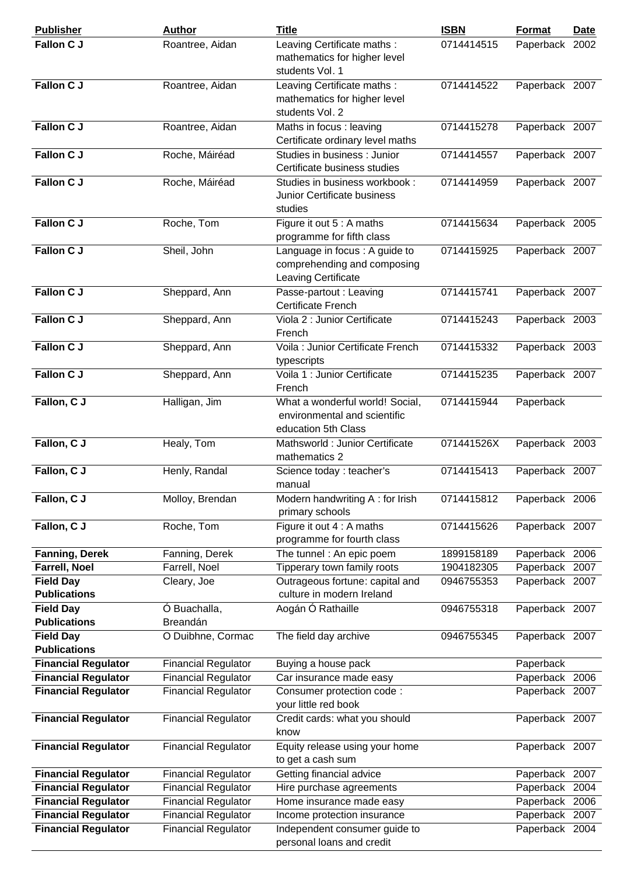| <b>Publisher</b>                        | <b>Author</b>              | <b>Title</b>                                                                           | <b>ISBN</b> | Format         | <b>Date</b> |
|-----------------------------------------|----------------------------|----------------------------------------------------------------------------------------|-------------|----------------|-------------|
| <b>Fallon CJ</b>                        | Roantree, Aidan            | Leaving Certificate maths :<br>mathematics for higher level<br>students Vol. 1         | 0714414515  | Paperback 2002 |             |
| <b>Fallon C J</b>                       | Roantree, Aidan            | Leaving Certificate maths :<br>mathematics for higher level<br>students Vol. 2         | 0714414522  | Paperback 2007 |             |
| <b>Fallon C J</b>                       | Roantree, Aidan            | Maths in focus : leaving<br>Certificate ordinary level maths                           | 0714415278  | Paperback 2007 |             |
| <b>Fallon C J</b>                       | Roche, Máiréad             | Studies in business : Junior<br>Certificate business studies                           | 0714414557  | Paperback 2007 |             |
| Fallon C J                              | Roche, Máiréad             | Studies in business workbook:<br>Junior Certificate business<br>studies                | 0714414959  | Paperback 2007 |             |
| <b>Fallon C J</b>                       | Roche, Tom                 | Figure it out 5 : A maths<br>programme for fifth class                                 | 0714415634  | Paperback 2005 |             |
| <b>Fallon C J</b>                       | Sheil, John                | Language in focus : A guide to<br>comprehending and composing<br>Leaving Certificate   | 0714415925  | Paperback 2007 |             |
| <b>Fallon C J</b>                       | Sheppard, Ann              | Passe-partout : Leaving<br>Certificate French                                          | 0714415741  | Paperback 2007 |             |
| <b>Fallon C J</b>                       | Sheppard, Ann              | Viola 2 : Junior Certificate<br>French                                                 | 0714415243  | Paperback 2003 |             |
| <b>Fallon C J</b>                       | Sheppard, Ann              | Voila : Junior Certificate French<br>typescripts                                       | 0714415332  | Paperback 2003 |             |
| Fallon C J                              | Sheppard, Ann              | Voila 1 : Junior Certificate<br>French                                                 | 0714415235  | Paperback 2007 |             |
| Fallon, C J                             | Halligan, Jim              | What a wonderful world! Social,<br>environmental and scientific<br>education 5th Class | 0714415944  | Paperback      |             |
| Fallon, C J                             | Healy, Tom                 | Mathsworld : Junior Certificate<br>mathematics 2                                       | 071441526X  | Paperback 2003 |             |
| Fallon, C J                             | Henly, Randal              | Science today : teacher's<br>manual                                                    | 0714415413  | Paperback 2007 |             |
| Fallon, C J                             | Molloy, Brendan            | Modern handwriting A: for Irish<br>primary schools                                     | 0714415812  | Paperback 2006 |             |
| Fallon, C J                             | Roche, Tom                 | Figure it out 4 : A maths<br>programme for fourth class                                | 0714415626  | Paperback 2007 |             |
| <b>Fanning, Derek</b>                   | Fanning, Derek             | The tunnel : An epic poem                                                              | 1899158189  | Paperback 2006 |             |
| <b>Farrell, Noel</b>                    | Farrell, Noel              | Tipperary town family roots                                                            | 1904182305  | Paperback 2007 |             |
| <b>Field Day</b><br><b>Publications</b> | Cleary, Joe                | Outrageous fortune: capital and<br>culture in modern Ireland                           | 0946755353  | Paperback 2007 |             |
| <b>Field Day</b><br><b>Publications</b> | Ó Buachalla,<br>Breandán   | Aogán Ó Rathaille                                                                      | 0946755318  | Paperback 2007 |             |
| <b>Field Day</b><br><b>Publications</b> | O Duibhne, Cormac          | The field day archive                                                                  | 0946755345  | Paperback 2007 |             |
| <b>Financial Regulator</b>              | <b>Financial Regulator</b> | Buying a house pack                                                                    |             | Paperback      |             |
| <b>Financial Regulator</b>              | <b>Financial Regulator</b> | Car insurance made easy                                                                |             | Paperback 2006 |             |
| <b>Financial Regulator</b>              | <b>Financial Regulator</b> | Consumer protection code:<br>your little red book                                      |             | Paperback 2007 |             |
| <b>Financial Regulator</b>              | <b>Financial Regulator</b> | Credit cards: what you should<br>know                                                  |             | Paperback 2007 |             |
| <b>Financial Regulator</b>              | <b>Financial Regulator</b> | Equity release using your home<br>to get a cash sum                                    |             | Paperback 2007 |             |
| <b>Financial Regulator</b>              | <b>Financial Regulator</b> | Getting financial advice                                                               |             | Paperback 2007 |             |
| <b>Financial Regulator</b>              | <b>Financial Regulator</b> | Hire purchase agreements                                                               |             | Paperback 2004 |             |
| <b>Financial Regulator</b>              | <b>Financial Regulator</b> | Home insurance made easy                                                               |             | Paperback 2006 |             |
| <b>Financial Regulator</b>              | <b>Financial Regulator</b> | Income protection insurance                                                            |             | Paperback      | 2007        |
| <b>Financial Regulator</b>              | <b>Financial Regulator</b> | Independent consumer guide to                                                          |             | Paperback 2004 |             |
|                                         |                            | personal loans and credit                                                              |             |                |             |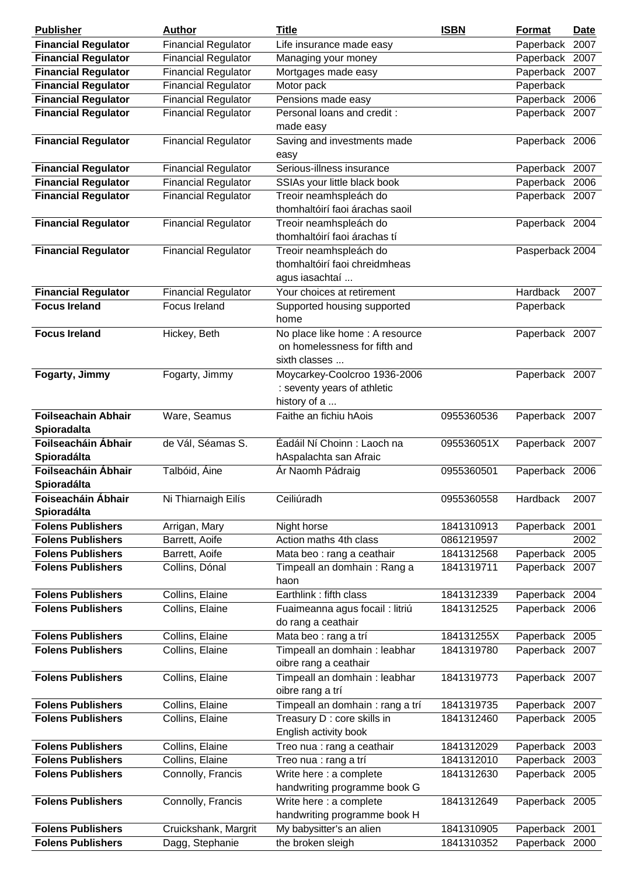| <b>Publisher</b>           | <b>Author</b>              | <b>Title</b>                        | <b>ISBN</b> | <b>Format</b>   | Date |
|----------------------------|----------------------------|-------------------------------------|-------------|-----------------|------|
| <b>Financial Regulator</b> | <b>Financial Regulator</b> | Life insurance made easy            |             | Paperback 2007  |      |
| <b>Financial Regulator</b> | <b>Financial Regulator</b> | Managing your money                 |             | Paperback       | 2007 |
| <b>Financial Regulator</b> | <b>Financial Regulator</b> | Mortgages made easy                 |             | Paperback 2007  |      |
| <b>Financial Regulator</b> | <b>Financial Regulator</b> | Motor pack                          |             | Paperback       |      |
| <b>Financial Regulator</b> | <b>Financial Regulator</b> | Pensions made easy                  |             | Paperback 2006  |      |
| <b>Financial Regulator</b> | <b>Financial Regulator</b> | Personal loans and credit:          |             | Paperback 2007  |      |
|                            |                            | made easy                           |             |                 |      |
| <b>Financial Regulator</b> | <b>Financial Regulator</b> | Saving and investments made<br>easy |             | Paperback 2006  |      |
| <b>Financial Regulator</b> | <b>Financial Regulator</b> | Serious-illness insurance           |             | Paperback 2007  |      |
| <b>Financial Regulator</b> | <b>Financial Regulator</b> | SSIAs your little black book        |             | Paperback 2006  |      |
| <b>Financial Regulator</b> | <b>Financial Regulator</b> | Treoir neamhspleách do              |             | Paperback 2007  |      |
|                            |                            | thomhaltóirí faoi árachas saoil     |             |                 |      |
| <b>Financial Regulator</b> | <b>Financial Regulator</b> | Treoir neamhspleách do              |             | Paperback 2004  |      |
|                            |                            | thomhaltóirí faoi árachas tí        |             |                 |      |
| <b>Financial Regulator</b> | <b>Financial Regulator</b> | Treoir neamhspleách do              |             | Pasperback 2004 |      |
|                            |                            | thomhaltóirí faoi chreidmheas       |             |                 |      |
|                            |                            | agus iasachtaí                      |             |                 |      |
| <b>Financial Regulator</b> | <b>Financial Regulator</b> | Your choices at retirement          |             | Hardback        | 2007 |
| <b>Focus Ireland</b>       | Focus Ireland              | Supported housing supported         |             | Paperback       |      |
|                            |                            | home                                |             |                 |      |
| <b>Focus Ireland</b>       | Hickey, Beth               | No place like home : A resource     |             | Paperback 2007  |      |
|                            |                            | on homelessness for fifth and       |             |                 |      |
|                            |                            | sixth classes                       |             |                 |      |
| Fogarty, Jimmy             | Fogarty, Jimmy             | Moycarkey-Coolcroo 1936-2006        |             | Paperback 2007  |      |
|                            |                            | : seventy years of athletic         |             |                 |      |
|                            |                            | history of a                        |             |                 |      |
| <b>Foilseachain Abhair</b> | Ware, Seamus               | Faithe an fichiu hAois              | 0955360536  | Paperback 2007  |      |
| Spioradalta                |                            |                                     |             |                 |      |
| Foilseacháin Ábhair        | de Vál, Séamas S.          | Éadáil Ní Choinn : Laoch na         | 095536051X  | Paperback 2007  |      |
| Spioradálta                |                            | hAspalachta san Afraic              |             |                 |      |
| Foilseacháin Ábhair        | Talbóid, Áine              | Ár Naomh Pádraig                    | 0955360501  | Paperback 2006  |      |
| Spioradálta                |                            |                                     |             |                 |      |
| Foiseacháin Ábhair         | Ni Thiarnaigh Eilís        | Ceiliúradh                          | 0955360558  | Hardback        | 2007 |
| Spioradálta                |                            |                                     |             |                 |      |
| <b>Folens Publishers</b>   | Arrigan, Mary              | Night horse                         | 1841310913  | Paperback 2001  |      |
| <b>Folens Publishers</b>   | Barrett, Aoife             | Action maths 4th class              | 0861219597  |                 | 2002 |
| <b>Folens Publishers</b>   | Barrett, Aoife             | Mata beo : rang a ceathair          | 1841312568  | Paperback 2005  |      |
| <b>Folens Publishers</b>   | Collins, Dónal             | Timpeall an domhain: Rang a         | 1841319711  | Paperback 2007  |      |
|                            |                            | haon                                |             |                 |      |
| <b>Folens Publishers</b>   | Collins, Elaine            | Earthlink: fifth class              | 1841312339  | Paperback 2004  |      |
| <b>Folens Publishers</b>   | Collins, Elaine            | Fuaimeanna agus focail : litriú     | 1841312525  | Paperback 2006  |      |
|                            |                            | do rang a ceathair                  |             |                 |      |
| <b>Folens Publishers</b>   | Collins, Elaine            | Mata beo : rang a trí               | 184131255X  | Paperback 2005  |      |
| <b>Folens Publishers</b>   | Collins, Elaine            | Timpeall an domhain : leabhar       | 1841319780  | Paperback 2007  |      |
|                            |                            | oibre rang a ceathair               |             |                 |      |
| <b>Folens Publishers</b>   | Collins, Elaine            | Timpeall an domhain : leabhar       | 1841319773  | Paperback 2007  |      |
|                            |                            | oibre rang a trí                    |             |                 |      |
| <b>Folens Publishers</b>   | Collins, Elaine            | Timpeall an domhain : rang a trí    | 1841319735  | Paperback 2007  |      |
| <b>Folens Publishers</b>   | Collins, Elaine            | Treasury D : core skills in         | 1841312460  | Paperback 2005  |      |
|                            |                            | English activity book               |             |                 |      |
| <b>Folens Publishers</b>   | Collins, Elaine            | Treo nua : rang a ceathair          | 1841312029  | Paperback 2003  |      |
| <b>Folens Publishers</b>   | Collins, Elaine            | Treo nua : rang a trí               | 1841312010  | Paperback       | 2003 |
| <b>Folens Publishers</b>   | Connolly, Francis          | Write here : a complete             | 1841312630  | Paperback 2005  |      |
|                            |                            | handwriting programme book G        |             |                 |      |
| <b>Folens Publishers</b>   | Connolly, Francis          | Write here : a complete             | 1841312649  | Paperback 2005  |      |
|                            |                            | handwriting programme book H        |             |                 |      |
| <b>Folens Publishers</b>   | Cruickshank, Margrit       | My babysitter's an alien            | 1841310905  | Paperback 2001  |      |
| <b>Folens Publishers</b>   | Dagg, Stephanie            | the broken sleigh                   | 1841310352  | Paperback 2000  |      |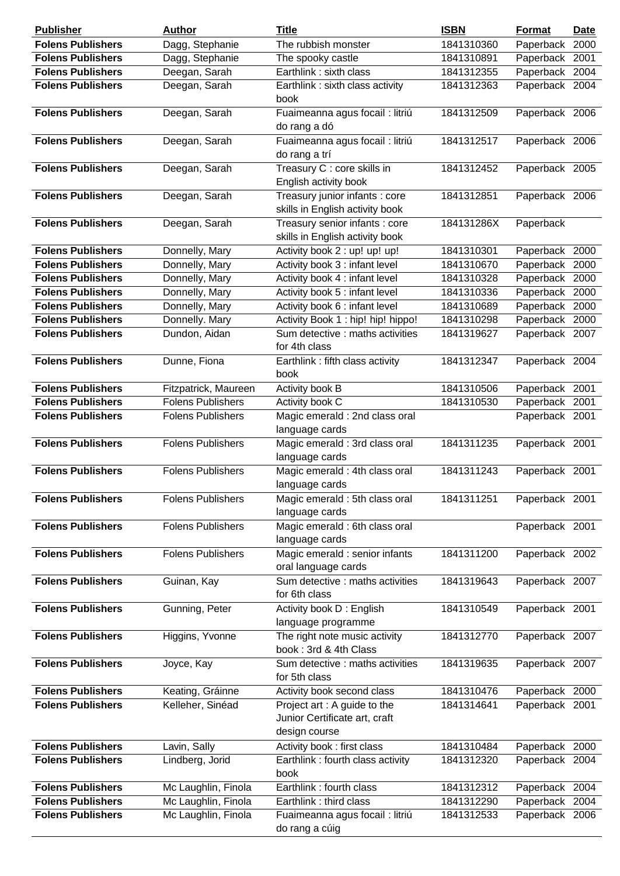| <b>Publisher</b>                                     | <b>Author</b>                        | <b>Title</b>                                                                                                 | <b>ISBN</b>              | <b>Format</b>                    | Date |
|------------------------------------------------------|--------------------------------------|--------------------------------------------------------------------------------------------------------------|--------------------------|----------------------------------|------|
| <b>Folens Publishers</b>                             | Dagg, Stephanie                      | The rubbish monster                                                                                          | 1841310360               | Paperback 2000                   |      |
| <b>Folens Publishers</b>                             | Dagg, Stephanie                      | The spooky castle                                                                                            | 1841310891               | Paperback                        | 2001 |
| <b>Folens Publishers</b>                             | Deegan, Sarah                        | Earthlink: sixth class                                                                                       | 1841312355               | Paperback 2004                   |      |
| <b>Folens Publishers</b>                             | Deegan, Sarah                        | Earthlink: sixth class activity<br>book                                                                      | 1841312363               | Paperback 2004                   |      |
| <b>Folens Publishers</b>                             | Deegan, Sarah                        | Fuaimeanna agus focail : litriú<br>do rang a dó                                                              | 1841312509               | Paperback 2006                   |      |
| <b>Folens Publishers</b>                             | Deegan, Sarah                        | Fuaimeanna agus focail : litriú<br>do rang a trí                                                             | 1841312517               | Paperback 2006                   |      |
| <b>Folens Publishers</b>                             | Deegan, Sarah                        | Treasury C : core skills in<br>English activity book                                                         | 1841312452               | Paperback 2005                   |      |
| <b>Folens Publishers</b>                             | Deegan, Sarah                        | Treasury junior infants : core<br>skills in English activity book                                            | 1841312851               | Paperback 2006                   |      |
| <b>Folens Publishers</b>                             | Deegan, Sarah                        | Treasury senior infants : core<br>skills in English activity book                                            | 184131286X               | Paperback                        |      |
| <b>Folens Publishers</b>                             | Donnelly, Mary                       | Activity book 2 : up! up! up!                                                                                | 1841310301               | Paperback 2000                   |      |
| <b>Folens Publishers</b>                             | Donnelly, Mary                       | Activity book 3 : infant level                                                                               | 1841310670               | Paperback 2000                   |      |
| <b>Folens Publishers</b>                             | Donnelly, Mary                       | Activity book 4 : infant level                                                                               | 1841310328               | Paperback                        | 2000 |
| <b>Folens Publishers</b>                             | Donnelly, Mary                       | Activity book 5 : infant level                                                                               | 1841310336               | Paperback                        | 2000 |
| <b>Folens Publishers</b>                             | Donnelly, Mary                       | Activity book 6 : infant level                                                                               | 1841310689               | Paperback 2000                   |      |
| <b>Folens Publishers</b>                             | Donnelly. Mary                       | Activity Book 1: hip! hip! hippo!                                                                            | 1841310298               | Paperback                        | 2000 |
| <b>Folens Publishers</b>                             | Dundon, Aidan                        | Sum detective : maths activities<br>for 4th class                                                            | 1841319627               | Paperback 2007                   |      |
| <b>Folens Publishers</b>                             | Dunne, Fiona                         | Earthlink: fifth class activity<br>book                                                                      | 1841312347               | Paperback 2004                   |      |
| <b>Folens Publishers</b>                             | Fitzpatrick, Maureen                 | Activity book B                                                                                              | 1841310506               | Paperback 2001                   |      |
| <b>Folens Publishers</b>                             | <b>Folens Publishers</b>             | Activity book C                                                                                              | 1841310530               | Paperback 2001                   |      |
| <b>Folens Publishers</b>                             | <b>Folens Publishers</b>             | Magic emerald : 2nd class oral<br>language cards                                                             |                          | Paperback 2001                   |      |
| <b>Folens Publishers</b>                             | <b>Folens Publishers</b>             | Magic emerald : 3rd class oral<br>language cards                                                             | 1841311235               | Paperback 2001                   |      |
| <b>Folens Publishers</b>                             | <b>Folens Publishers</b>             | Magic emerald : 4th class oral<br>language cards                                                             | 1841311243               | Paperback 2001                   |      |
| <b>Folens Publishers</b>                             | <b>Folens Publishers</b>             | Magic emerald : 5th class oral<br>language cards                                                             | 1841311251               | Paperback 2001                   |      |
| <b>Folens Publishers</b>                             | <b>Folens Publishers</b>             | Magic emerald : 6th class oral<br>language cards                                                             |                          | Paperback 2001                   |      |
| <b>Folens Publishers</b>                             | <b>Folens Publishers</b>             | Magic emerald : senior infants<br>oral language cards                                                        | 1841311200               | Paperback 2002                   |      |
| <b>Folens Publishers</b>                             | Guinan, Kay                          | Sum detective : maths activities<br>for 6th class                                                            | 1841319643               | Paperback 2007                   |      |
| <b>Folens Publishers</b>                             | Gunning, Peter                       | Activity book D: English<br>language programme                                                               | 1841310549               | Paperback 2001                   |      |
| <b>Folens Publishers</b>                             | Higgins, Yvonne                      | The right note music activity<br>book: 3rd & 4th Class                                                       | 1841312770               | Paperback 2007                   |      |
| <b>Folens Publishers</b>                             | Joyce, Kay                           | Sum detective : maths activities<br>for 5th class                                                            | 1841319635               | Paperback 2007                   |      |
| <b>Folens Publishers</b><br><b>Folens Publishers</b> | Keating, Gráinne<br>Kelleher, Sinéad | Activity book second class<br>Project art : A guide to the<br>Junior Certificate art, craft<br>design course | 1841310476<br>1841314641 | Paperback 2000<br>Paperback 2001 |      |
| <b>Folens Publishers</b>                             | Lavin, Sally                         | Activity book: first class                                                                                   | 1841310484               | Paperback 2000                   |      |
| <b>Folens Publishers</b>                             | Lindberg, Jorid                      | Earthlink: fourth class activity<br>book                                                                     | 1841312320               | Paperback 2004                   |      |
| <b>Folens Publishers</b>                             | Mc Laughlin, Finola                  | Earthlink: fourth class                                                                                      | 1841312312               | Paperback 2004                   |      |
| <b>Folens Publishers</b>                             | Mc Laughlin, Finola                  | Earthlink: third class                                                                                       | 1841312290               | Paperback 2004                   |      |
| <b>Folens Publishers</b>                             | Mc Laughlin, Finola                  | Fuaimeanna agus focail : litriú<br>do rang a cúig                                                            | 1841312533               | Paperback 2006                   |      |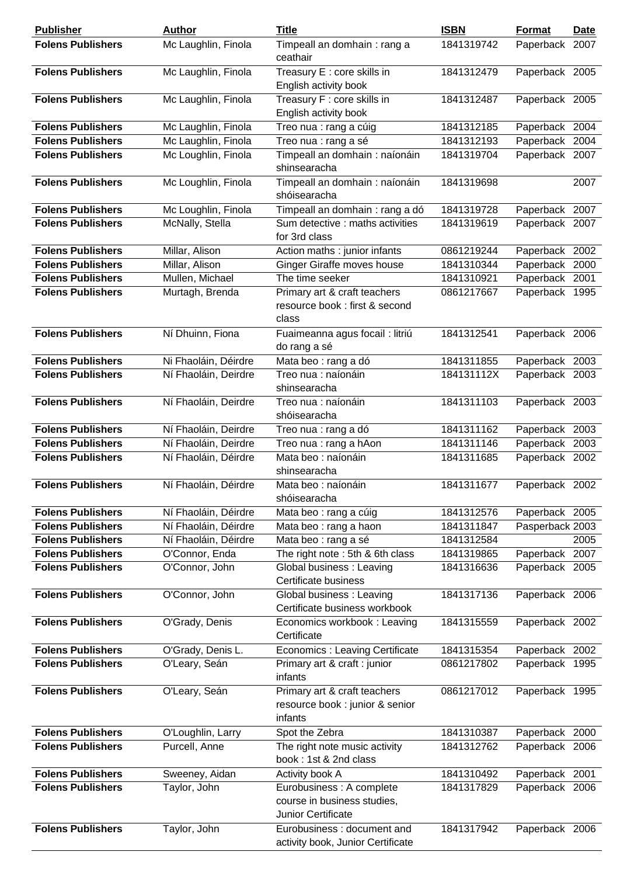| <b>Publisher</b>         | <b>Author</b>        | <b>Title</b>                                                                          | <b>ISBN</b> | <b>Format</b>   | <b>Date</b> |
|--------------------------|----------------------|---------------------------------------------------------------------------------------|-------------|-----------------|-------------|
| <b>Folens Publishers</b> | Mc Laughlin, Finola  | Timpeall an domhain: rang a<br>ceathair                                               | 1841319742  | Paperback       | 2007        |
| <b>Folens Publishers</b> | Mc Laughlin, Finola  | Treasury E : core skills in<br>English activity book                                  | 1841312479  | Paperback 2005  |             |
| <b>Folens Publishers</b> | Mc Laughlin, Finola  | Treasury F : core skills in<br>English activity book                                  | 1841312487  | Paperback 2005  |             |
| <b>Folens Publishers</b> | Mc Laughlin, Finola  | Treo nua : rang a cúig                                                                | 1841312185  | Paperback 2004  |             |
| <b>Folens Publishers</b> | Mc Laughlin, Finola  | Treo nua : rang a sé                                                                  | 1841312193  | Paperback       | 2004        |
| <b>Folens Publishers</b> | Mc Loughlin, Finola  | Timpeall an domhain : naíonáin<br>shinsearacha                                        | 1841319704  | Paperback 2007  |             |
| <b>Folens Publishers</b> | Mc Loughlin, Finola  | Timpeall an domhain : naíonáin<br>shóisearacha                                        | 1841319698  |                 | 2007        |
| <b>Folens Publishers</b> | Mc Loughlin, Finola  | Timpeall an domhain : rang a dó                                                       | 1841319728  | Paperback       | 2007        |
| <b>Folens Publishers</b> | McNally, Stella      | Sum detective : maths activities<br>for 3rd class                                     | 1841319619  | Paperback 2007  |             |
| <b>Folens Publishers</b> | Millar, Alison       | Action maths : junior infants                                                         | 0861219244  | Paperback 2002  |             |
| <b>Folens Publishers</b> | Millar, Alison       | <b>Ginger Giraffe moves house</b>                                                     | 1841310344  | Paperback       | 2000        |
| <b>Folens Publishers</b> | Mullen, Michael      | The time seeker                                                                       | 1841310921  | Paperback       | 2001        |
| <b>Folens Publishers</b> | Murtagh, Brenda      | Primary art & craft teachers<br>resource book : first & second<br>class               | 0861217667  | Paperback 1995  |             |
| <b>Folens Publishers</b> | Ní Dhuinn, Fiona     | Fuaimeanna agus focail : litriú<br>do rang a sé                                       | 1841312541  | Paperback 2006  |             |
| <b>Folens Publishers</b> | Ni Fhaoláin, Déirdre | Mata beo : rang a dó                                                                  | 1841311855  | Paperback 2003  |             |
| <b>Folens Publishers</b> | Ní Fhaoláin, Deirdre | Treo nua : naíonáin<br>shinsearacha                                                   | 184131112X  | Paperback 2003  |             |
| <b>Folens Publishers</b> | Ní Fhaoláin, Deirdre | Treo nua : naíonáin<br>shóisearacha                                                   | 1841311103  | Paperback 2003  |             |
| <b>Folens Publishers</b> | Ní Fhaoláin, Deirdre | Treo nua : rang a dó                                                                  | 1841311162  | Paperback 2003  |             |
| <b>Folens Publishers</b> | Ní Fhaoláin, Deirdre | Treo nua : rang a hAon                                                                | 1841311146  | Paperback 2003  |             |
| <b>Folens Publishers</b> | Ní Fhaoláin, Déirdre | Mata beo : naíonáin<br>shinsearacha                                                   | 1841311685  | Paperback 2002  |             |
| <b>Folens Publishers</b> | Ní Fhaoláin, Déirdre | Mata beo : naíonáin<br>shóisearacha                                                   | 1841311677  | Paperback 2002  |             |
| <b>Folens Publishers</b> | Ní Fhaoláin, Déirdre | Mata beo : rang a cúig                                                                | 1841312576  | Paperback 2005  |             |
| <b>Folens Publishers</b> | Ní Fhaoláin, Déirdre | Mata beo: rang a haon                                                                 | 1841311847  | Pasperback 2003 |             |
| <b>Folens Publishers</b> | Ní Fhaoláin, Déirdre | Mata beo : rang a sé                                                                  | 1841312584  |                 | 2005        |
| <b>Folens Publishers</b> | O'Connor, Enda       | The right note: 5th & 6th class                                                       | 1841319865  | Paperback 2007  |             |
| <b>Folens Publishers</b> | O'Connor, John       | Global business: Leaving<br>Certificate business                                      | 1841316636  | Paperback 2005  |             |
| <b>Folens Publishers</b> | O'Connor, John       | Global business: Leaving<br>Certificate business workbook                             | 1841317136  | Paperback 2006  |             |
| <b>Folens Publishers</b> | O'Grady, Denis       | Economics workbook: Leaving<br>Certificate                                            | 1841315559  | Paperback 2002  |             |
| <b>Folens Publishers</b> | O'Grady, Denis L.    | Economics : Leaving Certificate                                                       | 1841315354  | Paperback 2002  |             |
| <b>Folens Publishers</b> | O'Leary, Seán        | Primary art & craft : junior<br>infants                                               | 0861217802  | Paperback 1995  |             |
| <b>Folens Publishers</b> | O'Leary, Seán        | Primary art & craft teachers<br>resource book : junior & senior<br>infants            | 0861217012  | Paperback 1995  |             |
| <b>Folens Publishers</b> | O'Loughlin, Larry    | Spot the Zebra                                                                        | 1841310387  | Paperback 2000  |             |
| <b>Folens Publishers</b> | Purcell, Anne        | The right note music activity<br>book: 1st & 2nd class                                | 1841312762  | Paperback 2006  |             |
| <b>Folens Publishers</b> | Sweeney, Aidan       | Activity book A                                                                       | 1841310492  | Paperback 2001  |             |
| <b>Folens Publishers</b> | Taylor, John         | Eurobusiness : A complete<br>course in business studies,<br><b>Junior Certificate</b> | 1841317829  | Paperback 2006  |             |
| <b>Folens Publishers</b> | Taylor, John         | Eurobusiness: document and<br>activity book, Junior Certificate                       | 1841317942  | Paperback 2006  |             |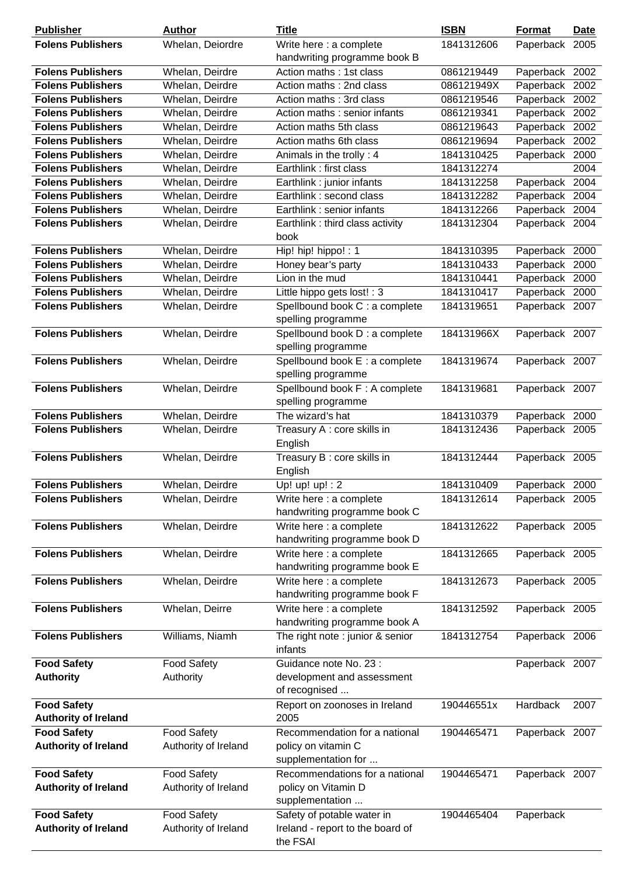| <b>Publisher</b>            | <b>Author</b>        | <b>Title</b>                                            | <b>ISBN</b> | <b>Format</b>  | <b>Date</b>       |
|-----------------------------|----------------------|---------------------------------------------------------|-------------|----------------|-------------------|
| <b>Folens Publishers</b>    | Whelan, Deiordre     | Write here : a complete                                 | 1841312606  | Paperback 2005 |                   |
|                             |                      | handwriting programme book B                            |             |                |                   |
| <b>Folens Publishers</b>    | Whelan, Deirdre      | Action maths: 1st class                                 | 0861219449  | Paperback 2002 |                   |
| <b>Folens Publishers</b>    | Whelan, Deirdre      | Action maths: 2nd class                                 | 086121949X  | Paperback      | 2002              |
| <b>Folens Publishers</b>    | Whelan, Deirdre      | Action maths: 3rd class                                 | 0861219546  | Paperback      | 2002              |
| <b>Folens Publishers</b>    | Whelan, Deirdre      | Action maths : senior infants                           | 0861219341  | Paperback      | 2002              |
| <b>Folens Publishers</b>    | Whelan, Deirdre      | Action maths 5th class                                  | 0861219643  | Paperback      | $200\overline{2}$ |
| <b>Folens Publishers</b>    | Whelan, Deirdre      | Action maths 6th class                                  | 0861219694  | Paperback      | 2002              |
| <b>Folens Publishers</b>    | Whelan, Deirdre      | Animals in the trolly: 4                                | 1841310425  | Paperback 2000 |                   |
| <b>Folens Publishers</b>    | Whelan, Deirdre      | Earthlink: first class                                  | 1841312274  |                | 2004              |
| <b>Folens Publishers</b>    | Whelan, Deirdre      | Earthlink : junior infants                              | 1841312258  | Paperback      | 2004              |
| <b>Folens Publishers</b>    | Whelan, Deirdre      | Earthlink: second class                                 | 1841312282  | Paperback      | 2004              |
| <b>Folens Publishers</b>    | Whelan, Deirdre      | Earthlink: senior infants                               | 1841312266  | Paperback      | 2004              |
| <b>Folens Publishers</b>    | Whelan, Deirdre      | Earthlink: third class activity                         | 1841312304  | Paperback 2004 |                   |
|                             |                      | book                                                    |             |                |                   |
| <b>Folens Publishers</b>    | Whelan, Deirdre      | Hip! hip! hippo! : 1                                    | 1841310395  | Paperback      | 2000              |
| <b>Folens Publishers</b>    | Whelan, Deirdre      | Honey bear's party                                      | 1841310433  | Paperback      | 2000              |
| <b>Folens Publishers</b>    | Whelan, Deirdre      | Lion in the mud                                         | 1841310441  | Paperback 2000 |                   |
| <b>Folens Publishers</b>    | Whelan, Deirdre      | Little hippo gets lost! : 3                             | 1841310417  | Paperback      | 2000              |
| <b>Folens Publishers</b>    | Whelan, Deirdre      | Spellbound book C : a complete                          | 1841319651  | Paperback 2007 |                   |
|                             |                      | spelling programme                                      |             |                |                   |
| <b>Folens Publishers</b>    | Whelan, Deirdre      | Spellbound book D : a complete                          | 184131966X  | Paperback 2007 |                   |
|                             |                      | spelling programme                                      |             |                |                   |
| <b>Folens Publishers</b>    | Whelan, Deirdre      | Spellbound book E : a complete                          | 1841319674  | Paperback 2007 |                   |
|                             |                      | spelling programme                                      |             |                |                   |
| <b>Folens Publishers</b>    | Whelan, Deirdre      | Spellbound book F: A complete                           | 1841319681  | Paperback 2007 |                   |
|                             |                      | spelling programme                                      |             |                |                   |
| <b>Folens Publishers</b>    | Whelan, Deirdre      | The wizard's hat                                        | 1841310379  | Paperback 2000 |                   |
| <b>Folens Publishers</b>    | Whelan, Deirdre      | Treasury A : core skills in                             | 1841312436  | Paperback 2005 |                   |
|                             |                      | English                                                 |             |                |                   |
| <b>Folens Publishers</b>    | Whelan, Deirdre      | Treasury B : core skills in                             | 1841312444  | Paperback 2005 |                   |
|                             |                      | English                                                 |             |                |                   |
| <b>Folens Publishers</b>    | Whelan, Deirdre      | Up! $up! up! : 2$                                       | 1841310409  | Paperback 2000 |                   |
| <b>Folens Publishers</b>    | Whelan, Deirdre      | Write here : a complete                                 | 1841312614  | Paperback 2005 |                   |
|                             |                      | handwriting programme book C                            |             |                |                   |
| <b>Folens Publishers</b>    | Whelan, Deirdre      | Write here : a complete                                 | 1841312622  | Paperback 2005 |                   |
|                             |                      | handwriting programme book D                            |             |                |                   |
| <b>Folens Publishers</b>    | Whelan, Deirdre      | Write here : a complete                                 | 1841312665  | Paperback 2005 |                   |
|                             |                      | handwriting programme book E                            |             |                |                   |
| <b>Folens Publishers</b>    | Whelan, Deirdre      | Write here : a complete<br>handwriting programme book F | 1841312673  | Paperback 2005 |                   |
| <b>Folens Publishers</b>    | Whelan, Deirre       | Write here : a complete                                 | 1841312592  |                |                   |
|                             |                      | handwriting programme book A                            |             | Paperback 2005 |                   |
| <b>Folens Publishers</b>    | Williams, Niamh      | The right note : junior & senior                        | 1841312754  | Paperback 2006 |                   |
|                             |                      | infants                                                 |             |                |                   |
| <b>Food Safety</b>          | <b>Food Safety</b>   | Guidance note No. 23 :                                  |             | Paperback 2007 |                   |
| <b>Authority</b>            | Authority            | development and assessment                              |             |                |                   |
|                             |                      | of recognised                                           |             |                |                   |
| <b>Food Safety</b>          |                      | Report on zoonoses in Ireland                           | 190446551x  | Hardback       | 2007              |
| <b>Authority of Ireland</b> |                      | 2005                                                    |             |                |                   |
| <b>Food Safety</b>          | <b>Food Safety</b>   | Recommendation for a national                           | 1904465471  | Paperback 2007 |                   |
| <b>Authority of Ireland</b> | Authority of Ireland | policy on vitamin C                                     |             |                |                   |
|                             |                      | supplementation for                                     |             |                |                   |
| <b>Food Safety</b>          | <b>Food Safety</b>   | Recommendations for a national                          | 1904465471  | Paperback 2007 |                   |
| <b>Authority of Ireland</b> | Authority of Ireland | policy on Vitamin D                                     |             |                |                   |
|                             |                      | supplementation                                         |             |                |                   |
| <b>Food Safety</b>          | <b>Food Safety</b>   | Safety of potable water in                              | 1904465404  | Paperback      |                   |
| <b>Authority of Ireland</b> | Authority of Ireland | Ireland - report to the board of                        |             |                |                   |
|                             |                      | the FSAI                                                |             |                |                   |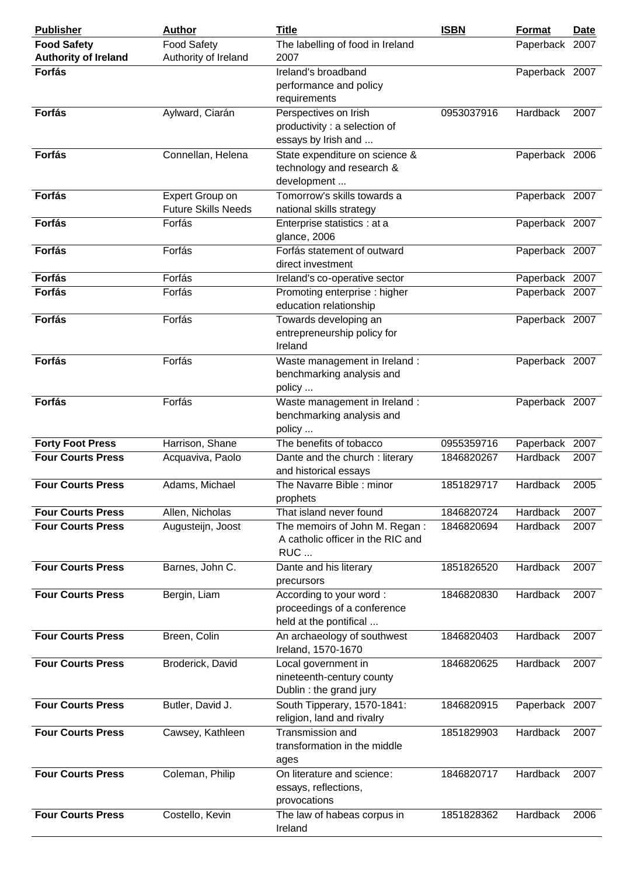| <b>Publisher</b>                                    | <b>Author</b>                                 | <b>Title</b>                                                                        | <b>ISBN</b>              | <b>Format</b>                     | Date |
|-----------------------------------------------------|-----------------------------------------------|-------------------------------------------------------------------------------------|--------------------------|-----------------------------------|------|
| <b>Food Safety</b>                                  | <b>Food Safety</b>                            | The labelling of food in Ireland                                                    |                          | Paperback 2007                    |      |
| <b>Authority of Ireland</b>                         | Authority of Ireland                          | 2007                                                                                |                          |                                   |      |
| <b>Forfás</b>                                       |                                               | Ireland's broadband                                                                 |                          | Paperback 2007                    |      |
|                                                     |                                               | performance and policy<br>requirements                                              |                          |                                   |      |
| <b>Forfás</b>                                       | Aylward, Ciarán                               | Perspectives on Irish<br>productivity : a selection of<br>essays by Irish and       | 0953037916               | Hardback                          | 2007 |
| <b>Forfás</b>                                       | Connellan, Helena                             | State expenditure on science &<br>technology and research &<br>development          |                          | Paperback 2006                    |      |
| <b>Forfás</b>                                       | Expert Group on<br><b>Future Skills Needs</b> | Tomorrow's skills towards a<br>national skills strategy                             |                          | Paperback 2007                    |      |
| <b>Forfás</b>                                       | Forfás                                        | Enterprise statistics : at a<br>glance, 2006                                        |                          | Paperback 2007                    |      |
| <b>Forfás</b>                                       | Forfás                                        | Forfás statement of outward<br>direct investment                                    |                          | Paperback 2007                    |      |
| <b>Forfás</b>                                       | Forfás                                        | Ireland's co-operative sector                                                       |                          | Paperback 2007                    |      |
| <b>Forfás</b>                                       | Forfás                                        | Promoting enterprise : higher<br>education relationship                             |                          | Paperback 2007                    |      |
| <b>Forfás</b>                                       | Forfás                                        | Towards developing an<br>entrepreneurship policy for<br>Ireland                     |                          | Paperback 2007                    |      |
| <b>Forfás</b>                                       | Forfás                                        | Waste management in Ireland :<br>benchmarking analysis and<br>policy                |                          | Paperback 2007                    |      |
| <b>Forfás</b>                                       | Forfás                                        | Waste management in Ireland :<br>benchmarking analysis and<br>policy                |                          | Paperback 2007                    |      |
| <b>Forty Foot Press</b><br><b>Four Courts Press</b> | Harrison, Shane<br>Acquaviva, Paolo           | The benefits of tobacco<br>Dante and the church : literary<br>and historical essays | 0955359716<br>1846820267 | Paperback 2007<br><b>Hardback</b> | 2007 |
| <b>Four Courts Press</b>                            | Adams, Michael                                | The Navarre Bible: minor<br>prophets                                                | 1851829717               | <b>Hardback</b>                   | 2005 |
| <b>Four Courts Press</b>                            | Allen, Nicholas                               | That island never found                                                             | 1846820724               | Hardback                          | 2007 |
| <b>Four Courts Press</b>                            | Augusteijn, Joost                             | The memoirs of John M. Regan:<br>A catholic officer in the RIC and<br>RUC           | 1846820694               | Hardback                          | 2007 |
| <b>Four Courts Press</b>                            | Barnes, John C.                               | Dante and his literary<br>precursors                                                | 1851826520               | Hardback                          | 2007 |
| <b>Four Courts Press</b>                            | Bergin, Liam                                  | According to your word:<br>proceedings of a conference<br>held at the pontifical    | 1846820830               | Hardback                          | 2007 |
| <b>Four Courts Press</b>                            | Breen, Colin                                  | An archaeology of southwest<br>Ireland, 1570-1670                                   | 1846820403               | Hardback                          | 2007 |
| <b>Four Courts Press</b>                            | Broderick, David                              | Local government in<br>nineteenth-century county<br>Dublin : the grand jury         | 1846820625               | Hardback                          | 2007 |
| <b>Four Courts Press</b>                            | Butler, David J.                              | South Tipperary, 1570-1841:<br>religion, land and rivalry                           | 1846820915               | Paperback 2007                    |      |
| <b>Four Courts Press</b>                            | Cawsey, Kathleen                              | Transmission and<br>transformation in the middle<br>ages                            | 1851829903               | Hardback                          | 2007 |
| <b>Four Courts Press</b>                            | Coleman, Philip                               | On literature and science:<br>essays, reflections,<br>provocations                  | 1846820717               | Hardback                          | 2007 |
| <b>Four Courts Press</b>                            | Costello, Kevin                               | The law of habeas corpus in<br>Ireland                                              | 1851828362               | Hardback                          | 2006 |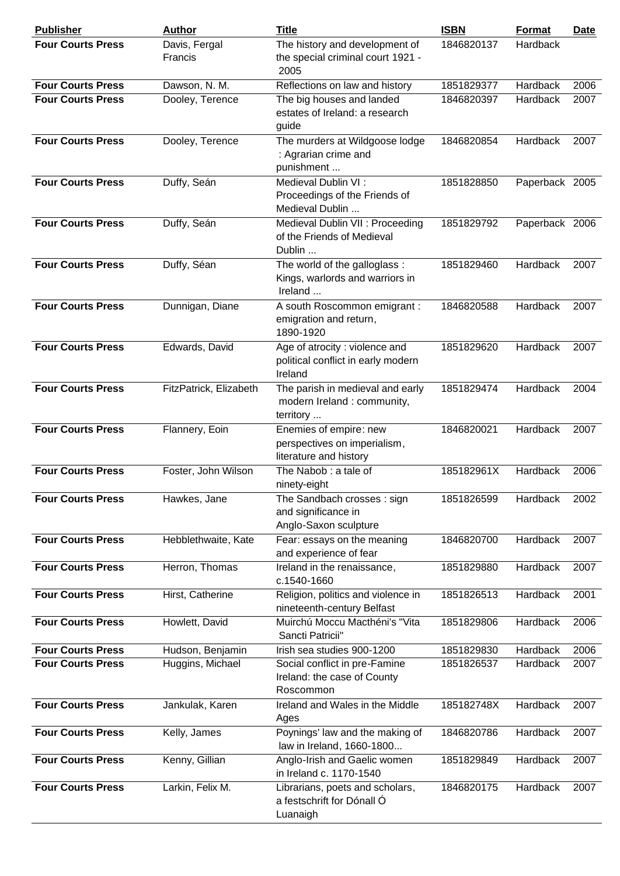| <b>Publisher</b>         | <b>Author</b>            | <b>Title</b>                                                                     | <b>ISBN</b> | Format         | <b>Date</b> |
|--------------------------|--------------------------|----------------------------------------------------------------------------------|-------------|----------------|-------------|
| <b>Four Courts Press</b> | Davis, Fergal<br>Francis | The history and development of<br>the special criminal court 1921 -<br>2005      | 1846820137  | Hardback       |             |
| <b>Four Courts Press</b> | Dawson, N. M.            | Reflections on law and history                                                   | 1851829377  | Hardback       | 2006        |
| <b>Four Courts Press</b> | Dooley, Terence          | The big houses and landed<br>estates of Ireland: a research<br>guide             | 1846820397  | Hardback       | 2007        |
| <b>Four Courts Press</b> | Dooley, Terence          | The murders at Wildgoose lodge<br>: Agrarian crime and<br>punishment             | 1846820854  | Hardback       | 2007        |
| <b>Four Courts Press</b> | Duffy, Seán              | Medieval Dublin VI:<br>Proceedings of the Friends of<br>Medieval Dublin          | 1851828850  | Paperback 2005 |             |
| <b>Four Courts Press</b> | Duffy, Seán              | Medieval Dublin VII : Proceeding<br>of the Friends of Medieval<br>Dublin         | 1851829792  | Paperback 2006 |             |
| <b>Four Courts Press</b> | Duffy, Séan              | The world of the galloglass:<br>Kings, warlords and warriors in<br>Ireland       | 1851829460  | Hardback       | 2007        |
| <b>Four Courts Press</b> | Dunnigan, Diane          | A south Roscommon emigrant :<br>emigration and return,<br>1890-1920              | 1846820588  | Hardback       | 2007        |
| <b>Four Courts Press</b> | Edwards, David           | Age of atrocity : violence and<br>political conflict in early modern<br>Ireland  | 1851829620  | Hardback       | 2007        |
| <b>Four Courts Press</b> | FitzPatrick, Elizabeth   | The parish in medieval and early<br>modern Ireland : community,<br>territory     | 1851829474  | Hardback       | 2004        |
| <b>Four Courts Press</b> | Flannery, Eoin           | Enemies of empire: new<br>perspectives on imperialism,<br>literature and history | 1846820021  | Hardback       | 2007        |
| <b>Four Courts Press</b> | Foster, John Wilson      | The Nabob: a tale of<br>ninety-eight                                             | 185182961X  | Hardback       | 2006        |
| <b>Four Courts Press</b> | Hawkes, Jane             | The Sandbach crosses: sign<br>and significance in<br>Anglo-Saxon sculpture       | 1851826599  | Hardback       | 2002        |
| <b>Four Courts Press</b> | Hebblethwaite, Kate      | Fear: essays on the meaning<br>and experience of fear                            | 1846820700  | Hardback       | 2007        |
| <b>Four Courts Press</b> | Herron, Thomas           | Ireland in the renaissance,<br>c.1540-1660                                       | 1851829880  | Hardback       | 2007        |
| <b>Four Courts Press</b> | Hirst, Catherine         | Religion, politics and violence in<br>nineteenth-century Belfast                 | 1851826513  | Hardback       | 2001        |
| <b>Four Courts Press</b> | Howlett, David           | Muirchú Moccu Macthéni's "Vita<br>Sancti Patricii"                               | 1851829806  | Hardback       | 2006        |
| <b>Four Courts Press</b> | Hudson, Benjamin         | Irish sea studies 900-1200                                                       | 1851829830  | Hardback       | 2006        |
| <b>Four Courts Press</b> | Huggins, Michael         | Social conflict in pre-Famine<br>Ireland: the case of County<br>Roscommon        | 1851826537  | Hardback       | 2007        |
| <b>Four Courts Press</b> | Jankulak, Karen          | Ireland and Wales in the Middle<br>Ages                                          | 185182748X  | Hardback       | 2007        |
| <b>Four Courts Press</b> | Kelly, James             | Poynings' law and the making of<br>law in Ireland, 1660-1800                     | 1846820786  | Hardback       | 2007        |
| <b>Four Courts Press</b> | Kenny, Gillian           | Anglo-Irish and Gaelic women<br>in Ireland c. 1170-1540                          | 1851829849  | Hardback       | 2007        |
| <b>Four Courts Press</b> | Larkin, Felix M.         | Librarians, poets and scholars,<br>a festschrift for Dónall Ó<br>Luanaigh        | 1846820175  | Hardback       | 2007        |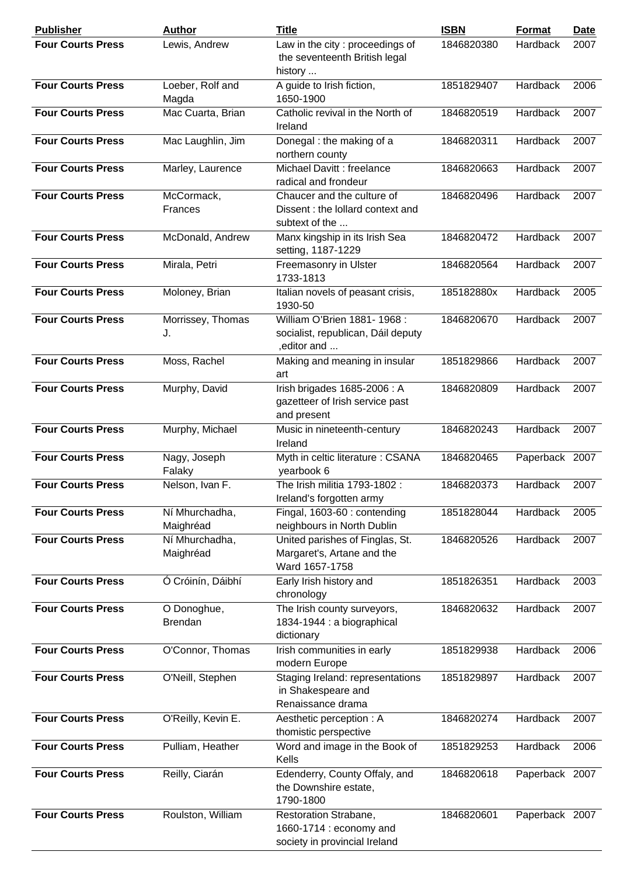| <b>Publisher</b>         | <b>Author</b>               | <b>Title</b>                                                                      | <b>ISBN</b> | Format         | <b>Date</b> |
|--------------------------|-----------------------------|-----------------------------------------------------------------------------------|-------------|----------------|-------------|
| <b>Four Courts Press</b> | Lewis, Andrew               | Law in the city: proceedings of<br>the seventeenth British legal<br>history       | 1846820380  | Hardback       | 2007        |
| <b>Four Courts Press</b> | Loeber, Rolf and<br>Magda   | A guide to Irish fiction,<br>1650-1900                                            | 1851829407  | Hardback       | 2006        |
| <b>Four Courts Press</b> | Mac Cuarta, Brian           | Catholic revival in the North of<br>Ireland                                       | 1846820519  | Hardback       | 2007        |
| <b>Four Courts Press</b> | Mac Laughlin, Jim           | Donegal: the making of a<br>northern county                                       | 1846820311  | Hardback       | 2007        |
| <b>Four Courts Press</b> | Marley, Laurence            | Michael Davitt : freelance<br>radical and frondeur                                | 1846820663  | Hardback       | 2007        |
| <b>Four Courts Press</b> | McCormack,<br>Frances       | Chaucer and the culture of<br>Dissent : the lollard context and<br>subtext of the | 1846820496  | Hardback       | 2007        |
| <b>Four Courts Press</b> | McDonald, Andrew            | Manx kingship in its Irish Sea<br>setting, 1187-1229                              | 1846820472  | Hardback       | 2007        |
| <b>Four Courts Press</b> | Mirala, Petri               | Freemasonry in Ulster<br>1733-1813                                                | 1846820564  | Hardback       | 2007        |
| <b>Four Courts Press</b> | Moloney, Brian              | Italian novels of peasant crisis,<br>1930-50                                      | 185182880x  | Hardback       | 2005        |
| <b>Four Courts Press</b> | Morrissey, Thomas<br>J.     | William O'Brien 1881-1968:<br>socialist, republican, Dáil deputy<br>, editor and  | 1846820670  | Hardback       | 2007        |
| <b>Four Courts Press</b> | Moss, Rachel                | Making and meaning in insular<br>art                                              | 1851829866  | Hardback       | 2007        |
| <b>Four Courts Press</b> | Murphy, David               | Irish brigades 1685-2006: A<br>gazetteer of Irish service past<br>and present     | 1846820809  | Hardback       | 2007        |
| <b>Four Courts Press</b> | Murphy, Michael             | Music in nineteenth-century<br>Ireland                                            | 1846820243  | Hardback       | 2007        |
| <b>Four Courts Press</b> | Nagy, Joseph<br>Falaky      | Myth in celtic literature : CSANA<br>yearbook 6                                   | 1846820465  | Paperback 2007 |             |
| <b>Four Courts Press</b> | Nelson, Ivan F.             | The Irish militia 1793-1802 :<br>Ireland's forgotten army                         | 1846820373  | Hardback       | 2007        |
| <b>Four Courts Press</b> | Ní Mhurchadha,<br>Maighréad | Fingal, 1603-60 : contending<br>neighbours in North Dublin                        | 1851828044  | Hardback       | 2005        |
| <b>Four Courts Press</b> | Ní Mhurchadha,<br>Maighréad | United parishes of Finglas, St.<br>Margaret's, Artane and the<br>Ward 1657-1758   | 1846820526  | Hardback       | 2007        |
| <b>Four Courts Press</b> | Ó Cróinín, Dáibhí           | Early Irish history and<br>chronology                                             | 1851826351  | Hardback       | 2003        |
| <b>Four Courts Press</b> | O Donoghue,<br>Brendan      | The Irish county surveyors,<br>1834-1944 : a biographical<br>dictionary           | 1846820632  | Hardback       | 2007        |
| <b>Four Courts Press</b> | O'Connor, Thomas            | Irish communities in early<br>modern Europe                                       | 1851829938  | Hardback       | 2006        |
| <b>Four Courts Press</b> | O'Neill, Stephen            | Staging Ireland: representations<br>in Shakespeare and<br>Renaissance drama       | 1851829897  | Hardback       | 2007        |
| <b>Four Courts Press</b> | O'Reilly, Kevin E.          | Aesthetic perception: A<br>thomistic perspective                                  | 1846820274  | Hardback       | 2007        |
| <b>Four Courts Press</b> | Pulliam, Heather            | Word and image in the Book of<br>Kells                                            | 1851829253  | Hardback       | 2006        |
| <b>Four Courts Press</b> | Reilly, Ciarán              | Edenderry, County Offaly, and<br>the Downshire estate,<br>1790-1800               | 1846820618  | Paperback 2007 |             |
| <b>Four Courts Press</b> | Roulston, William           | Restoration Strabane,<br>1660-1714 : economy and<br>society in provincial Ireland | 1846820601  | Paperback 2007 |             |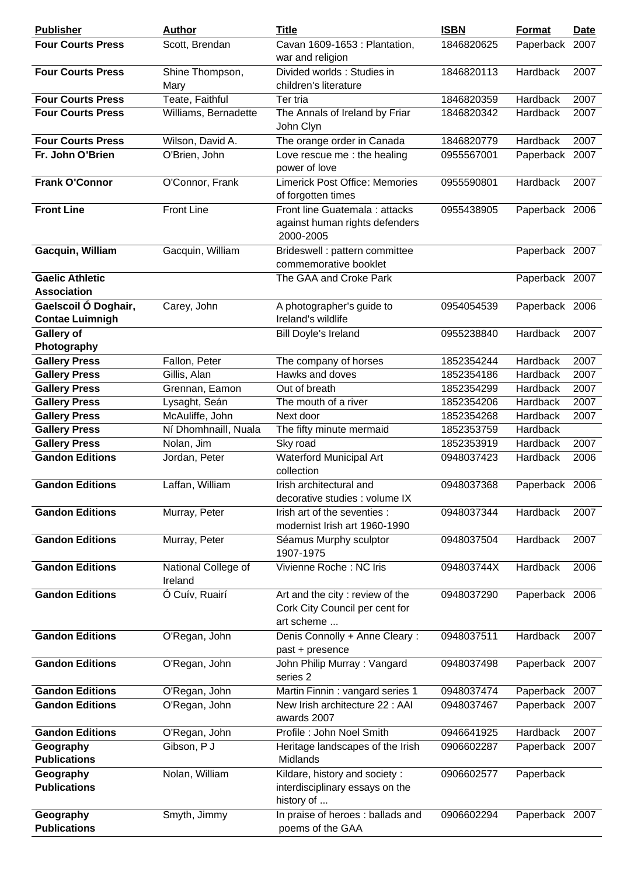| <b>Publisher</b>                 | <b>Author</b>        | <b>Title</b>                                                | <b>ISBN</b> | <b>Format</b>  | Date |
|----------------------------------|----------------------|-------------------------------------------------------------|-------------|----------------|------|
| <b>Four Courts Press</b>         | Scott, Brendan       | Cavan 1609-1653 : Plantation,                               | 1846820625  | Paperback 2007 |      |
|                                  |                      | war and religion                                            |             |                |      |
| <b>Four Courts Press</b>         | Shine Thompson,      | Divided worlds: Studies in                                  | 1846820113  | Hardback       | 2007 |
|                                  | Mary                 | children's literature                                       |             |                |      |
| <b>Four Courts Press</b>         | Teate, Faithful      | Ter tria                                                    | 1846820359  | Hardback       | 2007 |
| <b>Four Courts Press</b>         | Williams, Bernadette | The Annals of Ireland by Friar                              | 1846820342  | Hardback       | 2007 |
|                                  |                      | John Clyn                                                   |             |                |      |
| <b>Four Courts Press</b>         | Wilson, David A.     | The orange order in Canada                                  | 1846820779  | Hardback       | 2007 |
| Fr. John O'Brien                 | O'Brien, John        | Love rescue me : the healing                                | 0955567001  | Paperback 2007 |      |
|                                  |                      | power of love                                               |             |                |      |
| <b>Frank O'Connor</b>            | O'Connor, Frank      | <b>Limerick Post Office: Memories</b><br>of forgotten times | 0955590801  | Hardback       | 2007 |
| <b>Front Line</b>                | <b>Front Line</b>    | Front line Guatemala : attacks                              | 0955438905  | Paperback 2006 |      |
|                                  |                      | against human rights defenders<br>2000-2005                 |             |                |      |
| Gacquin, William                 | Gacquin, William     | Brideswell : pattern committee<br>commemorative booklet     |             | Paperback 2007 |      |
| <b>Gaelic Athletic</b>           |                      | The GAA and Croke Park                                      |             | Paperback 2007 |      |
| <b>Association</b>               |                      |                                                             |             |                |      |
| Gaelscoil Ó Doghair,             | Carey, John          | A photographer's guide to                                   | 0954054539  | Paperback 2006 |      |
| <b>Contae Luimnigh</b>           |                      | Ireland's wildlife                                          |             |                |      |
| <b>Gallery of</b>                |                      | Bill Doyle's Ireland                                        | 0955238840  | Hardback       | 2007 |
| Photography                      |                      |                                                             |             |                |      |
| <b>Gallery Press</b>             | Fallon, Peter        | The company of horses                                       | 1852354244  | Hardback       | 2007 |
| <b>Gallery Press</b>             | Gillis, Alan         | Hawks and doves                                             | 1852354186  | Hardback       | 2007 |
| <b>Gallery Press</b>             | Grennan, Eamon       | Out of breath                                               | 1852354299  | Hardback       | 2007 |
| <b>Gallery Press</b>             | Lysaght, Seán        | The mouth of a river                                        | 1852354206  | Hardback       | 2007 |
| <b>Gallery Press</b>             | McAuliffe, John      | Next door                                                   | 1852354268  | Hardback       | 2007 |
| <b>Gallery Press</b>             | Ní Dhomhnaill, Nuala | The fifty minute mermaid                                    | 1852353759  | Hardback       |      |
| <b>Gallery Press</b>             | Nolan, Jim           | Sky road                                                    | 1852353919  | Hardback       | 2007 |
| <b>Gandon Editions</b>           | Jordan, Peter        | <b>Waterford Municipal Art</b>                              | 0948037423  | Hardback       | 2006 |
|                                  |                      | collection                                                  |             |                |      |
| <b>Gandon Editions</b>           | Laffan, William      | Irish architectural and<br>decorative studies : volume IX   | 0948037368  | Paperback 2006 |      |
| <b>Gandon Editions</b>           | Murray, Peter        | Irish art of the seventies :                                | 0948037344  | Hardback       | 2007 |
|                                  |                      | modernist Irish art 1960-1990                               |             |                |      |
| <b>Gandon Editions</b>           | Murray, Peter        | Séamus Murphy sculptor<br>1907-1975                         | 0948037504  | Hardback       | 2007 |
| <b>Gandon Editions</b>           | National College of  | Vivienne Roche: NC Iris                                     | 094803744X  | Hardback       | 2006 |
|                                  | Ireland              |                                                             |             |                |      |
| <b>Gandon Editions</b>           | Ó Cuív, Ruairí       | Art and the city : review of the                            | 0948037290  | Paperback 2006 |      |
|                                  |                      | Cork City Council per cent for                              |             |                |      |
|                                  |                      | art scheme                                                  |             |                |      |
| <b>Gandon Editions</b>           | O'Regan, John        | Denis Connolly + Anne Cleary:                               | 0948037511  | Hardback       | 2007 |
|                                  |                      | past + presence                                             |             |                |      |
| <b>Gandon Editions</b>           | O'Regan, John        | John Philip Murray: Vangard                                 | 0948037498  | Paperback 2007 |      |
|                                  |                      | series 2                                                    |             |                |      |
| <b>Gandon Editions</b>           | O'Regan, John        | Martin Finnin: vangard series 1                             | 0948037474  | Paperback 2007 |      |
| <b>Gandon Editions</b>           | O'Regan, John        | New Irish architecture 22 : AAI                             | 0948037467  | Paperback 2007 |      |
|                                  |                      | awards 2007                                                 |             |                |      |
| <b>Gandon Editions</b>           | O'Regan, John        | Profile: John Noel Smith                                    | 0946641925  | Hardback       | 2007 |
| Geography                        | Gibson, PJ           | Heritage landscapes of the Irish                            | 0906602287  | Paperback 2007 |      |
| <b>Publications</b>              |                      | Midlands                                                    |             |                |      |
| Geography                        | Nolan, William       | Kildare, history and society:                               | 0906602577  | Paperback      |      |
| <b>Publications</b>              |                      | interdisciplinary essays on the<br>history of               |             |                |      |
|                                  |                      |                                                             |             |                |      |
| Geography<br><b>Publications</b> | Smyth, Jimmy         | In praise of heroes : ballads and<br>poems of the GAA       | 0906602294  | Paperback 2007 |      |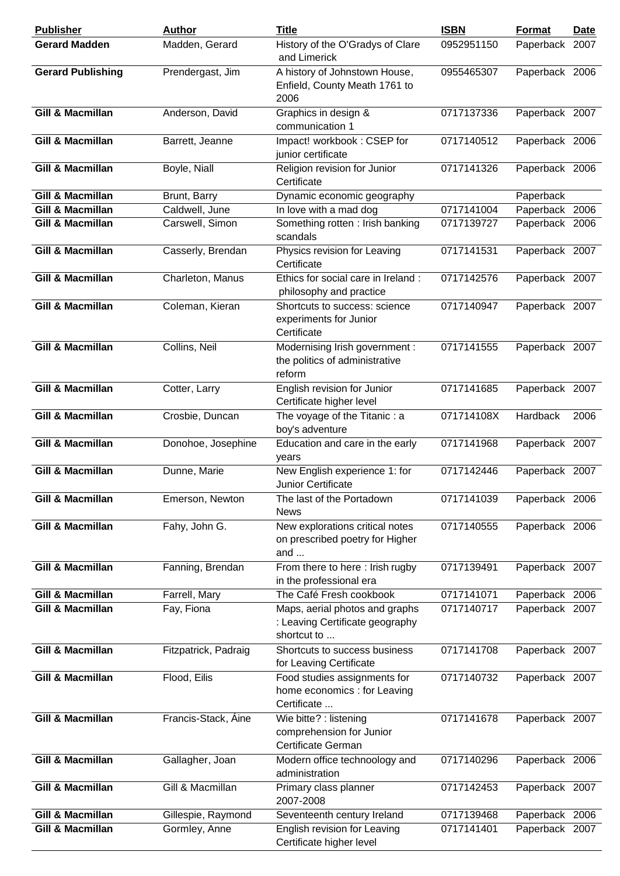| <b>Publisher</b>            | <b>Author</b>        | <b>Title</b>                                                                     | <b>ISBN</b> | Format         | <b>Date</b> |
|-----------------------------|----------------------|----------------------------------------------------------------------------------|-------------|----------------|-------------|
| <b>Gerard Madden</b>        | Madden, Gerard       | History of the O'Gradys of Clare<br>and Limerick                                 | 0952951150  | Paperback 2007 |             |
| <b>Gerard Publishing</b>    | Prendergast, Jim     | A history of Johnstown House,<br>Enfield, County Meath 1761 to<br>2006           | 0955465307  | Paperback 2006 |             |
| <b>Gill &amp; Macmillan</b> | Anderson, David      | Graphics in design &<br>communication 1                                          | 0717137336  | Paperback 2007 |             |
| <b>Gill &amp; Macmillan</b> | Barrett, Jeanne      | Impact! workbook: CSEP for<br>junior certificate                                 | 0717140512  | Paperback 2006 |             |
| <b>Gill &amp; Macmillan</b> | Boyle, Niall         | Religion revision for Junior<br>Certificate                                      | 0717141326  | Paperback 2006 |             |
| Gill & Macmillan            | Brunt, Barry         | Dynamic economic geography                                                       |             | Paperback      |             |
| Gill & Macmillan            | Caldwell, June       | In love with a mad dog                                                           | 0717141004  | Paperback 2006 |             |
| <b>Gill &amp; Macmillan</b> | Carswell, Simon      | Something rotten: Irish banking<br>scandals                                      | 0717139727  | Paperback 2006 |             |
| <b>Gill &amp; Macmillan</b> | Casserly, Brendan    | Physics revision for Leaving<br>Certificate                                      | 0717141531  | Paperback 2007 |             |
| <b>Gill &amp; Macmillan</b> | Charleton, Manus     | Ethics for social care in Ireland:<br>philosophy and practice                    | 0717142576  | Paperback 2007 |             |
| <b>Gill &amp; Macmillan</b> | Coleman, Kieran      | Shortcuts to success: science<br>experiments for Junior<br>Certificate           | 0717140947  | Paperback 2007 |             |
| <b>Gill &amp; Macmillan</b> | Collins, Neil        | Modernising Irish government :<br>the politics of administrative<br>reform       | 0717141555  | Paperback 2007 |             |
| <b>Gill &amp; Macmillan</b> | Cotter, Larry        | English revision for Junior<br>Certificate higher level                          | 0717141685  | Paperback 2007 |             |
| <b>Gill &amp; Macmillan</b> | Crosbie, Duncan      | The voyage of the Titanic: a<br>boy's adventure                                  | 071714108X  | Hardback       | 2006        |
| <b>Gill &amp; Macmillan</b> | Donohoe, Josephine   | Education and care in the early<br>years                                         | 0717141968  | Paperback 2007 |             |
| <b>Gill &amp; Macmillan</b> | Dunne, Marie         | New English experience 1: for<br><b>Junior Certificate</b>                       | 0717142446  | Paperback 2007 |             |
| <b>Gill &amp; Macmillan</b> | Emerson, Newton      | The last of the Portadown<br><b>News</b>                                         | 0717141039  | Paperback 2006 |             |
| Gill & Macmillan            | Fahy, John G.        | New explorations critical notes<br>on prescribed poetry for Higher<br>and        | 0717140555  | Paperback 2006 |             |
| <b>Gill &amp; Macmillan</b> | Fanning, Brendan     | From there to here: Irish rugby<br>in the professional era                       | 0717139491  | Paperback 2007 |             |
| Gill & Macmillan            | Farrell, Mary        | The Café Fresh cookbook                                                          | 0717141071  | Paperback 2006 |             |
| <b>Gill &amp; Macmillan</b> | Fay, Fiona           | Maps, aerial photos and graphs<br>: Leaving Certificate geography<br>shortcut to | 0717140717  | Paperback 2007 |             |
| <b>Gill &amp; Macmillan</b> | Fitzpatrick, Padraig | Shortcuts to success business<br>for Leaving Certificate                         | 0717141708  | Paperback 2007 |             |
| <b>Gill &amp; Macmillan</b> | Flood, Eilis         | Food studies assignments for<br>home economics : for Leaving<br>Certificate      | 0717140732  | Paperback 2007 |             |
| <b>Gill &amp; Macmillan</b> | Francis-Stack, Aine  | Wie bitte? : listening<br>comprehension for Junior<br>Certificate German         | 0717141678  | Paperback 2007 |             |
| <b>Gill &amp; Macmillan</b> | Gallagher, Joan      | Modern office technoology and<br>administration                                  | 0717140296  | Paperback 2006 |             |
| Gill & Macmillan            | Gill & Macmillan     | Primary class planner<br>2007-2008                                               | 0717142453  | Paperback 2007 |             |
| Gill & Macmillan            | Gillespie, Raymond   | Seventeenth century Ireland                                                      | 0717139468  | Paperback 2006 |             |
| <b>Gill &amp; Macmillan</b> | Gormley, Anne        | English revision for Leaving<br>Certificate higher level                         | 0717141401  | Paperback 2007 |             |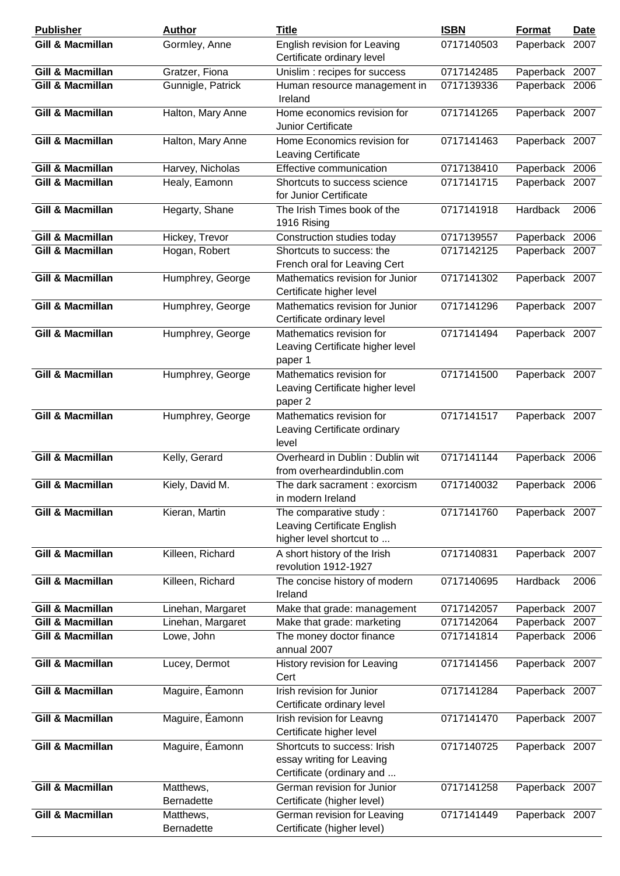| <b>Publisher</b>            | <b>Author</b>                  | <b>Title</b>                                                                          | <b>ISBN</b> | <b>Format</b>  | <b>Date</b> |
|-----------------------------|--------------------------------|---------------------------------------------------------------------------------------|-------------|----------------|-------------|
| Gill & Macmillan            | Gormley, Anne                  | English revision for Leaving<br>Certificate ordinary level                            | 0717140503  | Paperback 2007 |             |
| <b>Gill &amp; Macmillan</b> | Gratzer, Fiona                 | Unislim : recipes for success                                                         | 0717142485  | Paperback 2007 |             |
| <b>Gill &amp; Macmillan</b> | Gunnigle, Patrick              | Human resource management in<br>Ireland                                               | 0717139336  | Paperback 2006 |             |
| <b>Gill &amp; Macmillan</b> | Halton, Mary Anne              | Home economics revision for<br><b>Junior Certificate</b>                              | 0717141265  | Paperback 2007 |             |
| <b>Gill &amp; Macmillan</b> | Halton, Mary Anne              | Home Economics revision for<br>Leaving Certificate                                    | 0717141463  | Paperback 2007 |             |
| <b>Gill &amp; Macmillan</b> | Harvey, Nicholas               | Effective communication                                                               | 0717138410  | Paperback 2006 |             |
| Gill & Macmillan            | Healy, Eamonn                  | Shortcuts to success science<br>for Junior Certificate                                | 0717141715  | Paperback 2007 |             |
| <b>Gill &amp; Macmillan</b> | Hegarty, Shane                 | The Irish Times book of the<br>1916 Rising                                            | 0717141918  | Hardback       | 2006        |
| <b>Gill &amp; Macmillan</b> | Hickey, Trevor                 | Construction studies today                                                            | 0717139557  | Paperback 2006 |             |
| <b>Gill &amp; Macmillan</b> | Hogan, Robert                  | Shortcuts to success: the<br>French oral for Leaving Cert                             | 0717142125  | Paperback 2007 |             |
| <b>Gill &amp; Macmillan</b> | Humphrey, George               | Mathematics revision for Junior<br>Certificate higher level                           | 0717141302  | Paperback 2007 |             |
| <b>Gill &amp; Macmillan</b> | Humphrey, George               | Mathematics revision for Junior<br>Certificate ordinary level                         | 0717141296  | Paperback 2007 |             |
| <b>Gill &amp; Macmillan</b> | Humphrey, George               | Mathematics revision for<br>Leaving Certificate higher level<br>paper 1               | 0717141494  | Paperback 2007 |             |
| <b>Gill &amp; Macmillan</b> | Humphrey, George               | Mathematics revision for<br>Leaving Certificate higher level<br>paper 2               | 0717141500  | Paperback 2007 |             |
| <b>Gill &amp; Macmillan</b> | Humphrey, George               | Mathematics revision for<br>Leaving Certificate ordinary<br>level                     | 0717141517  | Paperback 2007 |             |
| <b>Gill &amp; Macmillan</b> | Kelly, Gerard                  | Overheard in Dublin: Dublin wit<br>from overheardindublin.com                         | 0717141144  | Paperback 2006 |             |
| Gill & Macmillan            | Kiely, David M.                | The dark sacrament : exorcism<br>in modern Ireland                                    | 0717140032  | Paperback 2006 |             |
| <b>Gill &amp; Macmillan</b> | Kieran, Martin                 | The comparative study:<br>Leaving Certificate English<br>higher level shortcut to     | 0717141760  | Paperback 2007 |             |
| <b>Gill &amp; Macmillan</b> | Killeen, Richard               | A short history of the Irish<br>revolution 1912-1927                                  | 0717140831  | Paperback 2007 |             |
| <b>Gill &amp; Macmillan</b> | Killeen, Richard               | The concise history of modern<br>Ireland                                              | 0717140695  | Hardback       | 2006        |
| <b>Gill &amp; Macmillan</b> | Linehan, Margaret              | Make that grade: management                                                           | 0717142057  | Paperback 2007 |             |
| <b>Gill &amp; Macmillan</b> | Linehan, Margaret              | Make that grade: marketing                                                            | 0717142064  | Paperback      | 2007        |
| <b>Gill &amp; Macmillan</b> | Lowe, John                     | The money doctor finance<br>annual 2007                                               | 0717141814  | Paperback 2006 |             |
| <b>Gill &amp; Macmillan</b> | Lucey, Dermot                  | History revision for Leaving<br>Cert                                                  | 0717141456  | Paperback 2007 |             |
| <b>Gill &amp; Macmillan</b> | Maguire, Éamonn                | Irish revision for Junior<br>Certificate ordinary level                               | 0717141284  | Paperback 2007 |             |
| <b>Gill &amp; Macmillan</b> | Maguire, Éamonn                | Irish revision for Leavng<br>Certificate higher level                                 | 0717141470  | Paperback 2007 |             |
| <b>Gill &amp; Macmillan</b> | Maguire, Éamonn                | Shortcuts to success: Irish<br>essay writing for Leaving<br>Certificate (ordinary and | 0717140725  | Paperback 2007 |             |
| <b>Gill &amp; Macmillan</b> | Matthews,<br><b>Bernadette</b> | German revision for Junior<br>Certificate (higher level)                              | 0717141258  | Paperback 2007 |             |
| <b>Gill &amp; Macmillan</b> | Matthews,<br>Bernadette        | German revision for Leaving<br>Certificate (higher level)                             | 0717141449  | Paperback 2007 |             |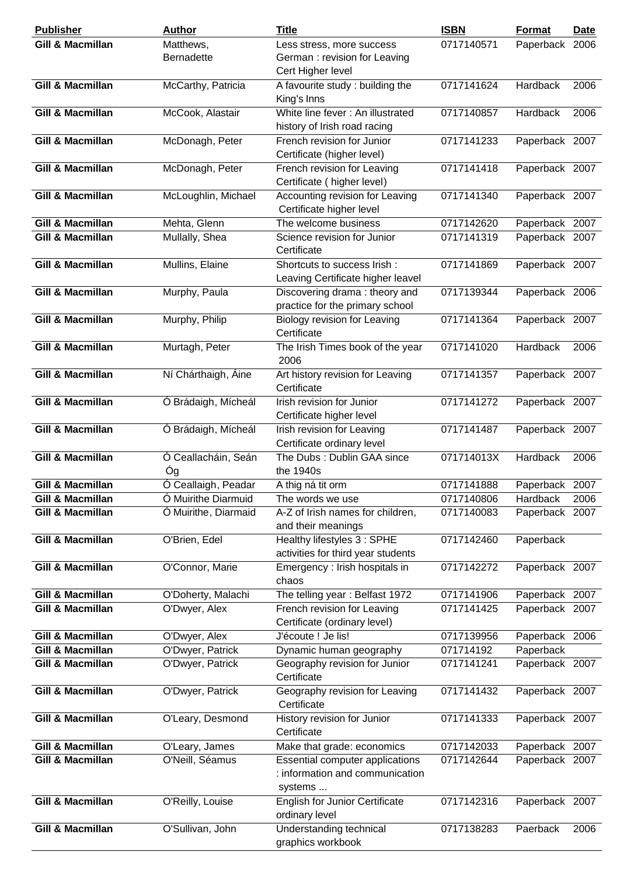| <b>Publisher</b>            | <b>Author</b>        | <b>Title</b>                           | <b>ISBN</b> | Format         | <b>Date</b> |
|-----------------------------|----------------------|----------------------------------------|-------------|----------------|-------------|
| Gill & Macmillan            | Matthews,            | Less stress, more success              | 0717140571  | Paperback 2006 |             |
|                             | <b>Bernadette</b>    | German: revision for Leaving           |             |                |             |
|                             |                      | Cert Higher level                      |             |                |             |
| <b>Gill &amp; Macmillan</b> | McCarthy, Patricia   | A favourite study: building the        | 0717141624  | Hardback       | 2006        |
|                             |                      | King's Inns                            |             |                |             |
| <b>Gill &amp; Macmillan</b> | McCook, Alastair     | White line fever: An illustrated       | 0717140857  | Hardback       | 2006        |
|                             |                      | history of Irish road racing           |             |                |             |
| <b>Gill &amp; Macmillan</b> | McDonagh, Peter      | French revision for Junior             | 0717141233  | Paperback 2007 |             |
|                             |                      | Certificate (higher level)             |             |                |             |
| <b>Gill &amp; Macmillan</b> | McDonagh, Peter      | French revision for Leaving            | 0717141418  | Paperback 2007 |             |
|                             |                      | Certificate (higher level)             |             |                |             |
|                             |                      |                                        |             |                |             |
| Gill & Macmillan            | McLoughlin, Michael  | Accounting revision for Leaving        | 0717141340  | Paperback 2007 |             |
|                             |                      | Certificate higher level               |             |                |             |
| Gill & Macmillan            | Mehta, Glenn         | The welcome business                   | 0717142620  | Paperback 2007 |             |
| Gill & Macmillan            | Mullally, Shea       | Science revision for Junior            | 0717141319  | Paperback 2007 |             |
|                             |                      | Certificate                            |             |                |             |
| <b>Gill &amp; Macmillan</b> | Mullins, Elaine      | Shortcuts to success Irish:            | 0717141869  | Paperback 2007 |             |
|                             |                      | Leaving Certificate higher leavel      |             |                |             |
| <b>Gill &amp; Macmillan</b> | Murphy, Paula        | Discovering drama: theory and          | 0717139344  | Paperback 2006 |             |
|                             |                      | practice for the primary school        |             |                |             |
| <b>Gill &amp; Macmillan</b> | Murphy, Philip       | Biology revision for Leaving           | 0717141364  | Paperback 2007 |             |
|                             |                      | Certificate                            |             |                |             |
| <b>Gill &amp; Macmillan</b> | Murtagh, Peter       | The Irish Times book of the year       | 0717141020  | Hardback       | 2006        |
|                             |                      | 2006                                   |             |                |             |
| <b>Gill &amp; Macmillan</b> | Ní Chárthaigh, Áine  | Art history revision for Leaving       | 0717141357  | Paperback 2007 |             |
|                             |                      | Certificate                            |             |                |             |
| <b>Gill &amp; Macmillan</b> | Ó Brádaigh, Mícheál  | Irish revision for Junior              | 0717141272  | Paperback 2007 |             |
|                             |                      | Certificate higher level               |             |                |             |
| <b>Gill &amp; Macmillan</b> | Ó Brádaigh, Mícheál  | Irish revision for Leaving             | 0717141487  | Paperback 2007 |             |
|                             |                      | Certificate ordinary level             |             |                |             |
| <b>Gill &amp; Macmillan</b> | Ó Ceallacháin, Seán  | The Dubs: Dublin GAA since             | 071714013X  | Hardback       | 2006        |
|                             | Óg                   | the 1940s                              |             |                |             |
|                             |                      |                                        |             |                |             |
| <b>Gill &amp; Macmillan</b> | Ó Ceallaigh, Peadar  | A thig ná tit orm                      | 0717141888  | Paperback 2007 |             |
| <b>Gill &amp; Macmillan</b> | Ó Muirithe Diarmuid  | The words we use                       | 0717140806  | Hardback       | 2006        |
| <b>Gill &amp; Macmillan</b> | Ó Muirithe, Diarmaid | A-Z of Irish names for children,       | 0717140083  | Paperback 2007 |             |
|                             |                      | and their meanings                     |             |                |             |
| <b>Gill &amp; Macmillan</b> | O'Brien, Edel        | Healthy lifestyles 3 : SPHE            | 0717142460  | Paperback      |             |
|                             |                      | activities for third year students     |             |                |             |
| <b>Gill &amp; Macmillan</b> | O'Connor, Marie      | Emergency : Irish hospitals in         | 0717142272  | Paperback 2007 |             |
|                             |                      | chaos                                  |             |                |             |
| <b>Gill &amp; Macmillan</b> | O'Doherty, Malachi   | The telling year: Belfast 1972         | 0717141906  | Paperback 2007 |             |
| <b>Gill &amp; Macmillan</b> | O'Dwyer, Alex        | French revision for Leaving            | 0717141425  | Paperback 2007 |             |
|                             |                      | Certificate (ordinary level)           |             |                |             |
| Gill & Macmillan            | O'Dwyer, Alex        | J'écoute ! Je lis!                     | 0717139956  | Paperback 2006 |             |
| Gill & Macmillan            | O'Dwyer, Patrick     | Dynamic human geography                | 071714192   | Paperback      |             |
| Gill & Macmillan            | O'Dwyer, Patrick     | Geography revision for Junior          | 0717141241  | Paperback 2007 |             |
|                             |                      | Certificate                            |             |                |             |
| <b>Gill &amp; Macmillan</b> | O'Dwyer, Patrick     | Geography revision for Leaving         | 0717141432  | Paperback 2007 |             |
|                             |                      | Certificate                            |             |                |             |
| <b>Gill &amp; Macmillan</b> | O'Leary, Desmond     | History revision for Junior            | 0717141333  | Paperback 2007 |             |
|                             |                      | Certificate                            |             |                |             |
| <b>Gill &amp; Macmillan</b> | O'Leary, James       | Make that grade: economics             | 0717142033  | Paperback 2007 |             |
| <b>Gill &amp; Macmillan</b> | O'Neill, Séamus      | <b>Essential computer applications</b> | 0717142644  | Paperback 2007 |             |
|                             |                      | : information and communication        |             |                |             |
|                             |                      | systems                                |             |                |             |
|                             |                      |                                        |             |                |             |
| <b>Gill &amp; Macmillan</b> | O'Reilly, Louise     | <b>English for Junior Certificate</b>  | 0717142316  | Paperback 2007 |             |
|                             |                      | ordinary level                         |             |                |             |
| <b>Gill &amp; Macmillan</b> | O'Sullivan, John     | Understanding technical                | 0717138283  | Paerback       | 2006        |
|                             |                      | graphics workbook                      |             |                |             |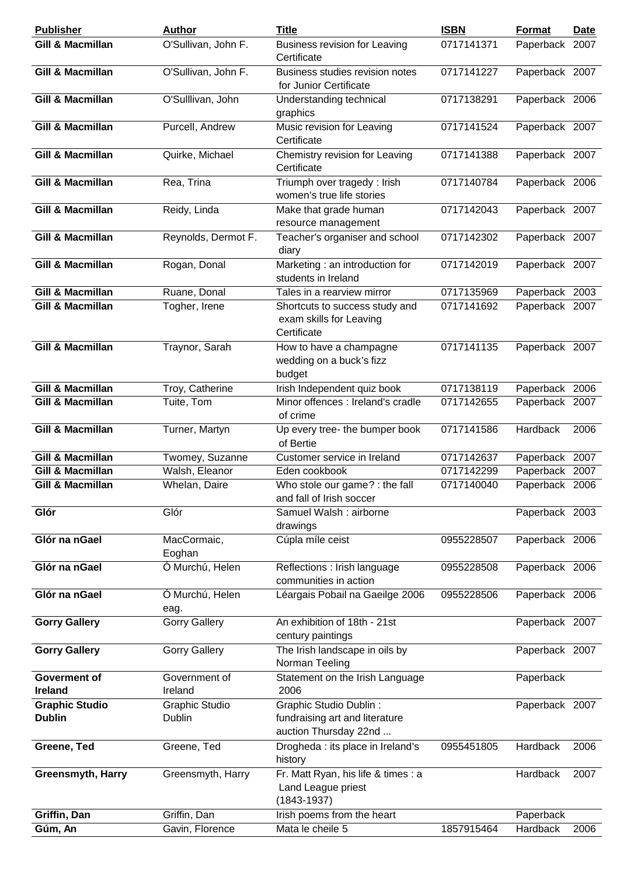| <b>Publisher</b>                       | <b>Author</b>                   | <b>Title</b>                                                                             | <b>ISBN</b> | Format         | <b>Date</b> |
|----------------------------------------|---------------------------------|------------------------------------------------------------------------------------------|-------------|----------------|-------------|
| <b>Gill &amp; Macmillan</b>            | O'Sullivan, John F.             | <b>Business revision for Leaving</b><br>Certificate                                      | 0717141371  | Paperback 2007 |             |
| <b>Gill &amp; Macmillan</b>            | O'Sullivan, John F.             | Business studies revision notes<br>for Junior Certificate                                | 0717141227  | Paperback 2007 |             |
| <b>Gill &amp; Macmillan</b>            | O'Sulllivan, John               | Understanding technical<br>graphics                                                      | 0717138291  | Paperback 2006 |             |
| <b>Gill &amp; Macmillan</b>            | Purcell, Andrew                 | Music revision for Leaving<br>Certificate                                                | 0717141524  | Paperback 2007 |             |
| <b>Gill &amp; Macmillan</b>            | Quirke, Michael                 | Chemistry revision for Leaving<br>Certificate                                            | 0717141388  | Paperback 2007 |             |
| <b>Gill &amp; Macmillan</b>            | Rea, Trina                      | Triumph over tragedy : Irish<br>women's true life stories                                | 0717140784  | Paperback 2006 |             |
| <b>Gill &amp; Macmillan</b>            | Reidy, Linda                    | Make that grade human<br>resource management                                             | 0717142043  | Paperback 2007 |             |
| <b>Gill &amp; Macmillan</b>            | Reynolds, Dermot F.             | Teacher's organiser and school<br>diary                                                  | 0717142302  | Paperback 2007 |             |
| <b>Gill &amp; Macmillan</b>            | Rogan, Donal                    | Marketing : an introduction for<br>students in Ireland                                   | 0717142019  | Paperback 2007 |             |
| <b>Gill &amp; Macmillan</b>            | Ruane, Donal                    | Tales in a rearview mirror                                                               | 0717135969  | Paperback 2003 |             |
| <b>Gill &amp; Macmillan</b>            | Togher, Irene                   | Shortcuts to success study and<br>exam skills for Leaving<br>Certificate                 | 0717141692  | Paperback 2007 |             |
| <b>Gill &amp; Macmillan</b>            | Traynor, Sarah                  | How to have a champagne<br>wedding on a buck's fizz<br>budget                            | 0717141135  | Paperback 2007 |             |
| <b>Gill &amp; Macmillan</b>            | Troy, Catherine                 | Irish Independent quiz book                                                              | 0717138119  | Paperback 2006 |             |
| <b>Gill &amp; Macmillan</b>            | Tuite, Tom                      | Minor offences : Ireland's cradle<br>of crime                                            | 0717142655  | Paperback 2007 |             |
| <b>Gill &amp; Macmillan</b>            | Turner, Martyn                  | Up every tree- the bumper book<br>of Bertie                                              | 0717141586  | Hardback       | 2006        |
| <b>Gill &amp; Macmillan</b>            | Twomey, Suzanne                 | Customer service in Ireland                                                              | 0717142637  | Paperback 2007 |             |
| Gill & Macmillan                       | Walsh, Eleanor                  | Eden cookbook                                                                            | 0717142299  | Paperback 2007 |             |
| <b>Gill &amp; Macmillan</b>            | Whelan, Daire                   | Who stole our game? : the fall<br>and fall of Irish soccer                               | 0717140040  | Paperback 2006 |             |
| Glór                                   | Glór                            | Samuel Walsh: airborne<br>drawings                                                       |             | Paperback 2003 |             |
| Glór na nGael                          | MacCormaic,<br>Eoghan           | Cúpla míle ceist                                                                         | 0955228507  | Paperback 2006 |             |
| Glór na nGael                          | Ó Murchú, Helen                 | Reflections : Irish language<br>communities in action                                    | 0955228508  | Paperback 2006 |             |
| Glór na nGael                          | Ó Murchú, Helen<br>eag.         | Léargais Pobail na Gaeilge 2006                                                          | 0955228506  | Paperback 2006 |             |
| <b>Gorry Gallery</b>                   | <b>Gorry Gallery</b>            | An exhibition of 18th - 21st<br>century paintings                                        |             | Paperback 2007 |             |
| <b>Gorry Gallery</b>                   | <b>Gorry Gallery</b>            | The Irish landscape in oils by<br>Norman Teeling                                         |             | Paperback 2007 |             |
| Goverment of<br><b>Ireland</b>         | Government of<br>Ireland        | Statement on the Irish Language<br>2006                                                  |             | Paperback      |             |
| <b>Graphic Studio</b><br><b>Dublin</b> | <b>Graphic Studio</b><br>Dublin | <b>Graphic Studio Dublin:</b><br>fundraising art and literature<br>auction Thursday 22nd |             | Paperback 2007 |             |
| Greene, Ted                            | Greene, Ted                     | Drogheda : its place in Ireland's<br>history                                             | 0955451805  | Hardback       | 2006        |
| <b>Greensmyth, Harry</b>               | Greensmyth, Harry               | Fr. Matt Ryan, his life & times : a<br>Land League priest<br>$(1843 - 1937)$             |             | Hardback       | 2007        |
| Griffin, Dan                           | Griffin, Dan                    | Irish poems from the heart                                                               |             | Paperback      |             |
| Gúm, An                                | Gavin, Florence                 | Mata le cheile 5                                                                         | 1857915464  | Hardback       | 2006        |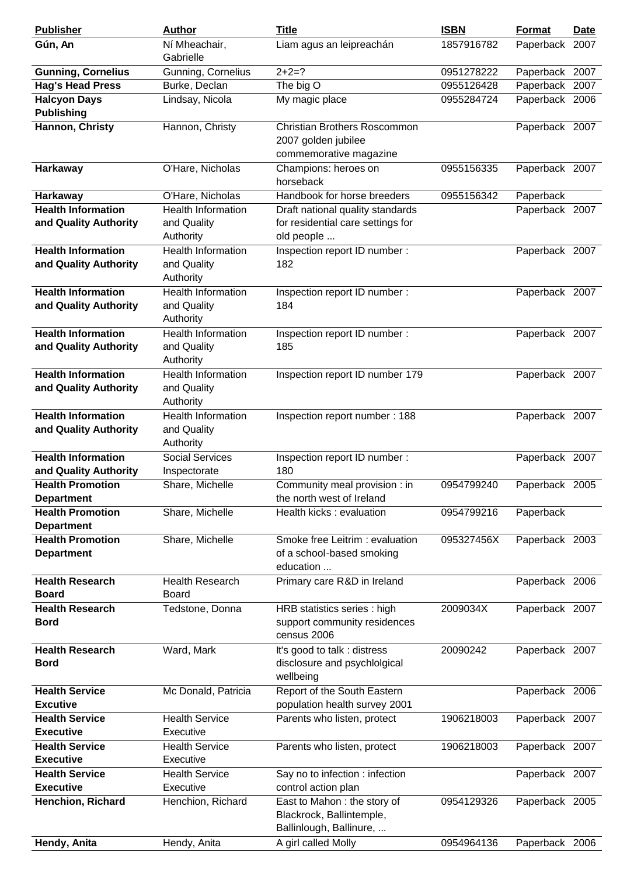| <b>Publisher</b>          | <b>Author</b>             | <b>Title</b>                                            | <b>ISBN</b> | Format         | <b>Date</b> |
|---------------------------|---------------------------|---------------------------------------------------------|-------------|----------------|-------------|
| Gún, An                   | Ní Mheachair,             | Liam agus an leipreachán                                | 1857916782  | Paperback 2007 |             |
|                           | Gabrielle                 |                                                         |             |                |             |
| <b>Gunning, Cornelius</b> | Gunning, Cornelius        | $2+2=?$                                                 | 0951278222  | Paperback 2007 |             |
| <b>Hag's Head Press</b>   | Burke, Declan             | The big O                                               | 0955126428  | Paperback 2007 |             |
| <b>Halcyon Days</b>       | Lindsay, Nicola           | My magic place                                          | 0955284724  | Paperback 2006 |             |
| <b>Publishing</b>         |                           |                                                         |             |                |             |
| Hannon, Christy           | Hannon, Christy           | Christian Brothers Roscommon<br>2007 golden jubilee     |             | Paperback 2007 |             |
|                           |                           | commemorative magazine                                  |             |                |             |
| <b>Harkaway</b>           | O'Hare, Nicholas          | Champions: heroes on<br>horseback                       | 0955156335  | Paperback 2007 |             |
| <b>Harkaway</b>           | O'Hare, Nicholas          | Handbook for horse breeders                             | 0955156342  | Paperback      |             |
| <b>Health Information</b> | <b>Health Information</b> | Draft national quality standards                        |             | Paperback 2007 |             |
| and Quality Authority     | and Quality<br>Authority  | for residential care settings for<br>old people         |             |                |             |
| <b>Health Information</b> | <b>Health Information</b> | Inspection report ID number:                            |             | Paperback 2007 |             |
| and Quality Authority     | and Quality<br>Authority  | 182                                                     |             |                |             |
| <b>Health Information</b> | <b>Health Information</b> | Inspection report ID number:                            |             | Paperback 2007 |             |
| and Quality Authority     | and Quality<br>Authority  | 184                                                     |             |                |             |
| <b>Health Information</b> | <b>Health Information</b> | Inspection report ID number :                           |             | Paperback 2007 |             |
| and Quality Authority     | and Quality               | 185                                                     |             |                |             |
|                           | Authority                 |                                                         |             |                |             |
| <b>Health Information</b> | <b>Health Information</b> | Inspection report ID number 179                         |             | Paperback 2007 |             |
| and Quality Authority     | and Quality<br>Authority  |                                                         |             |                |             |
| <b>Health Information</b> | <b>Health Information</b> | Inspection report number: 188                           |             | Paperback 2007 |             |
| and Quality Authority     | and Quality               |                                                         |             |                |             |
|                           | Authority                 |                                                         |             |                |             |
| <b>Health Information</b> | <b>Social Services</b>    | Inspection report ID number :                           |             | Paperback 2007 |             |
| and Quality Authority     | Inspectorate              | 180                                                     |             |                |             |
| <b>Health Promotion</b>   | Share, Michelle           | Community meal provision : in                           | 0954799240  | Paperback 2005 |             |
| <b>Department</b>         |                           | the north west of Ireland                               |             |                |             |
| <b>Health Promotion</b>   | Share, Michelle           | Health kicks : evaluation                               | 0954799216  | Paperback      |             |
| <b>Department</b>         |                           |                                                         |             |                |             |
| <b>Health Promotion</b>   | Share, Michelle           | Smoke free Leitrim: evaluation                          | 095327456X  | Paperback 2003 |             |
| <b>Department</b>         |                           | of a school-based smoking<br>education                  |             |                |             |
| <b>Health Research</b>    | <b>Health Research</b>    |                                                         |             | Paperback 2006 |             |
| <b>Board</b>              | <b>Board</b>              | Primary care R&D in Ireland                             |             |                |             |
| <b>Health Research</b>    | Tedstone, Donna           | HRB statistics series : high                            | 2009034X    | Paperback 2007 |             |
| <b>Bord</b>               |                           | support community residences                            |             |                |             |
|                           |                           | census 2006                                             |             |                |             |
| <b>Health Research</b>    | Ward, Mark                | It's good to talk : distress                            | 20090242    | Paperback 2007 |             |
| <b>Bord</b>               |                           | disclosure and psychlolgical<br>wellbeing               |             |                |             |
| <b>Health Service</b>     | Mc Donald, Patricia       | Report of the South Eastern                             |             | Paperback 2006 |             |
| <b>Excutive</b>           |                           | population health survey 2001                           |             |                |             |
| <b>Health Service</b>     | <b>Health Service</b>     | Parents who listen, protect                             | 1906218003  | Paperback 2007 |             |
| <b>Executive</b>          | Executive                 |                                                         |             |                |             |
| <b>Health Service</b>     | <b>Health Service</b>     | Parents who listen, protect                             | 1906218003  | Paperback 2007 |             |
| <b>Executive</b>          | Executive                 |                                                         |             |                |             |
| <b>Health Service</b>     | <b>Health Service</b>     | Say no to infection : infection                         |             | Paperback 2007 |             |
| <b>Executive</b>          | Executive                 | control action plan                                     |             |                |             |
| Henchion, Richard         | Henchion, Richard         | East to Mahon: the story of<br>Blackrock, Ballintemple, | 0954129326  | Paperback 2005 |             |
|                           |                           | Ballinlough, Ballinure,                                 |             |                |             |
| Hendy, Anita              | Hendy, Anita              | A girl called Molly                                     | 0954964136  | Paperback 2006 |             |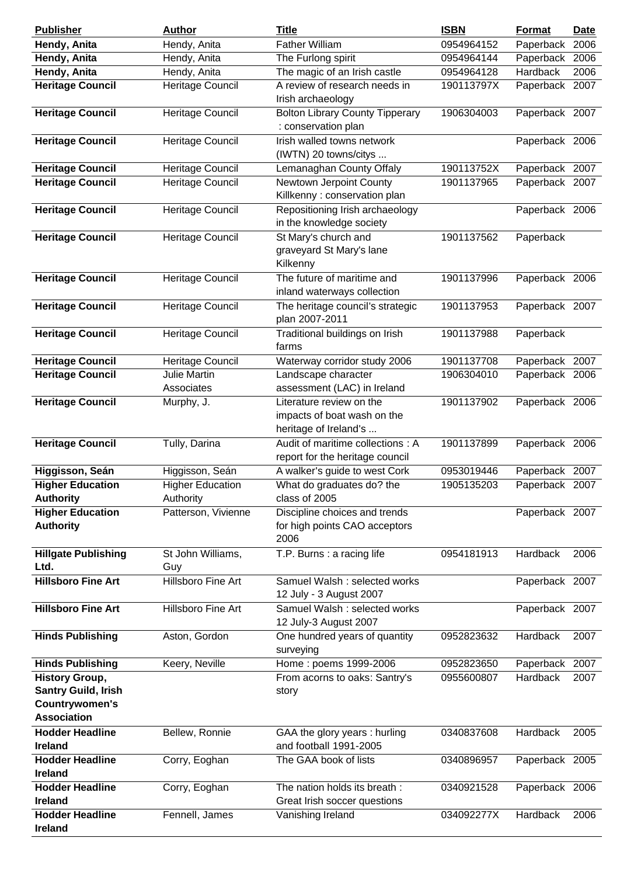| <b>Publisher</b>                                                                                   | <b>Author</b>                        | <b>Title</b>                                                                     | <b>ISBN</b> | <b>Format</b>  | <b>Date</b> |
|----------------------------------------------------------------------------------------------------|--------------------------------------|----------------------------------------------------------------------------------|-------------|----------------|-------------|
| Hendy, Anita                                                                                       | Hendy, Anita                         | <b>Father William</b>                                                            | 0954964152  | Paperback      | 2006        |
| Hendy, Anita                                                                                       | Hendy, Anita                         | The Furlong spirit                                                               | 0954964144  | Paperback      | 2006        |
| Hendy, Anita                                                                                       | Hendy, Anita                         | The magic of an Irish castle                                                     | 0954964128  | Hardback       | 2006        |
| <b>Heritage Council</b>                                                                            | Heritage Council                     | A review of research needs in<br>Irish archaeology                               | 190113797X  | Paperback 2007 |             |
| <b>Heritage Council</b>                                                                            | Heritage Council                     | <b>Bolton Library County Tipperary</b><br>: conservation plan                    | 1906304003  | Paperback 2007 |             |
| <b>Heritage Council</b>                                                                            | Heritage Council                     | Irish walled towns network<br>(IWTN) 20 towns/citys                              |             | Paperback 2006 |             |
| <b>Heritage Council</b>                                                                            | Heritage Council                     | Lemanaghan County Offaly                                                         | 190113752X  | Paperback 2007 |             |
| <b>Heritage Council</b>                                                                            | Heritage Council                     | Newtown Jerpoint County<br>Killkenny : conservation plan                         | 1901137965  | Paperback 2007 |             |
| <b>Heritage Council</b>                                                                            | Heritage Council                     | Repositioning Irish archaeology<br>in the knowledge society                      |             | Paperback 2006 |             |
| <b>Heritage Council</b>                                                                            | Heritage Council                     | St Mary's church and<br>graveyard St Mary's lane<br>Kilkenny                     | 1901137562  | Paperback      |             |
| <b>Heritage Council</b>                                                                            | Heritage Council                     | The future of maritime and<br>inland waterways collection                        | 1901137996  | Paperback 2006 |             |
| <b>Heritage Council</b>                                                                            | Heritage Council                     | The heritage council's strategic<br>plan 2007-2011                               | 1901137953  | Paperback 2007 |             |
| <b>Heritage Council</b>                                                                            | Heritage Council                     | Traditional buildings on Irish<br>farms                                          | 1901137988  | Paperback      |             |
| <b>Heritage Council</b>                                                                            | Heritage Council                     | Waterway corridor study 2006                                                     | 1901137708  | Paperback 2007 |             |
| <b>Heritage Council</b>                                                                            | <b>Julie Martin</b><br>Associates    | Landscape character<br>assessment (LAC) in Ireland                               | 1906304010  | Paperback 2006 |             |
| <b>Heritage Council</b>                                                                            | Murphy, J.                           | Literature review on the<br>impacts of boat wash on the<br>heritage of Ireland's | 1901137902  | Paperback 2006 |             |
| <b>Heritage Council</b>                                                                            | Tully, Darina                        | Audit of maritime collections: A<br>report for the heritage council              | 1901137899  | Paperback 2006 |             |
| Higgisson, Seán                                                                                    | Higgisson, Seán                      | A walker's guide to west Cork                                                    | 0953019446  | Paperback 2007 |             |
| <b>Higher Education</b><br><b>Authority</b>                                                        | <b>Higher Education</b><br>Authority | What do graduates do? the<br>class of 2005                                       | 1905135203  | Paperback 2007 |             |
| <b>Higher Education</b><br><b>Authority</b>                                                        | Patterson, Vivienne                  | Discipline choices and trends<br>for high points CAO acceptors<br>2006           |             | Paperback 2007 |             |
| <b>Hillgate Publishing</b><br>Ltd.                                                                 | St John Williams,<br>Guy             | T.P. Burns: a racing life                                                        | 0954181913  | Hardback       | 2006        |
| <b>Hillsboro Fine Art</b>                                                                          | Hillsboro Fine Art                   | Samuel Walsh : selected works<br>12 July - 3 August 2007                         |             | Paperback 2007 |             |
| <b>Hillsboro Fine Art</b>                                                                          | Hillsboro Fine Art                   | Samuel Walsh: selected works<br>12 July-3 August 2007                            |             | Paperback 2007 |             |
| <b>Hinds Publishing</b>                                                                            | Aston, Gordon                        | One hundred years of quantity<br>surveying                                       | 0952823632  | Hardback       | 2007        |
| <b>Hinds Publishing</b>                                                                            | Keery, Neville                       | Home: poems 1999-2006                                                            | 0952823650  | Paperback 2007 |             |
| <b>History Group,</b><br><b>Santry Guild, Irish</b><br><b>Countrywomen's</b><br><b>Association</b> |                                      | From acorns to oaks: Santry's<br>story                                           | 0955600807  | Hardback       | 2007        |
| <b>Hodder Headline</b><br><b>Ireland</b>                                                           | Bellew, Ronnie                       | GAA the glory years: hurling<br>and football 1991-2005                           | 0340837608  | Hardback       | 2005        |
| <b>Hodder Headline</b><br><b>Ireland</b>                                                           | Corry, Eoghan                        | The GAA book of lists                                                            | 0340896957  | Paperback 2005 |             |
| <b>Hodder Headline</b><br><b>Ireland</b>                                                           | Corry, Eoghan                        | The nation holds its breath :<br>Great Irish soccer questions                    | 0340921528  | Paperback 2006 |             |
| <b>Hodder Headline</b><br>Ireland                                                                  | Fennell, James                       | Vanishing Ireland                                                                | 034092277X  | Hardback       | 2006        |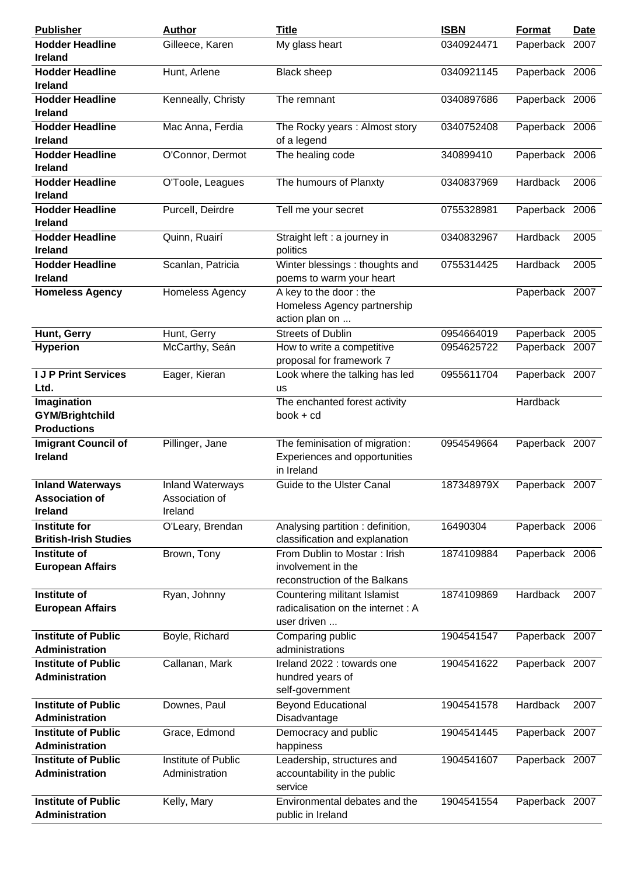| <b>Publisher</b>                                                   | <b>Author</b>                                        | <b>Title</b>                                                                        | <b>ISBN</b> | <b>Format</b>   | <u>Date</u> |
|--------------------------------------------------------------------|------------------------------------------------------|-------------------------------------------------------------------------------------|-------------|-----------------|-------------|
| <b>Hodder Headline</b><br><b>Ireland</b>                           | Gilleece, Karen                                      | My glass heart                                                                      | 0340924471  | Paperback 2007  |             |
| <b>Hodder Headline</b><br><b>Ireland</b>                           | Hunt, Arlene                                         | <b>Black sheep</b>                                                                  | 0340921145  | Paperback 2006  |             |
| <b>Hodder Headline</b><br><b>Ireland</b>                           | Kenneally, Christy                                   | The remnant                                                                         | 0340897686  | Paperback 2006  |             |
| <b>Hodder Headline</b><br><b>Ireland</b>                           | Mac Anna, Ferdia                                     | The Rocky years: Almost story<br>of a legend                                        | 0340752408  | Paperback 2006  |             |
| <b>Hodder Headline</b><br><b>Ireland</b>                           | O'Connor, Dermot                                     | The healing code                                                                    | 340899410   | Paperback 2006  |             |
| <b>Hodder Headline</b><br><b>Ireland</b>                           | O'Toole, Leagues                                     | The humours of Planxty                                                              | 0340837969  | Hardback        | 2006        |
| <b>Hodder Headline</b><br><b>Ireland</b>                           | Purcell, Deirdre                                     | Tell me your secret                                                                 | 0755328981  | Paperback 2006  |             |
| <b>Hodder Headline</b><br>Ireland                                  | Quinn, Ruairí                                        | Straight left : a journey in<br>politics                                            | 0340832967  | Hardback        | 2005        |
| <b>Hodder Headline</b><br><b>Ireland</b>                           | Scanlan, Patricia                                    | Winter blessings: thoughts and<br>poems to warm your heart                          | 0755314425  | Hardback        | 2005        |
| <b>Homeless Agency</b>                                             | Homeless Agency                                      | A key to the door: the<br>Homeless Agency partnership<br>action plan on             |             | Paperback 2007  |             |
| Hunt, Gerry                                                        | Hunt, Gerry                                          | <b>Streets of Dublin</b>                                                            | 0954664019  | Paperback 2005  |             |
| <b>Hyperion</b>                                                    | McCarthy, Seán                                       | How to write a competitive<br>proposal for framework 7                              | 0954625722  | Paperback 2007  |             |
| <b>I J P Print Services</b><br>Ltd.                                | Eager, Kieran                                        | Look where the talking has led<br><b>us</b>                                         | 0955611704  | Paperback 2007  |             |
| Imagination<br><b>GYM/Brightchild</b><br><b>Productions</b>        |                                                      | The enchanted forest activity<br>$book + cd$                                        |             | Hardback        |             |
| <b>Imigrant Council of</b><br><b>Ireland</b>                       | Pillinger, Jane                                      | The feminisation of migration:<br>Experiences and opportunities<br>in Ireland       | 0954549664  | Paperback 2007  |             |
| <b>Inland Waterways</b><br><b>Association of</b><br><b>Ireland</b> | <b>Inland Waterways</b><br>Association of<br>Ireland | Guide to the Ulster Canal                                                           | 187348979X  | Paperback 2007  |             |
| <b>Institute for</b><br><b>British-Irish Studies</b>               | O'Leary, Brendan                                     | Analysing partition: definition,<br>classification and explanation                  | 16490304    | Paperback 2006  |             |
| Institute of<br><b>European Affairs</b>                            | Brown, Tony                                          | From Dublin to Mostar: Irish<br>involvement in the<br>reconstruction of the Balkans | 1874109884  | Paperback 2006  |             |
| <b>Institute of</b><br><b>European Affairs</b>                     | Ryan, Johnny                                         | Countering militant Islamist<br>radicalisation on the internet : A<br>user driven   | 1874109869  | <b>Hardback</b> | 2007        |
| <b>Institute of Public</b><br><b>Administration</b>                | Boyle, Richard                                       | Comparing public<br>administrations                                                 | 1904541547  | Paperback 2007  |             |
| <b>Institute of Public</b><br><b>Administration</b>                | Callanan, Mark                                       | Ireland 2022 : towards one<br>hundred years of<br>self-government                   | 1904541622  | Paperback 2007  |             |
| <b>Institute of Public</b><br><b>Administration</b>                | Downes, Paul                                         | <b>Beyond Educational</b><br>Disadvantage                                           | 1904541578  | Hardback        | 2007        |
| <b>Institute of Public</b><br><b>Administration</b>                | Grace, Edmond                                        | Democracy and public<br>happiness                                                   | 1904541445  | Paperback 2007  |             |
| <b>Institute of Public</b><br>Administration                       | Institute of Public<br>Administration                | Leadership, structures and<br>accountability in the public<br>service               | 1904541607  | Paperback 2007  |             |
| <b>Institute of Public</b><br><b>Administration</b>                | Kelly, Mary                                          | Environmental debates and the<br>public in Ireland                                  | 1904541554  | Paperback 2007  |             |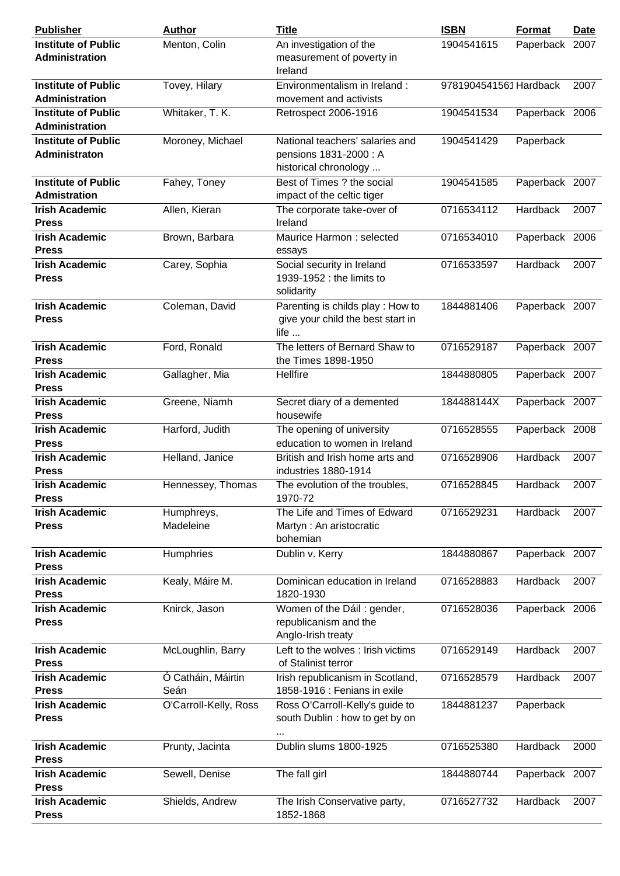| <b>Publisher</b>                                    | <b>Author</b>              | <b>Title</b>                                                                           | <b>ISBN</b>            | <b>Format</b>  | Date |
|-----------------------------------------------------|----------------------------|----------------------------------------------------------------------------------------|------------------------|----------------|------|
| <b>Institute of Public</b><br><b>Administration</b> | Menton, Colin              | An investigation of the<br>measurement of poverty in<br>Ireland                        | 1904541615             | Paperback 2007 |      |
| <b>Institute of Public</b><br>Administration        | Tovey, Hilary              | Environmentalism in Ireland:<br>movement and activists                                 | 9781904541561 Hardback |                | 2007 |
| <b>Institute of Public</b><br>Administration        | Whitaker, T. K.            | Retrospect 2006-1916                                                                   | 1904541534             | Paperback 2006 |      |
| <b>Institute of Public</b><br>Administraton         | Moroney, Michael           | National teachers' salaries and<br>pensions 1831-2000: A<br>historical chronology      | 1904541429             | Paperback      |      |
| <b>Institute of Public</b><br><b>Admistration</b>   | Fahey, Toney               | Best of Times ? the social<br>impact of the celtic tiger                               | 1904541585             | Paperback 2007 |      |
| <b>Irish Academic</b><br><b>Press</b>               | Allen, Kieran              | The corporate take-over of<br>Ireland                                                  | 0716534112             | Hardback       | 2007 |
| <b>Irish Academic</b><br><b>Press</b>               | Brown, Barbara             | Maurice Harmon: selected<br>essays                                                     | 0716534010             | Paperback 2006 |      |
| <b>Irish Academic</b><br><b>Press</b>               | Carey, Sophia              | Social security in Ireland<br>1939-1952 : the limits to<br>solidarity                  | 0716533597             | Hardback       | 2007 |
| <b>Irish Academic</b><br><b>Press</b>               | Coleman, David             | Parenting is childs play: How to<br>give your child the best start in<br>life $\ldots$ | 1844881406             | Paperback 2007 |      |
| <b>Irish Academic</b><br><b>Press</b>               | Ford, Ronald               | The letters of Bernard Shaw to<br>the Times 1898-1950                                  | 0716529187             | Paperback 2007 |      |
| <b>Irish Academic</b><br><b>Press</b>               | Gallagher, Mia             | Hellfire                                                                               | 1844880805             | Paperback 2007 |      |
| <b>Irish Academic</b><br><b>Press</b>               | Greene, Niamh              | Secret diary of a demented<br>housewife                                                | 184488144X             | Paperback 2007 |      |
| <b>Irish Academic</b><br><b>Press</b>               | Harford, Judith            | The opening of university<br>education to women in Ireland                             | 0716528555             | Paperback 2008 |      |
| <b>Irish Academic</b><br><b>Press</b>               | Helland, Janice            | British and Irish home arts and<br>industries 1880-1914                                | 0716528906             | Hardback       | 2007 |
| <b>Irish Academic</b><br><b>Press</b>               | Hennessey, Thomas          | The evolution of the troubles,<br>1970-72                                              | 0716528845             | Hardback       | 2007 |
| <b>Irish Academic</b><br><b>Press</b>               | Humphreys,<br>Madeleine    | The Life and Times of Edward<br>Martyn: An aristocratic<br>bohemian                    | 0716529231             | Hardback       | 2007 |
| <b>Irish Academic</b><br><b>Press</b>               | Humphries                  | Dublin v. Kerry                                                                        | 1844880867             | Paperback 2007 |      |
| <b>Irish Academic</b><br><b>Press</b>               | Kealy, Máire M.            | Dominican education in Ireland<br>1820-1930                                            | 0716528883             | Hardback       | 2007 |
| <b>Irish Academic</b><br><b>Press</b>               | Knirck, Jason              | Women of the Dáil: gender,<br>republicanism and the<br>Anglo-Irish treaty              | 0716528036             | Paperback 2006 |      |
| <b>Irish Academic</b><br><b>Press</b>               | McLoughlin, Barry          | Left to the wolves : Irish victims<br>of Stalinist terror                              | 0716529149             | Hardback       | 2007 |
| <b>Irish Academic</b><br><b>Press</b>               | Ó Catháin, Máirtin<br>Seán | Irish republicanism in Scotland,<br>1858-1916 : Fenians in exile                       | 0716528579             | Hardback       | 2007 |
| <b>Irish Academic</b><br><b>Press</b>               | O'Carroll-Kelly, Ross      | Ross O'Carroll-Kelly's guide to<br>south Dublin: how to get by on<br>                  | 1844881237             | Paperback      |      |
| <b>Irish Academic</b><br><b>Press</b>               | Prunty, Jacinta            | Dublin slums 1800-1925                                                                 | 0716525380             | Hardback       | 2000 |
| <b>Irish Academic</b><br><b>Press</b>               | Sewell, Denise             | The fall girl                                                                          | 1844880744             | Paperback 2007 |      |
| <b>Irish Academic</b><br><b>Press</b>               | Shields, Andrew            | The Irish Conservative party,<br>1852-1868                                             | 0716527732             | Hardback       | 2007 |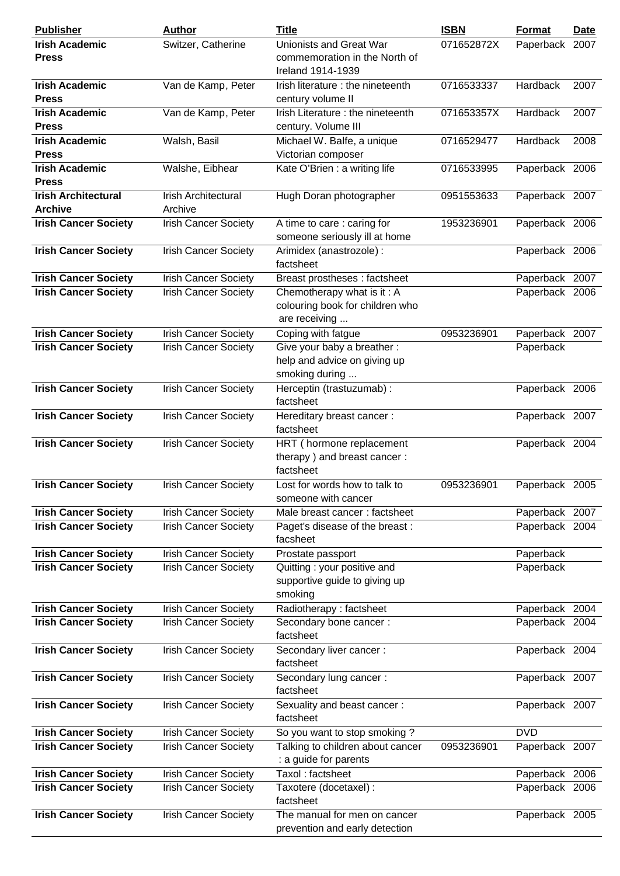| <b>Publisher</b>            | <b>Author</b>               | <b>Title</b>                      | <b>ISBN</b> | Format         | <b>Date</b> |
|-----------------------------|-----------------------------|-----------------------------------|-------------|----------------|-------------|
| <b>Irish Academic</b>       | Switzer, Catherine          | Unionists and Great War           | 071652872X  | Paperback 2007 |             |
| <b>Press</b>                |                             | commemoration in the North of     |             |                |             |
|                             |                             | Ireland 1914-1939                 |             |                |             |
| <b>Irish Academic</b>       | Van de Kamp, Peter          | Irish literature : the nineteenth | 0716533337  | Hardback       | 2007        |
| <b>Press</b>                |                             | century volume II                 |             |                |             |
| <b>Irish Academic</b>       | Van de Kamp, Peter          | Irish Literature: the nineteenth  | 071653357X  | Hardback       | 2007        |
| <b>Press</b>                |                             |                                   |             |                |             |
|                             |                             | century. Volume III               |             |                |             |
| <b>Irish Academic</b>       | Walsh, Basil                | Michael W. Balfe, a unique        | 0716529477  | Hardback       | 2008        |
| <b>Press</b>                |                             | Victorian composer                |             |                |             |
| <b>Irish Academic</b>       | Walshe, Eibhear             | Kate O'Brien : a writing life     | 0716533995  | Paperback 2006 |             |
| <b>Press</b>                |                             |                                   |             |                |             |
| <b>Irish Architectural</b>  | Irish Architectural         | Hugh Doran photographer           | 0951553633  | Paperback 2007 |             |
| <b>Archive</b>              | Archive                     |                                   |             |                |             |
| <b>Irish Cancer Society</b> | <b>Irish Cancer Society</b> | A time to care: caring for        | 1953236901  | Paperback 2006 |             |
|                             |                             | someone seriously ill at home     |             |                |             |
| <b>Irish Cancer Society</b> | <b>Irish Cancer Society</b> | Arimidex (anastrozole) :          |             | Paperback 2006 |             |
|                             |                             | factsheet                         |             |                |             |
| <b>Irish Cancer Society</b> | <b>Irish Cancer Society</b> | Breast prostheses : factsheet     |             | Paperback 2007 |             |
| <b>Irish Cancer Society</b> | <b>Irish Cancer Society</b> | Chemotherapy what is it: A        |             | Paperback 2006 |             |
|                             |                             | colouring book for children who   |             |                |             |
|                             |                             |                                   |             |                |             |
|                             |                             | are receiving                     |             |                |             |
| <b>Irish Cancer Society</b> | <b>Irish Cancer Society</b> | Coping with fatgue                | 0953236901  | Paperback 2007 |             |
| <b>Irish Cancer Society</b> | <b>Irish Cancer Society</b> | Give your baby a breather:        |             | Paperback      |             |
|                             |                             | help and advice on giving up      |             |                |             |
|                             |                             | smoking during                    |             |                |             |
| <b>Irish Cancer Society</b> | <b>Irish Cancer Society</b> | Herceptin (trastuzumab) :         |             | Paperback 2006 |             |
|                             |                             | factsheet                         |             |                |             |
| <b>Irish Cancer Society</b> | <b>Irish Cancer Society</b> | Hereditary breast cancer:         |             | Paperback 2007 |             |
|                             |                             | factsheet                         |             |                |             |
| <b>Irish Cancer Society</b> | <b>Irish Cancer Society</b> | HRT (hormone replacement          |             | Paperback 2004 |             |
|                             |                             | therapy) and breast cancer:       |             |                |             |
|                             |                             | factsheet                         |             |                |             |
|                             |                             | Lost for words how to talk to     | 0953236901  |                |             |
| <b>Irish Cancer Society</b> | <b>Irish Cancer Society</b> |                                   |             | Paperback 2005 |             |
|                             |                             | someone with cancer               |             |                |             |
| <b>Irish Cancer Society</b> | <b>Irish Cancer Society</b> | Male breast cancer: factsheet     |             | Paperback 2007 |             |
| <b>Irish Cancer Society</b> | <b>Irish Cancer Society</b> | Paget's disease of the breast:    |             | Paperback 2004 |             |
|                             |                             | facsheet                          |             |                |             |
| <b>Irish Cancer Society</b> | <b>Irish Cancer Society</b> | Prostate passport                 |             | Paperback      |             |
| <b>Irish Cancer Society</b> | <b>Irish Cancer Society</b> | Quitting: your positive and       |             | Paperback      |             |
|                             |                             | supportive guide to giving up     |             |                |             |
|                             |                             | smoking                           |             |                |             |
| <b>Irish Cancer Society</b> | <b>Irish Cancer Society</b> | Radiotherapy: factsheet           |             | Paperback 2004 |             |
| <b>Irish Cancer Society</b> | <b>Irish Cancer Society</b> | Secondary bone cancer:            |             | Paperback 2004 |             |
|                             |                             | factsheet                         |             |                |             |
| <b>Irish Cancer Society</b> | <b>Irish Cancer Society</b> | Secondary liver cancer :          |             | Paperback 2004 |             |
|                             |                             | factsheet                         |             |                |             |
| <b>Irish Cancer Society</b> | <b>Irish Cancer Society</b> | Secondary lung cancer:            |             | Paperback 2007 |             |
|                             |                             | factsheet                         |             |                |             |
|                             |                             |                                   |             |                |             |
| <b>Irish Cancer Society</b> | <b>Irish Cancer Society</b> | Sexuality and beast cancer:       |             | Paperback 2007 |             |
|                             |                             | factsheet                         |             |                |             |
| <b>Irish Cancer Society</b> | <b>Irish Cancer Society</b> | So you want to stop smoking?      |             | <b>DVD</b>     |             |
| <b>Irish Cancer Society</b> | <b>Irish Cancer Society</b> | Talking to children about cancer  | 0953236901  | Paperback 2007 |             |
|                             |                             | : a guide for parents             |             |                |             |
| <b>Irish Cancer Society</b> | <b>Irish Cancer Society</b> | Taxol: factsheet                  |             | Paperback 2006 |             |
| <b>Irish Cancer Society</b> | <b>Irish Cancer Society</b> | Taxotere (docetaxel) :            |             | Paperback 2006 |             |
|                             |                             | factsheet                         |             |                |             |
| <b>Irish Cancer Society</b> | <b>Irish Cancer Society</b> | The manual for men on cancer      |             | Paperback 2005 |             |
|                             |                             | prevention and early detection    |             |                |             |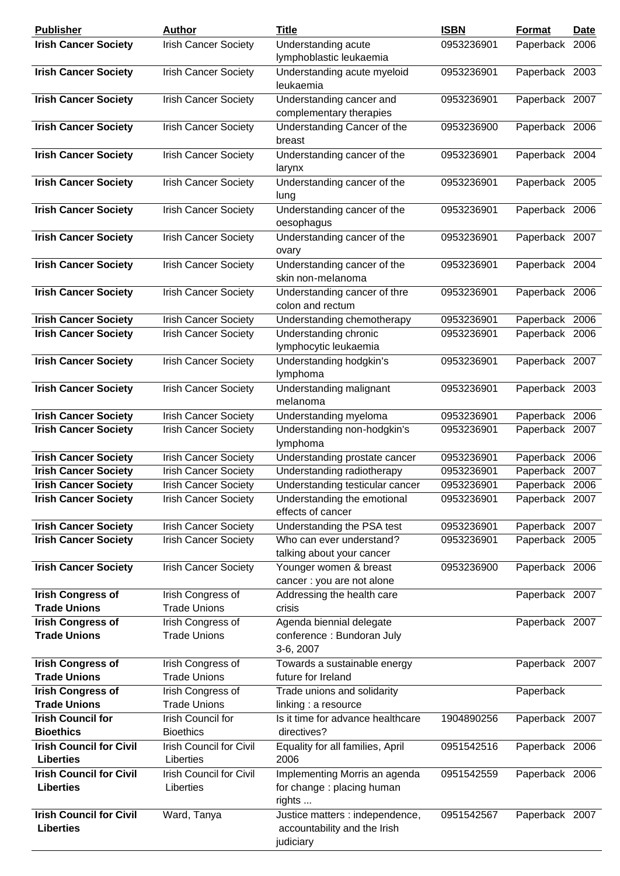| <b>Publisher</b>                                   | <b>Author</b>                               | <b>Title</b>                                                                 | <b>ISBN</b> | <b>Format</b>  | <u>Date</u> |
|----------------------------------------------------|---------------------------------------------|------------------------------------------------------------------------------|-------------|----------------|-------------|
| <b>Irish Cancer Society</b>                        | <b>Irish Cancer Society</b>                 | Understanding acute<br>lymphoblastic leukaemia                               | 0953236901  | Paperback 2006 |             |
| <b>Irish Cancer Society</b>                        | <b>Irish Cancer Society</b>                 | Understanding acute myeloid<br>leukaemia                                     | 0953236901  | Paperback 2003 |             |
| <b>Irish Cancer Society</b>                        | <b>Irish Cancer Society</b>                 | Understanding cancer and<br>complementary therapies                          | 0953236901  | Paperback 2007 |             |
| <b>Irish Cancer Society</b>                        | <b>Irish Cancer Society</b>                 | Understanding Cancer of the<br>breast                                        | 0953236900  | Paperback 2006 |             |
| <b>Irish Cancer Society</b>                        | <b>Irish Cancer Society</b>                 | Understanding cancer of the<br>larynx                                        | 0953236901  | Paperback 2004 |             |
| <b>Irish Cancer Society</b>                        | <b>Irish Cancer Society</b>                 | Understanding cancer of the<br>lung                                          | 0953236901  | Paperback 2005 |             |
| <b>Irish Cancer Society</b>                        | <b>Irish Cancer Society</b>                 | Understanding cancer of the<br>oesophagus                                    | 0953236901  | Paperback 2006 |             |
| <b>Irish Cancer Society</b>                        | <b>Irish Cancer Society</b>                 | Understanding cancer of the<br>ovary                                         | 0953236901  | Paperback 2007 |             |
| <b>Irish Cancer Society</b>                        | <b>Irish Cancer Society</b>                 | Understanding cancer of the<br>skin non-melanoma                             | 0953236901  | Paperback 2004 |             |
| <b>Irish Cancer Society</b>                        | <b>Irish Cancer Society</b>                 | Understanding cancer of thre<br>colon and rectum                             | 0953236901  | Paperback 2006 |             |
| <b>Irish Cancer Society</b>                        | <b>Irish Cancer Society</b>                 | Understanding chemotherapy                                                   | 0953236901  | Paperback 2006 |             |
| <b>Irish Cancer Society</b>                        | <b>Irish Cancer Society</b>                 | <b>Understanding chronic</b><br>lymphocytic leukaemia                        | 0953236901  | Paperback 2006 |             |
| <b>Irish Cancer Society</b>                        | <b>Irish Cancer Society</b>                 | Understanding hodgkin's<br>lymphoma                                          | 0953236901  | Paperback 2007 |             |
| <b>Irish Cancer Society</b>                        | <b>Irish Cancer Society</b>                 | Understanding malignant<br>melanoma                                          | 0953236901  | Paperback 2003 |             |
| <b>Irish Cancer Society</b>                        | <b>Irish Cancer Society</b>                 | Understanding myeloma                                                        | 0953236901  | Paperback 2006 |             |
| <b>Irish Cancer Society</b>                        | <b>Irish Cancer Society</b>                 | Understanding non-hodgkin's<br>lymphoma                                      | 0953236901  | Paperback 2007 |             |
| <b>Irish Cancer Society</b>                        | <b>Irish Cancer Society</b>                 | Understanding prostate cancer                                                | 0953236901  | Paperback 2006 |             |
| <b>Irish Cancer Society</b>                        | <b>Irish Cancer Society</b>                 | Understanding radiotherapy                                                   | 0953236901  | Paperback 2007 |             |
| <b>Irish Cancer Society</b>                        | <b>Irish Cancer Society</b>                 | Understanding testicular cancer                                              | 0953236901  | Paperback 2006 |             |
| <b>Irish Cancer Society</b>                        | <b>Irish Cancer Society</b>                 | Understanding the emotional<br>effects of cancer                             | 0953236901  | Paperback 2007 |             |
| <b>Irish Cancer Society</b>                        | <b>Irish Cancer Society</b>                 | Understanding the PSA test                                                   | 0953236901  | Paperback 2007 |             |
| <b>Irish Cancer Society</b>                        | <b>Irish Cancer Society</b>                 | Who can ever understand?<br>talking about your cancer                        | 0953236901  | Paperback 2005 |             |
| <b>Irish Cancer Society</b>                        | <b>Irish Cancer Society</b>                 | Younger women & breast<br>cancer : you are not alone                         | 0953236900  | Paperback 2006 |             |
| <b>Irish Congress of</b><br><b>Trade Unions</b>    | Irish Congress of<br><b>Trade Unions</b>    | Addressing the health care<br>crisis                                         |             | Paperback 2007 |             |
| <b>Irish Congress of</b><br><b>Trade Unions</b>    | Irish Congress of<br><b>Trade Unions</b>    | Agenda biennial delegate<br>conference : Bundoran July<br>3-6, 2007          |             | Paperback 2007 |             |
| <b>Irish Congress of</b><br><b>Trade Unions</b>    | Irish Congress of<br><b>Trade Unions</b>    | Towards a sustainable energy<br>future for Ireland                           |             | Paperback 2007 |             |
| <b>Irish Congress of</b><br><b>Trade Unions</b>    | Irish Congress of<br><b>Trade Unions</b>    | Trade unions and solidarity<br>linking : a resource                          |             | Paperback      |             |
| <b>Irish Council for</b><br><b>Bioethics</b>       | Irish Council for<br><b>Bioethics</b>       | Is it time for advance healthcare<br>directives?                             | 1904890256  | Paperback 2007 |             |
| <b>Irish Council for Civil</b><br><b>Liberties</b> | <b>Irish Council for Civil</b><br>Liberties | Equality for all families, April<br>2006                                     | 0951542516  | Paperback 2006 |             |
| <b>Irish Council for Civil</b><br><b>Liberties</b> | <b>Irish Council for Civil</b><br>Liberties | Implementing Morris an agenda<br>for change: placing human<br>rights         | 0951542559  | Paperback 2006 |             |
| <b>Irish Council for Civil</b><br><b>Liberties</b> | Ward, Tanya                                 | Justice matters : independence,<br>accountability and the Irish<br>judiciary | 0951542567  | Paperback 2007 |             |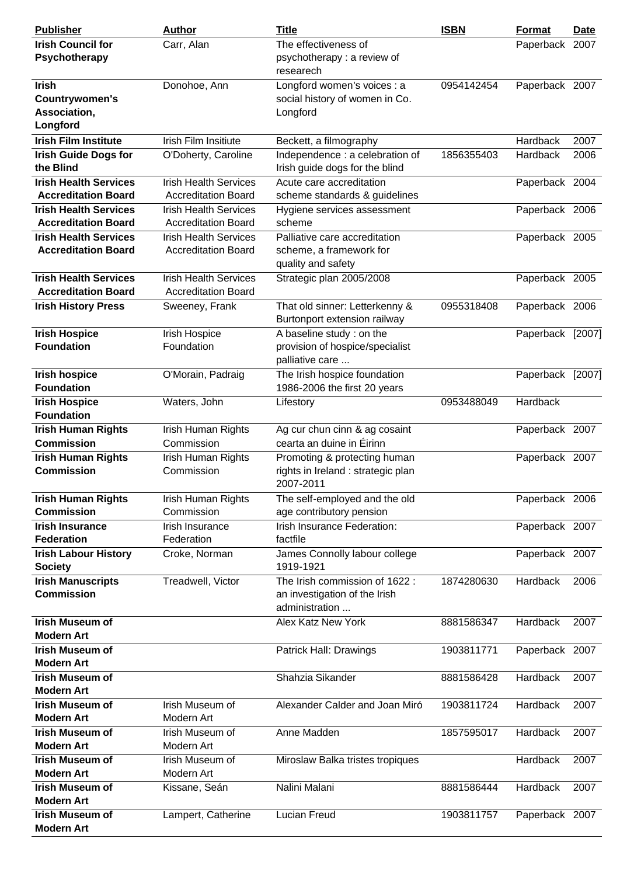| <b>Publisher</b>                                                        | <b>Author</b>                                              | <b>Title</b>                                                                                | <b>ISBN</b> | Format               | <b>Date</b>  |
|-------------------------------------------------------------------------|------------------------------------------------------------|---------------------------------------------------------------------------------------------|-------------|----------------------|--------------|
| <b>Irish Council for</b><br>Psychotherapy                               | Carr, Alan                                                 | The effectiveness of<br>psychotherapy: a review of<br>researech                             |             | Paperback 2007       |              |
| <b>Irish</b><br><b>Countrywomen's</b><br>Association,<br>Longford       | Donohoe, Ann                                               | Longford women's voices : a<br>social history of women in Co.<br>Longford                   | 0954142454  | Paperback 2007       |              |
| <b>Irish Film Institute</b><br><b>Irish Guide Dogs for</b><br>the Blind | Irish Film Insitiute<br>O'Doherty, Caroline                | Beckett, a filmography<br>Independence : a celebration of<br>Irish guide dogs for the blind | 1856355403  | Hardback<br>Hardback | 2007<br>2006 |
| <b>Irish Health Services</b><br><b>Accreditation Board</b>              | <b>Irish Health Services</b><br><b>Accreditation Board</b> | Acute care accreditation<br>scheme standards & guidelines                                   |             | Paperback 2004       |              |
| <b>Irish Health Services</b><br><b>Accreditation Board</b>              | <b>Irish Health Services</b><br><b>Accreditation Board</b> | Hygiene services assessment<br>scheme                                                       |             | Paperback 2006       |              |
| <b>Irish Health Services</b><br><b>Accreditation Board</b>              | <b>Irish Health Services</b><br><b>Accreditation Board</b> | Palliative care accreditation<br>scheme, a framework for<br>quality and safety              |             | Paperback 2005       |              |
| <b>Irish Health Services</b><br><b>Accreditation Board</b>              | <b>Irish Health Services</b><br><b>Accreditation Board</b> | Strategic plan 2005/2008                                                                    |             | Paperback 2005       |              |
| <b>Irish History Press</b>                                              | Sweeney, Frank                                             | That old sinner: Letterkenny &<br>Burtonport extension railway                              | 0955318408  | Paperback 2006       |              |
| <b>Irish Hospice</b><br><b>Foundation</b>                               | Irish Hospice<br>Foundation                                | A baseline study: on the<br>provision of hospice/specialist<br>palliative care              |             | Paperback [2007]     |              |
| <b>Irish hospice</b><br><b>Foundation</b>                               | O'Morain, Padraig                                          | The Irish hospice foundation<br>1986-2006 the first 20 years                                |             | Paperback [2007]     |              |
| <b>Irish Hospice</b><br><b>Foundation</b>                               | Waters, John                                               | Lifestory                                                                                   | 0953488049  | Hardback             |              |
| <b>Irish Human Rights</b><br><b>Commission</b>                          | Irish Human Rights<br>Commission                           | Ag cur chun cinn & ag cosaint<br>cearta an duine in Éirinn                                  |             | Paperback 2007       |              |
| <b>Irish Human Rights</b><br><b>Commission</b>                          | Irish Human Rights<br>Commission                           | Promoting & protecting human<br>rights in Ireland : strategic plan<br>2007-2011             |             | Paperback 2007       |              |
| <b>Irish Human Rights</b><br><b>Commission</b>                          | Irish Human Rights<br>Commission                           | The self-employed and the old<br>age contributory pension                                   |             | Paperback 2006       |              |
| <b>Irish Insurance</b><br><b>Federation</b>                             | Irish Insurance<br>Federation                              | Irish Insurance Federation:<br>factfile                                                     |             | Paperback 2007       |              |
| <b>Irish Labour History</b><br><b>Society</b>                           | Croke, Norman                                              | James Connolly labour college<br>1919-1921                                                  |             | Paperback 2007       |              |
| <b>Irish Manuscripts</b><br><b>Commission</b>                           | Treadwell, Victor                                          | The Irish commission of 1622 :<br>an investigation of the Irish<br>administration           | 1874280630  | Hardback             | 2006         |
| <b>Irish Museum of</b><br><b>Modern Art</b>                             |                                                            | <b>Alex Katz New York</b>                                                                   | 8881586347  | Hardback             | 2007         |
| <b>Irish Museum of</b><br><b>Modern Art</b>                             |                                                            | Patrick Hall: Drawings                                                                      | 1903811771  | Paperback 2007       |              |
| <b>Irish Museum of</b><br><b>Modern Art</b>                             |                                                            | Shahzia Sikander                                                                            | 8881586428  | Hardback             | 2007         |
| <b>Irish Museum of</b><br><b>Modern Art</b>                             | Irish Museum of<br>Modern Art                              | Alexander Calder and Joan Miró                                                              | 1903811724  | Hardback             | 2007         |
| <b>Irish Museum of</b><br><b>Modern Art</b>                             | Irish Museum of<br>Modern Art                              | Anne Madden                                                                                 | 1857595017  | Hardback             | 2007         |
| <b>Irish Museum of</b><br><b>Modern Art</b>                             | Irish Museum of<br>Modern Art                              | Miroslaw Balka tristes tropiques                                                            |             | Hardback             | 2007         |
| <b>Irish Museum of</b><br><b>Modern Art</b>                             | Kissane, Seán                                              | Nalini Malani                                                                               | 8881586444  | Hardback             | 2007         |
| <b>Irish Museum of</b><br><b>Modern Art</b>                             | Lampert, Catherine                                         | Lucian Freud                                                                                | 1903811757  | Paperback 2007       |              |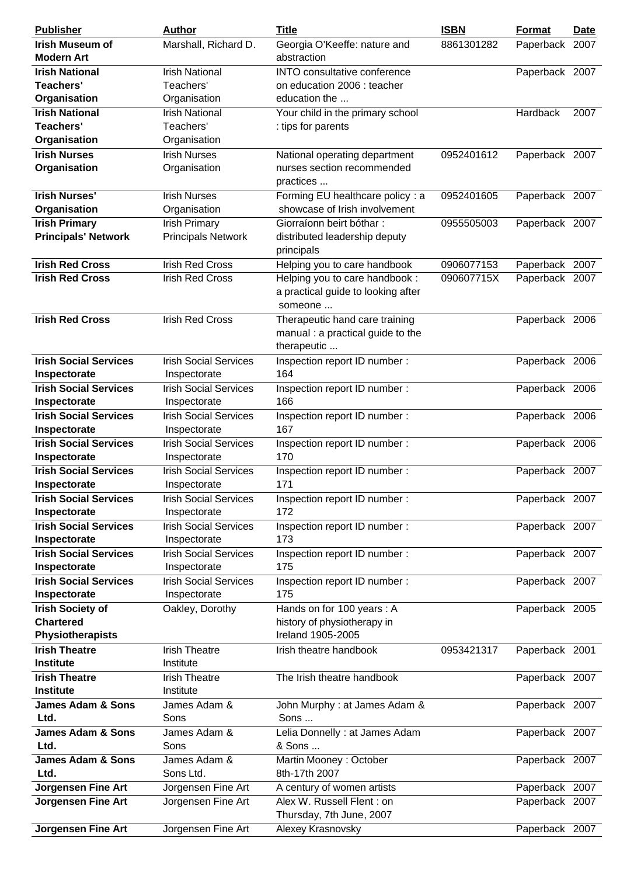| <b>Publisher</b>                             | <b>Author</b>                                | <b>Title</b>                                | <b>ISBN</b> | <b>Format</b>  | <b>Date</b> |
|----------------------------------------------|----------------------------------------------|---------------------------------------------|-------------|----------------|-------------|
| <b>Irish Museum of</b><br><b>Modern Art</b>  | Marshall, Richard D.                         | Georgia O'Keeffe: nature and<br>abstraction | 8861301282  | Paperback 2007 |             |
| <b>Irish National</b>                        | <b>Irish National</b>                        | INTO consultative conference                |             | Paperback 2007 |             |
| Teachers'                                    | Teachers'                                    | on education 2006 : teacher                 |             |                |             |
| Organisation                                 | Organisation                                 | education the                               |             |                |             |
| <b>Irish National</b>                        | <b>Irish National</b>                        | Your child in the primary school            |             | Hardback       | 2007        |
| <b>Teachers'</b>                             | Teachers'                                    | : tips for parents                          |             |                |             |
| Organisation                                 | Organisation                                 |                                             |             |                |             |
| <b>Irish Nurses</b>                          | <b>Irish Nurses</b>                          | National operating department               | 0952401612  | Paperback 2007 |             |
| Organisation                                 | Organisation                                 | nurses section recommended                  |             |                |             |
|                                              |                                              | practices                                   |             |                |             |
| <b>Irish Nurses'</b>                         | <b>Irish Nurses</b>                          | Forming EU healthcare policy : a            | 0952401605  | Paperback 2007 |             |
| Organisation                                 | Organisation                                 | showcase of Irish involvement               |             |                |             |
| <b>Irish Primary</b>                         | <b>Irish Primary</b>                         | Giorraíonn beirt bóthar:                    | 0955505003  | Paperback 2007 |             |
| <b>Principals' Network</b>                   | <b>Principals Network</b>                    | distributed leadership deputy               |             |                |             |
|                                              |                                              | principals                                  |             |                |             |
| <b>Irish Red Cross</b>                       | <b>Irish Red Cross</b>                       | Helping you to care handbook                | 0906077153  | Paperback 2007 |             |
| <b>Irish Red Cross</b>                       | <b>Irish Red Cross</b>                       | Helping you to care handbook:               | 090607715X  | Paperback 2007 |             |
|                                              |                                              | a practical guide to looking after          |             |                |             |
|                                              |                                              | someone                                     |             |                |             |
| <b>Irish Red Cross</b>                       | <b>Irish Red Cross</b>                       | Therapeutic hand care training              |             | Paperback 2006 |             |
|                                              |                                              | manual : a practical guide to the           |             |                |             |
|                                              |                                              | therapeutic                                 |             |                |             |
| <b>Irish Social Services</b>                 | <b>Irish Social Services</b>                 | Inspection report ID number :<br>164        |             | Paperback 2006 |             |
| Inspectorate<br><b>Irish Social Services</b> | Inspectorate<br><b>Irish Social Services</b> | Inspection report ID number :               |             | Paperback 2006 |             |
| Inspectorate                                 | Inspectorate                                 | 166                                         |             |                |             |
| <b>Irish Social Services</b>                 | <b>Irish Social Services</b>                 | Inspection report ID number:                |             | Paperback 2006 |             |
| Inspectorate                                 | Inspectorate                                 | 167                                         |             |                |             |
| <b>Irish Social Services</b>                 | <b>Irish Social Services</b>                 | Inspection report ID number :               |             | Paperback 2006 |             |
| Inspectorate                                 | Inspectorate                                 | 170                                         |             |                |             |
| <b>Irish Social Services</b>                 | <b>Irish Social Services</b>                 | Inspection report ID number:                |             | Paperback 2007 |             |
| Inspectorate                                 | Inspectorate                                 | 171                                         |             |                |             |
| <b>Irish Social Services</b>                 | <b>Irish Social Services</b>                 | Inspection report ID number:                |             | Paperback 2007 |             |
| Inspectorate                                 | Inspectorate                                 | 172                                         |             |                |             |
| <b>Irish Social Services</b>                 | <b>Irish Social Services</b>                 | Inspection report ID number :               |             | Paperback 2007 |             |
| Inspectorate                                 | Inspectorate                                 | 173                                         |             |                |             |
| <b>Irish Social Services</b>                 | <b>Irish Social Services</b>                 | Inspection report ID number :               |             | Paperback 2007 |             |
| Inspectorate                                 | Inspectorate                                 | 175                                         |             |                |             |
| <b>Irish Social Services</b>                 | <b>Irish Social Services</b>                 | Inspection report ID number:                |             | Paperback 2007 |             |
| Inspectorate                                 | Inspectorate                                 | 175                                         |             |                |             |
| <b>Irish Society of</b>                      | Oakley, Dorothy                              | Hands on for 100 years: A                   |             | Paperback 2005 |             |
| <b>Chartered</b>                             |                                              | history of physiotherapy in                 |             |                |             |
| <b>Physiotherapists</b>                      |                                              | Ireland 1905-2005                           |             |                |             |
| <b>Irish Theatre</b>                         | <b>Irish Theatre</b>                         | Irish theatre handbook                      | 0953421317  | Paperback 2001 |             |
| <b>Institute</b>                             | Institute                                    |                                             |             |                |             |
| <b>Irish Theatre</b><br><b>Institute</b>     | <b>Irish Theatre</b><br>Institute            | The Irish theatre handbook                  |             | Paperback 2007 |             |
| <b>James Adam &amp; Sons</b>                 | James Adam &                                 | John Murphy : at James Adam &               |             | Paperback 2007 |             |
| Ltd.                                         | Sons                                         | Sons                                        |             |                |             |
| <b>James Adam &amp; Sons</b>                 | James Adam &                                 | Lelia Donnelly : at James Adam              |             | Paperback 2007 |             |
| Ltd.                                         | Sons                                         | & Sons                                      |             |                |             |
| <b>James Adam &amp; Sons</b>                 | James Adam &                                 | Martin Mooney: October                      |             | Paperback 2007 |             |
| Ltd.                                         | Sons Ltd.                                    | 8th-17th 2007                               |             |                |             |
| <b>Jorgensen Fine Art</b>                    | Jorgensen Fine Art                           | A century of women artists                  |             | Paperback 2007 |             |
| <b>Jorgensen Fine Art</b>                    | Jorgensen Fine Art                           | Alex W. Russell Flent : on                  |             | Paperback 2007 |             |
|                                              |                                              | Thursday, 7th June, 2007                    |             |                |             |
| <b>Jorgensen Fine Art</b>                    | Jorgensen Fine Art                           | Alexey Krasnovsky                           |             | Paperback 2007 |             |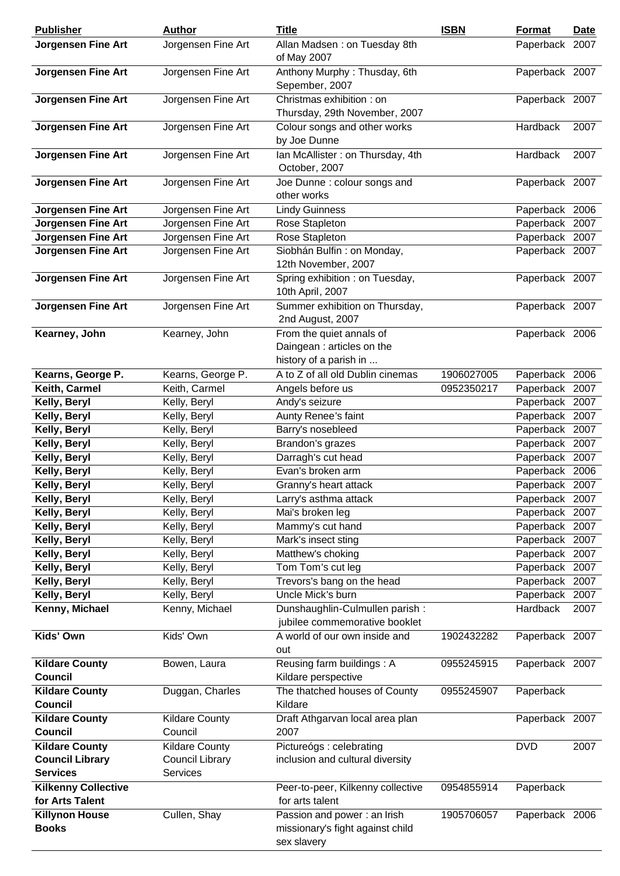| <b>Publisher</b>                        | <b>Author</b>                | <b>Title</b>                                                                    | <b>ISBN</b> | Format                 | <b>Date</b>  |
|-----------------------------------------|------------------------------|---------------------------------------------------------------------------------|-------------|------------------------|--------------|
| <b>Jorgensen Fine Art</b>               | Jorgensen Fine Art           | Allan Madsen: on Tuesday 8th<br>of May 2007                                     |             | Paperback 2007         |              |
| Jorgensen Fine Art                      | Jorgensen Fine Art           | Anthony Murphy: Thusday, 6th<br>Sepember, 2007                                  |             | Paperback 2007         |              |
| <b>Jorgensen Fine Art</b>               | Jorgensen Fine Art           | Christmas exhibition: on<br>Thursday, 29th November, 2007                       |             | Paperback 2007         |              |
| Jorgensen Fine Art                      | Jorgensen Fine Art           | Colour songs and other works<br>by Joe Dunne                                    |             | Hardback               | 2007         |
| <b>Jorgensen Fine Art</b>               | Jorgensen Fine Art           | Ian McAllister: on Thursday, 4th<br>October, 2007                               |             | Hardback               | 2007         |
| <b>Jorgensen Fine Art</b>               | Jorgensen Fine Art           | Joe Dunne : colour songs and<br>other works                                     |             | Paperback 2007         |              |
| <b>Jorgensen Fine Art</b>               | Jorgensen Fine Art           | <b>Lindy Guinness</b>                                                           |             | Paperback 2006         |              |
| <b>Jorgensen Fine Art</b>               | Jorgensen Fine Art           | Rose Stapleton                                                                  |             | Paperback 2007         |              |
| <b>Jorgensen Fine Art</b>               | Jorgensen Fine Art           | Rose Stapleton                                                                  |             | Paperback 2007         |              |
| <b>Jorgensen Fine Art</b>               | Jorgensen Fine Art           | Siobhán Bulfin: on Monday,<br>12th November, 2007                               |             | Paperback 2007         |              |
| <b>Jorgensen Fine Art</b>               | Jorgensen Fine Art           | Spring exhibition : on Tuesday,<br>10th April, 2007                             |             | Paperback 2007         |              |
| <b>Jorgensen Fine Art</b>               | Jorgensen Fine Art           | Summer exhibition on Thursday,<br>2nd August, 2007                              |             | Paperback 2007         |              |
| Kearney, John                           | Kearney, John                | From the quiet annals of<br>Daingean: articles on the<br>history of a parish in |             | Paperback 2006         |              |
| Kearns, George P.                       | Kearns, George P.            | A to Z of all old Dublin cinemas                                                | 1906027005  | Paperback 2006         |              |
| Keith, Carmel                           | Keith, Carmel                | Angels before us                                                                | 0952350217  | Paperback 2007         |              |
| Kelly, Beryl                            | Kelly, Beryl                 | Andy's seizure                                                                  |             | Paperback 2007         |              |
| Kelly, Beryl                            | Kelly, Beryl                 | Aunty Renee's faint                                                             |             | Paperback              | 2007         |
| Kelly, Beryl                            | Kelly, Beryl                 | Barry's nosebleed                                                               |             | Paperback 2007         |              |
| Kelly, Beryl                            | Kelly, Beryl                 | Brandon's grazes                                                                |             | Paperback 2007         |              |
| Kelly, Beryl                            | Kelly, Beryl                 | Darragh's cut head                                                              |             | Paperback 2007         |              |
| Kelly, Beryl                            | Kelly, Beryl                 | Evan's broken arm                                                               |             | Paperback 2006         |              |
| Kelly, Beryl                            | Kelly, Beryl                 | Granny's heart attack                                                           |             | Paperback 2007         |              |
| Kelly, Beryl                            | Kelly, Beryl                 | Larry's asthma attack                                                           |             | Paperback 2007         |              |
| Kelly, Beryl                            | Kelly, Beryl                 | Mai's broken leg                                                                |             | Paperback 2007         |              |
| Kelly, Beryl                            | Kelly, Beryl                 | Mammy's cut hand                                                                |             | Paperback 2007         |              |
| Kelly, Beryl                            | Kelly, Beryl                 | Mark's insect sting                                                             |             | Paperback              | 2007         |
| Kelly, Beryl                            | Kelly, Beryl                 | Matthew's choking<br>Tom Tom's cut leg                                          |             | Paperback              | 2007         |
| Kelly, Beryl                            | Kelly, Beryl                 |                                                                                 |             | Paperback<br>Paperback | 2007         |
| Kelly, Beryl<br>Kelly, Beryl            | Kelly, Beryl<br>Kelly, Beryl | Trevors's bang on the head<br>Uncle Mick's burn                                 |             | Paperback              | 2007<br>2007 |
| Kenny, Michael                          | Kenny, Michael               | Dunshaughlin-Culmullen parish:                                                  |             | Hardback               | 2007         |
|                                         |                              | jubilee commemorative booklet                                                   |             |                        |              |
| Kids' Own                               | Kids' Own                    | A world of our own inside and<br>out                                            | 1902432282  | Paperback 2007         |              |
| <b>Kildare County</b><br><b>Council</b> | Bowen, Laura                 | Reusing farm buildings: A<br>Kildare perspective                                | 0955245915  | Paperback 2007         |              |
| <b>Kildare County</b><br><b>Council</b> | Duggan, Charles              | The thatched houses of County<br>Kildare                                        | 0955245907  | Paperback              |              |
| <b>Kildare County</b>                   | <b>Kildare County</b>        | Draft Athgarvan local area plan                                                 |             | Paperback 2007         |              |
| <b>Council</b>                          | Council                      | 2007                                                                            |             |                        |              |
| <b>Kildare County</b>                   | <b>Kildare County</b>        | Pictureógs : celebrating                                                        |             | <b>DVD</b>             | 2007         |
| <b>Council Library</b>                  | <b>Council Library</b>       | inclusion and cultural diversity                                                |             |                        |              |
| <b>Services</b>                         | Services                     |                                                                                 |             |                        |              |
| <b>Kilkenny Collective</b>              |                              | Peer-to-peer, Kilkenny collective                                               | 0954855914  | Paperback              |              |
| for Arts Talent                         |                              | for arts talent                                                                 |             |                        |              |
| <b>Killynon House</b>                   | Cullen, Shay                 | Passion and power: an Irish                                                     | 1905706057  | Paperback 2006         |              |
| <b>Books</b>                            |                              | missionary's fight against child                                                |             |                        |              |
|                                         |                              | sex slavery                                                                     |             |                        |              |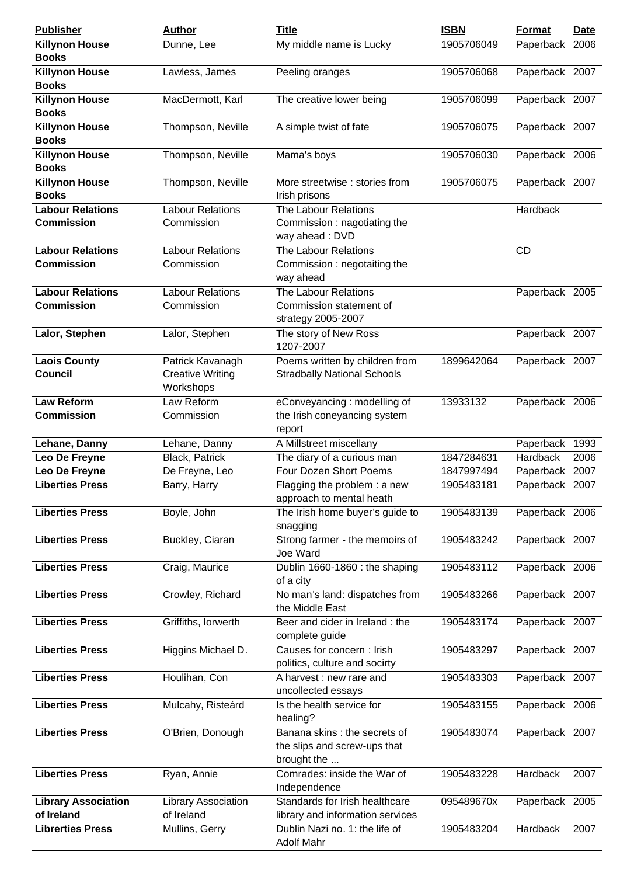| <b>Publisher</b>                         | <b>Author</b>                        | <b>Title</b>                                                                | <b>ISBN</b> | Format          | <u>Date</u> |
|------------------------------------------|--------------------------------------|-----------------------------------------------------------------------------|-------------|-----------------|-------------|
| <b>Killynon House</b><br><b>Books</b>    | Dunne, Lee                           | My middle name is Lucky                                                     | 1905706049  | Paperback 2006  |             |
| <b>Killynon House</b><br><b>Books</b>    | Lawless, James                       | Peeling oranges                                                             | 1905706068  | Paperback 2007  |             |
| <b>Killynon House</b><br><b>Books</b>    | MacDermott, Karl                     | The creative lower being                                                    | 1905706099  | Paperback 2007  |             |
| <b>Killynon House</b><br><b>Books</b>    | Thompson, Neville                    | A simple twist of fate                                                      | 1905706075  | Paperback 2007  |             |
| <b>Killynon House</b><br><b>Books</b>    | Thompson, Neville                    | Mama's boys                                                                 | 1905706030  | Paperback 2006  |             |
| <b>Killynon House</b><br><b>Books</b>    | Thompson, Neville                    | More streetwise : stories from<br>Irish prisons                             | 1905706075  | Paperback 2007  |             |
| <b>Labour Relations</b>                  | <b>Labour Relations</b>              | The Labour Relations                                                        |             | Hardback        |             |
| <b>Commission</b>                        | Commission                           | Commission: nagotiating the<br>way ahead: DVD                               |             |                 |             |
| <b>Labour Relations</b>                  | <b>Labour Relations</b>              | The Labour Relations                                                        |             | <b>CD</b>       |             |
| <b>Commission</b>                        | Commission                           | Commission: negotaiting the<br>way ahead                                    |             |                 |             |
| <b>Labour Relations</b>                  | <b>Labour Relations</b>              | The Labour Relations                                                        |             | Paperback 2005  |             |
| <b>Commission</b>                        | Commission                           | Commission statement of<br>strategy 2005-2007                               |             |                 |             |
| Lalor, Stephen                           | Lalor, Stephen                       | The story of New Ross<br>1207-2007                                          |             | Paperback 2007  |             |
| <b>Laois County</b>                      | Patrick Kavanagh                     | Poems written by children from                                              | 1899642064  | Paperback 2007  |             |
| <b>Council</b>                           | <b>Creative Writing</b><br>Workshops | <b>Stradbally National Schools</b>                                          |             |                 |             |
| <b>Law Reform</b>                        | Law Reform                           | eConveyancing: modelling of                                                 | 13933132    | Paperback 2006  |             |
| <b>Commission</b>                        | Commission                           | the Irish coneyancing system                                                |             |                 |             |
|                                          |                                      | report                                                                      |             |                 |             |
| Lehane, Danny                            | Lehane, Danny                        | A Millstreet miscellany                                                     |             | Paperback       | 1993        |
| Leo De Freyne                            | Black, Patrick                       | The diary of a curious man                                                  | 1847284631  | <b>Hardback</b> | 2006        |
| Leo De Freyne                            | De Freyne, Leo                       | Four Dozen Short Poems                                                      | 1847997494  | Paperback 2007  |             |
| <b>Liberties Press</b>                   | Barry, Harry                         | Flagging the problem : a new                                                | 1905483181  | Paperback 2007  |             |
|                                          |                                      | approach to mental heath                                                    |             |                 |             |
| <b>Liberties Press</b>                   | Boyle, John                          | The Irish home buyer's guide to<br>snagging                                 | 1905483139  | Paperback 2006  |             |
| <b>Liberties Press</b>                   | Buckley, Ciaran                      | Strong farmer - the memoirs of<br>Joe Ward                                  | 1905483242  | Paperback 2007  |             |
| <b>Liberties Press</b>                   | Craig, Maurice                       | Dublin 1660-1860 : the shaping<br>of a city                                 | 1905483112  | Paperback 2006  |             |
| <b>Liberties Press</b>                   | Crowley, Richard                     | No man's land: dispatches from<br>the Middle East                           | 1905483266  | Paperback 2007  |             |
| <b>Liberties Press</b>                   | Griffiths, lorwerth                  | Beer and cider in Ireland: the<br>complete guide                            | 1905483174  | Paperback 2007  |             |
| <b>Liberties Press</b>                   | Higgins Michael D.                   | Causes for concern : Irish<br>politics, culture and socirty                 | 1905483297  | Paperback 2007  |             |
| <b>Liberties Press</b>                   | Houlihan, Con                        | A harvest: new rare and<br>uncollected essays                               | 1905483303  | Paperback 2007  |             |
| <b>Liberties Press</b>                   | Mulcahy, Risteárd                    | Is the health service for<br>healing?                                       | 1905483155  | Paperback 2006  |             |
| <b>Liberties Press</b>                   | O'Brien, Donough                     | Banana skins: the secrets of<br>the slips and screw-ups that<br>brought the | 1905483074  | Paperback 2007  |             |
| <b>Liberties Press</b>                   | Ryan, Annie                          | Comrades: inside the War of<br>Independence                                 | 1905483228  | Hardback        | 2007        |
| <b>Library Association</b><br>of Ireland | Library Association<br>of Ireland    | Standards for Irish healthcare<br>library and information services          | 095489670x  | Paperback 2005  |             |
| <b>Librerties Press</b>                  | Mullins, Gerry                       | Dublin Nazi no. 1: the life of<br><b>Adolf Mahr</b>                         | 1905483204  | Hardback        | 2007        |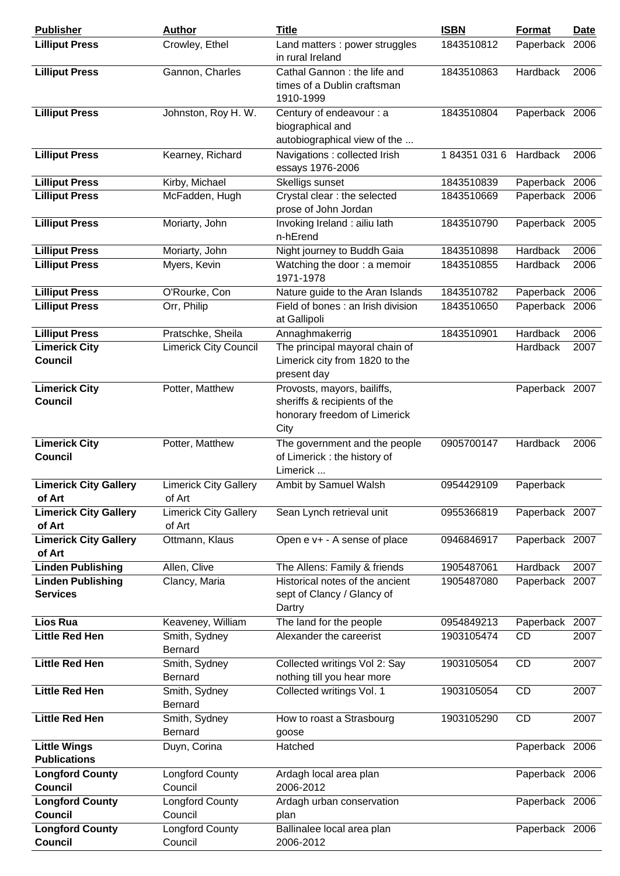| <b>Publisher</b>                            | <b>Author</b>                          | <b>Title</b>                                                                                        | <b>ISBN</b> | <b>Format</b>  | <b>Date</b> |
|---------------------------------------------|----------------------------------------|-----------------------------------------------------------------------------------------------------|-------------|----------------|-------------|
| <b>Lilliput Press</b>                       | Crowley, Ethel                         | Land matters : power struggles<br>in rural Ireland                                                  | 1843510812  | Paperback 2006 |             |
| <b>Lilliput Press</b>                       | Gannon, Charles                        | Cathal Gannon: the life and<br>times of a Dublin craftsman<br>1910-1999                             | 1843510863  | Hardback       | 2006        |
| <b>Lilliput Press</b>                       | Johnston, Roy H. W.                    | Century of endeavour : a<br>biographical and<br>autobiographical view of the                        | 1843510804  | Paperback 2006 |             |
| <b>Lilliput Press</b>                       | Kearney, Richard                       | Navigations : collected Irish<br>essays 1976-2006                                                   | 1843510316  | Hardback       | 2006        |
| <b>Lilliput Press</b>                       | Kirby, Michael                         | Skelligs sunset                                                                                     | 1843510839  | Paperback 2006 |             |
| <b>Lilliput Press</b>                       | McFadden, Hugh                         | Crystal clear : the selected<br>prose of John Jordan                                                | 1843510669  | Paperback 2006 |             |
| <b>Lilliput Press</b>                       | Moriarty, John                         | Invoking Ireland : ailiu lath<br>n-hErend                                                           | 1843510790  | Paperback 2005 |             |
| <b>Lilliput Press</b>                       | Moriarty, John                         | Night journey to Buddh Gaia                                                                         | 1843510898  | Hardback       | 2006        |
| <b>Lilliput Press</b>                       | Myers, Kevin                           | Watching the door: a memoir<br>1971-1978                                                            | 1843510855  | Hardback       | 2006        |
| <b>Lilliput Press</b>                       | O'Rourke, Con                          | Nature guide to the Aran Islands                                                                    | 1843510782  | Paperback 2006 |             |
| <b>Lilliput Press</b>                       | Orr, Philip                            | Field of bones : an Irish division<br>at Gallipoli                                                  | 1843510650  | Paperback 2006 |             |
| <b>Lilliput Press</b>                       | Pratschke, Sheila                      | Annaghmakerrig                                                                                      | 1843510901  | Hardback       | 2006        |
| <b>Limerick City</b>                        | <b>Limerick City Council</b>           | The principal mayoral chain of                                                                      |             | Hardback       | 2007        |
| <b>Council</b>                              |                                        | Limerick city from 1820 to the<br>present day                                                       |             |                |             |
| <b>Limerick City</b><br><b>Council</b>      | Potter, Matthew                        | Provosts, mayors, bailiffs,<br>sheriffs & recipients of the<br>honorary freedom of Limerick<br>City |             | Paperback 2007 |             |
| <b>Limerick City</b><br><b>Council</b>      | Potter, Matthew                        | The government and the people<br>of Limerick: the history of<br>Limerick                            | 0905700147  | Hardback       | 2006        |
| <b>Limerick City Gallery</b><br>of Art      | <b>Limerick City Gallery</b><br>of Art | Ambit by Samuel Walsh                                                                               | 0954429109  | Paperback      |             |
| <b>Limerick City Gallery</b><br>of Art      | <b>Limerick City Gallery</b><br>of Art | Sean Lynch retrieval unit                                                                           | 0955366819  | Paperback 2007 |             |
| <b>Limerick City Gallery</b><br>of Art      | Ottmann, Klaus                         | Open e v+ - A sense of place                                                                        | 0946846917  | Paperback 2007 |             |
| <b>Linden Publishing</b>                    | Allen, Clive                           | The Allens: Family & friends                                                                        | 1905487061  | Hardback       | 2007        |
| <b>Linden Publishing</b><br><b>Services</b> | Clancy, Maria                          | Historical notes of the ancient<br>sept of Clancy / Glancy of<br>Dartry                             | 1905487080  | Paperback 2007 |             |
| <b>Lios Rua</b>                             | Keaveney, William                      | The land for the people                                                                             | 0954849213  | Paperback      | 2007        |
| <b>Little Red Hen</b>                       | Smith, Sydney<br>Bernard               | Alexander the careerist                                                                             | 1903105474  | <b>CD</b>      | 2007        |
| <b>Little Red Hen</b>                       | Smith, Sydney<br>Bernard               | Collected writings Vol 2: Say<br>nothing till you hear more                                         | 1903105054  | <b>CD</b>      | 2007        |
| <b>Little Red Hen</b>                       | Smith, Sydney<br>Bernard               | Collected writings Vol. 1                                                                           | 1903105054  | <b>CD</b>      | 2007        |
| <b>Little Red Hen</b>                       | Smith, Sydney<br><b>Bernard</b>        | How to roast a Strasbourg<br>goose                                                                  | 1903105290  | <b>CD</b>      | 2007        |
| <b>Little Wings</b><br><b>Publications</b>  | Duyn, Corina                           | Hatched                                                                                             |             | Paperback 2006 |             |
| <b>Longford County</b><br><b>Council</b>    | <b>Longford County</b><br>Council      | Ardagh local area plan<br>2006-2012                                                                 |             | Paperback 2006 |             |
| <b>Longford County</b><br><b>Council</b>    | Longford County<br>Council             | Ardagh urban conservation<br>plan                                                                   |             | Paperback 2006 |             |
| <b>Longford County</b><br><b>Council</b>    | <b>Longford County</b><br>Council      | Ballinalee local area plan<br>2006-2012                                                             |             | Paperback 2006 |             |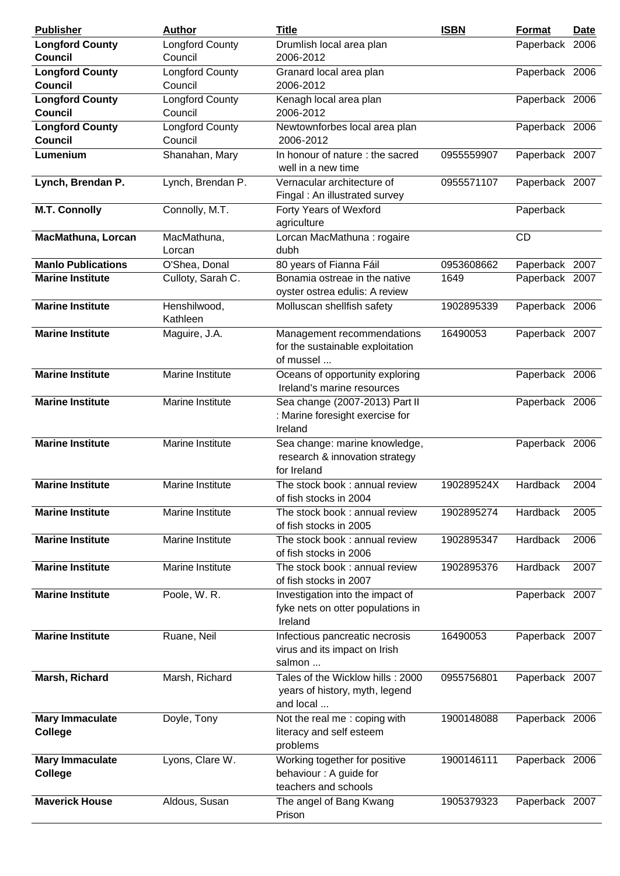| <b>Publisher</b>                         | <b>Author</b>                     | <b>Title</b>                                                                     | <b>ISBN</b> | <b>Format</b>  | <u>Date</u> |
|------------------------------------------|-----------------------------------|----------------------------------------------------------------------------------|-------------|----------------|-------------|
| <b>Longford County</b><br><b>Council</b> | <b>Longford County</b><br>Council | Drumlish local area plan<br>2006-2012                                            |             | Paperback 2006 |             |
| <b>Longford County</b><br><b>Council</b> | Longford County<br>Council        | Granard local area plan<br>2006-2012                                             |             | Paperback 2006 |             |
| <b>Longford County</b><br><b>Council</b> | Longford County<br>Council        | Kenagh local area plan<br>2006-2012                                              |             | Paperback 2006 |             |
| <b>Longford County</b><br><b>Council</b> | Longford County<br>Council        | Newtownforbes local area plan<br>2006-2012                                       |             | Paperback 2006 |             |
| Lumenium                                 | Shanahan, Mary                    | In honour of nature : the sacred<br>well in a new time                           | 0955559907  | Paperback 2007 |             |
| Lynch, Brendan P.                        | Lynch, Brendan P.                 | Vernacular architecture of<br>Fingal: An illustrated survey                      | 0955571107  | Paperback 2007 |             |
| <b>M.T. Connolly</b>                     | Connolly, M.T.                    | Forty Years of Wexford<br>agriculture                                            |             | Paperback      |             |
| <b>MacMathuna, Lorcan</b>                | MacMathuna,<br>Lorcan             | Lorcan MacMathuna : rogaire<br>dubh                                              |             | <b>CD</b>      |             |
| <b>Manlo Publications</b>                | O'Shea, Donal                     | 80 years of Fianna Fáil                                                          | 0953608662  | Paperback 2007 |             |
| <b>Marine Institute</b>                  | Culloty, Sarah C.                 | Bonamia ostreae in the native<br>oyster ostrea edulis: A review                  | 1649        | Paperback 2007 |             |
| <b>Marine Institute</b>                  | Henshilwood,<br>Kathleen          | Molluscan shellfish safety                                                       | 1902895339  | Paperback 2006 |             |
| <b>Marine Institute</b>                  | Maguire, J.A.                     | Management recommendations<br>for the sustainable exploitation<br>of mussel      | 16490053    | Paperback 2007 |             |
| <b>Marine Institute</b>                  | Marine Institute                  | Oceans of opportunity exploring<br>Ireland's marine resources                    |             | Paperback 2006 |             |
| <b>Marine Institute</b>                  | Marine Institute                  | Sea change (2007-2013) Part II<br>: Marine foresight exercise for<br>Ireland     |             | Paperback 2006 |             |
| <b>Marine Institute</b>                  | Marine Institute                  | Sea change: marine knowledge,<br>research & innovation strategy<br>for Ireland   |             | Paperback 2006 |             |
| <b>Marine Institute</b>                  | Marine Institute                  | The stock book: annual review<br>of fish stocks in 2004                          | 190289524X  | Hardback       | 2004        |
| <b>Marine Institute</b>                  | Marine Institute                  | The stock book : annual review<br>of fish stocks in 2005                         | 1902895274  | Hardback       | 2005        |
| <b>Marine Institute</b>                  | Marine Institute                  | The stock book : annual review<br>of fish stocks in 2006                         | 1902895347  | Hardback       | 2006        |
| <b>Marine Institute</b>                  | Marine Institute                  | The stock book: annual review<br>of fish stocks in 2007                          | 1902895376  | Hardback       | 2007        |
| <b>Marine Institute</b>                  | Poole, W. R.                      | Investigation into the impact of<br>fyke nets on otter populations in<br>Ireland |             | Paperback 2007 |             |
| <b>Marine Institute</b>                  | Ruane, Neil                       | Infectious pancreatic necrosis<br>virus and its impact on Irish<br>salmon        | 16490053    | Paperback 2007 |             |
| Marsh, Richard                           | Marsh, Richard                    | Tales of the Wicklow hills: 2000<br>years of history, myth, legend<br>and local  | 0955756801  | Paperback 2007 |             |
| <b>Mary Immaculate</b><br><b>College</b> | Doyle, Tony                       | Not the real me : coping with<br>literacy and self esteem<br>problems            | 1900148088  | Paperback 2006 |             |
| <b>Mary Immaculate</b><br><b>College</b> | Lyons, Clare W.                   | Working together for positive<br>behaviour : A guide for<br>teachers and schools | 1900146111  | Paperback 2006 |             |
| <b>Maverick House</b>                    | Aldous, Susan                     | The angel of Bang Kwang<br>Prison                                                | 1905379323  | Paperback 2007 |             |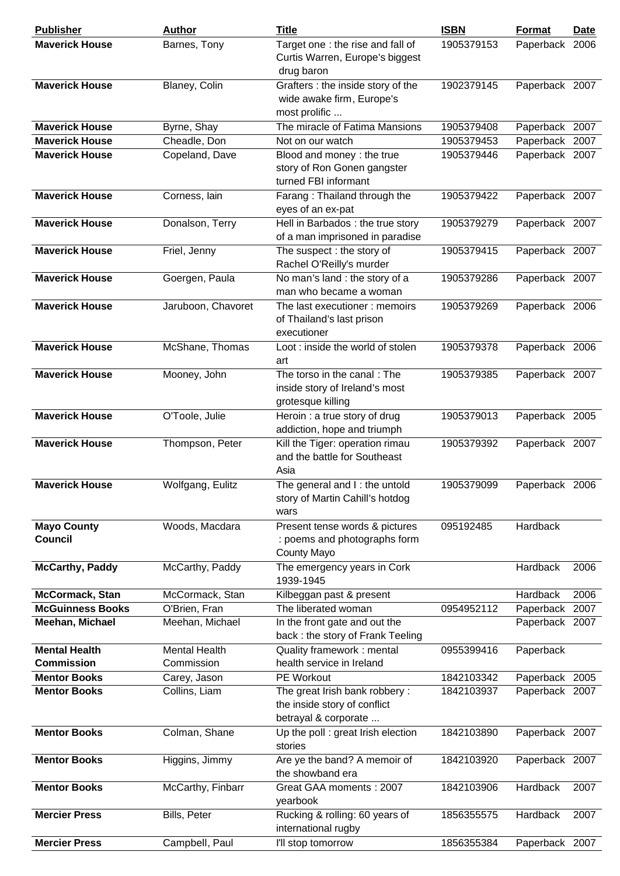| <b>Publisher</b>                          | <b>Author</b>                      | <b>Title</b>                                                                          | <b>ISBN</b> | Format         | <b>Date</b> |
|-------------------------------------------|------------------------------------|---------------------------------------------------------------------------------------|-------------|----------------|-------------|
| <b>Maverick House</b>                     | Barnes, Tony                       | Target one: the rise and fall of<br>Curtis Warren, Europe's biggest<br>drug baron     | 1905379153  | Paperback 2006 |             |
| <b>Maverick House</b>                     | Blaney, Colin                      | Grafters : the inside story of the<br>wide awake firm, Europe's<br>most prolific      | 1902379145  | Paperback 2007 |             |
| <b>Maverick House</b>                     | Byrne, Shay                        | The miracle of Fatima Mansions                                                        | 1905379408  | Paperback 2007 |             |
| <b>Maverick House</b>                     | Cheadle, Don                       | Not on our watch                                                                      | 1905379453  | Paperback      | 2007        |
| <b>Maverick House</b>                     | Copeland, Dave                     | Blood and money : the true<br>story of Ron Gonen gangster<br>turned FBI informant     | 1905379446  | Paperback 2007 |             |
| <b>Maverick House</b>                     | Corness, lain                      | Farang: Thailand through the<br>eyes of an ex-pat                                     | 1905379422  | Paperback 2007 |             |
| <b>Maverick House</b>                     | Donalson, Terry                    | Hell in Barbados: the true story<br>of a man imprisoned in paradise                   | 1905379279  | Paperback 2007 |             |
| <b>Maverick House</b>                     | Friel, Jenny                       | The suspect : the story of<br>Rachel O'Reilly's murder                                | 1905379415  | Paperback 2007 |             |
| <b>Maverick House</b>                     | Goergen, Paula                     | No man's land : the story of a<br>man who became a woman                              | 1905379286  | Paperback 2007 |             |
| <b>Maverick House</b>                     | Jaruboon, Chavoret                 | The last executioner: memoirs<br>of Thailand's last prison<br>executioner             | 1905379269  | Paperback 2006 |             |
| <b>Maverick House</b>                     | McShane, Thomas                    | Loot : inside the world of stolen<br>art                                              | 1905379378  | Paperback 2006 |             |
| <b>Maverick House</b>                     | Mooney, John                       | The torso in the canal: The<br>inside story of Ireland's most<br>grotesque killing    | 1905379385  | Paperback 2007 |             |
| <b>Maverick House</b>                     | O'Toole, Julie                     | Heroin : a true story of drug<br>addiction, hope and triumph                          | 1905379013  | Paperback 2005 |             |
| <b>Maverick House</b>                     | Thompson, Peter                    | Kill the Tiger: operation rimau<br>and the battle for Southeast<br>Asia               | 1905379392  | Paperback 2007 |             |
| <b>Maverick House</b>                     | Wolfgang, Eulitz                   | The general and I: the untold<br>story of Martin Cahill's hotdog<br>wars              | 1905379099  | Paperback 2006 |             |
| <b>Mayo County</b><br><b>Council</b>      | Woods, Macdara                     | Present tense words & pictures<br>: poems and photographs form<br>County Mayo         | 095192485   | Hardback       |             |
| <b>McCarthy, Paddy</b>                    | McCarthy, Paddy                    | The emergency years in Cork<br>1939-1945                                              |             | Hardback       | 2006        |
| McCormack, Stan                           | McCormack, Stan                    | Kilbeggan past & present                                                              |             | Hardback       | 2006        |
| <b>McGuinness Books</b>                   | O'Brien, Fran                      | The liberated woman                                                                   | 0954952112  | Paperback      | 2007        |
| Meehan, Michael                           | Meehan, Michael                    | In the front gate and out the<br>back : the story of Frank Teeling                    |             | Paperback 2007 |             |
| <b>Mental Health</b><br><b>Commission</b> | <b>Mental Health</b><br>Commission | Quality framework: mental<br>health service in Ireland                                | 0955399416  | Paperback      |             |
| <b>Mentor Books</b>                       | Carey, Jason                       | PE Workout                                                                            | 1842103342  | Paperback 2005 |             |
| <b>Mentor Books</b>                       | Collins, Liam                      | The great Irish bank robbery:<br>the inside story of conflict<br>betrayal & corporate | 1842103937  | Paperback 2007 |             |
| <b>Mentor Books</b>                       | Colman, Shane                      | Up the poll : great Irish election<br>stories                                         | 1842103890  | Paperback 2007 |             |
| <b>Mentor Books</b>                       | Higgins, Jimmy                     | Are ye the band? A memoir of<br>the showband era                                      | 1842103920  | Paperback 2007 |             |
| <b>Mentor Books</b>                       | McCarthy, Finbarr                  | Great GAA moments: 2007<br>yearbook                                                   | 1842103906  | Hardback       | 2007        |
| <b>Mercier Press</b>                      | Bills, Peter                       | Rucking & rolling: 60 years of<br>international rugby                                 | 1856355575  | Hardback       | 2007        |
| <b>Mercier Press</b>                      | Campbell, Paul                     | I'll stop tomorrow                                                                    | 1856355384  | Paperback 2007 |             |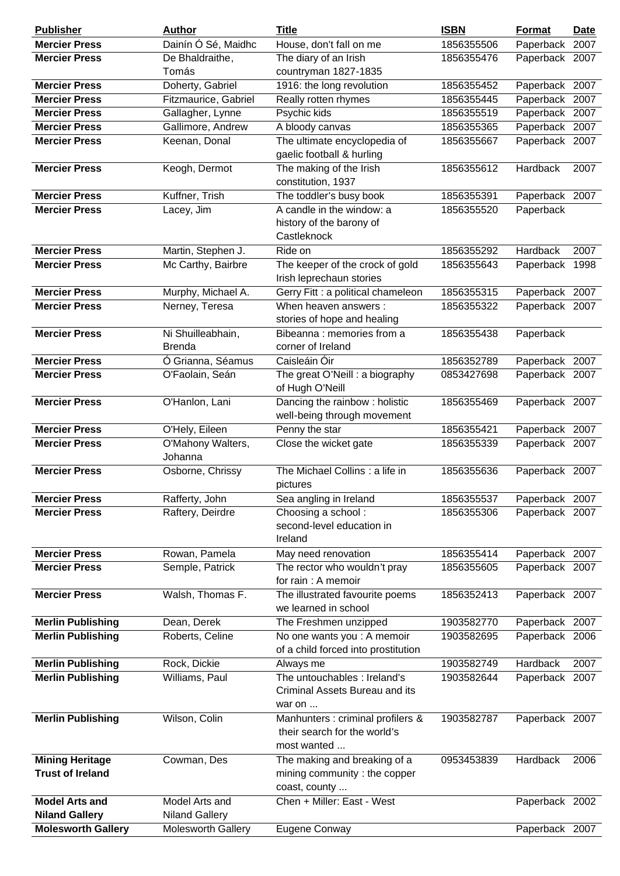| <b>Publisher</b>          | <b>Author</b>         | <b>Title</b>                        | <b>ISBN</b> | <b>Format</b>  | <b>Date</b> |
|---------------------------|-----------------------|-------------------------------------|-------------|----------------|-------------|
| <b>Mercier Press</b>      | Dainín Ó Sé, Maidhc   | House, don't fall on me             | 1856355506  | Paperback      | 2007        |
| <b>Mercier Press</b>      | De Bhaldraithe,       | The diary of an Irish               | 1856355476  | Paperback 2007 |             |
|                           | Tomás                 | countryman 1827-1835                |             |                |             |
| <b>Mercier Press</b>      | Doherty, Gabriel      | 1916: the long revolution           | 1856355452  | Paperback 2007 |             |
| <b>Mercier Press</b>      | Fitzmaurice, Gabriel  | Really rotten rhymes                | 1856355445  | Paperback      | 2007        |
| <b>Mercier Press</b>      | Gallagher, Lynne      | Psychic kids                        | 1856355519  | Paperback 2007 |             |
| <b>Mercier Press</b>      | Gallimore, Andrew     | A bloody canvas                     | 1856355365  | Paperback 2007 |             |
| <b>Mercier Press</b>      | Keenan, Donal         | The ultimate encyclopedia of        | 1856355667  | Paperback 2007 |             |
|                           |                       | gaelic football & hurling           |             |                |             |
| <b>Mercier Press</b>      | Keogh, Dermot         | The making of the Irish             | 1856355612  | Hardback       | 2007        |
|                           |                       | constitution, 1937                  |             |                |             |
| <b>Mercier Press</b>      | Kuffner, Trish        | The toddler's busy book             | 1856355391  | Paperback 2007 |             |
| <b>Mercier Press</b>      | Lacey, Jim            | A candle in the window: a           | 1856355520  | Paperback      |             |
|                           |                       | history of the barony of            |             |                |             |
|                           |                       | Castleknock                         |             |                |             |
| <b>Mercier Press</b>      | Martin, Stephen J.    | Ride on                             | 1856355292  | Hardback       | 2007        |
| <b>Mercier Press</b>      | Mc Carthy, Bairbre    | The keeper of the crock of gold     | 1856355643  | Paperback      | 1998        |
|                           |                       | Irish leprechaun stories            |             |                |             |
| <b>Mercier Press</b>      | Murphy, Michael A.    | Gerry Fitt : a political chameleon  | 1856355315  | Paperback 2007 |             |
| <b>Mercier Press</b>      | Nerney, Teresa        | When heaven answers :               | 1856355322  | Paperback 2007 |             |
|                           |                       | stories of hope and healing         |             |                |             |
| <b>Mercier Press</b>      | Ni Shuilleabhain,     | Bibeanna: memories from a           | 1856355438  | Paperback      |             |
|                           | <b>Brenda</b>         | corner of Ireland                   |             |                |             |
| <b>Mercier Press</b>      | Ó Grianna, Séamus     | Caisleáin Óir                       | 1856352789  | Paperback 2007 |             |
| <b>Mercier Press</b>      | O'Faolain, Seán       | The great O'Neill : a biography     | 0853427698  | Paperback 2007 |             |
|                           |                       | of Hugh O'Neill                     |             |                |             |
| <b>Mercier Press</b>      | O'Hanlon, Lani        | Dancing the rainbow: holistic       | 1856355469  | Paperback 2007 |             |
|                           |                       | well-being through movement         |             |                |             |
| <b>Mercier Press</b>      | O'Hely, Eileen        | Penny the star                      | 1856355421  | Paperback 2007 |             |
| <b>Mercier Press</b>      | O'Mahony Walters,     | Close the wicket gate               | 1856355339  | Paperback 2007 |             |
|                           | Johanna               |                                     |             |                |             |
| <b>Mercier Press</b>      | Osborne, Chrissy      | The Michael Collins : a life in     | 1856355636  | Paperback 2007 |             |
|                           |                       | pictures                            |             |                |             |
| <b>Mercier Press</b>      | Rafferty, John        | Sea angling in Ireland              | 1856355537  | Paperback 2007 |             |
| <b>Mercier Press</b>      | Raftery, Deirdre      | Choosing a school:                  | 1856355306  | Paperback 2007 |             |
|                           |                       | second-level education in           |             |                |             |
|                           |                       | Ireland                             |             |                |             |
| <b>Mercier Press</b>      | Rowan, Pamela         | May need renovation                 | 1856355414  | Paperback 2007 |             |
| <b>Mercier Press</b>      | Semple, Patrick       | The rector who wouldn't pray        | 1856355605  | Paperback 2007 |             |
|                           |                       | for rain: A memoir                  |             |                |             |
| <b>Mercier Press</b>      | Walsh, Thomas F.      | The illustrated favourite poems     | 1856352413  | Paperback 2007 |             |
|                           |                       | we learned in school                |             |                |             |
| <b>Merlin Publishing</b>  | Dean, Derek           | The Freshmen unzipped               | 1903582770  | Paperback 2007 |             |
| <b>Merlin Publishing</b>  | Roberts, Celine       | No one wants you : A memoir         | 1903582695  | Paperback 2006 |             |
|                           |                       | of a child forced into prostitution |             |                |             |
| <b>Merlin Publishing</b>  | Rock, Dickie          | Always me                           | 1903582749  | Hardback       | 2007        |
| <b>Merlin Publishing</b>  | Williams, Paul        | The untouchables : Ireland's        | 1903582644  | Paperback 2007 |             |
|                           |                       | Criminal Assets Bureau and its      |             |                |             |
|                           |                       | war on                              |             |                |             |
| <b>Merlin Publishing</b>  | Wilson, Colin         | Manhunters : criminal profilers &   | 1903582787  | Paperback 2007 |             |
|                           |                       | their search for the world's        |             |                |             |
|                           |                       | most wanted                         |             |                |             |
| <b>Mining Heritage</b>    | Cowman, Des           | The making and breaking of a        | 0953453839  | Hardback       | 2006        |
| <b>Trust of Ireland</b>   |                       | mining community: the copper        |             |                |             |
|                           |                       | coast, county                       |             |                |             |
|                           |                       | Chen + Miller: East - West          |             |                |             |
| <b>Model Arts and</b>     | Model Arts and        |                                     |             | Paperback 2002 |             |
| <b>Niland Gallery</b>     | <b>Niland Gallery</b> |                                     |             |                |             |
| <b>Molesworth Gallery</b> | Molesworth Gallery    | Eugene Conway                       |             | Paperback 2007 |             |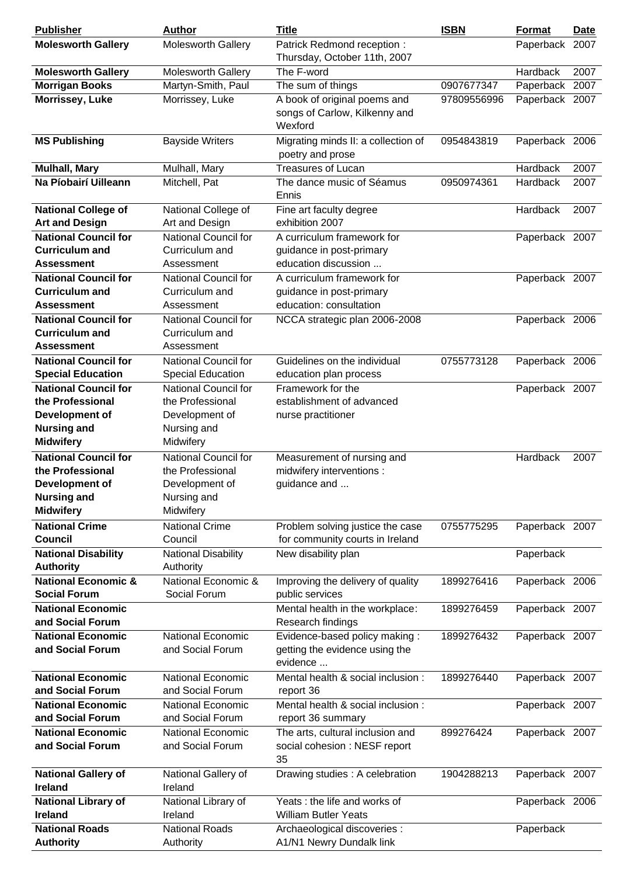| <b>Publisher</b>                                      | <b>Author</b>                                | <b>Title</b>                                                             | <b>ISBN</b> | <b>Format</b>  | <b>Date</b> |
|-------------------------------------------------------|----------------------------------------------|--------------------------------------------------------------------------|-------------|----------------|-------------|
| <b>Molesworth Gallery</b>                             | <b>Molesworth Gallery</b>                    | Patrick Redmond reception:                                               |             | Paperback 2007 |             |
|                                                       |                                              | Thursday, October 11th, 2007                                             |             |                |             |
| <b>Molesworth Gallery</b>                             | Molesworth Gallery                           | The F-word                                                               |             | Hardback       | 2007        |
| <b>Morrigan Books</b>                                 | Martyn-Smith, Paul                           | The sum of things                                                        | 0907677347  | Paperback 2007 |             |
| Morrissey, Luke                                       | Morrissey, Luke                              | A book of original poems and<br>songs of Carlow, Kilkenny and<br>Wexford | 97809556996 | Paperback 2007 |             |
| <b>MS Publishing</b>                                  | <b>Bayside Writers</b>                       | Migrating minds II: a collection of<br>poetry and prose                  | 0954843819  | Paperback 2006 |             |
| <b>Mulhall, Mary</b>                                  | Mulhall, Mary                                | <b>Treasures of Lucan</b>                                                |             | Hardback       | 2007        |
| Na Píobairí Uilleann                                  | Mitchell, Pat                                | The dance music of Séamus<br>Ennis                                       | 0950974361  | Hardback       | 2007        |
| <b>National College of</b>                            | National College of                          | Fine art faculty degree                                                  |             | Hardback       | 2007        |
| <b>Art and Design</b>                                 | Art and Design                               | exhibition 2007                                                          |             |                |             |
| <b>National Council for</b>                           | <b>National Council for</b>                  | A curriculum framework for                                               |             | Paperback 2007 |             |
| <b>Curriculum and</b>                                 | Curriculum and                               | guidance in post-primary                                                 |             |                |             |
| <b>Assessment</b>                                     | Assessment                                   | education discussion                                                     |             |                |             |
| <b>National Council for</b>                           | <b>National Council for</b>                  | A curriculum framework for                                               |             | Paperback 2007 |             |
| <b>Curriculum and</b>                                 | Curriculum and                               | guidance in post-primary                                                 |             |                |             |
| <b>Assessment</b>                                     | Assessment                                   | education: consultation                                                  |             |                |             |
| <b>National Council for</b>                           | <b>National Council for</b>                  | NCCA strategic plan 2006-2008                                            |             | Paperback 2006 |             |
| <b>Curriculum and</b>                                 | Curriculum and                               |                                                                          |             |                |             |
| <b>Assessment</b>                                     | Assessment                                   |                                                                          |             |                |             |
| <b>National Council for</b>                           | National Council for                         | Guidelines on the individual                                             | 0755773128  | Paperback 2006 |             |
| <b>Special Education</b>                              | <b>Special Education</b>                     | education plan process                                                   |             |                |             |
| <b>National Council for</b>                           | National Council for                         | Framework for the                                                        |             | Paperback 2007 |             |
| the Professional                                      | the Professional                             | establishment of advanced                                                |             |                |             |
| Development of                                        | Development of                               | nurse practitioner                                                       |             |                |             |
| <b>Nursing and</b>                                    | Nursing and                                  |                                                                          |             |                |             |
| <b>Midwifery</b>                                      | Midwifery                                    |                                                                          |             |                |             |
| <b>National Council for</b>                           | National Council for                         | Measurement of nursing and                                               |             | Hardback       | 2007        |
| the Professional                                      | the Professional                             | midwifery interventions :                                                |             |                |             |
| <b>Development of</b>                                 | Development of                               | guidance and                                                             |             |                |             |
| <b>Nursing and</b>                                    | Nursing and                                  |                                                                          |             |                |             |
| <b>Midwifery</b>                                      | Midwifery                                    |                                                                          |             |                |             |
| <b>National Crime</b>                                 | <b>National Crime</b>                        | Problem solving justice the case                                         | 0755775295  | Paperback 2007 |             |
| Council                                               | Council                                      | for community courts in Ireland                                          |             |                |             |
| <b>National Disability</b>                            | <b>National Disability</b>                   | New disability plan                                                      |             | Paperback      |             |
| <b>Authority</b>                                      | Authority                                    |                                                                          |             |                |             |
| <b>National Economic &amp;</b><br><b>Social Forum</b> | National Economic &<br>Social Forum          | Improving the delivery of quality<br>public services                     | 1899276416  | Paperback 2006 |             |
| <b>National Economic</b>                              |                                              | Mental health in the workplace:                                          | 1899276459  | Paperback 2007 |             |
| and Social Forum                                      |                                              | Research findings                                                        |             |                |             |
| <b>National Economic</b>                              | <b>National Economic</b>                     | Evidence-based policy making:                                            | 1899276432  | Paperback 2007 |             |
| and Social Forum                                      | and Social Forum                             | getting the evidence using the<br>evidence                               |             |                |             |
| <b>National Economic</b>                              | <b>National Economic</b>                     | Mental health & social inclusion :                                       | 1899276440  | Paperback 2007 |             |
| and Social Forum                                      | and Social Forum                             | report 36                                                                |             |                |             |
| <b>National Economic</b>                              | <b>National Economic</b>                     | Mental health & social inclusion :                                       |             | Paperback 2007 |             |
| and Social Forum                                      | and Social Forum                             | report 36 summary                                                        |             |                |             |
| <b>National Economic</b><br>and Social Forum          | <b>National Economic</b><br>and Social Forum | The arts, cultural inclusion and<br>social cohesion : NESF report<br>35  | 899276424   | Paperback 2007 |             |
| <b>National Gallery of</b><br><b>Ireland</b>          | National Gallery of<br>Ireland               | Drawing studies : A celebration                                          | 1904288213  | Paperback 2007 |             |
| <b>National Library of</b><br><b>Ireland</b>          | National Library of<br>Ireland               | Yeats: the life and works of<br><b>William Butler Yeats</b>              |             | Paperback 2006 |             |
| <b>National Roads</b>                                 | <b>National Roads</b>                        | Archaeological discoveries :                                             |             | Paperback      |             |
| <b>Authority</b>                                      | Authority                                    | A1/N1 Newry Dundalk link                                                 |             |                |             |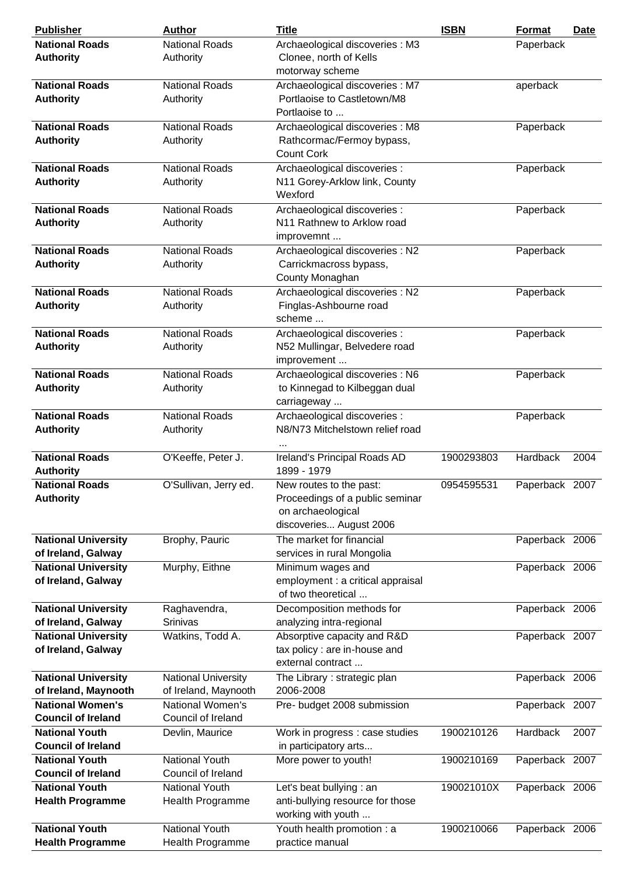| <b>Publisher</b>           | <b>Author</b>              | <b>Title</b>                                                    | <b>ISBN</b> | <b>Format</b>  | <u>Date</u> |
|----------------------------|----------------------------|-----------------------------------------------------------------|-------------|----------------|-------------|
| <b>National Roads</b>      | <b>National Roads</b>      | Archaeological discoveries : M3                                 |             | Paperback      |             |
| <b>Authority</b>           | Authority                  | Clonee, north of Kells                                          |             |                |             |
|                            |                            | motorway scheme                                                 |             |                |             |
| <b>National Roads</b>      | <b>National Roads</b>      | Archaeological discoveries : M7                                 |             | aperback       |             |
| <b>Authority</b>           | Authority                  | Portlaoise to Castletown/M8                                     |             |                |             |
|                            |                            | Portlaoise to                                                   |             |                |             |
| <b>National Roads</b>      | <b>National Roads</b>      | Archaeological discoveries : M8                                 |             | Paperback      |             |
| <b>Authority</b>           | Authority                  | Rathcormac/Fermoy bypass,                                       |             |                |             |
|                            |                            | <b>Count Cork</b>                                               |             |                |             |
|                            |                            |                                                                 |             |                |             |
| <b>National Roads</b>      | <b>National Roads</b>      | Archaeological discoveries :                                    |             | Paperback      |             |
| <b>Authority</b>           | Authority                  | N11 Gorey-Arklow link, County                                   |             |                |             |
|                            |                            | Wexford                                                         |             |                |             |
| <b>National Roads</b>      | <b>National Roads</b>      | Archaeological discoveries :                                    |             | Paperback      |             |
| <b>Authority</b>           | Authority                  | N11 Rathnew to Arklow road                                      |             |                |             |
|                            |                            | improvemnt                                                      |             |                |             |
| <b>National Roads</b>      | <b>National Roads</b>      | Archaeological discoveries : N2                                 |             | Paperback      |             |
| <b>Authority</b>           | Authority                  | Carrickmacross bypass,                                          |             |                |             |
|                            |                            | County Monaghan                                                 |             |                |             |
| <b>National Roads</b>      | <b>National Roads</b>      | Archaeological discoveries : N2                                 |             | Paperback      |             |
| <b>Authority</b>           | Authority                  | Finglas-Ashbourne road                                          |             |                |             |
|                            |                            | scheme                                                          |             |                |             |
| <b>National Roads</b>      | <b>National Roads</b>      | Archaeological discoveries :                                    |             | Paperback      |             |
| <b>Authority</b>           | Authority                  | N52 Mullingar, Belvedere road                                   |             |                |             |
|                            |                            | improvement                                                     |             |                |             |
| <b>National Roads</b>      | <b>National Roads</b>      | Archaeological discoveries : N6                                 |             | Paperback      |             |
| <b>Authority</b>           | Authority                  | to Kinnegad to Kilbeggan dual                                   |             |                |             |
|                            |                            | carriageway                                                     |             |                |             |
| <b>National Roads</b>      | <b>National Roads</b>      |                                                                 |             |                |             |
|                            |                            | Archaeological discoveries :<br>N8/N73 Mitchelstown relief road |             | Paperback      |             |
| <b>Authority</b>           | Authority                  |                                                                 |             |                |             |
|                            |                            |                                                                 |             |                |             |
| <b>National Roads</b>      | O'Keeffe, Peter J.         | Ireland's Principal Roads AD                                    | 1900293803  | Hardback       | 2004        |
| <b>Authority</b>           |                            | 1899 - 1979                                                     |             |                |             |
| <b>National Roads</b>      | O'Sullivan, Jerry ed.      | New routes to the past:                                         | 0954595531  | Paperback 2007 |             |
| <b>Authority</b>           |                            | Proceedings of a public seminar                                 |             |                |             |
|                            |                            | on archaeological                                               |             |                |             |
|                            |                            | discoveries August 2006                                         |             |                |             |
| <b>National University</b> | Brophy, Pauric             | The market for financial                                        |             | Paperback 2006 |             |
| of Ireland, Galway         |                            | services in rural Mongolia                                      |             |                |             |
| <b>National University</b> | Murphy, Eithne             | Minimum wages and                                               |             | Paperback 2006 |             |
| of Ireland, Galway         |                            | employment : a critical appraisal                               |             |                |             |
|                            |                            | of two theoretical                                              |             |                |             |
| <b>National University</b> | Raghavendra,               | Decomposition methods for                                       |             | Paperback 2006 |             |
| of Ireland, Galway         | Srinivas                   | analyzing intra-regional                                        |             |                |             |
| <b>National University</b> | Watkins, Todd A.           | Absorptive capacity and R&D                                     |             | Paperback 2007 |             |
| of Ireland, Galway         |                            | tax policy : are in-house and                                   |             |                |             |
|                            |                            | external contract                                               |             |                |             |
| <b>National University</b> | <b>National University</b> | The Library: strategic plan                                     |             | Paperback 2006 |             |
| of Ireland, Maynooth       | of Ireland, Maynooth       | 2006-2008                                                       |             |                |             |
| <b>National Women's</b>    | National Women's           | Pre- budget 2008 submission                                     |             | Paperback 2007 |             |
| <b>Council of Ireland</b>  | Council of Ireland         |                                                                 |             |                |             |
| <b>National Youth</b>      | Devlin, Maurice            | Work in progress : case studies                                 | 1900210126  | Hardback       | 2007        |
| <b>Council of Ireland</b>  |                            | in participatory arts                                           |             |                |             |
|                            |                            |                                                                 |             |                |             |
| <b>National Youth</b>      | <b>National Youth</b>      | More power to youth!                                            | 1900210169  | Paperback 2007 |             |
| <b>Council of Ireland</b>  | Council of Ireland         |                                                                 |             |                |             |
| <b>National Youth</b>      | <b>National Youth</b>      | Let's beat bullying : an                                        | 190021010X  | Paperback 2006 |             |
| <b>Health Programme</b>    | Health Programme           | anti-bullying resource for those                                |             |                |             |
|                            |                            | working with youth                                              |             |                |             |
| <b>National Youth</b>      | <b>National Youth</b>      | Youth health promotion : a                                      | 1900210066  | Paperback 2006 |             |
| <b>Health Programme</b>    | Health Programme           | practice manual                                                 |             |                |             |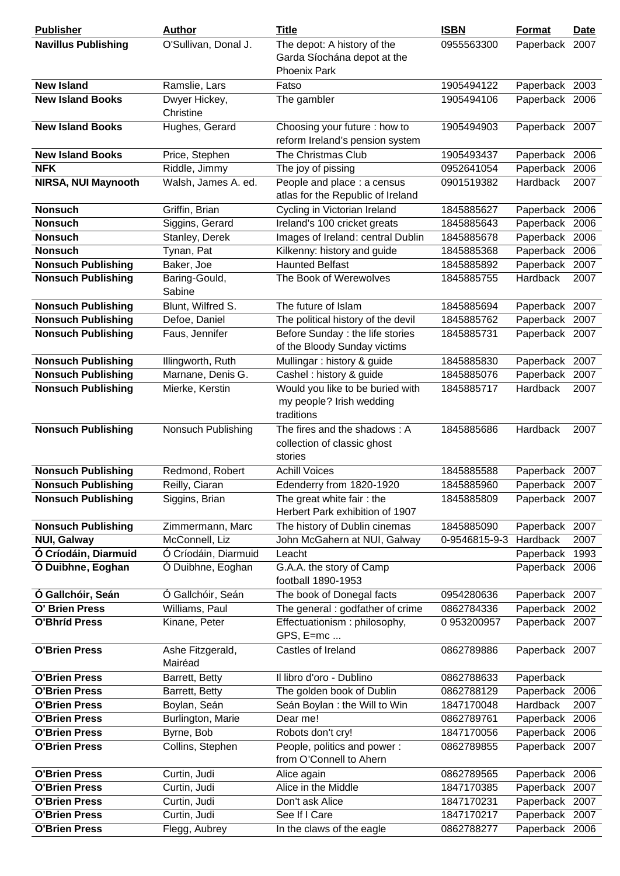| <b>Publisher</b>           | <b>Author</b>               | <b>Title</b>                                                               | <b>ISBN</b>   | Format          | <b>Date</b> |
|----------------------------|-----------------------------|----------------------------------------------------------------------------|---------------|-----------------|-------------|
| <b>Navillus Publishing</b> | O'Sullivan, Donal J.        | The depot: A history of the<br>Garda Síochána depot at the                 | 0955563300    | Paperback 2007  |             |
|                            |                             | <b>Phoenix Park</b>                                                        |               |                 |             |
| <b>New Island</b>          | Ramslie, Lars               | Fatso                                                                      | 1905494122    | Paperback 2003  |             |
| <b>New Island Books</b>    | Dwyer Hickey,<br>Christine  | The gambler                                                                | 1905494106    | Paperback 2006  |             |
| <b>New Island Books</b>    | Hughes, Gerard              | Choosing your future : how to<br>reform Ireland's pension system           | 1905494903    | Paperback 2007  |             |
| <b>New Island Books</b>    | Price, Stephen              | The Christmas Club                                                         | 1905493437    | Paperback 2006  |             |
| <b>NFK</b>                 | Riddle, Jimmy               | The joy of pissing                                                         | 0952641054    | Paperback       | 2006        |
| NIRSA, NUI Maynooth        | Walsh, James A. ed.         | People and place : a census<br>atlas for the Republic of Ireland           | 0901519382    | Hardback        | 2007        |
| <b>Nonsuch</b>             | Griffin, Brian              | Cycling in Victorian Ireland                                               | 1845885627    | Paperback       | 2006        |
| <b>Nonsuch</b>             | Siggins, Gerard             | Ireland's 100 cricket greats                                               | 1845885643    | Paperback       | 2006        |
| <b>Nonsuch</b>             | Stanley, Derek              | Images of Ireland: central Dublin                                          | 1845885678    | Paperback       | 2006        |
| <b>Nonsuch</b>             | Tynan, Pat                  | Kilkenny: history and guide                                                | 1845885368    | Paperback       | 2006        |
| <b>Nonsuch Publishing</b>  | Baker, Joe                  | <b>Haunted Belfast</b>                                                     | 1845885892    | Paperback       | 2007        |
| <b>Nonsuch Publishing</b>  | Baring-Gould,<br>Sabine     | The Book of Werewolves                                                     | 1845885755    | <b>Hardback</b> | 2007        |
| <b>Nonsuch Publishing</b>  | Blunt, Wilfred S.           | The future of Islam                                                        | 1845885694    | Paperback 2007  |             |
| <b>Nonsuch Publishing</b>  | Defoe, Daniel               | The political history of the devil                                         | 1845885762    | Paperback 2007  |             |
| <b>Nonsuch Publishing</b>  | Faus, Jennifer              | Before Sunday : the life stories<br>of the Bloody Sunday victims           | 1845885731    | Paperback 2007  |             |
| <b>Nonsuch Publishing</b>  | Illingworth, Ruth           | Mullingar: history & guide                                                 | 1845885830    | Paperback       | 2007        |
| <b>Nonsuch Publishing</b>  | Marnane, Denis G.           | Cashel : history & guide                                                   | 1845885076    | Paperback       | 2007        |
| <b>Nonsuch Publishing</b>  | Mierke, Kerstin             | Would you like to be buried with<br>my people? Irish wedding<br>traditions | 1845885717    | Hardback        | 2007        |
| <b>Nonsuch Publishing</b>  | Nonsuch Publishing          | The fires and the shadows: A<br>collection of classic ghost<br>stories     | 1845885686    | Hardback        | 2007        |
| <b>Nonsuch Publishing</b>  | Redmond, Robert             | <b>Achill Voices</b>                                                       | 1845885588    | Paperback       | 2007        |
| <b>Nonsuch Publishing</b>  | Reilly, Ciaran              | Edenderry from 1820-1920                                                   | 1845885960    | Paperback 2007  |             |
| <b>Nonsuch Publishing</b>  | Siggins, Brian              | The great white fair: the<br>Herbert Park exhibition of 1907               | 1845885809    | Paperback 2007  |             |
| <b>Nonsuch Publishing</b>  | Zimmermann, Marc            | The history of Dublin cinemas                                              | 1845885090    | Paperback 2007  |             |
| <b>NUI, Galway</b>         | McConnell, Liz              | John McGahern at NUI, Galway                                               | 0-9546815-9-3 | Hardback        | 2007        |
| Ó Críodáin, Diarmuid       | Ó Críodáin, Diarmuid        | Leacht                                                                     |               | Paperback       | 1993        |
| Ó Duibhne, Eoghan          | Ó Duibhne, Eoghan           | G.A.A. the story of Camp<br>football 1890-1953                             |               | Paperback 2006  |             |
| Ó Gallchóir, Seán          | Ó Gallchóir, Seán           | The book of Donegal facts                                                  | 0954280636    | Paperback 2007  |             |
| O' Brien Press             | Williams, Paul              | The general : godfather of crime                                           | 0862784336    | Paperback       | 2002        |
| <b>O'Bhríd Press</b>       | Kinane, Peter               | Effectuationism: philosophy,<br>GPS, E=mc                                  | 0953200957    | Paperback 2007  |             |
| <b>O'Brien Press</b>       | Ashe Fitzgerald,<br>Mairéad | Castles of Ireland                                                         | 0862789886    | Paperback 2007  |             |
| <b>O'Brien Press</b>       | Barrett, Betty              | Il libro d'oro - Dublino                                                   | 0862788633    | Paperback       |             |
| <b>O'Brien Press</b>       | Barrett, Betty              | The golden book of Dublin                                                  | 0862788129    | Paperback       | 2006        |
| <b>O'Brien Press</b>       | Boylan, Seán                | Seán Boylan : the Will to Win                                              | 1847170048    | Hardback        | 2007        |
| <b>O'Brien Press</b>       | Burlington, Marie           | Dear me!                                                                   | 0862789761    | Paperback       | 2006        |
| <b>O'Brien Press</b>       | Byrne, Bob                  | Robots don't cry!                                                          | 1847170056    | Paperback       | 2006        |
| <b>O'Brien Press</b>       | Collins, Stephen            | People, politics and power:<br>from O'Connell to Ahern                     | 0862789855    | Paperback 2007  |             |
| <b>O'Brien Press</b>       | Curtin, Judi                | Alice again                                                                | 0862789565    | Paperback 2006  |             |
| <b>O'Brien Press</b>       | Curtin, Judi                | Alice in the Middle                                                        | 1847170385    | Paperback       | 2007        |
| <b>O'Brien Press</b>       | Curtin, Judi                | Don't ask Alice                                                            | 1847170231    | Paperback       | 2007        |
| <b>O'Brien Press</b>       | Curtin, Judi                | See If I Care                                                              | 1847170217    | Paperback       | 2007        |
| <b>O'Brien Press</b>       | Flegg, Aubrey               | In the claws of the eagle                                                  | 0862788277    | Paperback 2006  |             |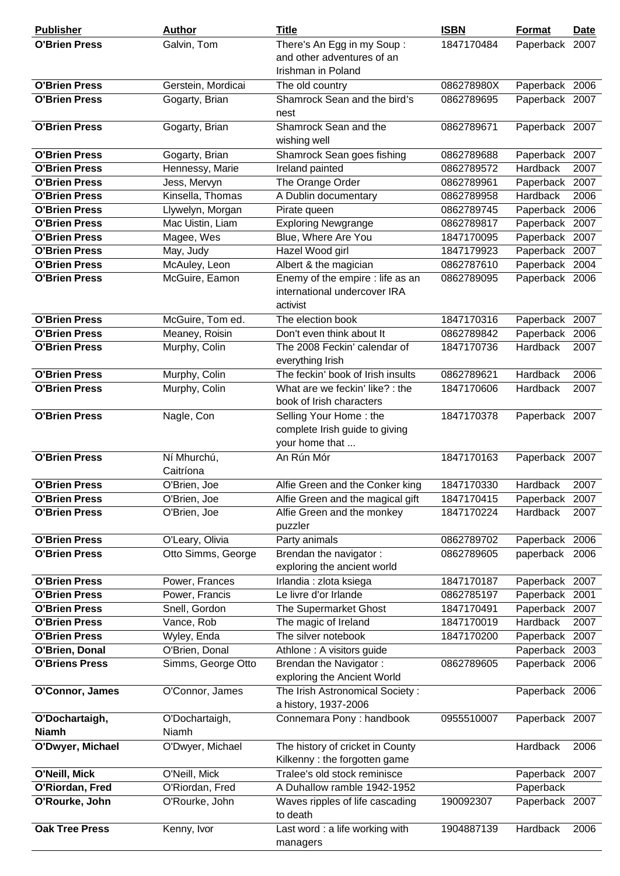| <b>Publisher</b>               | <b>Author</b>            | <b>Title</b>                                                                 | <b>ISBN</b> | <b>Format</b>   | <b>Date</b> |
|--------------------------------|--------------------------|------------------------------------------------------------------------------|-------------|-----------------|-------------|
| <b>O'Brien Press</b>           | Galvin, Tom              | There's An Egg in my Soup:<br>and other adventures of an                     | 1847170484  | Paperback 2007  |             |
|                                |                          | Irishman in Poland                                                           |             |                 |             |
| <b>O'Brien Press</b>           | Gerstein, Mordicai       | The old country                                                              | 086278980X  | Paperback 2006  |             |
| <b>O'Brien Press</b>           | Gogarty, Brian           | Shamrock Sean and the bird's<br>nest                                         | 0862789695  | Paperback 2007  |             |
| <b>O'Brien Press</b>           | Gogarty, Brian           | Shamrock Sean and the<br>wishing well                                        | 0862789671  | Paperback 2007  |             |
| <b>O'Brien Press</b>           | Gogarty, Brian           | Shamrock Sean goes fishing                                                   | 0862789688  | Paperback 2007  |             |
| <b>O'Brien Press</b>           | Hennessy, Marie          | Ireland painted                                                              | 0862789572  | Hardback        | 2007        |
| <b>O'Brien Press</b>           | Jess, Mervyn             | The Orange Order                                                             | 0862789961  | Paperback       | 2007        |
| <b>O'Brien Press</b>           | Kinsella, Thomas         | A Dublin documentary                                                         | 0862789958  | <b>Hardback</b> | 2006        |
| <b>O'Brien Press</b>           | Llywelyn, Morgan         | Pirate queen                                                                 | 0862789745  | Paperback 2006  |             |
| <b>O'Brien Press</b>           | Mac Uistin, Liam         | <b>Exploring Newgrange</b>                                                   | 0862789817  | Paperback       | 2007        |
| <b>O'Brien Press</b>           | Magee, Wes               | Blue, Where Are You                                                          | 1847170095  | Paperback       | 2007        |
| <b>O'Brien Press</b>           | May, Judy                | Hazel Wood girl                                                              | 1847179923  | Paperback       | 2007        |
| <b>O'Brien Press</b>           | McAuley, Leon            | Albert & the magician                                                        | 0862787610  | Paperback       | 2004        |
| <b>O'Brien Press</b>           | McGuire, Eamon           | Enemy of the empire : life as an<br>international undercover IRA<br>activist | 0862789095  | Paperback 2006  |             |
| <b>O'Brien Press</b>           | McGuire, Tom ed.         | The election book                                                            | 1847170316  | Paperback       | 2007        |
| <b>O'Brien Press</b>           | Meaney, Roisin           | Don't even think about It                                                    | 0862789842  | Paperback       | 2006        |
| <b>O'Brien Press</b>           | Murphy, Colin            | The 2008 Feckin' calendar of<br>everything Irish                             | 1847170736  | <b>Hardback</b> | 2007        |
| <b>O'Brien Press</b>           | Murphy, Colin            | The feckin' book of Irish insults                                            | 0862789621  | Hardback        | 2006        |
| <b>O'Brien Press</b>           | Murphy, Colin            | What are we feckin' like? : the<br>book of Irish characters                  | 1847170606  | Hardback        | 2007        |
| <b>O'Brien Press</b>           | Nagle, Con               | Selling Your Home: the<br>complete Irish guide to giving<br>your home that   | 1847170378  | Paperback 2007  |             |
| <b>O'Brien Press</b>           | Ní Mhurchú,<br>Caitríona | An Rún Mór                                                                   | 1847170163  | Paperback 2007  |             |
| <b>O'Brien Press</b>           | O'Brien, Joe             | Alfie Green and the Conker king                                              | 1847170330  | Hardback        | 2007        |
| <b>O'Brien Press</b>           | O'Brien, Joe             | Alfie Green and the magical gift                                             | 1847170415  | Paperback       | 2007        |
| <b>O'Brien Press</b>           | O'Brien, Joe             | Alfie Green and the monkey<br>puzzler                                        | 1847170224  | Hardback        | 2007        |
| <b>O'Brien Press</b>           | O'Leary, Olivia          | Party animals                                                                | 0862789702  | Paperback 2006  |             |
| <b>O'Brien Press</b>           | Otto Simms, George       | Brendan the navigator:<br>exploring the ancient world                        | 0862789605  | paperback 2006  |             |
| <b>O'Brien Press</b>           | Power, Frances           | Irlandia : zlota ksiega                                                      | 1847170187  | Paperback       | 2007        |
| <b>O'Brien Press</b>           | Power, Francis           | Le livre d'or Irlande                                                        | 0862785197  | Paperback       | 2001        |
| <b>O'Brien Press</b>           | Snell, Gordon            | The Supermarket Ghost                                                        | 1847170491  | Paperback       | 2007        |
| <b>O'Brien Press</b>           | Vance, Rob               | The magic of Ireland                                                         | 1847170019  | Hardback        | 2007        |
| <b>O'Brien Press</b>           | Wyley, Enda              | The silver notebook                                                          | 1847170200  | Paperback       | 2007        |
| O'Brien, Donal                 | O'Brien, Donal           | Athlone: A visitors guide                                                    |             | Paperback       | 2003        |
| <b>O'Briens Press</b>          | Simms, George Otto       | Brendan the Navigator:<br>exploring the Ancient World                        | 0862789605  | Paperback 2006  |             |
| O'Connor, James                | O'Connor, James          | The Irish Astronomical Society:<br>a history, 1937-2006                      |             | Paperback 2006  |             |
| O'Dochartaigh,<br><b>Niamh</b> | O'Dochartaigh,<br>Niamh  | Connemara Pony: handbook                                                     | 0955510007  | Paperback 2007  |             |
| O'Dwyer, Michael               | O'Dwyer, Michael         | The history of cricket in County<br>Kilkenny: the forgotten game             |             | Hardback        | 2006        |
| O'Neill, Mick                  | O'Neill, Mick            | Tralee's old stock reminisce                                                 |             | Paperback       | 2007        |
| O'Riordan, Fred                | O'Riordan, Fred          | A Duhallow ramble 1942-1952                                                  |             | Paperback       |             |
| O'Rourke, John                 | O'Rourke, John           | Waves ripples of life cascading<br>to death                                  | 190092307   | Paperback 2007  |             |
| <b>Oak Tree Press</b>          | Kenny, Ivor              | Last word : a life working with<br>managers                                  | 1904887139  | Hardback        | 2006        |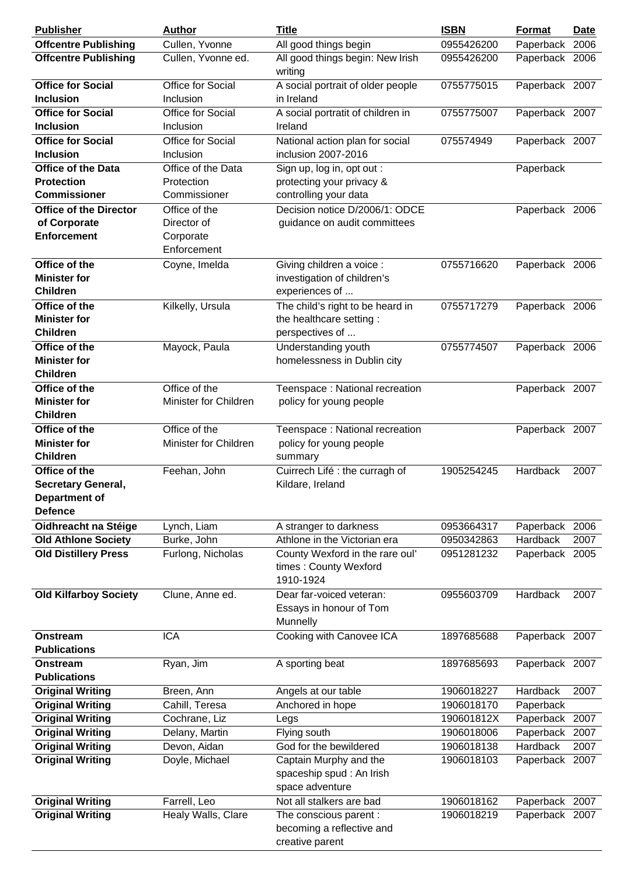| <b>Publisher</b>                             | <b>Author</b>                         | <b>Title</b>                                                           | <b>ISBN</b> | <b>Format</b>  | <b>Date</b> |
|----------------------------------------------|---------------------------------------|------------------------------------------------------------------------|-------------|----------------|-------------|
| <b>Offcentre Publishing</b>                  | Cullen, Yvonne                        | All good things begin                                                  | 0955426200  | Paperback      | 2006        |
| <b>Offcentre Publishing</b>                  | Cullen, Yvonne ed.                    | All good things begin: New Irish<br>writing                            | 0955426200  | Paperback 2006 |             |
| <b>Office for Social</b><br><b>Inclusion</b> | Office for Social<br><b>Inclusion</b> | A social portrait of older people<br>in Ireland                        | 0755775015  | Paperback 2007 |             |
| <b>Office for Social</b><br><b>Inclusion</b> | Office for Social<br>Inclusion        | A social portratit of children in<br>Ireland                           | 0755775007  | Paperback 2007 |             |
| <b>Office for Social</b>                     | Office for Social                     | National action plan for social                                        | 075574949   | Paperback 2007 |             |
| <b>Inclusion</b>                             | Inclusion                             | inclusion 2007-2016                                                    |             |                |             |
| <b>Office of the Data</b>                    | Office of the Data                    | Sign up, log in, opt out :                                             |             | Paperback      |             |
| <b>Protection</b>                            | Protection                            | protecting your privacy &                                              |             |                |             |
| <b>Commissioner</b>                          | Commissioner                          | controlling your data                                                  |             |                |             |
| <b>Office of the Director</b>                | Office of the                         | Decision notice D/2006/1: ODCE                                         |             | Paperback 2006 |             |
| of Corporate                                 | Director of                           | guidance on audit committees                                           |             |                |             |
| <b>Enforcement</b>                           | Corporate                             |                                                                        |             |                |             |
|                                              | Enforcement                           |                                                                        |             |                |             |
| Office of the                                | Coyne, Imelda                         | Giving children a voice :                                              | 0755716620  | Paperback 2006 |             |
| <b>Minister for</b>                          |                                       | investigation of children's                                            |             |                |             |
| <b>Children</b>                              |                                       | experiences of                                                         |             |                |             |
| Office of the                                | Kilkelly, Ursula                      | The child's right to be heard in                                       | 0755717279  | Paperback 2006 |             |
| <b>Minister for</b><br><b>Children</b>       |                                       | the healthcare setting:<br>perspectives of                             |             |                |             |
| Office of the                                | Mayock, Paula                         | Understanding youth                                                    | 0755774507  | Paperback 2006 |             |
| <b>Minister for</b>                          |                                       | homelessness in Dublin city                                            |             |                |             |
| <b>Children</b>                              |                                       |                                                                        |             |                |             |
| Office of the                                | Office of the                         | Teenspace: National recreation                                         |             | Paperback 2007 |             |
| <b>Minister for</b>                          | Minister for Children                 | policy for young people                                                |             |                |             |
| <b>Children</b>                              |                                       |                                                                        |             |                |             |
| Office of the                                | Office of the                         | Teenspace: National recreation                                         |             | Paperback 2007 |             |
| <b>Minister for</b>                          | Minister for Children                 | policy for young people                                                |             |                |             |
| <b>Children</b>                              |                                       | summary                                                                |             |                |             |
| Office of the                                | Feehan, John                          | Cuirrech Lifé : the curragh of                                         | 1905254245  | Hardback       | 2007        |
| <b>Secretary General,</b>                    |                                       | Kildare, Ireland                                                       |             |                |             |
| <b>Department of</b><br><b>Defence</b>       |                                       |                                                                        |             |                |             |
| Oidhreacht na Stéige                         | Lynch, Liam                           | A stranger to darkness                                                 | 0953664317  | Paperback      | 2006        |
| <b>Old Athlone Society</b>                   | Burke, John                           | Athlone in the Victorian era                                           | 0950342863  | Hardback       | 2007        |
| <b>Old Distillery Press</b>                  | Furlong, Nicholas                     | County Wexford in the rare oul'<br>times: County Wexford<br>1910-1924  | 0951281232  | Paperback 2005 |             |
| <b>Old Kilfarboy Society</b>                 | Clune, Anne ed.                       | Dear far-voiced veteran:<br>Essays in honour of Tom<br>Munnelly        | 0955603709  | Hardback       | 2007        |
| Onstream<br><b>Publications</b>              | <b>ICA</b>                            | Cooking with Canovee ICA                                               | 1897685688  | Paperback 2007 |             |
| Onstream<br><b>Publications</b>              | Ryan, Jim                             | A sporting beat                                                        | 1897685693  | Paperback 2007 |             |
| <b>Original Writing</b>                      | Breen, Ann                            | Angels at our table                                                    | 1906018227  | Hardback       | 2007        |
| <b>Original Writing</b>                      | Cahill, Teresa                        | Anchored in hope                                                       | 1906018170  | Paperback      |             |
| <b>Original Writing</b>                      | Cochrane, Liz                         | Legs                                                                   | 190601812X  | Paperback      | 2007        |
| <b>Original Writing</b>                      | Delany, Martin                        | Flying south                                                           | 1906018006  | Paperback      | 2007        |
| <b>Original Writing</b>                      | Devon, Aidan                          | God for the bewildered                                                 | 1906018138  | Hardback       | 2007        |
| <b>Original Writing</b>                      | Doyle, Michael                        | Captain Murphy and the<br>spaceship spud : An Irish<br>space adventure | 1906018103  | Paperback 2007 |             |
| <b>Original Writing</b>                      | Farrell, Leo                          | Not all stalkers are bad                                               | 1906018162  | Paperback 2007 |             |
| <b>Original Writing</b>                      | Healy Walls, Clare                    | The conscious parent :                                                 | 1906018219  | Paperback 2007 |             |
|                                              |                                       | becoming a reflective and<br>creative parent                           |             |                |             |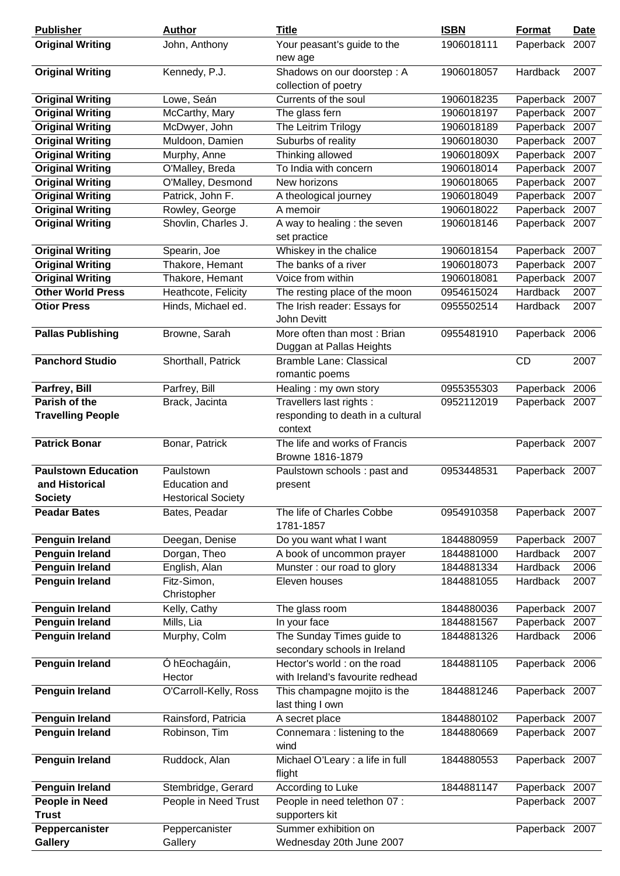| <b>Publisher</b>                                 | <b>Author</b>                              | <b>Title</b>                                     | <b>ISBN</b> | <b>Format</b>                    | <b>Date</b> |
|--------------------------------------------------|--------------------------------------------|--------------------------------------------------|-------------|----------------------------------|-------------|
| <b>Original Writing</b>                          | John, Anthony                              | Your peasant's guide to the                      | 1906018111  | Paperback                        | 2007        |
| <b>Original Writing</b>                          | Kennedy, P.J.                              | new age<br>Shadows on our doorstep: A            | 1906018057  | Hardback                         | 2007        |
|                                                  |                                            | collection of poetry                             |             |                                  |             |
| <b>Original Writing</b>                          | Lowe, Seán                                 | Currents of the soul                             | 1906018235  | Paperback 2007                   |             |
| <b>Original Writing</b>                          | McCarthy, Mary                             | The glass fern                                   | 1906018197  | Paperback                        | 2007        |
| <b>Original Writing</b>                          | McDwyer, John                              | The Leitrim Trilogy                              | 1906018189  | Paperback                        | 2007        |
| <b>Original Writing</b>                          | Muldoon, Damien                            | Suburbs of reality                               | 1906018030  | Paperback 2007                   |             |
| <b>Original Writing</b>                          | Murphy, Anne                               | Thinking allowed                                 | 190601809X  | Paperback                        | 2007        |
| <b>Original Writing</b>                          |                                            | To India with concern                            | 1906018014  | Paperback 2007                   |             |
|                                                  | O'Malley, Breda                            |                                                  |             |                                  |             |
| <b>Original Writing</b>                          | O'Malley, Desmond                          | New horizons                                     | 1906018065  | Paperback 2007                   |             |
| <b>Original Writing</b>                          | Patrick, John F.                           | A theological journey                            | 1906018049  | Paperback                        | 2007        |
| <b>Original Writing</b>                          | Rowley, George                             | A memoir                                         | 1906018022  | Paperback 2007                   |             |
| <b>Original Writing</b>                          | Shovlin, Charles J.                        | A way to healing : the seven<br>set practice     | 1906018146  | Paperback 2007                   |             |
| <b>Original Writing</b>                          | Spearin, Joe                               | Whiskey in the chalice                           | 1906018154  | Paperback                        | 2007        |
| <b>Original Writing</b>                          | Thakore, Hemant                            | The banks of a river                             | 1906018073  | Paperback                        | 2007        |
| <b>Original Writing</b>                          | Thakore, Hemant                            | Voice from within                                | 1906018081  | Paperback                        | 2007        |
| <b>Other World Press</b>                         | Heathcote, Felicity                        | The resting place of the moon                    | 0954615024  | Hardback                         | 2007        |
| <b>Otior Press</b>                               | Hinds, Michael ed.                         | The Irish reader: Essays for                     | 0955502514  | Hardback                         | 2007        |
|                                                  |                                            | John Devitt                                      |             |                                  |             |
| <b>Pallas Publishing</b>                         | Browne, Sarah                              | More often than most: Brian                      | 0955481910  | Paperback 2006                   |             |
|                                                  |                                            | Duggan at Pallas Heights                         |             |                                  |             |
| <b>Panchord Studio</b>                           | Shorthall, Patrick                         | <b>Bramble Lane: Classical</b><br>romantic poems |             | CD                               | 2007        |
| Parfrey, Bill                                    | Parfrey, Bill                              | Healing : my own story                           | 0955355303  | Paperback 2006                   |             |
| Parish of the                                    | Brack, Jacinta                             | Travellers last rights :                         | 0952112019  | Paperback 2007                   |             |
| <b>Travelling People</b>                         |                                            | responding to death in a cultural                |             |                                  |             |
|                                                  |                                            | context                                          |             |                                  |             |
| <b>Patrick Bonar</b>                             | Bonar, Patrick                             | The life and works of Francis                    |             | Paperback 2007                   |             |
|                                                  |                                            | Browne 1816-1879                                 |             |                                  |             |
| <b>Paulstown Education</b>                       | Paulstown                                  | Paulstown schools: past and                      | 0953448531  | Paperback 2007                   |             |
| and Historical                                   | Education and                              | present                                          |             |                                  |             |
| <b>Society</b>                                   | <b>Hestorical Society</b>                  |                                                  |             |                                  |             |
| <b>Peadar Bates</b>                              | Bates, Peadar                              | The life of Charles Cobbe                        | 0954910358  | Paperback 2007                   |             |
|                                                  | Deegan, Denise                             | 1781-1857<br>Do you want what I want             | 1844880959  | Paperback                        | 2007        |
| <b>Penguin Ireland</b><br><b>Penguin Ireland</b> | Dorgan, Theo                               | A book of uncommon prayer                        | 1844881000  | Hardback                         | 2007        |
| <b>Penguin Ireland</b>                           | English, Alan                              | Munster: our road to glory                       | 1844881334  | Hardback                         | 2006        |
| <b>Penguin Ireland</b>                           | Fitz-Simon,                                | Eleven houses                                    | 1844881055  | <b>Hardback</b>                  | 2007        |
|                                                  | Christopher                                |                                                  |             |                                  |             |
| <b>Penguin Ireland</b>                           | Kelly, Cathy                               | The glass room                                   | 1844880036  | Paperback                        | 2007        |
| <b>Penguin Ireland</b>                           | Mills, Lia                                 | In your face                                     | 1844881567  | Paperback                        | 2007        |
| <b>Penguin Ireland</b>                           | Murphy, Colm                               | The Sunday Times guide to                        | 1844881326  | Hardback                         | 2006        |
|                                                  |                                            | secondary schools in Ireland                     |             |                                  |             |
| <b>Penguin Ireland</b>                           | Ó hEochagáin,                              | Hector's world : on the road                     | 1844881105  | Paperback 2006                   |             |
|                                                  | Hector                                     | with Ireland's favourite redhead                 |             |                                  |             |
| <b>Penguin Ireland</b>                           | O'Carroll-Kelly, Ross                      | This champagne mojito is the                     | 1844881246  | Paperback 2007                   |             |
|                                                  |                                            | last thing I own                                 |             |                                  |             |
| <b>Penguin Ireland</b>                           | Rainsford, Patricia                        | A secret place                                   | 1844880102  | Paperback 2007                   |             |
| <b>Penguin Ireland</b>                           | Robinson, Tim                              | Connemara : listening to the                     | 1844880669  | Paperback 2007                   |             |
|                                                  |                                            | wind                                             |             |                                  |             |
| <b>Penguin Ireland</b>                           | Ruddock, Alan                              | Michael O'Leary : a life in full                 | 1844880553  | Paperback 2007                   |             |
|                                                  |                                            | flight<br>According to Luke                      | 1844881147  |                                  |             |
| <b>Penguin Ireland</b><br><b>People in Need</b>  | Stembridge, Gerard<br>People in Need Trust | People in need telethon 07 :                     |             | Paperback 2007<br>Paperback 2007 |             |
| <b>Trust</b>                                     |                                            | supporters kit                                   |             |                                  |             |
| Peppercanister                                   | Peppercanister                             | Summer exhibition on                             |             | Paperback 2007                   |             |
| Gallery                                          | Gallery                                    | Wednesday 20th June 2007                         |             |                                  |             |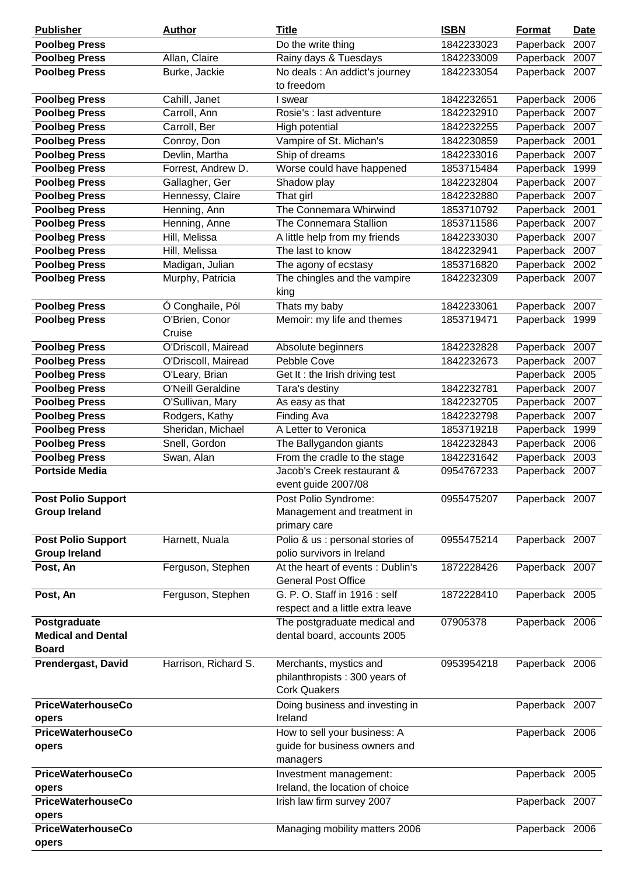| <b>Poolbeg Press</b><br>1842233023<br>Do the write thing<br>Paperback<br>2007<br><b>Poolbeg Press</b><br>Rainy days & Tuesdays<br>Paperback<br>2007<br>Allan, Claire<br>1842233009<br><b>Poolbeg Press</b><br>Burke, Jackie<br>No deals : An addict's journey<br>Paperback 2007<br>1842233054<br>to freedom<br><b>Poolbeg Press</b><br>Cahill, Janet<br>1842232651<br>Paperback 2006<br>I swear<br><b>Poolbeg Press</b><br>Carroll, Ann<br>Paperback<br>Rosie's : last adventure<br>1842232910<br>2007<br><b>Poolbeg Press</b><br>Carroll, Ber<br>Paperback<br>High potential<br>1842232255<br>2007<br><b>Poolbeg Press</b><br>Conroy, Don<br>Vampire of St. Michan's<br>Paperback<br>2001<br>1842230859<br>Ship of dreams<br><b>Poolbeg Press</b><br>Devlin, Martha<br>Paperback<br>2007<br>1842233016<br><b>Poolbeg Press</b><br>Forrest, Andrew D.<br>Worse could have happened<br>1999<br>1853715484<br>Paperback<br><b>Poolbeg Press</b><br>Gallagher, Ger<br>Paperback<br>2007<br>Shadow play<br>1842232804<br><b>Poolbeg Press</b><br>Hennessy, Claire<br>That girl<br>1842232880<br>Paperback<br>2007<br><b>Poolbeg Press</b><br>Henning, Ann<br>The Connemara Whirwind<br>Paperback<br>1853710792<br>2001<br>The Connemara Stallion<br><b>Poolbeg Press</b><br>Henning, Anne<br>1853711586<br>Paperback<br>2007<br><b>Poolbeg Press</b><br>Hill, Melissa<br>A little help from my friends<br>Paperback<br>1842233030<br>2007<br><b>Poolbeg Press</b><br>The last to know<br>Paperback<br>Hill, Melissa<br>1842232941<br>2007<br><b>Poolbeg Press</b><br>Madigan, Julian<br>The agony of ecstasy<br>1853716820<br>Paperback<br>2002<br><b>Poolbeg Press</b><br>The chingles and the vampire<br>Murphy, Patricia<br>1842232309<br>Paperback 2007<br>king<br>Thats my baby<br><b>Poolbeg Press</b><br>Ó Conghaile, Pól<br>1842233061<br>Paperback 2007<br><b>Poolbeg Press</b><br>O'Brien, Conor<br>Memoir: my life and themes<br>Paperback 1999<br>1853719471<br>Cruise<br><b>Poolbeg Press</b><br>O'Driscoll, Mairead<br>Absolute beginners<br>2007<br>1842232828<br>Paperback<br><b>Poolbeg Press</b><br>O'Driscoll, Mairead<br>Pebble Cove<br>1842232673<br>Paperback<br>2007<br><b>Poolbeg Press</b><br>Paperback<br>O'Leary, Brian<br>Get It: the Irish driving test<br>2005<br><b>Poolbeg Press</b><br>O'Neill Geraldine<br>1842232781<br>Paperback<br>Tara's destiny<br>2007<br><b>Poolbeg Press</b><br>O'Sullivan, Mary<br>As easy as that<br>1842232705<br>Paperback<br>2007<br><b>Poolbeg Press</b><br>Rodgers, Kathy<br>Finding Ava<br>1842232798<br>Paperback<br>2007<br>A Letter to Veronica<br><b>Poolbeg Press</b><br>Sheridan, Michael<br>1853719218<br>Paperback<br>1999<br><b>Poolbeg Press</b><br>Snell, Gordon<br>The Ballygandon giants<br>Paperback 2006<br>1842232843<br><b>Poolbeg Press</b><br>From the cradle to the stage<br>Paperback<br>Swan, Alan<br>1842231642<br>2003<br><b>Portside Media</b><br>Jacob's Creek restaurant &<br>0954767233<br>Paperback 2007<br>event guide 2007/08<br><b>Post Polio Support</b><br>Post Polio Syndrome:<br>0955475207<br>Paperback 2007<br><b>Group Ireland</b><br>Management and treatment in<br>primary care<br>Polio & us : personal stories of<br><b>Post Polio Support</b><br>Harnett, Nuala<br>0955475214<br>Paperback 2007<br><b>Group Ireland</b><br>polio survivors in Ireland<br>At the heart of events: Dublin's<br>Post, An<br>Ferguson, Stephen<br>1872228426<br>Paperback 2007<br><b>General Post Office</b><br>Ferguson, Stephen<br>G. P. O. Staff in 1916 : self<br>1872228410<br>Paperback 2005<br>Post, An<br>respect and a little extra leave<br>Postgraduate<br>The postgraduate medical and<br>07905378<br>Paperback 2006<br>dental board, accounts 2005<br><b>Medical and Dental</b><br><b>Board</b><br><b>Prendergast, David</b><br>Harrison, Richard S.<br>Merchants, mystics and<br>0953954218<br>Paperback 2006<br>philanthropists: 300 years of<br><b>Cork Quakers</b><br><b>PriceWaterhouseCo</b><br>Doing business and investing in<br>Paperback 2007<br>Ireland<br>opers<br><b>PriceWaterhouseCo</b><br>How to sell your business: A<br>Paperback 2006<br>guide for business owners and<br>opers<br>managers<br><b>PriceWaterhouseCo</b><br>Investment management:<br>Paperback 2005<br>Ireland, the location of choice<br>opers<br><b>PriceWaterhouseCo</b><br>Irish law firm survey 2007<br>Paperback 2007<br>opers | <b>Publisher</b>         | <b>Author</b> | <b>Title</b>                   | <b>ISBN</b> | <b>Format</b> | <b>Date</b> |
|-----------------------------------------------------------------------------------------------------------------------------------------------------------------------------------------------------------------------------------------------------------------------------------------------------------------------------------------------------------------------------------------------------------------------------------------------------------------------------------------------------------------------------------------------------------------------------------------------------------------------------------------------------------------------------------------------------------------------------------------------------------------------------------------------------------------------------------------------------------------------------------------------------------------------------------------------------------------------------------------------------------------------------------------------------------------------------------------------------------------------------------------------------------------------------------------------------------------------------------------------------------------------------------------------------------------------------------------------------------------------------------------------------------------------------------------------------------------------------------------------------------------------------------------------------------------------------------------------------------------------------------------------------------------------------------------------------------------------------------------------------------------------------------------------------------------------------------------------------------------------------------------------------------------------------------------------------------------------------------------------------------------------------------------------------------------------------------------------------------------------------------------------------------------------------------------------------------------------------------------------------------------------------------------------------------------------------------------------------------------------------------------------------------------------------------------------------------------------------------------------------------------------------------------------------------------------------------------------------------------------------------------------------------------------------------------------------------------------------------------------------------------------------------------------------------------------------------------------------------------------------------------------------------------------------------------------------------------------------------------------------------------------------------------------------------------------------------------------------------------------------------------------------------------------------------------------------------------------------------------------------------------------------------------------------------------------------------------------------------------------------------------------------------------------------------------------------------------------------------------------------------------------------------------------------------------------------------------------------------------------------------------------------------------------------------------------------------------------------------------------------------------------------------------------------------------------------------------------------------------------------------------------------------------------------------------------------------------------------------------------------------------------------------------------------------------------------------------------------------------------------------------------------------------------------------------------------------------------------------------------------------------------------------------------------------------------------------------------------------------------------------------------------------------------------|--------------------------|---------------|--------------------------------|-------------|---------------|-------------|
|                                                                                                                                                                                                                                                                                                                                                                                                                                                                                                                                                                                                                                                                                                                                                                                                                                                                                                                                                                                                                                                                                                                                                                                                                                                                                                                                                                                                                                                                                                                                                                                                                                                                                                                                                                                                                                                                                                                                                                                                                                                                                                                                                                                                                                                                                                                                                                                                                                                                                                                                                                                                                                                                                                                                                                                                                                                                                                                                                                                                                                                                                                                                                                                                                                                                                                                                                                                                                                                                                                                                                                                                                                                                                                                                                                                                                                                                                                                                                                                                                                                                                                                                                                                                                                                                                                                                                                                                                             |                          |               |                                |             |               |             |
|                                                                                                                                                                                                                                                                                                                                                                                                                                                                                                                                                                                                                                                                                                                                                                                                                                                                                                                                                                                                                                                                                                                                                                                                                                                                                                                                                                                                                                                                                                                                                                                                                                                                                                                                                                                                                                                                                                                                                                                                                                                                                                                                                                                                                                                                                                                                                                                                                                                                                                                                                                                                                                                                                                                                                                                                                                                                                                                                                                                                                                                                                                                                                                                                                                                                                                                                                                                                                                                                                                                                                                                                                                                                                                                                                                                                                                                                                                                                                                                                                                                                                                                                                                                                                                                                                                                                                                                                                             |                          |               |                                |             |               |             |
|                                                                                                                                                                                                                                                                                                                                                                                                                                                                                                                                                                                                                                                                                                                                                                                                                                                                                                                                                                                                                                                                                                                                                                                                                                                                                                                                                                                                                                                                                                                                                                                                                                                                                                                                                                                                                                                                                                                                                                                                                                                                                                                                                                                                                                                                                                                                                                                                                                                                                                                                                                                                                                                                                                                                                                                                                                                                                                                                                                                                                                                                                                                                                                                                                                                                                                                                                                                                                                                                                                                                                                                                                                                                                                                                                                                                                                                                                                                                                                                                                                                                                                                                                                                                                                                                                                                                                                                                                             |                          |               |                                |             |               |             |
|                                                                                                                                                                                                                                                                                                                                                                                                                                                                                                                                                                                                                                                                                                                                                                                                                                                                                                                                                                                                                                                                                                                                                                                                                                                                                                                                                                                                                                                                                                                                                                                                                                                                                                                                                                                                                                                                                                                                                                                                                                                                                                                                                                                                                                                                                                                                                                                                                                                                                                                                                                                                                                                                                                                                                                                                                                                                                                                                                                                                                                                                                                                                                                                                                                                                                                                                                                                                                                                                                                                                                                                                                                                                                                                                                                                                                                                                                                                                                                                                                                                                                                                                                                                                                                                                                                                                                                                                                             |                          |               |                                |             |               |             |
|                                                                                                                                                                                                                                                                                                                                                                                                                                                                                                                                                                                                                                                                                                                                                                                                                                                                                                                                                                                                                                                                                                                                                                                                                                                                                                                                                                                                                                                                                                                                                                                                                                                                                                                                                                                                                                                                                                                                                                                                                                                                                                                                                                                                                                                                                                                                                                                                                                                                                                                                                                                                                                                                                                                                                                                                                                                                                                                                                                                                                                                                                                                                                                                                                                                                                                                                                                                                                                                                                                                                                                                                                                                                                                                                                                                                                                                                                                                                                                                                                                                                                                                                                                                                                                                                                                                                                                                                                             |                          |               |                                |             |               |             |
|                                                                                                                                                                                                                                                                                                                                                                                                                                                                                                                                                                                                                                                                                                                                                                                                                                                                                                                                                                                                                                                                                                                                                                                                                                                                                                                                                                                                                                                                                                                                                                                                                                                                                                                                                                                                                                                                                                                                                                                                                                                                                                                                                                                                                                                                                                                                                                                                                                                                                                                                                                                                                                                                                                                                                                                                                                                                                                                                                                                                                                                                                                                                                                                                                                                                                                                                                                                                                                                                                                                                                                                                                                                                                                                                                                                                                                                                                                                                                                                                                                                                                                                                                                                                                                                                                                                                                                                                                             |                          |               |                                |             |               |             |
|                                                                                                                                                                                                                                                                                                                                                                                                                                                                                                                                                                                                                                                                                                                                                                                                                                                                                                                                                                                                                                                                                                                                                                                                                                                                                                                                                                                                                                                                                                                                                                                                                                                                                                                                                                                                                                                                                                                                                                                                                                                                                                                                                                                                                                                                                                                                                                                                                                                                                                                                                                                                                                                                                                                                                                                                                                                                                                                                                                                                                                                                                                                                                                                                                                                                                                                                                                                                                                                                                                                                                                                                                                                                                                                                                                                                                                                                                                                                                                                                                                                                                                                                                                                                                                                                                                                                                                                                                             |                          |               |                                |             |               |             |
|                                                                                                                                                                                                                                                                                                                                                                                                                                                                                                                                                                                                                                                                                                                                                                                                                                                                                                                                                                                                                                                                                                                                                                                                                                                                                                                                                                                                                                                                                                                                                                                                                                                                                                                                                                                                                                                                                                                                                                                                                                                                                                                                                                                                                                                                                                                                                                                                                                                                                                                                                                                                                                                                                                                                                                                                                                                                                                                                                                                                                                                                                                                                                                                                                                                                                                                                                                                                                                                                                                                                                                                                                                                                                                                                                                                                                                                                                                                                                                                                                                                                                                                                                                                                                                                                                                                                                                                                                             |                          |               |                                |             |               |             |
|                                                                                                                                                                                                                                                                                                                                                                                                                                                                                                                                                                                                                                                                                                                                                                                                                                                                                                                                                                                                                                                                                                                                                                                                                                                                                                                                                                                                                                                                                                                                                                                                                                                                                                                                                                                                                                                                                                                                                                                                                                                                                                                                                                                                                                                                                                                                                                                                                                                                                                                                                                                                                                                                                                                                                                                                                                                                                                                                                                                                                                                                                                                                                                                                                                                                                                                                                                                                                                                                                                                                                                                                                                                                                                                                                                                                                                                                                                                                                                                                                                                                                                                                                                                                                                                                                                                                                                                                                             |                          |               |                                |             |               |             |
|                                                                                                                                                                                                                                                                                                                                                                                                                                                                                                                                                                                                                                                                                                                                                                                                                                                                                                                                                                                                                                                                                                                                                                                                                                                                                                                                                                                                                                                                                                                                                                                                                                                                                                                                                                                                                                                                                                                                                                                                                                                                                                                                                                                                                                                                                                                                                                                                                                                                                                                                                                                                                                                                                                                                                                                                                                                                                                                                                                                                                                                                                                                                                                                                                                                                                                                                                                                                                                                                                                                                                                                                                                                                                                                                                                                                                                                                                                                                                                                                                                                                                                                                                                                                                                                                                                                                                                                                                             |                          |               |                                |             |               |             |
|                                                                                                                                                                                                                                                                                                                                                                                                                                                                                                                                                                                                                                                                                                                                                                                                                                                                                                                                                                                                                                                                                                                                                                                                                                                                                                                                                                                                                                                                                                                                                                                                                                                                                                                                                                                                                                                                                                                                                                                                                                                                                                                                                                                                                                                                                                                                                                                                                                                                                                                                                                                                                                                                                                                                                                                                                                                                                                                                                                                                                                                                                                                                                                                                                                                                                                                                                                                                                                                                                                                                                                                                                                                                                                                                                                                                                                                                                                                                                                                                                                                                                                                                                                                                                                                                                                                                                                                                                             |                          |               |                                |             |               |             |
|                                                                                                                                                                                                                                                                                                                                                                                                                                                                                                                                                                                                                                                                                                                                                                                                                                                                                                                                                                                                                                                                                                                                                                                                                                                                                                                                                                                                                                                                                                                                                                                                                                                                                                                                                                                                                                                                                                                                                                                                                                                                                                                                                                                                                                                                                                                                                                                                                                                                                                                                                                                                                                                                                                                                                                                                                                                                                                                                                                                                                                                                                                                                                                                                                                                                                                                                                                                                                                                                                                                                                                                                                                                                                                                                                                                                                                                                                                                                                                                                                                                                                                                                                                                                                                                                                                                                                                                                                             |                          |               |                                |             |               |             |
|                                                                                                                                                                                                                                                                                                                                                                                                                                                                                                                                                                                                                                                                                                                                                                                                                                                                                                                                                                                                                                                                                                                                                                                                                                                                                                                                                                                                                                                                                                                                                                                                                                                                                                                                                                                                                                                                                                                                                                                                                                                                                                                                                                                                                                                                                                                                                                                                                                                                                                                                                                                                                                                                                                                                                                                                                                                                                                                                                                                                                                                                                                                                                                                                                                                                                                                                                                                                                                                                                                                                                                                                                                                                                                                                                                                                                                                                                                                                                                                                                                                                                                                                                                                                                                                                                                                                                                                                                             |                          |               |                                |             |               |             |
|                                                                                                                                                                                                                                                                                                                                                                                                                                                                                                                                                                                                                                                                                                                                                                                                                                                                                                                                                                                                                                                                                                                                                                                                                                                                                                                                                                                                                                                                                                                                                                                                                                                                                                                                                                                                                                                                                                                                                                                                                                                                                                                                                                                                                                                                                                                                                                                                                                                                                                                                                                                                                                                                                                                                                                                                                                                                                                                                                                                                                                                                                                                                                                                                                                                                                                                                                                                                                                                                                                                                                                                                                                                                                                                                                                                                                                                                                                                                                                                                                                                                                                                                                                                                                                                                                                                                                                                                                             |                          |               |                                |             |               |             |
|                                                                                                                                                                                                                                                                                                                                                                                                                                                                                                                                                                                                                                                                                                                                                                                                                                                                                                                                                                                                                                                                                                                                                                                                                                                                                                                                                                                                                                                                                                                                                                                                                                                                                                                                                                                                                                                                                                                                                                                                                                                                                                                                                                                                                                                                                                                                                                                                                                                                                                                                                                                                                                                                                                                                                                                                                                                                                                                                                                                                                                                                                                                                                                                                                                                                                                                                                                                                                                                                                                                                                                                                                                                                                                                                                                                                                                                                                                                                                                                                                                                                                                                                                                                                                                                                                                                                                                                                                             |                          |               |                                |             |               |             |
|                                                                                                                                                                                                                                                                                                                                                                                                                                                                                                                                                                                                                                                                                                                                                                                                                                                                                                                                                                                                                                                                                                                                                                                                                                                                                                                                                                                                                                                                                                                                                                                                                                                                                                                                                                                                                                                                                                                                                                                                                                                                                                                                                                                                                                                                                                                                                                                                                                                                                                                                                                                                                                                                                                                                                                                                                                                                                                                                                                                                                                                                                                                                                                                                                                                                                                                                                                                                                                                                                                                                                                                                                                                                                                                                                                                                                                                                                                                                                                                                                                                                                                                                                                                                                                                                                                                                                                                                                             |                          |               |                                |             |               |             |
|                                                                                                                                                                                                                                                                                                                                                                                                                                                                                                                                                                                                                                                                                                                                                                                                                                                                                                                                                                                                                                                                                                                                                                                                                                                                                                                                                                                                                                                                                                                                                                                                                                                                                                                                                                                                                                                                                                                                                                                                                                                                                                                                                                                                                                                                                                                                                                                                                                                                                                                                                                                                                                                                                                                                                                                                                                                                                                                                                                                                                                                                                                                                                                                                                                                                                                                                                                                                                                                                                                                                                                                                                                                                                                                                                                                                                                                                                                                                                                                                                                                                                                                                                                                                                                                                                                                                                                                                                             |                          |               |                                |             |               |             |
|                                                                                                                                                                                                                                                                                                                                                                                                                                                                                                                                                                                                                                                                                                                                                                                                                                                                                                                                                                                                                                                                                                                                                                                                                                                                                                                                                                                                                                                                                                                                                                                                                                                                                                                                                                                                                                                                                                                                                                                                                                                                                                                                                                                                                                                                                                                                                                                                                                                                                                                                                                                                                                                                                                                                                                                                                                                                                                                                                                                                                                                                                                                                                                                                                                                                                                                                                                                                                                                                                                                                                                                                                                                                                                                                                                                                                                                                                                                                                                                                                                                                                                                                                                                                                                                                                                                                                                                                                             |                          |               |                                |             |               |             |
|                                                                                                                                                                                                                                                                                                                                                                                                                                                                                                                                                                                                                                                                                                                                                                                                                                                                                                                                                                                                                                                                                                                                                                                                                                                                                                                                                                                                                                                                                                                                                                                                                                                                                                                                                                                                                                                                                                                                                                                                                                                                                                                                                                                                                                                                                                                                                                                                                                                                                                                                                                                                                                                                                                                                                                                                                                                                                                                                                                                                                                                                                                                                                                                                                                                                                                                                                                                                                                                                                                                                                                                                                                                                                                                                                                                                                                                                                                                                                                                                                                                                                                                                                                                                                                                                                                                                                                                                                             |                          |               |                                |             |               |             |
|                                                                                                                                                                                                                                                                                                                                                                                                                                                                                                                                                                                                                                                                                                                                                                                                                                                                                                                                                                                                                                                                                                                                                                                                                                                                                                                                                                                                                                                                                                                                                                                                                                                                                                                                                                                                                                                                                                                                                                                                                                                                                                                                                                                                                                                                                                                                                                                                                                                                                                                                                                                                                                                                                                                                                                                                                                                                                                                                                                                                                                                                                                                                                                                                                                                                                                                                                                                                                                                                                                                                                                                                                                                                                                                                                                                                                                                                                                                                                                                                                                                                                                                                                                                                                                                                                                                                                                                                                             |                          |               |                                |             |               |             |
|                                                                                                                                                                                                                                                                                                                                                                                                                                                                                                                                                                                                                                                                                                                                                                                                                                                                                                                                                                                                                                                                                                                                                                                                                                                                                                                                                                                                                                                                                                                                                                                                                                                                                                                                                                                                                                                                                                                                                                                                                                                                                                                                                                                                                                                                                                                                                                                                                                                                                                                                                                                                                                                                                                                                                                                                                                                                                                                                                                                                                                                                                                                                                                                                                                                                                                                                                                                                                                                                                                                                                                                                                                                                                                                                                                                                                                                                                                                                                                                                                                                                                                                                                                                                                                                                                                                                                                                                                             |                          |               |                                |             |               |             |
|                                                                                                                                                                                                                                                                                                                                                                                                                                                                                                                                                                                                                                                                                                                                                                                                                                                                                                                                                                                                                                                                                                                                                                                                                                                                                                                                                                                                                                                                                                                                                                                                                                                                                                                                                                                                                                                                                                                                                                                                                                                                                                                                                                                                                                                                                                                                                                                                                                                                                                                                                                                                                                                                                                                                                                                                                                                                                                                                                                                                                                                                                                                                                                                                                                                                                                                                                                                                                                                                                                                                                                                                                                                                                                                                                                                                                                                                                                                                                                                                                                                                                                                                                                                                                                                                                                                                                                                                                             |                          |               |                                |             |               |             |
|                                                                                                                                                                                                                                                                                                                                                                                                                                                                                                                                                                                                                                                                                                                                                                                                                                                                                                                                                                                                                                                                                                                                                                                                                                                                                                                                                                                                                                                                                                                                                                                                                                                                                                                                                                                                                                                                                                                                                                                                                                                                                                                                                                                                                                                                                                                                                                                                                                                                                                                                                                                                                                                                                                                                                                                                                                                                                                                                                                                                                                                                                                                                                                                                                                                                                                                                                                                                                                                                                                                                                                                                                                                                                                                                                                                                                                                                                                                                                                                                                                                                                                                                                                                                                                                                                                                                                                                                                             |                          |               |                                |             |               |             |
|                                                                                                                                                                                                                                                                                                                                                                                                                                                                                                                                                                                                                                                                                                                                                                                                                                                                                                                                                                                                                                                                                                                                                                                                                                                                                                                                                                                                                                                                                                                                                                                                                                                                                                                                                                                                                                                                                                                                                                                                                                                                                                                                                                                                                                                                                                                                                                                                                                                                                                                                                                                                                                                                                                                                                                                                                                                                                                                                                                                                                                                                                                                                                                                                                                                                                                                                                                                                                                                                                                                                                                                                                                                                                                                                                                                                                                                                                                                                                                                                                                                                                                                                                                                                                                                                                                                                                                                                                             |                          |               |                                |             |               |             |
|                                                                                                                                                                                                                                                                                                                                                                                                                                                                                                                                                                                                                                                                                                                                                                                                                                                                                                                                                                                                                                                                                                                                                                                                                                                                                                                                                                                                                                                                                                                                                                                                                                                                                                                                                                                                                                                                                                                                                                                                                                                                                                                                                                                                                                                                                                                                                                                                                                                                                                                                                                                                                                                                                                                                                                                                                                                                                                                                                                                                                                                                                                                                                                                                                                                                                                                                                                                                                                                                                                                                                                                                                                                                                                                                                                                                                                                                                                                                                                                                                                                                                                                                                                                                                                                                                                                                                                                                                             |                          |               |                                |             |               |             |
|                                                                                                                                                                                                                                                                                                                                                                                                                                                                                                                                                                                                                                                                                                                                                                                                                                                                                                                                                                                                                                                                                                                                                                                                                                                                                                                                                                                                                                                                                                                                                                                                                                                                                                                                                                                                                                                                                                                                                                                                                                                                                                                                                                                                                                                                                                                                                                                                                                                                                                                                                                                                                                                                                                                                                                                                                                                                                                                                                                                                                                                                                                                                                                                                                                                                                                                                                                                                                                                                                                                                                                                                                                                                                                                                                                                                                                                                                                                                                                                                                                                                                                                                                                                                                                                                                                                                                                                                                             |                          |               |                                |             |               |             |
|                                                                                                                                                                                                                                                                                                                                                                                                                                                                                                                                                                                                                                                                                                                                                                                                                                                                                                                                                                                                                                                                                                                                                                                                                                                                                                                                                                                                                                                                                                                                                                                                                                                                                                                                                                                                                                                                                                                                                                                                                                                                                                                                                                                                                                                                                                                                                                                                                                                                                                                                                                                                                                                                                                                                                                                                                                                                                                                                                                                                                                                                                                                                                                                                                                                                                                                                                                                                                                                                                                                                                                                                                                                                                                                                                                                                                                                                                                                                                                                                                                                                                                                                                                                                                                                                                                                                                                                                                             |                          |               |                                |             |               |             |
|                                                                                                                                                                                                                                                                                                                                                                                                                                                                                                                                                                                                                                                                                                                                                                                                                                                                                                                                                                                                                                                                                                                                                                                                                                                                                                                                                                                                                                                                                                                                                                                                                                                                                                                                                                                                                                                                                                                                                                                                                                                                                                                                                                                                                                                                                                                                                                                                                                                                                                                                                                                                                                                                                                                                                                                                                                                                                                                                                                                                                                                                                                                                                                                                                                                                                                                                                                                                                                                                                                                                                                                                                                                                                                                                                                                                                                                                                                                                                                                                                                                                                                                                                                                                                                                                                                                                                                                                                             |                          |               |                                |             |               |             |
|                                                                                                                                                                                                                                                                                                                                                                                                                                                                                                                                                                                                                                                                                                                                                                                                                                                                                                                                                                                                                                                                                                                                                                                                                                                                                                                                                                                                                                                                                                                                                                                                                                                                                                                                                                                                                                                                                                                                                                                                                                                                                                                                                                                                                                                                                                                                                                                                                                                                                                                                                                                                                                                                                                                                                                                                                                                                                                                                                                                                                                                                                                                                                                                                                                                                                                                                                                                                                                                                                                                                                                                                                                                                                                                                                                                                                                                                                                                                                                                                                                                                                                                                                                                                                                                                                                                                                                                                                             |                          |               |                                |             |               |             |
|                                                                                                                                                                                                                                                                                                                                                                                                                                                                                                                                                                                                                                                                                                                                                                                                                                                                                                                                                                                                                                                                                                                                                                                                                                                                                                                                                                                                                                                                                                                                                                                                                                                                                                                                                                                                                                                                                                                                                                                                                                                                                                                                                                                                                                                                                                                                                                                                                                                                                                                                                                                                                                                                                                                                                                                                                                                                                                                                                                                                                                                                                                                                                                                                                                                                                                                                                                                                                                                                                                                                                                                                                                                                                                                                                                                                                                                                                                                                                                                                                                                                                                                                                                                                                                                                                                                                                                                                                             |                          |               |                                |             |               |             |
|                                                                                                                                                                                                                                                                                                                                                                                                                                                                                                                                                                                                                                                                                                                                                                                                                                                                                                                                                                                                                                                                                                                                                                                                                                                                                                                                                                                                                                                                                                                                                                                                                                                                                                                                                                                                                                                                                                                                                                                                                                                                                                                                                                                                                                                                                                                                                                                                                                                                                                                                                                                                                                                                                                                                                                                                                                                                                                                                                                                                                                                                                                                                                                                                                                                                                                                                                                                                                                                                                                                                                                                                                                                                                                                                                                                                                                                                                                                                                                                                                                                                                                                                                                                                                                                                                                                                                                                                                             |                          |               |                                |             |               |             |
|                                                                                                                                                                                                                                                                                                                                                                                                                                                                                                                                                                                                                                                                                                                                                                                                                                                                                                                                                                                                                                                                                                                                                                                                                                                                                                                                                                                                                                                                                                                                                                                                                                                                                                                                                                                                                                                                                                                                                                                                                                                                                                                                                                                                                                                                                                                                                                                                                                                                                                                                                                                                                                                                                                                                                                                                                                                                                                                                                                                                                                                                                                                                                                                                                                                                                                                                                                                                                                                                                                                                                                                                                                                                                                                                                                                                                                                                                                                                                                                                                                                                                                                                                                                                                                                                                                                                                                                                                             |                          |               |                                |             |               |             |
|                                                                                                                                                                                                                                                                                                                                                                                                                                                                                                                                                                                                                                                                                                                                                                                                                                                                                                                                                                                                                                                                                                                                                                                                                                                                                                                                                                                                                                                                                                                                                                                                                                                                                                                                                                                                                                                                                                                                                                                                                                                                                                                                                                                                                                                                                                                                                                                                                                                                                                                                                                                                                                                                                                                                                                                                                                                                                                                                                                                                                                                                                                                                                                                                                                                                                                                                                                                                                                                                                                                                                                                                                                                                                                                                                                                                                                                                                                                                                                                                                                                                                                                                                                                                                                                                                                                                                                                                                             |                          |               |                                |             |               |             |
|                                                                                                                                                                                                                                                                                                                                                                                                                                                                                                                                                                                                                                                                                                                                                                                                                                                                                                                                                                                                                                                                                                                                                                                                                                                                                                                                                                                                                                                                                                                                                                                                                                                                                                                                                                                                                                                                                                                                                                                                                                                                                                                                                                                                                                                                                                                                                                                                                                                                                                                                                                                                                                                                                                                                                                                                                                                                                                                                                                                                                                                                                                                                                                                                                                                                                                                                                                                                                                                                                                                                                                                                                                                                                                                                                                                                                                                                                                                                                                                                                                                                                                                                                                                                                                                                                                                                                                                                                             |                          |               |                                |             |               |             |
|                                                                                                                                                                                                                                                                                                                                                                                                                                                                                                                                                                                                                                                                                                                                                                                                                                                                                                                                                                                                                                                                                                                                                                                                                                                                                                                                                                                                                                                                                                                                                                                                                                                                                                                                                                                                                                                                                                                                                                                                                                                                                                                                                                                                                                                                                                                                                                                                                                                                                                                                                                                                                                                                                                                                                                                                                                                                                                                                                                                                                                                                                                                                                                                                                                                                                                                                                                                                                                                                                                                                                                                                                                                                                                                                                                                                                                                                                                                                                                                                                                                                                                                                                                                                                                                                                                                                                                                                                             |                          |               |                                |             |               |             |
|                                                                                                                                                                                                                                                                                                                                                                                                                                                                                                                                                                                                                                                                                                                                                                                                                                                                                                                                                                                                                                                                                                                                                                                                                                                                                                                                                                                                                                                                                                                                                                                                                                                                                                                                                                                                                                                                                                                                                                                                                                                                                                                                                                                                                                                                                                                                                                                                                                                                                                                                                                                                                                                                                                                                                                                                                                                                                                                                                                                                                                                                                                                                                                                                                                                                                                                                                                                                                                                                                                                                                                                                                                                                                                                                                                                                                                                                                                                                                                                                                                                                                                                                                                                                                                                                                                                                                                                                                             |                          |               |                                |             |               |             |
|                                                                                                                                                                                                                                                                                                                                                                                                                                                                                                                                                                                                                                                                                                                                                                                                                                                                                                                                                                                                                                                                                                                                                                                                                                                                                                                                                                                                                                                                                                                                                                                                                                                                                                                                                                                                                                                                                                                                                                                                                                                                                                                                                                                                                                                                                                                                                                                                                                                                                                                                                                                                                                                                                                                                                                                                                                                                                                                                                                                                                                                                                                                                                                                                                                                                                                                                                                                                                                                                                                                                                                                                                                                                                                                                                                                                                                                                                                                                                                                                                                                                                                                                                                                                                                                                                                                                                                                                                             |                          |               |                                |             |               |             |
|                                                                                                                                                                                                                                                                                                                                                                                                                                                                                                                                                                                                                                                                                                                                                                                                                                                                                                                                                                                                                                                                                                                                                                                                                                                                                                                                                                                                                                                                                                                                                                                                                                                                                                                                                                                                                                                                                                                                                                                                                                                                                                                                                                                                                                                                                                                                                                                                                                                                                                                                                                                                                                                                                                                                                                                                                                                                                                                                                                                                                                                                                                                                                                                                                                                                                                                                                                                                                                                                                                                                                                                                                                                                                                                                                                                                                                                                                                                                                                                                                                                                                                                                                                                                                                                                                                                                                                                                                             |                          |               |                                |             |               |             |
|                                                                                                                                                                                                                                                                                                                                                                                                                                                                                                                                                                                                                                                                                                                                                                                                                                                                                                                                                                                                                                                                                                                                                                                                                                                                                                                                                                                                                                                                                                                                                                                                                                                                                                                                                                                                                                                                                                                                                                                                                                                                                                                                                                                                                                                                                                                                                                                                                                                                                                                                                                                                                                                                                                                                                                                                                                                                                                                                                                                                                                                                                                                                                                                                                                                                                                                                                                                                                                                                                                                                                                                                                                                                                                                                                                                                                                                                                                                                                                                                                                                                                                                                                                                                                                                                                                                                                                                                                             |                          |               |                                |             |               |             |
|                                                                                                                                                                                                                                                                                                                                                                                                                                                                                                                                                                                                                                                                                                                                                                                                                                                                                                                                                                                                                                                                                                                                                                                                                                                                                                                                                                                                                                                                                                                                                                                                                                                                                                                                                                                                                                                                                                                                                                                                                                                                                                                                                                                                                                                                                                                                                                                                                                                                                                                                                                                                                                                                                                                                                                                                                                                                                                                                                                                                                                                                                                                                                                                                                                                                                                                                                                                                                                                                                                                                                                                                                                                                                                                                                                                                                                                                                                                                                                                                                                                                                                                                                                                                                                                                                                                                                                                                                             |                          |               |                                |             |               |             |
|                                                                                                                                                                                                                                                                                                                                                                                                                                                                                                                                                                                                                                                                                                                                                                                                                                                                                                                                                                                                                                                                                                                                                                                                                                                                                                                                                                                                                                                                                                                                                                                                                                                                                                                                                                                                                                                                                                                                                                                                                                                                                                                                                                                                                                                                                                                                                                                                                                                                                                                                                                                                                                                                                                                                                                                                                                                                                                                                                                                                                                                                                                                                                                                                                                                                                                                                                                                                                                                                                                                                                                                                                                                                                                                                                                                                                                                                                                                                                                                                                                                                                                                                                                                                                                                                                                                                                                                                                             |                          |               |                                |             |               |             |
|                                                                                                                                                                                                                                                                                                                                                                                                                                                                                                                                                                                                                                                                                                                                                                                                                                                                                                                                                                                                                                                                                                                                                                                                                                                                                                                                                                                                                                                                                                                                                                                                                                                                                                                                                                                                                                                                                                                                                                                                                                                                                                                                                                                                                                                                                                                                                                                                                                                                                                                                                                                                                                                                                                                                                                                                                                                                                                                                                                                                                                                                                                                                                                                                                                                                                                                                                                                                                                                                                                                                                                                                                                                                                                                                                                                                                                                                                                                                                                                                                                                                                                                                                                                                                                                                                                                                                                                                                             |                          |               |                                |             |               |             |
|                                                                                                                                                                                                                                                                                                                                                                                                                                                                                                                                                                                                                                                                                                                                                                                                                                                                                                                                                                                                                                                                                                                                                                                                                                                                                                                                                                                                                                                                                                                                                                                                                                                                                                                                                                                                                                                                                                                                                                                                                                                                                                                                                                                                                                                                                                                                                                                                                                                                                                                                                                                                                                                                                                                                                                                                                                                                                                                                                                                                                                                                                                                                                                                                                                                                                                                                                                                                                                                                                                                                                                                                                                                                                                                                                                                                                                                                                                                                                                                                                                                                                                                                                                                                                                                                                                                                                                                                                             |                          |               |                                |             |               |             |
|                                                                                                                                                                                                                                                                                                                                                                                                                                                                                                                                                                                                                                                                                                                                                                                                                                                                                                                                                                                                                                                                                                                                                                                                                                                                                                                                                                                                                                                                                                                                                                                                                                                                                                                                                                                                                                                                                                                                                                                                                                                                                                                                                                                                                                                                                                                                                                                                                                                                                                                                                                                                                                                                                                                                                                                                                                                                                                                                                                                                                                                                                                                                                                                                                                                                                                                                                                                                                                                                                                                                                                                                                                                                                                                                                                                                                                                                                                                                                                                                                                                                                                                                                                                                                                                                                                                                                                                                                             |                          |               |                                |             |               |             |
|                                                                                                                                                                                                                                                                                                                                                                                                                                                                                                                                                                                                                                                                                                                                                                                                                                                                                                                                                                                                                                                                                                                                                                                                                                                                                                                                                                                                                                                                                                                                                                                                                                                                                                                                                                                                                                                                                                                                                                                                                                                                                                                                                                                                                                                                                                                                                                                                                                                                                                                                                                                                                                                                                                                                                                                                                                                                                                                                                                                                                                                                                                                                                                                                                                                                                                                                                                                                                                                                                                                                                                                                                                                                                                                                                                                                                                                                                                                                                                                                                                                                                                                                                                                                                                                                                                                                                                                                                             |                          |               |                                |             |               |             |
|                                                                                                                                                                                                                                                                                                                                                                                                                                                                                                                                                                                                                                                                                                                                                                                                                                                                                                                                                                                                                                                                                                                                                                                                                                                                                                                                                                                                                                                                                                                                                                                                                                                                                                                                                                                                                                                                                                                                                                                                                                                                                                                                                                                                                                                                                                                                                                                                                                                                                                                                                                                                                                                                                                                                                                                                                                                                                                                                                                                                                                                                                                                                                                                                                                                                                                                                                                                                                                                                                                                                                                                                                                                                                                                                                                                                                                                                                                                                                                                                                                                                                                                                                                                                                                                                                                                                                                                                                             |                          |               |                                |             |               |             |
|                                                                                                                                                                                                                                                                                                                                                                                                                                                                                                                                                                                                                                                                                                                                                                                                                                                                                                                                                                                                                                                                                                                                                                                                                                                                                                                                                                                                                                                                                                                                                                                                                                                                                                                                                                                                                                                                                                                                                                                                                                                                                                                                                                                                                                                                                                                                                                                                                                                                                                                                                                                                                                                                                                                                                                                                                                                                                                                                                                                                                                                                                                                                                                                                                                                                                                                                                                                                                                                                                                                                                                                                                                                                                                                                                                                                                                                                                                                                                                                                                                                                                                                                                                                                                                                                                                                                                                                                                             |                          |               |                                |             |               |             |
|                                                                                                                                                                                                                                                                                                                                                                                                                                                                                                                                                                                                                                                                                                                                                                                                                                                                                                                                                                                                                                                                                                                                                                                                                                                                                                                                                                                                                                                                                                                                                                                                                                                                                                                                                                                                                                                                                                                                                                                                                                                                                                                                                                                                                                                                                                                                                                                                                                                                                                                                                                                                                                                                                                                                                                                                                                                                                                                                                                                                                                                                                                                                                                                                                                                                                                                                                                                                                                                                                                                                                                                                                                                                                                                                                                                                                                                                                                                                                                                                                                                                                                                                                                                                                                                                                                                                                                                                                             |                          |               |                                |             |               |             |
|                                                                                                                                                                                                                                                                                                                                                                                                                                                                                                                                                                                                                                                                                                                                                                                                                                                                                                                                                                                                                                                                                                                                                                                                                                                                                                                                                                                                                                                                                                                                                                                                                                                                                                                                                                                                                                                                                                                                                                                                                                                                                                                                                                                                                                                                                                                                                                                                                                                                                                                                                                                                                                                                                                                                                                                                                                                                                                                                                                                                                                                                                                                                                                                                                                                                                                                                                                                                                                                                                                                                                                                                                                                                                                                                                                                                                                                                                                                                                                                                                                                                                                                                                                                                                                                                                                                                                                                                                             |                          |               |                                |             |               |             |
|                                                                                                                                                                                                                                                                                                                                                                                                                                                                                                                                                                                                                                                                                                                                                                                                                                                                                                                                                                                                                                                                                                                                                                                                                                                                                                                                                                                                                                                                                                                                                                                                                                                                                                                                                                                                                                                                                                                                                                                                                                                                                                                                                                                                                                                                                                                                                                                                                                                                                                                                                                                                                                                                                                                                                                                                                                                                                                                                                                                                                                                                                                                                                                                                                                                                                                                                                                                                                                                                                                                                                                                                                                                                                                                                                                                                                                                                                                                                                                                                                                                                                                                                                                                                                                                                                                                                                                                                                             |                          |               |                                |             |               |             |
|                                                                                                                                                                                                                                                                                                                                                                                                                                                                                                                                                                                                                                                                                                                                                                                                                                                                                                                                                                                                                                                                                                                                                                                                                                                                                                                                                                                                                                                                                                                                                                                                                                                                                                                                                                                                                                                                                                                                                                                                                                                                                                                                                                                                                                                                                                                                                                                                                                                                                                                                                                                                                                                                                                                                                                                                                                                                                                                                                                                                                                                                                                                                                                                                                                                                                                                                                                                                                                                                                                                                                                                                                                                                                                                                                                                                                                                                                                                                                                                                                                                                                                                                                                                                                                                                                                                                                                                                                             |                          |               |                                |             |               |             |
|                                                                                                                                                                                                                                                                                                                                                                                                                                                                                                                                                                                                                                                                                                                                                                                                                                                                                                                                                                                                                                                                                                                                                                                                                                                                                                                                                                                                                                                                                                                                                                                                                                                                                                                                                                                                                                                                                                                                                                                                                                                                                                                                                                                                                                                                                                                                                                                                                                                                                                                                                                                                                                                                                                                                                                                                                                                                                                                                                                                                                                                                                                                                                                                                                                                                                                                                                                                                                                                                                                                                                                                                                                                                                                                                                                                                                                                                                                                                                                                                                                                                                                                                                                                                                                                                                                                                                                                                                             |                          |               |                                |             |               |             |
|                                                                                                                                                                                                                                                                                                                                                                                                                                                                                                                                                                                                                                                                                                                                                                                                                                                                                                                                                                                                                                                                                                                                                                                                                                                                                                                                                                                                                                                                                                                                                                                                                                                                                                                                                                                                                                                                                                                                                                                                                                                                                                                                                                                                                                                                                                                                                                                                                                                                                                                                                                                                                                                                                                                                                                                                                                                                                                                                                                                                                                                                                                                                                                                                                                                                                                                                                                                                                                                                                                                                                                                                                                                                                                                                                                                                                                                                                                                                                                                                                                                                                                                                                                                                                                                                                                                                                                                                                             |                          |               |                                |             |               |             |
|                                                                                                                                                                                                                                                                                                                                                                                                                                                                                                                                                                                                                                                                                                                                                                                                                                                                                                                                                                                                                                                                                                                                                                                                                                                                                                                                                                                                                                                                                                                                                                                                                                                                                                                                                                                                                                                                                                                                                                                                                                                                                                                                                                                                                                                                                                                                                                                                                                                                                                                                                                                                                                                                                                                                                                                                                                                                                                                                                                                                                                                                                                                                                                                                                                                                                                                                                                                                                                                                                                                                                                                                                                                                                                                                                                                                                                                                                                                                                                                                                                                                                                                                                                                                                                                                                                                                                                                                                             |                          |               |                                |             |               |             |
|                                                                                                                                                                                                                                                                                                                                                                                                                                                                                                                                                                                                                                                                                                                                                                                                                                                                                                                                                                                                                                                                                                                                                                                                                                                                                                                                                                                                                                                                                                                                                                                                                                                                                                                                                                                                                                                                                                                                                                                                                                                                                                                                                                                                                                                                                                                                                                                                                                                                                                                                                                                                                                                                                                                                                                                                                                                                                                                                                                                                                                                                                                                                                                                                                                                                                                                                                                                                                                                                                                                                                                                                                                                                                                                                                                                                                                                                                                                                                                                                                                                                                                                                                                                                                                                                                                                                                                                                                             |                          |               |                                |             |               |             |
|                                                                                                                                                                                                                                                                                                                                                                                                                                                                                                                                                                                                                                                                                                                                                                                                                                                                                                                                                                                                                                                                                                                                                                                                                                                                                                                                                                                                                                                                                                                                                                                                                                                                                                                                                                                                                                                                                                                                                                                                                                                                                                                                                                                                                                                                                                                                                                                                                                                                                                                                                                                                                                                                                                                                                                                                                                                                                                                                                                                                                                                                                                                                                                                                                                                                                                                                                                                                                                                                                                                                                                                                                                                                                                                                                                                                                                                                                                                                                                                                                                                                                                                                                                                                                                                                                                                                                                                                                             |                          |               |                                |             |               |             |
|                                                                                                                                                                                                                                                                                                                                                                                                                                                                                                                                                                                                                                                                                                                                                                                                                                                                                                                                                                                                                                                                                                                                                                                                                                                                                                                                                                                                                                                                                                                                                                                                                                                                                                                                                                                                                                                                                                                                                                                                                                                                                                                                                                                                                                                                                                                                                                                                                                                                                                                                                                                                                                                                                                                                                                                                                                                                                                                                                                                                                                                                                                                                                                                                                                                                                                                                                                                                                                                                                                                                                                                                                                                                                                                                                                                                                                                                                                                                                                                                                                                                                                                                                                                                                                                                                                                                                                                                                             |                          |               |                                |             |               |             |
|                                                                                                                                                                                                                                                                                                                                                                                                                                                                                                                                                                                                                                                                                                                                                                                                                                                                                                                                                                                                                                                                                                                                                                                                                                                                                                                                                                                                                                                                                                                                                                                                                                                                                                                                                                                                                                                                                                                                                                                                                                                                                                                                                                                                                                                                                                                                                                                                                                                                                                                                                                                                                                                                                                                                                                                                                                                                                                                                                                                                                                                                                                                                                                                                                                                                                                                                                                                                                                                                                                                                                                                                                                                                                                                                                                                                                                                                                                                                                                                                                                                                                                                                                                                                                                                                                                                                                                                                                             |                          |               |                                |             |               |             |
| Paperback 2006                                                                                                                                                                                                                                                                                                                                                                                                                                                                                                                                                                                                                                                                                                                                                                                                                                                                                                                                                                                                                                                                                                                                                                                                                                                                                                                                                                                                                                                                                                                                                                                                                                                                                                                                                                                                                                                                                                                                                                                                                                                                                                                                                                                                                                                                                                                                                                                                                                                                                                                                                                                                                                                                                                                                                                                                                                                                                                                                                                                                                                                                                                                                                                                                                                                                                                                                                                                                                                                                                                                                                                                                                                                                                                                                                                                                                                                                                                                                                                                                                                                                                                                                                                                                                                                                                                                                                                                                              | <b>PriceWaterhouseCo</b> |               | Managing mobility matters 2006 |             |               |             |
| opers                                                                                                                                                                                                                                                                                                                                                                                                                                                                                                                                                                                                                                                                                                                                                                                                                                                                                                                                                                                                                                                                                                                                                                                                                                                                                                                                                                                                                                                                                                                                                                                                                                                                                                                                                                                                                                                                                                                                                                                                                                                                                                                                                                                                                                                                                                                                                                                                                                                                                                                                                                                                                                                                                                                                                                                                                                                                                                                                                                                                                                                                                                                                                                                                                                                                                                                                                                                                                                                                                                                                                                                                                                                                                                                                                                                                                                                                                                                                                                                                                                                                                                                                                                                                                                                                                                                                                                                                                       |                          |               |                                |             |               |             |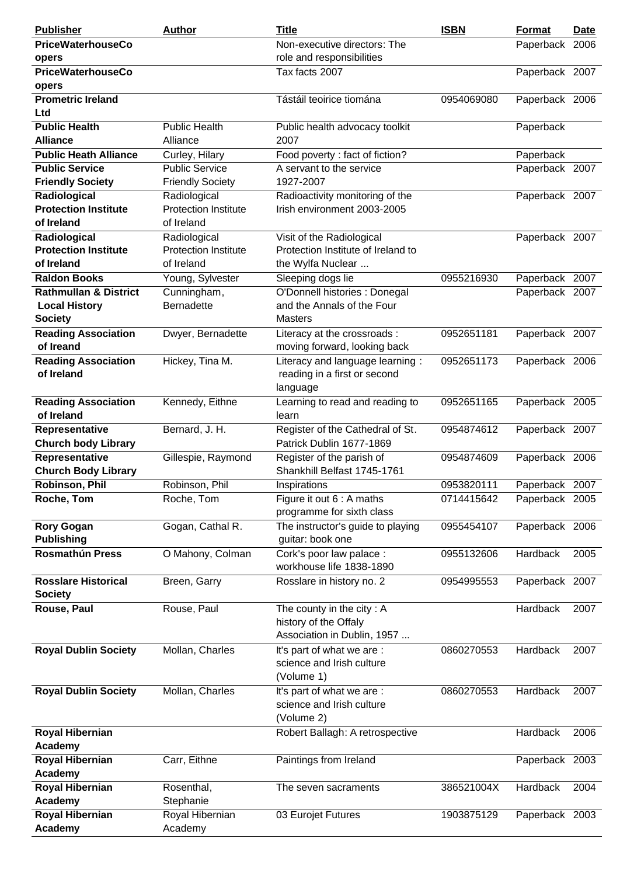| <b>Publisher</b>                                          | <b>Author</b>                                             | <b>Title</b>                                                                         | <b>ISBN</b> | <b>Format</b>  | <u>Date</u> |
|-----------------------------------------------------------|-----------------------------------------------------------|--------------------------------------------------------------------------------------|-------------|----------------|-------------|
| <b>PriceWaterhouseCo</b>                                  |                                                           | Non-executive directors: The                                                         |             | Paperback 2006 |             |
| opers                                                     |                                                           | role and responsibilities                                                            |             |                |             |
| <b>PriceWaterhouseCo</b>                                  |                                                           | Tax facts 2007                                                                       |             | Paperback 2007 |             |
| opers                                                     |                                                           |                                                                                      |             |                |             |
| <b>Prometric Ireland</b><br>Ltd                           |                                                           | Tástáil teoirice tiomána                                                             | 0954069080  | Paperback 2006 |             |
| <b>Public Health</b><br><b>Alliance</b>                   | <b>Public Health</b><br>Alliance                          | Public health advocacy toolkit<br>2007                                               |             | Paperback      |             |
| <b>Public Heath Alliance</b>                              | Curley, Hilary                                            | Food poverty : fact of fiction?                                                      |             | Paperback      |             |
| <b>Public Service</b>                                     | <b>Public Service</b>                                     | A servant to the service                                                             |             | Paperback 2007 |             |
| <b>Friendly Society</b>                                   | <b>Friendly Society</b>                                   | 1927-2007                                                                            |             |                |             |
| Radiological<br><b>Protection Institute</b>               | Radiological<br><b>Protection Institute</b>               | Radioactivity monitoring of the<br>Irish environment 2003-2005                       |             | Paperback 2007 |             |
| of Ireland                                                | of Ireland                                                |                                                                                      |             |                |             |
| Radiological<br><b>Protection Institute</b><br>of Ireland | Radiological<br><b>Protection Institute</b><br>of Ireland | Visit of the Radiological<br>Protection Institute of Ireland to<br>the Wylfa Nuclear |             | Paperback 2007 |             |
| <b>Raldon Books</b>                                       | Young, Sylvester                                          | Sleeping dogs lie                                                                    | 0955216930  | Paperback 2007 |             |
| <b>Rathmullan &amp; District</b>                          | Cunningham,                                               | O'Donnell histories : Donegal                                                        |             | Paperback 2007 |             |
| <b>Local History</b><br><b>Society</b>                    | Bernadette                                                | and the Annals of the Four<br><b>Masters</b>                                         |             |                |             |
| <b>Reading Association</b><br>of Ireand                   | Dwyer, Bernadette                                         | Literacy at the crossroads:<br>moving forward, looking back                          | 0952651181  | Paperback 2007 |             |
| <b>Reading Association</b><br>of Ireland                  | Hickey, Tina M.                                           | Literacy and language learning:<br>reading in a first or second<br>language          | 0952651173  | Paperback 2006 |             |
| <b>Reading Association</b><br>of Ireland                  | Kennedy, Eithne                                           | Learning to read and reading to<br>learn                                             | 0952651165  | Paperback 2005 |             |
| Representative<br><b>Church body Library</b>              | Bernard, J. H.                                            | Register of the Cathedral of St.<br>Patrick Dublin 1677-1869                         | 0954874612  | Paperback 2007 |             |
| Representative<br><b>Church Body Library</b>              | Gillespie, Raymond                                        | Register of the parish of<br>Shankhill Belfast 1745-1761                             | 0954874609  | Paperback 2006 |             |
| Robinson, Phil                                            | Robinson, Phil                                            | Inspirations                                                                         | 0953820111  | Paperback 2007 |             |
| Roche, Tom                                                | Roche, Tom                                                | Figure it out 6 : A maths<br>programme for sixth class                               | 0714415642  | Paperback 2005 |             |
| <b>Rory Gogan</b><br><b>Publishing</b>                    | Gogan, Cathal R.                                          | The instructor's guide to playing<br>guitar: book one                                | 0955454107  | Paperback 2006 |             |
| <b>Rosmathún Press</b>                                    | O Mahony, Colman                                          | Cork's poor law palace :<br>workhouse life 1838-1890                                 | 0955132606  | Hardback       | 2005        |
| <b>Rosslare Historical</b><br><b>Society</b>              | Breen, Garry                                              | Rosslare in history no. 2                                                            | 0954995553  | Paperback 2007 |             |
| Rouse, Paul                                               | Rouse, Paul                                               | The county in the city: A<br>history of the Offaly<br>Association in Dublin, 1957    |             | Hardback       | 2007        |
| <b>Royal Dublin Society</b>                               | Mollan, Charles                                           | It's part of what we are :<br>science and Irish culture<br>(Volume 1)                | 0860270553  | Hardback       | 2007        |
| <b>Royal Dublin Society</b>                               | Mollan, Charles                                           | It's part of what we are :<br>science and Irish culture<br>(Volume 2)                | 0860270553  | Hardback       | 2007        |
| <b>Royal Hibernian</b><br>Academy                         |                                                           | Robert Ballagh: A retrospective                                                      |             | Hardback       | 2006        |
| <b>Royal Hibernian</b><br>Academy                         | Carr, Eithne                                              | Paintings from Ireland                                                               |             | Paperback 2003 |             |
| <b>Royal Hibernian</b><br>Academy                         | Rosenthal,<br>Stephanie                                   | The seven sacraments                                                                 | 386521004X  | Hardback       | 2004        |
| <b>Royal Hibernian</b><br>Academy                         | Royal Hibernian<br>Academy                                | 03 Eurojet Futures                                                                   | 1903875129  | Paperback 2003 |             |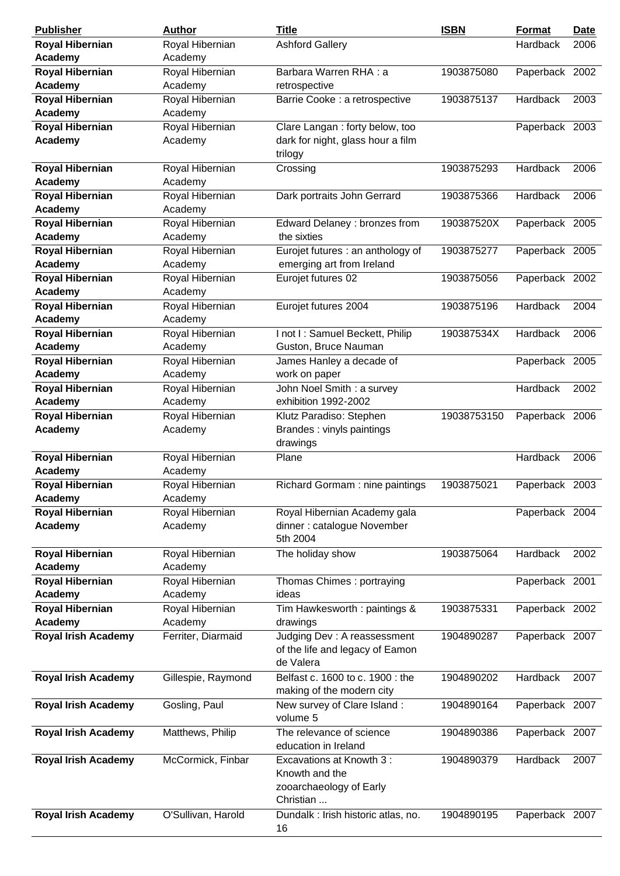| Hardback<br>Royal Hibernian<br><b>Ashford Gallery</b><br>2006<br>Academy<br>Academy<br><b>Royal Hibernian</b><br>Royal Hibernian<br>Barbara Warren RHA: a<br>1903875080<br>Paperback 2002<br>Academy<br>Academy<br>retrospective<br>Royal Hibernian<br>Royal Hibernian<br>Barrie Cooke : a retrospective<br>1903875137<br>Hardback<br>2003<br>Academy<br>Academy<br>Royal Hibernian<br>Royal Hibernian<br>Clare Langan : forty below, too<br>Paperback 2003<br>Academy<br>Academy<br>dark for night, glass hour a film<br>trilogy<br><b>Royal Hibernian</b><br>Royal Hibernian<br>Hardback<br>Crossing<br>1903875293<br>2006<br>Academy<br>Academy<br>Royal Hibernian<br>Royal Hibernian<br>Dark portraits John Gerrard<br>1903875366<br>Hardback<br>2006<br>Academy<br>Academy<br>Royal Hibernian<br>Royal Hibernian<br>Edward Delaney : bronzes from<br>190387520X<br>Paperback 2005<br>Academy<br>Academy<br>the sixties<br><b>Royal Hibernian</b><br>Royal Hibernian<br>Eurojet futures : an anthology of<br>1903875277<br>Paperback 2005<br>Academy<br>Academy<br>emerging art from Ireland<br>Royal Hibernian<br>Royal Hibernian<br>Eurojet futures 02<br>1903875056<br>Paperback 2002<br>Academy<br>Academy<br><b>Royal Hibernian</b><br>Royal Hibernian<br>Eurojet futures 2004<br>Hardback<br>1903875196<br>2004<br>Academy<br>Academy<br>Royal Hibernian<br>Royal Hibernian<br>I not I: Samuel Beckett, Philip<br>2006<br>190387534X<br>Hardback<br>Academy<br>Academy<br>Guston, Bruce Nauman<br><b>Royal Hibernian</b><br>Royal Hibernian<br>James Hanley a decade of<br>Paperback 2005<br>work on paper<br>Academy<br>Academy<br><b>Royal Hibernian</b><br>Royal Hibernian<br>John Noel Smith : a survey<br>Hardback<br>2002<br>Academy<br>Academy<br>exhibition 1992-2002<br><b>Royal Hibernian</b><br>Royal Hibernian<br>Klutz Paradiso: Stephen<br>19038753150<br>Paperback 2006<br>Brandes: vinyls paintings<br>Academy<br>Academy<br>drawings<br><b>Royal Hibernian</b><br>Royal Hibernian<br>Hardback<br>2006<br>Plane<br>Academy<br>Academy<br><b>Royal Hibernian</b><br>Royal Hibernian<br>1903875021<br>Paperback 2003<br>Richard Gormam: nine paintings<br>Academy<br>Academy<br><b>Royal Hibernian</b><br>Royal Hibernian<br>Royal Hibernian Academy gala<br>Paperback 2004<br>dinner : catalogue November<br>Academy<br>Academy<br>5th 2004<br><b>Royal Hibernian</b><br>Royal Hibernian<br>1903875064<br>Hardback<br>2002<br>The holiday show<br>Academy<br>Academy<br><b>Royal Hibernian</b><br>Royal Hibernian<br>Thomas Chimes: portraying<br>Paperback 2001<br>Academy<br>Academy<br>ideas<br><b>Royal Hibernian</b><br>Royal Hibernian<br>1903875331<br>Tim Hawkesworth: paintings &<br>Paperback 2002<br>Academy<br>Academy<br>drawings<br>Judging Dev : A reassessment<br><b>Royal Irish Academy</b><br>Ferriter, Diarmaid<br>1904890287<br>Paperback 2007<br>of the life and legacy of Eamon<br>de Valera<br><b>Royal Irish Academy</b><br>Gillespie, Raymond<br>Belfast c. 1600 to c. 1900 : the<br>1904890202<br>Hardback<br>2007<br>making of the modern city<br>New survey of Clare Island:<br><b>Royal Irish Academy</b><br>Gosling, Paul<br>1904890164<br>Paperback 2007<br>volume 5<br>The relevance of science<br><b>Royal Irish Academy</b><br>Matthews, Philip<br>1904890386<br>Paperback 2007<br>education in Ireland<br>McCormick, Finbar<br>Excavations at Knowth 3:<br>1904890379<br>Hardback<br>2007<br><b>Royal Irish Academy</b><br>Knowth and the<br>zooarchaeology of Early<br>Christian<br><b>Royal Irish Academy</b><br>O'Sullivan, Harold<br>Dundalk : Irish historic atlas, no.<br>1904890195<br>Paperback 2007<br>16 | <b>Publisher</b>       | Author | <b>Title</b> | <b>ISBN</b> | <b>Format</b> | <b>Date</b> |
|--------------------------------------------------------------------------------------------------------------------------------------------------------------------------------------------------------------------------------------------------------------------------------------------------------------------------------------------------------------------------------------------------------------------------------------------------------------------------------------------------------------------------------------------------------------------------------------------------------------------------------------------------------------------------------------------------------------------------------------------------------------------------------------------------------------------------------------------------------------------------------------------------------------------------------------------------------------------------------------------------------------------------------------------------------------------------------------------------------------------------------------------------------------------------------------------------------------------------------------------------------------------------------------------------------------------------------------------------------------------------------------------------------------------------------------------------------------------------------------------------------------------------------------------------------------------------------------------------------------------------------------------------------------------------------------------------------------------------------------------------------------------------------------------------------------------------------------------------------------------------------------------------------------------------------------------------------------------------------------------------------------------------------------------------------------------------------------------------------------------------------------------------------------------------------------------------------------------------------------------------------------------------------------------------------------------------------------------------------------------------------------------------------------------------------------------------------------------------------------------------------------------------------------------------------------------------------------------------------------------------------------------------------------------------------------------------------------------------------------------------------------------------------------------------------------------------------------------------------------------------------------------------------------------------------------------------------------------------------------------------------------------------------------------------------------------------------------------------------------------------------------------------------------------------------------------------------------------------------------------------------------------------------------------------------------------------------------------------------------------------------------------------------------------------------------------------------------------------------------------------------------------------------------------------------------------------------------------------------------------------------------------------------------------------------|------------------------|--------|--------------|-------------|---------------|-------------|
|                                                                                                                                                                                                                                                                                                                                                                                                                                                                                                                                                                                                                                                                                                                                                                                                                                                                                                                                                                                                                                                                                                                                                                                                                                                                                                                                                                                                                                                                                                                                                                                                                                                                                                                                                                                                                                                                                                                                                                                                                                                                                                                                                                                                                                                                                                                                                                                                                                                                                                                                                                                                                                                                                                                                                                                                                                                                                                                                                                                                                                                                                                                                                                                                                                                                                                                                                                                                                                                                                                                                                                                                                                                                                | <b>Royal Hibernian</b> |        |              |             |               |             |
|                                                                                                                                                                                                                                                                                                                                                                                                                                                                                                                                                                                                                                                                                                                                                                                                                                                                                                                                                                                                                                                                                                                                                                                                                                                                                                                                                                                                                                                                                                                                                                                                                                                                                                                                                                                                                                                                                                                                                                                                                                                                                                                                                                                                                                                                                                                                                                                                                                                                                                                                                                                                                                                                                                                                                                                                                                                                                                                                                                                                                                                                                                                                                                                                                                                                                                                                                                                                                                                                                                                                                                                                                                                                                |                        |        |              |             |               |             |
|                                                                                                                                                                                                                                                                                                                                                                                                                                                                                                                                                                                                                                                                                                                                                                                                                                                                                                                                                                                                                                                                                                                                                                                                                                                                                                                                                                                                                                                                                                                                                                                                                                                                                                                                                                                                                                                                                                                                                                                                                                                                                                                                                                                                                                                                                                                                                                                                                                                                                                                                                                                                                                                                                                                                                                                                                                                                                                                                                                                                                                                                                                                                                                                                                                                                                                                                                                                                                                                                                                                                                                                                                                                                                |                        |        |              |             |               |             |
|                                                                                                                                                                                                                                                                                                                                                                                                                                                                                                                                                                                                                                                                                                                                                                                                                                                                                                                                                                                                                                                                                                                                                                                                                                                                                                                                                                                                                                                                                                                                                                                                                                                                                                                                                                                                                                                                                                                                                                                                                                                                                                                                                                                                                                                                                                                                                                                                                                                                                                                                                                                                                                                                                                                                                                                                                                                                                                                                                                                                                                                                                                                                                                                                                                                                                                                                                                                                                                                                                                                                                                                                                                                                                |                        |        |              |             |               |             |
|                                                                                                                                                                                                                                                                                                                                                                                                                                                                                                                                                                                                                                                                                                                                                                                                                                                                                                                                                                                                                                                                                                                                                                                                                                                                                                                                                                                                                                                                                                                                                                                                                                                                                                                                                                                                                                                                                                                                                                                                                                                                                                                                                                                                                                                                                                                                                                                                                                                                                                                                                                                                                                                                                                                                                                                                                                                                                                                                                                                                                                                                                                                                                                                                                                                                                                                                                                                                                                                                                                                                                                                                                                                                                |                        |        |              |             |               |             |
|                                                                                                                                                                                                                                                                                                                                                                                                                                                                                                                                                                                                                                                                                                                                                                                                                                                                                                                                                                                                                                                                                                                                                                                                                                                                                                                                                                                                                                                                                                                                                                                                                                                                                                                                                                                                                                                                                                                                                                                                                                                                                                                                                                                                                                                                                                                                                                                                                                                                                                                                                                                                                                                                                                                                                                                                                                                                                                                                                                                                                                                                                                                                                                                                                                                                                                                                                                                                                                                                                                                                                                                                                                                                                |                        |        |              |             |               |             |
|                                                                                                                                                                                                                                                                                                                                                                                                                                                                                                                                                                                                                                                                                                                                                                                                                                                                                                                                                                                                                                                                                                                                                                                                                                                                                                                                                                                                                                                                                                                                                                                                                                                                                                                                                                                                                                                                                                                                                                                                                                                                                                                                                                                                                                                                                                                                                                                                                                                                                                                                                                                                                                                                                                                                                                                                                                                                                                                                                                                                                                                                                                                                                                                                                                                                                                                                                                                                                                                                                                                                                                                                                                                                                |                        |        |              |             |               |             |
|                                                                                                                                                                                                                                                                                                                                                                                                                                                                                                                                                                                                                                                                                                                                                                                                                                                                                                                                                                                                                                                                                                                                                                                                                                                                                                                                                                                                                                                                                                                                                                                                                                                                                                                                                                                                                                                                                                                                                                                                                                                                                                                                                                                                                                                                                                                                                                                                                                                                                                                                                                                                                                                                                                                                                                                                                                                                                                                                                                                                                                                                                                                                                                                                                                                                                                                                                                                                                                                                                                                                                                                                                                                                                |                        |        |              |             |               |             |
|                                                                                                                                                                                                                                                                                                                                                                                                                                                                                                                                                                                                                                                                                                                                                                                                                                                                                                                                                                                                                                                                                                                                                                                                                                                                                                                                                                                                                                                                                                                                                                                                                                                                                                                                                                                                                                                                                                                                                                                                                                                                                                                                                                                                                                                                                                                                                                                                                                                                                                                                                                                                                                                                                                                                                                                                                                                                                                                                                                                                                                                                                                                                                                                                                                                                                                                                                                                                                                                                                                                                                                                                                                                                                |                        |        |              |             |               |             |
|                                                                                                                                                                                                                                                                                                                                                                                                                                                                                                                                                                                                                                                                                                                                                                                                                                                                                                                                                                                                                                                                                                                                                                                                                                                                                                                                                                                                                                                                                                                                                                                                                                                                                                                                                                                                                                                                                                                                                                                                                                                                                                                                                                                                                                                                                                                                                                                                                                                                                                                                                                                                                                                                                                                                                                                                                                                                                                                                                                                                                                                                                                                                                                                                                                                                                                                                                                                                                                                                                                                                                                                                                                                                                |                        |        |              |             |               |             |
|                                                                                                                                                                                                                                                                                                                                                                                                                                                                                                                                                                                                                                                                                                                                                                                                                                                                                                                                                                                                                                                                                                                                                                                                                                                                                                                                                                                                                                                                                                                                                                                                                                                                                                                                                                                                                                                                                                                                                                                                                                                                                                                                                                                                                                                                                                                                                                                                                                                                                                                                                                                                                                                                                                                                                                                                                                                                                                                                                                                                                                                                                                                                                                                                                                                                                                                                                                                                                                                                                                                                                                                                                                                                                |                        |        |              |             |               |             |
|                                                                                                                                                                                                                                                                                                                                                                                                                                                                                                                                                                                                                                                                                                                                                                                                                                                                                                                                                                                                                                                                                                                                                                                                                                                                                                                                                                                                                                                                                                                                                                                                                                                                                                                                                                                                                                                                                                                                                                                                                                                                                                                                                                                                                                                                                                                                                                                                                                                                                                                                                                                                                                                                                                                                                                                                                                                                                                                                                                                                                                                                                                                                                                                                                                                                                                                                                                                                                                                                                                                                                                                                                                                                                |                        |        |              |             |               |             |
|                                                                                                                                                                                                                                                                                                                                                                                                                                                                                                                                                                                                                                                                                                                                                                                                                                                                                                                                                                                                                                                                                                                                                                                                                                                                                                                                                                                                                                                                                                                                                                                                                                                                                                                                                                                                                                                                                                                                                                                                                                                                                                                                                                                                                                                                                                                                                                                                                                                                                                                                                                                                                                                                                                                                                                                                                                                                                                                                                                                                                                                                                                                                                                                                                                                                                                                                                                                                                                                                                                                                                                                                                                                                                |                        |        |              |             |               |             |
|                                                                                                                                                                                                                                                                                                                                                                                                                                                                                                                                                                                                                                                                                                                                                                                                                                                                                                                                                                                                                                                                                                                                                                                                                                                                                                                                                                                                                                                                                                                                                                                                                                                                                                                                                                                                                                                                                                                                                                                                                                                                                                                                                                                                                                                                                                                                                                                                                                                                                                                                                                                                                                                                                                                                                                                                                                                                                                                                                                                                                                                                                                                                                                                                                                                                                                                                                                                                                                                                                                                                                                                                                                                                                |                        |        |              |             |               |             |
|                                                                                                                                                                                                                                                                                                                                                                                                                                                                                                                                                                                                                                                                                                                                                                                                                                                                                                                                                                                                                                                                                                                                                                                                                                                                                                                                                                                                                                                                                                                                                                                                                                                                                                                                                                                                                                                                                                                                                                                                                                                                                                                                                                                                                                                                                                                                                                                                                                                                                                                                                                                                                                                                                                                                                                                                                                                                                                                                                                                                                                                                                                                                                                                                                                                                                                                                                                                                                                                                                                                                                                                                                                                                                |                        |        |              |             |               |             |
|                                                                                                                                                                                                                                                                                                                                                                                                                                                                                                                                                                                                                                                                                                                                                                                                                                                                                                                                                                                                                                                                                                                                                                                                                                                                                                                                                                                                                                                                                                                                                                                                                                                                                                                                                                                                                                                                                                                                                                                                                                                                                                                                                                                                                                                                                                                                                                                                                                                                                                                                                                                                                                                                                                                                                                                                                                                                                                                                                                                                                                                                                                                                                                                                                                                                                                                                                                                                                                                                                                                                                                                                                                                                                |                        |        |              |             |               |             |
|                                                                                                                                                                                                                                                                                                                                                                                                                                                                                                                                                                                                                                                                                                                                                                                                                                                                                                                                                                                                                                                                                                                                                                                                                                                                                                                                                                                                                                                                                                                                                                                                                                                                                                                                                                                                                                                                                                                                                                                                                                                                                                                                                                                                                                                                                                                                                                                                                                                                                                                                                                                                                                                                                                                                                                                                                                                                                                                                                                                                                                                                                                                                                                                                                                                                                                                                                                                                                                                                                                                                                                                                                                                                                |                        |        |              |             |               |             |
|                                                                                                                                                                                                                                                                                                                                                                                                                                                                                                                                                                                                                                                                                                                                                                                                                                                                                                                                                                                                                                                                                                                                                                                                                                                                                                                                                                                                                                                                                                                                                                                                                                                                                                                                                                                                                                                                                                                                                                                                                                                                                                                                                                                                                                                                                                                                                                                                                                                                                                                                                                                                                                                                                                                                                                                                                                                                                                                                                                                                                                                                                                                                                                                                                                                                                                                                                                                                                                                                                                                                                                                                                                                                                |                        |        |              |             |               |             |
|                                                                                                                                                                                                                                                                                                                                                                                                                                                                                                                                                                                                                                                                                                                                                                                                                                                                                                                                                                                                                                                                                                                                                                                                                                                                                                                                                                                                                                                                                                                                                                                                                                                                                                                                                                                                                                                                                                                                                                                                                                                                                                                                                                                                                                                                                                                                                                                                                                                                                                                                                                                                                                                                                                                                                                                                                                                                                                                                                                                                                                                                                                                                                                                                                                                                                                                                                                                                                                                                                                                                                                                                                                                                                |                        |        |              |             |               |             |
|                                                                                                                                                                                                                                                                                                                                                                                                                                                                                                                                                                                                                                                                                                                                                                                                                                                                                                                                                                                                                                                                                                                                                                                                                                                                                                                                                                                                                                                                                                                                                                                                                                                                                                                                                                                                                                                                                                                                                                                                                                                                                                                                                                                                                                                                                                                                                                                                                                                                                                                                                                                                                                                                                                                                                                                                                                                                                                                                                                                                                                                                                                                                                                                                                                                                                                                                                                                                                                                                                                                                                                                                                                                                                |                        |        |              |             |               |             |
|                                                                                                                                                                                                                                                                                                                                                                                                                                                                                                                                                                                                                                                                                                                                                                                                                                                                                                                                                                                                                                                                                                                                                                                                                                                                                                                                                                                                                                                                                                                                                                                                                                                                                                                                                                                                                                                                                                                                                                                                                                                                                                                                                                                                                                                                                                                                                                                                                                                                                                                                                                                                                                                                                                                                                                                                                                                                                                                                                                                                                                                                                                                                                                                                                                                                                                                                                                                                                                                                                                                                                                                                                                                                                |                        |        |              |             |               |             |
|                                                                                                                                                                                                                                                                                                                                                                                                                                                                                                                                                                                                                                                                                                                                                                                                                                                                                                                                                                                                                                                                                                                                                                                                                                                                                                                                                                                                                                                                                                                                                                                                                                                                                                                                                                                                                                                                                                                                                                                                                                                                                                                                                                                                                                                                                                                                                                                                                                                                                                                                                                                                                                                                                                                                                                                                                                                                                                                                                                                                                                                                                                                                                                                                                                                                                                                                                                                                                                                                                                                                                                                                                                                                                |                        |        |              |             |               |             |
|                                                                                                                                                                                                                                                                                                                                                                                                                                                                                                                                                                                                                                                                                                                                                                                                                                                                                                                                                                                                                                                                                                                                                                                                                                                                                                                                                                                                                                                                                                                                                                                                                                                                                                                                                                                                                                                                                                                                                                                                                                                                                                                                                                                                                                                                                                                                                                                                                                                                                                                                                                                                                                                                                                                                                                                                                                                                                                                                                                                                                                                                                                                                                                                                                                                                                                                                                                                                                                                                                                                                                                                                                                                                                |                        |        |              |             |               |             |
|                                                                                                                                                                                                                                                                                                                                                                                                                                                                                                                                                                                                                                                                                                                                                                                                                                                                                                                                                                                                                                                                                                                                                                                                                                                                                                                                                                                                                                                                                                                                                                                                                                                                                                                                                                                                                                                                                                                                                                                                                                                                                                                                                                                                                                                                                                                                                                                                                                                                                                                                                                                                                                                                                                                                                                                                                                                                                                                                                                                                                                                                                                                                                                                                                                                                                                                                                                                                                                                                                                                                                                                                                                                                                |                        |        |              |             |               |             |
|                                                                                                                                                                                                                                                                                                                                                                                                                                                                                                                                                                                                                                                                                                                                                                                                                                                                                                                                                                                                                                                                                                                                                                                                                                                                                                                                                                                                                                                                                                                                                                                                                                                                                                                                                                                                                                                                                                                                                                                                                                                                                                                                                                                                                                                                                                                                                                                                                                                                                                                                                                                                                                                                                                                                                                                                                                                                                                                                                                                                                                                                                                                                                                                                                                                                                                                                                                                                                                                                                                                                                                                                                                                                                |                        |        |              |             |               |             |
|                                                                                                                                                                                                                                                                                                                                                                                                                                                                                                                                                                                                                                                                                                                                                                                                                                                                                                                                                                                                                                                                                                                                                                                                                                                                                                                                                                                                                                                                                                                                                                                                                                                                                                                                                                                                                                                                                                                                                                                                                                                                                                                                                                                                                                                                                                                                                                                                                                                                                                                                                                                                                                                                                                                                                                                                                                                                                                                                                                                                                                                                                                                                                                                                                                                                                                                                                                                                                                                                                                                                                                                                                                                                                |                        |        |              |             |               |             |
|                                                                                                                                                                                                                                                                                                                                                                                                                                                                                                                                                                                                                                                                                                                                                                                                                                                                                                                                                                                                                                                                                                                                                                                                                                                                                                                                                                                                                                                                                                                                                                                                                                                                                                                                                                                                                                                                                                                                                                                                                                                                                                                                                                                                                                                                                                                                                                                                                                                                                                                                                                                                                                                                                                                                                                                                                                                                                                                                                                                                                                                                                                                                                                                                                                                                                                                                                                                                                                                                                                                                                                                                                                                                                |                        |        |              |             |               |             |
|                                                                                                                                                                                                                                                                                                                                                                                                                                                                                                                                                                                                                                                                                                                                                                                                                                                                                                                                                                                                                                                                                                                                                                                                                                                                                                                                                                                                                                                                                                                                                                                                                                                                                                                                                                                                                                                                                                                                                                                                                                                                                                                                                                                                                                                                                                                                                                                                                                                                                                                                                                                                                                                                                                                                                                                                                                                                                                                                                                                                                                                                                                                                                                                                                                                                                                                                                                                                                                                                                                                                                                                                                                                                                |                        |        |              |             |               |             |
|                                                                                                                                                                                                                                                                                                                                                                                                                                                                                                                                                                                                                                                                                                                                                                                                                                                                                                                                                                                                                                                                                                                                                                                                                                                                                                                                                                                                                                                                                                                                                                                                                                                                                                                                                                                                                                                                                                                                                                                                                                                                                                                                                                                                                                                                                                                                                                                                                                                                                                                                                                                                                                                                                                                                                                                                                                                                                                                                                                                                                                                                                                                                                                                                                                                                                                                                                                                                                                                                                                                                                                                                                                                                                |                        |        |              |             |               |             |
|                                                                                                                                                                                                                                                                                                                                                                                                                                                                                                                                                                                                                                                                                                                                                                                                                                                                                                                                                                                                                                                                                                                                                                                                                                                                                                                                                                                                                                                                                                                                                                                                                                                                                                                                                                                                                                                                                                                                                                                                                                                                                                                                                                                                                                                                                                                                                                                                                                                                                                                                                                                                                                                                                                                                                                                                                                                                                                                                                                                                                                                                                                                                                                                                                                                                                                                                                                                                                                                                                                                                                                                                                                                                                |                        |        |              |             |               |             |
|                                                                                                                                                                                                                                                                                                                                                                                                                                                                                                                                                                                                                                                                                                                                                                                                                                                                                                                                                                                                                                                                                                                                                                                                                                                                                                                                                                                                                                                                                                                                                                                                                                                                                                                                                                                                                                                                                                                                                                                                                                                                                                                                                                                                                                                                                                                                                                                                                                                                                                                                                                                                                                                                                                                                                                                                                                                                                                                                                                                                                                                                                                                                                                                                                                                                                                                                                                                                                                                                                                                                                                                                                                                                                |                        |        |              |             |               |             |
|                                                                                                                                                                                                                                                                                                                                                                                                                                                                                                                                                                                                                                                                                                                                                                                                                                                                                                                                                                                                                                                                                                                                                                                                                                                                                                                                                                                                                                                                                                                                                                                                                                                                                                                                                                                                                                                                                                                                                                                                                                                                                                                                                                                                                                                                                                                                                                                                                                                                                                                                                                                                                                                                                                                                                                                                                                                                                                                                                                                                                                                                                                                                                                                                                                                                                                                                                                                                                                                                                                                                                                                                                                                                                |                        |        |              |             |               |             |
|                                                                                                                                                                                                                                                                                                                                                                                                                                                                                                                                                                                                                                                                                                                                                                                                                                                                                                                                                                                                                                                                                                                                                                                                                                                                                                                                                                                                                                                                                                                                                                                                                                                                                                                                                                                                                                                                                                                                                                                                                                                                                                                                                                                                                                                                                                                                                                                                                                                                                                                                                                                                                                                                                                                                                                                                                                                                                                                                                                                                                                                                                                                                                                                                                                                                                                                                                                                                                                                                                                                                                                                                                                                                                |                        |        |              |             |               |             |
|                                                                                                                                                                                                                                                                                                                                                                                                                                                                                                                                                                                                                                                                                                                                                                                                                                                                                                                                                                                                                                                                                                                                                                                                                                                                                                                                                                                                                                                                                                                                                                                                                                                                                                                                                                                                                                                                                                                                                                                                                                                                                                                                                                                                                                                                                                                                                                                                                                                                                                                                                                                                                                                                                                                                                                                                                                                                                                                                                                                                                                                                                                                                                                                                                                                                                                                                                                                                                                                                                                                                                                                                                                                                                |                        |        |              |             |               |             |
|                                                                                                                                                                                                                                                                                                                                                                                                                                                                                                                                                                                                                                                                                                                                                                                                                                                                                                                                                                                                                                                                                                                                                                                                                                                                                                                                                                                                                                                                                                                                                                                                                                                                                                                                                                                                                                                                                                                                                                                                                                                                                                                                                                                                                                                                                                                                                                                                                                                                                                                                                                                                                                                                                                                                                                                                                                                                                                                                                                                                                                                                                                                                                                                                                                                                                                                                                                                                                                                                                                                                                                                                                                                                                |                        |        |              |             |               |             |
|                                                                                                                                                                                                                                                                                                                                                                                                                                                                                                                                                                                                                                                                                                                                                                                                                                                                                                                                                                                                                                                                                                                                                                                                                                                                                                                                                                                                                                                                                                                                                                                                                                                                                                                                                                                                                                                                                                                                                                                                                                                                                                                                                                                                                                                                                                                                                                                                                                                                                                                                                                                                                                                                                                                                                                                                                                                                                                                                                                                                                                                                                                                                                                                                                                                                                                                                                                                                                                                                                                                                                                                                                                                                                |                        |        |              |             |               |             |
|                                                                                                                                                                                                                                                                                                                                                                                                                                                                                                                                                                                                                                                                                                                                                                                                                                                                                                                                                                                                                                                                                                                                                                                                                                                                                                                                                                                                                                                                                                                                                                                                                                                                                                                                                                                                                                                                                                                                                                                                                                                                                                                                                                                                                                                                                                                                                                                                                                                                                                                                                                                                                                                                                                                                                                                                                                                                                                                                                                                                                                                                                                                                                                                                                                                                                                                                                                                                                                                                                                                                                                                                                                                                                |                        |        |              |             |               |             |
|                                                                                                                                                                                                                                                                                                                                                                                                                                                                                                                                                                                                                                                                                                                                                                                                                                                                                                                                                                                                                                                                                                                                                                                                                                                                                                                                                                                                                                                                                                                                                                                                                                                                                                                                                                                                                                                                                                                                                                                                                                                                                                                                                                                                                                                                                                                                                                                                                                                                                                                                                                                                                                                                                                                                                                                                                                                                                                                                                                                                                                                                                                                                                                                                                                                                                                                                                                                                                                                                                                                                                                                                                                                                                |                        |        |              |             |               |             |
|                                                                                                                                                                                                                                                                                                                                                                                                                                                                                                                                                                                                                                                                                                                                                                                                                                                                                                                                                                                                                                                                                                                                                                                                                                                                                                                                                                                                                                                                                                                                                                                                                                                                                                                                                                                                                                                                                                                                                                                                                                                                                                                                                                                                                                                                                                                                                                                                                                                                                                                                                                                                                                                                                                                                                                                                                                                                                                                                                                                                                                                                                                                                                                                                                                                                                                                                                                                                                                                                                                                                                                                                                                                                                |                        |        |              |             |               |             |
|                                                                                                                                                                                                                                                                                                                                                                                                                                                                                                                                                                                                                                                                                                                                                                                                                                                                                                                                                                                                                                                                                                                                                                                                                                                                                                                                                                                                                                                                                                                                                                                                                                                                                                                                                                                                                                                                                                                                                                                                                                                                                                                                                                                                                                                                                                                                                                                                                                                                                                                                                                                                                                                                                                                                                                                                                                                                                                                                                                                                                                                                                                                                                                                                                                                                                                                                                                                                                                                                                                                                                                                                                                                                                |                        |        |              |             |               |             |
|                                                                                                                                                                                                                                                                                                                                                                                                                                                                                                                                                                                                                                                                                                                                                                                                                                                                                                                                                                                                                                                                                                                                                                                                                                                                                                                                                                                                                                                                                                                                                                                                                                                                                                                                                                                                                                                                                                                                                                                                                                                                                                                                                                                                                                                                                                                                                                                                                                                                                                                                                                                                                                                                                                                                                                                                                                                                                                                                                                                                                                                                                                                                                                                                                                                                                                                                                                                                                                                                                                                                                                                                                                                                                |                        |        |              |             |               |             |
|                                                                                                                                                                                                                                                                                                                                                                                                                                                                                                                                                                                                                                                                                                                                                                                                                                                                                                                                                                                                                                                                                                                                                                                                                                                                                                                                                                                                                                                                                                                                                                                                                                                                                                                                                                                                                                                                                                                                                                                                                                                                                                                                                                                                                                                                                                                                                                                                                                                                                                                                                                                                                                                                                                                                                                                                                                                                                                                                                                                                                                                                                                                                                                                                                                                                                                                                                                                                                                                                                                                                                                                                                                                                                |                        |        |              |             |               |             |
|                                                                                                                                                                                                                                                                                                                                                                                                                                                                                                                                                                                                                                                                                                                                                                                                                                                                                                                                                                                                                                                                                                                                                                                                                                                                                                                                                                                                                                                                                                                                                                                                                                                                                                                                                                                                                                                                                                                                                                                                                                                                                                                                                                                                                                                                                                                                                                                                                                                                                                                                                                                                                                                                                                                                                                                                                                                                                                                                                                                                                                                                                                                                                                                                                                                                                                                                                                                                                                                                                                                                                                                                                                                                                |                        |        |              |             |               |             |
|                                                                                                                                                                                                                                                                                                                                                                                                                                                                                                                                                                                                                                                                                                                                                                                                                                                                                                                                                                                                                                                                                                                                                                                                                                                                                                                                                                                                                                                                                                                                                                                                                                                                                                                                                                                                                                                                                                                                                                                                                                                                                                                                                                                                                                                                                                                                                                                                                                                                                                                                                                                                                                                                                                                                                                                                                                                                                                                                                                                                                                                                                                                                                                                                                                                                                                                                                                                                                                                                                                                                                                                                                                                                                |                        |        |              |             |               |             |
|                                                                                                                                                                                                                                                                                                                                                                                                                                                                                                                                                                                                                                                                                                                                                                                                                                                                                                                                                                                                                                                                                                                                                                                                                                                                                                                                                                                                                                                                                                                                                                                                                                                                                                                                                                                                                                                                                                                                                                                                                                                                                                                                                                                                                                                                                                                                                                                                                                                                                                                                                                                                                                                                                                                                                                                                                                                                                                                                                                                                                                                                                                                                                                                                                                                                                                                                                                                                                                                                                                                                                                                                                                                                                |                        |        |              |             |               |             |
|                                                                                                                                                                                                                                                                                                                                                                                                                                                                                                                                                                                                                                                                                                                                                                                                                                                                                                                                                                                                                                                                                                                                                                                                                                                                                                                                                                                                                                                                                                                                                                                                                                                                                                                                                                                                                                                                                                                                                                                                                                                                                                                                                                                                                                                                                                                                                                                                                                                                                                                                                                                                                                                                                                                                                                                                                                                                                                                                                                                                                                                                                                                                                                                                                                                                                                                                                                                                                                                                                                                                                                                                                                                                                |                        |        |              |             |               |             |
|                                                                                                                                                                                                                                                                                                                                                                                                                                                                                                                                                                                                                                                                                                                                                                                                                                                                                                                                                                                                                                                                                                                                                                                                                                                                                                                                                                                                                                                                                                                                                                                                                                                                                                                                                                                                                                                                                                                                                                                                                                                                                                                                                                                                                                                                                                                                                                                                                                                                                                                                                                                                                                                                                                                                                                                                                                                                                                                                                                                                                                                                                                                                                                                                                                                                                                                                                                                                                                                                                                                                                                                                                                                                                |                        |        |              |             |               |             |
|                                                                                                                                                                                                                                                                                                                                                                                                                                                                                                                                                                                                                                                                                                                                                                                                                                                                                                                                                                                                                                                                                                                                                                                                                                                                                                                                                                                                                                                                                                                                                                                                                                                                                                                                                                                                                                                                                                                                                                                                                                                                                                                                                                                                                                                                                                                                                                                                                                                                                                                                                                                                                                                                                                                                                                                                                                                                                                                                                                                                                                                                                                                                                                                                                                                                                                                                                                                                                                                                                                                                                                                                                                                                                |                        |        |              |             |               |             |
|                                                                                                                                                                                                                                                                                                                                                                                                                                                                                                                                                                                                                                                                                                                                                                                                                                                                                                                                                                                                                                                                                                                                                                                                                                                                                                                                                                                                                                                                                                                                                                                                                                                                                                                                                                                                                                                                                                                                                                                                                                                                                                                                                                                                                                                                                                                                                                                                                                                                                                                                                                                                                                                                                                                                                                                                                                                                                                                                                                                                                                                                                                                                                                                                                                                                                                                                                                                                                                                                                                                                                                                                                                                                                |                        |        |              |             |               |             |
|                                                                                                                                                                                                                                                                                                                                                                                                                                                                                                                                                                                                                                                                                                                                                                                                                                                                                                                                                                                                                                                                                                                                                                                                                                                                                                                                                                                                                                                                                                                                                                                                                                                                                                                                                                                                                                                                                                                                                                                                                                                                                                                                                                                                                                                                                                                                                                                                                                                                                                                                                                                                                                                                                                                                                                                                                                                                                                                                                                                                                                                                                                                                                                                                                                                                                                                                                                                                                                                                                                                                                                                                                                                                                |                        |        |              |             |               |             |
|                                                                                                                                                                                                                                                                                                                                                                                                                                                                                                                                                                                                                                                                                                                                                                                                                                                                                                                                                                                                                                                                                                                                                                                                                                                                                                                                                                                                                                                                                                                                                                                                                                                                                                                                                                                                                                                                                                                                                                                                                                                                                                                                                                                                                                                                                                                                                                                                                                                                                                                                                                                                                                                                                                                                                                                                                                                                                                                                                                                                                                                                                                                                                                                                                                                                                                                                                                                                                                                                                                                                                                                                                                                                                |                        |        |              |             |               |             |
|                                                                                                                                                                                                                                                                                                                                                                                                                                                                                                                                                                                                                                                                                                                                                                                                                                                                                                                                                                                                                                                                                                                                                                                                                                                                                                                                                                                                                                                                                                                                                                                                                                                                                                                                                                                                                                                                                                                                                                                                                                                                                                                                                                                                                                                                                                                                                                                                                                                                                                                                                                                                                                                                                                                                                                                                                                                                                                                                                                                                                                                                                                                                                                                                                                                                                                                                                                                                                                                                                                                                                                                                                                                                                |                        |        |              |             |               |             |
|                                                                                                                                                                                                                                                                                                                                                                                                                                                                                                                                                                                                                                                                                                                                                                                                                                                                                                                                                                                                                                                                                                                                                                                                                                                                                                                                                                                                                                                                                                                                                                                                                                                                                                                                                                                                                                                                                                                                                                                                                                                                                                                                                                                                                                                                                                                                                                                                                                                                                                                                                                                                                                                                                                                                                                                                                                                                                                                                                                                                                                                                                                                                                                                                                                                                                                                                                                                                                                                                                                                                                                                                                                                                                |                        |        |              |             |               |             |
|                                                                                                                                                                                                                                                                                                                                                                                                                                                                                                                                                                                                                                                                                                                                                                                                                                                                                                                                                                                                                                                                                                                                                                                                                                                                                                                                                                                                                                                                                                                                                                                                                                                                                                                                                                                                                                                                                                                                                                                                                                                                                                                                                                                                                                                                                                                                                                                                                                                                                                                                                                                                                                                                                                                                                                                                                                                                                                                                                                                                                                                                                                                                                                                                                                                                                                                                                                                                                                                                                                                                                                                                                                                                                |                        |        |              |             |               |             |
|                                                                                                                                                                                                                                                                                                                                                                                                                                                                                                                                                                                                                                                                                                                                                                                                                                                                                                                                                                                                                                                                                                                                                                                                                                                                                                                                                                                                                                                                                                                                                                                                                                                                                                                                                                                                                                                                                                                                                                                                                                                                                                                                                                                                                                                                                                                                                                                                                                                                                                                                                                                                                                                                                                                                                                                                                                                                                                                                                                                                                                                                                                                                                                                                                                                                                                                                                                                                                                                                                                                                                                                                                                                                                |                        |        |              |             |               |             |
|                                                                                                                                                                                                                                                                                                                                                                                                                                                                                                                                                                                                                                                                                                                                                                                                                                                                                                                                                                                                                                                                                                                                                                                                                                                                                                                                                                                                                                                                                                                                                                                                                                                                                                                                                                                                                                                                                                                                                                                                                                                                                                                                                                                                                                                                                                                                                                                                                                                                                                                                                                                                                                                                                                                                                                                                                                                                                                                                                                                                                                                                                                                                                                                                                                                                                                                                                                                                                                                                                                                                                                                                                                                                                |                        |        |              |             |               |             |
|                                                                                                                                                                                                                                                                                                                                                                                                                                                                                                                                                                                                                                                                                                                                                                                                                                                                                                                                                                                                                                                                                                                                                                                                                                                                                                                                                                                                                                                                                                                                                                                                                                                                                                                                                                                                                                                                                                                                                                                                                                                                                                                                                                                                                                                                                                                                                                                                                                                                                                                                                                                                                                                                                                                                                                                                                                                                                                                                                                                                                                                                                                                                                                                                                                                                                                                                                                                                                                                                                                                                                                                                                                                                                |                        |        |              |             |               |             |
|                                                                                                                                                                                                                                                                                                                                                                                                                                                                                                                                                                                                                                                                                                                                                                                                                                                                                                                                                                                                                                                                                                                                                                                                                                                                                                                                                                                                                                                                                                                                                                                                                                                                                                                                                                                                                                                                                                                                                                                                                                                                                                                                                                                                                                                                                                                                                                                                                                                                                                                                                                                                                                                                                                                                                                                                                                                                                                                                                                                                                                                                                                                                                                                                                                                                                                                                                                                                                                                                                                                                                                                                                                                                                |                        |        |              |             |               |             |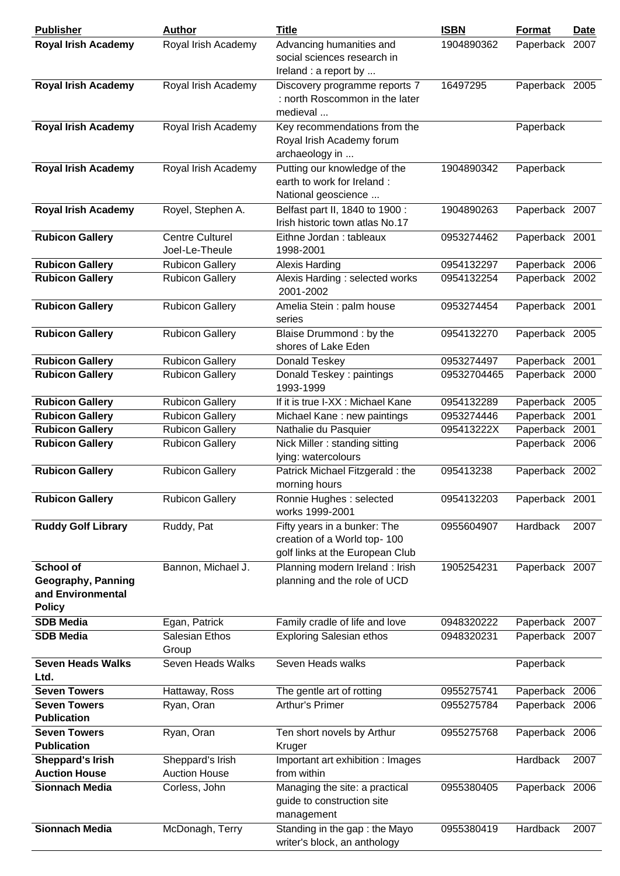| <b>Publisher</b>                                                             | <b>Author</b>                            | <b>Title</b>                                                                                   | <b>ISBN</b>              | Format                           | <b>Date</b> |
|------------------------------------------------------------------------------|------------------------------------------|------------------------------------------------------------------------------------------------|--------------------------|----------------------------------|-------------|
| <b>Royal Irish Academy</b>                                                   | Royal Irish Academy                      | Advancing humanities and<br>social sciences research in<br>Ireland : a report by               | 1904890362               | Paperback 2007                   |             |
| <b>Royal Irish Academy</b>                                                   | Royal Irish Academy                      | Discovery programme reports 7<br>: north Roscommon in the later<br>medieval                    | 16497295                 | Paperback 2005                   |             |
| <b>Royal Irish Academy</b>                                                   | Royal Irish Academy                      | Key recommendations from the<br>Royal Irish Academy forum<br>archaeology in                    |                          | Paperback                        |             |
| <b>Royal Irish Academy</b>                                                   | Royal Irish Academy                      | Putting our knowledge of the<br>earth to work for Ireland:<br>National geoscience              | 1904890342               | Paperback                        |             |
| <b>Royal Irish Academy</b>                                                   | Royel, Stephen A.                        | Belfast part II, 1840 to 1900 :<br>Irish historic town atlas No.17                             | 1904890263               | Paperback 2007                   |             |
| <b>Rubicon Gallery</b>                                                       | <b>Centre Culturel</b><br>Joel-Le-Theule | Eithne Jordan : tableaux<br>1998-2001                                                          | 0953274462               | Paperback 2001                   |             |
| <b>Rubicon Gallery</b>                                                       | <b>Rubicon Gallery</b>                   | <b>Alexis Harding</b>                                                                          | 0954132297               | Paperback 2006                   |             |
| <b>Rubicon Gallery</b>                                                       | <b>Rubicon Gallery</b>                   | Alexis Harding: selected works<br>2001-2002                                                    | 0954132254               | Paperback 2002                   |             |
| <b>Rubicon Gallery</b>                                                       | <b>Rubicon Gallery</b>                   | Amelia Stein: palm house<br>series                                                             | 0953274454               | Paperback 2001                   |             |
| <b>Rubicon Gallery</b>                                                       | <b>Rubicon Gallery</b>                   | Blaise Drummond: by the<br>shores of Lake Eden                                                 | 0954132270               | Paperback 2005                   |             |
| <b>Rubicon Gallery</b>                                                       | <b>Rubicon Gallery</b>                   | Donald Teskey                                                                                  | 0953274497               | Paperback 2001                   |             |
| <b>Rubicon Gallery</b>                                                       | <b>Rubicon Gallery</b>                   | Donald Teskey: paintings<br>1993-1999                                                          | 09532704465              | Paperback 2000                   |             |
| <b>Rubicon Gallery</b>                                                       | <b>Rubicon Gallery</b>                   | If it is true I-XX : Michael Kane                                                              | 0954132289               | Paperback 2005                   |             |
| <b>Rubicon Gallery</b>                                                       | <b>Rubicon Gallery</b>                   | Michael Kane: new paintings                                                                    | 0953274446               | Paperback                        | 2001        |
| <b>Rubicon Gallery</b>                                                       | <b>Rubicon Gallery</b>                   | Nathalie du Pasquier                                                                           | 095413222X               | Paperback 2001                   |             |
| <b>Rubicon Gallery</b>                                                       | <b>Rubicon Gallery</b>                   | Nick Miller: standing sitting<br>lying: watercolours                                           |                          | Paperback 2006                   |             |
| <b>Rubicon Gallery</b>                                                       | <b>Rubicon Gallery</b>                   | Patrick Michael Fitzgerald : the<br>morning hours                                              | 095413238                | Paperback 2002                   |             |
| <b>Rubicon Gallery</b>                                                       | <b>Rubicon Gallery</b>                   | Ronnie Hughes : selected<br>works 1999-2001                                                    | 0954132203               | Paperback 2001                   |             |
| <b>Ruddy Golf Library</b>                                                    | Ruddy, Pat                               | Fifty years in a bunker: The<br>creation of a World top-100<br>golf links at the European Club | 0955604907               | Hardback                         | 2007        |
| <b>School of</b><br>Geography, Panning<br>and Environmental<br><b>Policy</b> | Bannon, Michael J.                       | Planning modern Ireland: Irish<br>planning and the role of UCD                                 | 1905254231               | Paperback 2007                   |             |
| <b>SDB Media</b><br><b>SDB Media</b>                                         | Egan, Patrick<br>Salesian Ethos<br>Group | Family cradle of life and love<br><b>Exploring Salesian ethos</b>                              | 0948320222<br>0948320231 | Paperback 2007<br>Paperback 2007 |             |
| <b>Seven Heads Walks</b><br>Ltd.                                             | Seven Heads Walks                        | Seven Heads walks                                                                              |                          | Paperback                        |             |
| <b>Seven Towers</b>                                                          | Hattaway, Ross                           | The gentle art of rotting                                                                      | 0955275741               | Paperback 2006                   |             |
| <b>Seven Towers</b><br><b>Publication</b>                                    | Ryan, Oran                               | Arthur's Primer                                                                                | 0955275784               | Paperback 2006                   |             |
| <b>Seven Towers</b><br><b>Publication</b>                                    | Ryan, Oran                               | Ten short novels by Arthur<br>Kruger                                                           | 0955275768               | Paperback 2006                   |             |
| <b>Sheppard's Irish</b><br><b>Auction House</b>                              | Sheppard's Irish<br><b>Auction House</b> | Important art exhibition : Images<br>from within                                               |                          | Hardback                         | 2007        |
| Sionnach Media                                                               | Corless, John                            | Managing the site: a practical<br>guide to construction site<br>management                     | 0955380405               | Paperback 2006                   |             |
| <b>Sionnach Media</b>                                                        | McDonagh, Terry                          | Standing in the gap: the Mayo<br>writer's block, an anthology                                  | 0955380419               | Hardback                         | 2007        |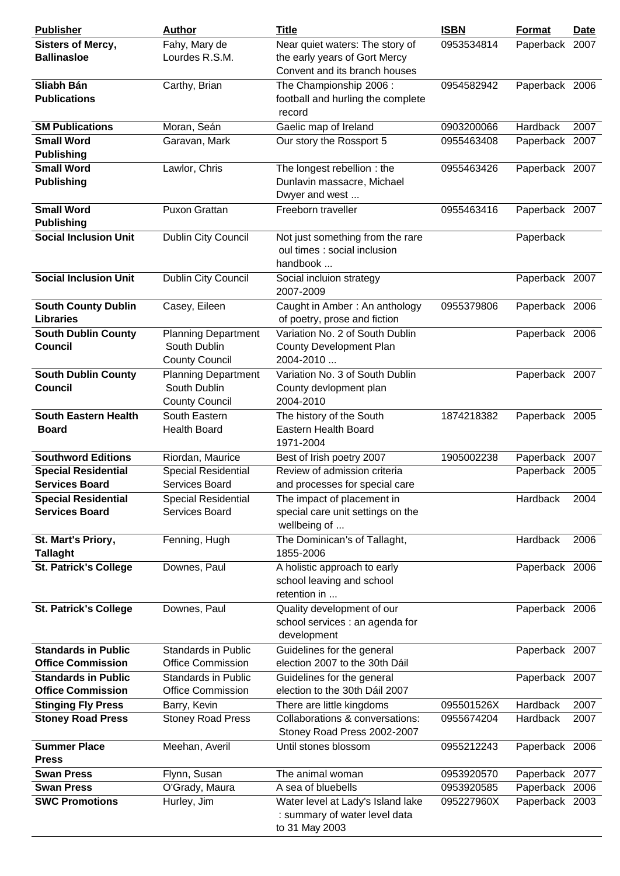| <b>Publisher</b>                               | <b>Author</b>                                                       | <b>Title</b>                                                                                      | <b>ISBN</b> | <b>Format</b>  | <b>Date</b> |
|------------------------------------------------|---------------------------------------------------------------------|---------------------------------------------------------------------------------------------------|-------------|----------------|-------------|
| <b>Sisters of Mercy,</b><br><b>Ballinasloe</b> | Fahy, Mary de<br>Lourdes R.S.M.                                     | Near quiet waters: The story of<br>the early years of Gort Mercy<br>Convent and its branch houses | 0953534814  | Paperback 2007 |             |
| Sliabh Bán<br><b>Publications</b>              | Carthy, Brian                                                       | The Championship 2006:<br>football and hurling the complete<br>record                             | 0954582942  | Paperback 2006 |             |
| <b>SM Publications</b>                         | Moran, Seán                                                         | Gaelic map of Ireland                                                                             | 0903200066  | Hardback       | 2007        |
| <b>Small Word</b>                              | Garavan, Mark                                                       | Our story the Rossport 5                                                                          | 0955463408  | Paperback 2007 |             |
| <b>Publishing</b>                              |                                                                     |                                                                                                   |             |                |             |
| <b>Small Word</b>                              | Lawlor, Chris                                                       | The longest rebellion: the                                                                        | 0955463426  | Paperback 2007 |             |
| <b>Publishing</b>                              |                                                                     | Dunlavin massacre, Michael<br>Dwyer and west                                                      |             |                |             |
| <b>Small Word</b><br><b>Publishing</b>         | Puxon Grattan                                                       | Freeborn traveller                                                                                | 0955463416  | Paperback 2007 |             |
| <b>Social Inclusion Unit</b>                   | Dublin City Council                                                 | Not just something from the rare<br>oul times : social inclusion<br>handbook                      |             | Paperback      |             |
| <b>Social Inclusion Unit</b>                   | <b>Dublin City Council</b>                                          | Social incluion strategy<br>2007-2009                                                             |             | Paperback 2007 |             |
| <b>South County Dublin</b><br><b>Libraries</b> | Casey, Eileen                                                       | Caught in Amber: An anthology<br>of poetry, prose and fiction                                     | 0955379806  | Paperback 2006 |             |
| <b>South Dublin County</b><br><b>Council</b>   | <b>Planning Department</b><br>South Dublin<br><b>County Council</b> | Variation No. 2 of South Dublin<br>County Development Plan<br>2004-2010                           |             | Paperback 2006 |             |
| <b>South Dublin County</b><br><b>Council</b>   | <b>Planning Department</b><br>South Dublin<br><b>County Council</b> | Variation No. 3 of South Dublin<br>County devlopment plan<br>2004-2010                            |             | Paperback 2007 |             |
| <b>South Eastern Health</b><br><b>Board</b>    | South Eastern<br><b>Health Board</b>                                | The history of the South<br>Eastern Health Board<br>1971-2004                                     | 1874218382  | Paperback 2005 |             |
| <b>Southword Editions</b>                      | Riordan, Maurice                                                    | Best of Irish poetry 2007                                                                         | 1905002238  | Paperback 2007 |             |
| <b>Special Residential</b>                     | <b>Special Residential</b>                                          | Review of admission criteria                                                                      |             | Paperback 2005 |             |
| <b>Services Board</b>                          | Services Board                                                      | and processes for special care                                                                    |             |                |             |
| <b>Special Residential</b>                     | <b>Special Residential</b>                                          | The impact of placement in                                                                        |             | Hardback       | 2004        |
| <b>Services Board</b>                          | Services Board                                                      | special care unit settings on the<br>wellbeing of                                                 |             |                |             |
| St. Mart's Priory,<br><b>Tallaght</b>          | Fenning, Hugh                                                       | The Dominican's of Tallaght,<br>1855-2006                                                         |             | Hardback       | 2006        |
| <b>St. Patrick's College</b>                   | Downes, Paul                                                        | A holistic approach to early<br>school leaving and school<br>retention in                         |             | Paperback 2006 |             |
| <b>St. Patrick's College</b>                   | Downes, Paul                                                        | Quality development of our<br>school services : an agenda for<br>development                      |             | Paperback 2006 |             |
| <b>Standards in Public</b>                     | Standards in Public                                                 | Guidelines for the general                                                                        |             | Paperback 2007 |             |
| <b>Office Commission</b>                       | <b>Office Commission</b>                                            | election 2007 to the 30th Dáil                                                                    |             |                |             |
| <b>Standards in Public</b>                     | <b>Standards in Public</b>                                          | Guidelines for the general                                                                        |             | Paperback 2007 |             |
| <b>Office Commission</b>                       | <b>Office Commission</b>                                            | election to the 30th Dáil 2007                                                                    |             |                |             |
| <b>Stinging Fly Press</b>                      | Barry, Kevin                                                        | There are little kingdoms                                                                         | 095501526X  | Hardback       | 2007        |
| <b>Stoney Road Press</b>                       | <b>Stoney Road Press</b>                                            | Collaborations & conversations:<br>Stoney Road Press 2002-2007                                    | 0955674204  | Hardback       | 2007        |
| <b>Summer Place</b><br><b>Press</b>            | Meehan, Averil                                                      | Until stones blossom                                                                              | 0955212243  | Paperback 2006 |             |
| <b>Swan Press</b>                              | Flynn, Susan                                                        | The animal woman                                                                                  | 0953920570  | Paperback 2077 |             |
| <b>Swan Press</b>                              | O'Grady, Maura                                                      | A sea of bluebells                                                                                | 0953920585  | Paperback 2006 |             |
| <b>SWC Promotions</b>                          | Hurley, Jim                                                         | Water level at Lady's Island lake<br>: summary of water level data<br>to 31 May 2003              | 095227960X  | Paperback 2003 |             |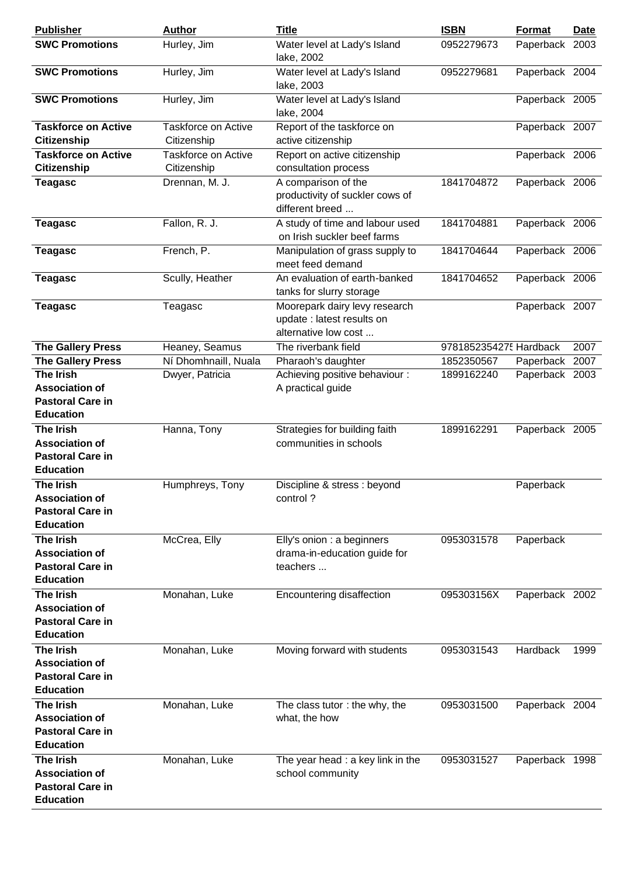| <b>Publisher</b>                                                                         | <b>Author</b>                      | <b>Title</b>                                                                        | <b>ISBN</b>            | <b>Format</b>  | <b>Date</b> |
|------------------------------------------------------------------------------------------|------------------------------------|-------------------------------------------------------------------------------------|------------------------|----------------|-------------|
| <b>SWC Promotions</b>                                                                    | Hurley, Jim                        | Water level at Lady's Island<br>lake, 2002                                          | 0952279673             | Paperback 2003 |             |
| <b>SWC Promotions</b>                                                                    | Hurley, Jim                        | Water level at Lady's Island<br>lake, 2003                                          | 0952279681             | Paperback 2004 |             |
| <b>SWC Promotions</b>                                                                    | Hurley, Jim                        | Water level at Lady's Island<br>lake, 2004                                          |                        | Paperback 2005 |             |
| <b>Taskforce on Active</b><br><b>Citizenship</b>                                         | Taskforce on Active<br>Citizenship | Report of the taskforce on<br>active citizenship                                    |                        | Paperback 2007 |             |
| <b>Taskforce on Active</b>                                                               | Taskforce on Active                | Report on active citizenship                                                        |                        | Paperback 2006 |             |
| <b>Citizenship</b>                                                                       | Citizenship                        | consultation process                                                                |                        |                |             |
| <b>Teagasc</b>                                                                           | Drennan, M. J.                     | A comparison of the<br>productivity of suckler cows of<br>different breed           | 1841704872             | Paperback 2006 |             |
| <b>Teagasc</b>                                                                           | Fallon, R. J.                      | A study of time and labour used<br>on Irish suckler beef farms                      | 1841704881             | Paperback 2006 |             |
| <b>Teagasc</b>                                                                           | French, P.                         | Manipulation of grass supply to<br>meet feed demand                                 | 1841704644             | Paperback 2006 |             |
| <b>Teagasc</b>                                                                           | Scully, Heather                    | An evaluation of earth-banked<br>tanks for slurry storage                           | 1841704652             | Paperback 2006 |             |
| <b>Teagasc</b>                                                                           | Teagasc                            | Moorepark dairy levy research<br>update : latest results on<br>alternative low cost |                        | Paperback 2007 |             |
| <b>The Gallery Press</b>                                                                 | Heaney, Seamus                     | The riverbank field                                                                 | 9781852354275 Hardback |                | 2007        |
| <b>The Gallery Press</b>                                                                 | Ní Dhomhnaill, Nuala               | Pharaoh's daughter                                                                  | 1852350567             | Paperback      | 2007        |
| <b>The Irish</b><br><b>Association of</b><br><b>Pastoral Care in</b><br><b>Education</b> | Dwyer, Patricia                    | Achieving positive behaviour :<br>A practical guide                                 | 1899162240             | Paperback 2003 |             |
|                                                                                          |                                    |                                                                                     |                        |                |             |
| <b>The Irish</b><br><b>Association of</b><br><b>Pastoral Care in</b><br><b>Education</b> | Hanna, Tony                        | Strategies for building faith<br>communities in schools                             | 1899162291             | Paperback 2005 |             |
| <b>The Irish</b><br><b>Association of</b><br><b>Pastoral Care in</b><br><b>Education</b> | Humphreys, Tony                    | Discipline & stress : beyond<br>control?                                            |                        | Paperback      |             |
| <b>The Irish</b><br><b>Association of</b><br><b>Pastoral Care in</b><br><b>Education</b> | McCrea, Elly                       | Elly's onion : a beginners<br>drama-in-education guide for<br>teachers              | 0953031578             | Paperback      |             |
| <b>The Irish</b><br><b>Association of</b><br><b>Pastoral Care in</b><br><b>Education</b> | Monahan, Luke                      | Encountering disaffection                                                           | 095303156X             | Paperback 2002 |             |
| <b>The Irish</b><br><b>Association of</b><br><b>Pastoral Care in</b><br><b>Education</b> | Monahan, Luke                      | Moving forward with students                                                        | 0953031543             | Hardback       | 1999        |
| <b>The Irish</b><br><b>Association of</b><br><b>Pastoral Care in</b><br><b>Education</b> | Monahan, Luke                      | The class tutor: the why, the<br>what, the how                                      | 0953031500             | Paperback 2004 |             |
| <b>The Irish</b><br><b>Association of</b><br><b>Pastoral Care in</b><br><b>Education</b> | Monahan, Luke                      | The year head : a key link in the<br>school community                               | 0953031527             | Paperback 1998 |             |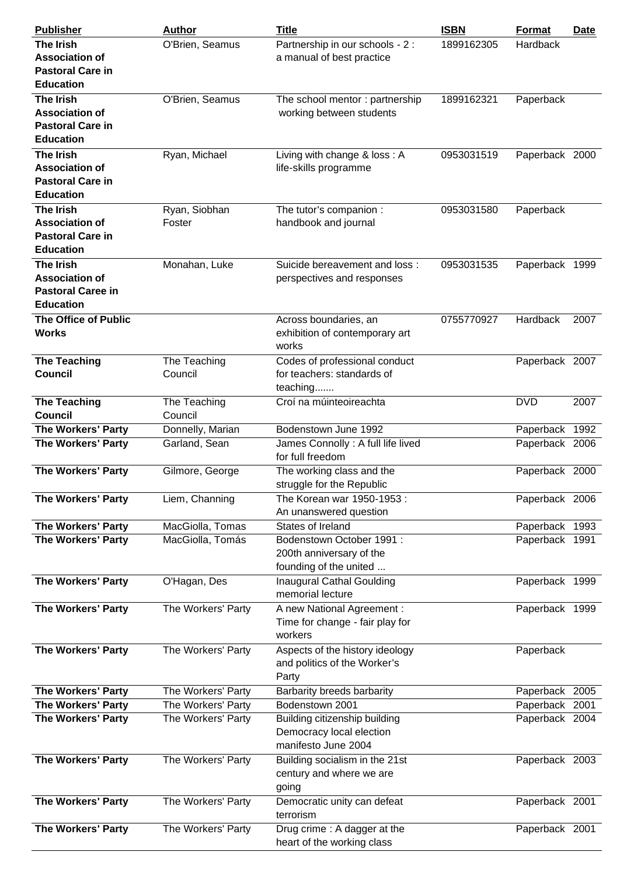| <b>Publisher</b>                                                                          | Author                  | <b>Title</b>                                                                     | <b>ISBN</b> | Format         | <b>Date</b> |
|-------------------------------------------------------------------------------------------|-------------------------|----------------------------------------------------------------------------------|-------------|----------------|-------------|
| <b>The Irish</b><br><b>Association of</b><br><b>Pastoral Care in</b><br><b>Education</b>  | O'Brien, Seamus         | Partnership in our schools - 2 :<br>a manual of best practice                    | 1899162305  | Hardback       |             |
| <b>The Irish</b><br><b>Association of</b><br><b>Pastoral Care in</b><br><b>Education</b>  | O'Brien, Seamus         | The school mentor: partnership<br>working between students                       | 1899162321  | Paperback      |             |
| <b>The Irish</b><br><b>Association of</b><br><b>Pastoral Care in</b><br><b>Education</b>  | Ryan, Michael           | Living with change & loss: A<br>life-skills programme                            | 0953031519  | Paperback 2000 |             |
| <b>The Irish</b><br><b>Association of</b><br><b>Pastoral Care in</b><br><b>Education</b>  | Ryan, Siobhan<br>Foster | The tutor's companion :<br>handbook and journal                                  | 0953031580  | Paperback      |             |
| <b>The Irish</b><br><b>Association of</b><br><b>Pastoral Caree in</b><br><b>Education</b> | Monahan, Luke           | Suicide bereavement and loss:<br>perspectives and responses                      | 0953031535  | Paperback 1999 |             |
| <b>The Office of Public</b><br><b>Works</b>                                               |                         | Across boundaries, an<br>exhibition of contemporary art<br>works                 | 0755770927  | Hardback       | 2007        |
| <b>The Teaching</b><br><b>Council</b>                                                     | The Teaching<br>Council | Codes of professional conduct<br>for teachers: standards of<br>teaching          |             | Paperback 2007 |             |
| <b>The Teaching</b><br><b>Council</b>                                                     | The Teaching<br>Council | Croí na múinteoireachta                                                          |             | <b>DVD</b>     | 2007        |
| <b>The Workers' Party</b>                                                                 | Donnelly, Marian        | Bodenstown June 1992                                                             |             | Paperback 1992 |             |
| <b>The Workers' Party</b>                                                                 | Garland, Sean           | James Connolly: A full life lived<br>for full freedom                            |             | Paperback 2006 |             |
| The Workers' Party                                                                        | Gilmore, George         | The working class and the<br>struggle for the Republic                           |             | Paperback 2000 |             |
| <b>The Workers' Party</b>                                                                 | Liem, Channing          | The Korean war 1950-1953 :<br>An unanswered question                             |             | Paperback 2006 |             |
| <b>The Workers' Party</b>                                                                 | MacGiolla, Tomas        | States of Ireland                                                                |             | Paperback 1993 |             |
| <b>The Workers' Party</b>                                                                 | MacGiolla, Tomás        | Bodenstown October 1991:<br>200th anniversary of the<br>founding of the united   |             | Paperback 1991 |             |
| The Workers' Party                                                                        | O'Hagan, Des            | <b>Inaugural Cathal Goulding</b><br>memorial lecture                             |             | Paperback 1999 |             |
| <b>The Workers' Party</b>                                                                 | The Workers' Party      | A new National Agreement:<br>Time for change - fair play for<br>workers          |             | Paperback 1999 |             |
| The Workers' Party                                                                        | The Workers' Party      | Aspects of the history ideology<br>and politics of the Worker's<br>Party         |             | Paperback      |             |
| <b>The Workers' Party</b>                                                                 | The Workers' Party      | Barbarity breeds barbarity                                                       |             | Paperback 2005 |             |
| <b>The Workers' Party</b>                                                                 | The Workers' Party      | Bodenstown 2001                                                                  |             | Paperback 2001 |             |
| The Workers' Party                                                                        | The Workers' Party      | Building citizenship building<br>Democracy local election<br>manifesto June 2004 |             | Paperback 2004 |             |
| <b>The Workers' Party</b>                                                                 | The Workers' Party      | Building socialism in the 21st<br>century and where we are<br>going              |             | Paperback 2003 |             |
| The Workers' Party                                                                        | The Workers' Party      | Democratic unity can defeat<br>terrorism                                         |             | Paperback 2001 |             |
| <b>The Workers' Party</b>                                                                 | The Workers' Party      | Drug crime: A dagger at the<br>heart of the working class                        |             | Paperback 2001 |             |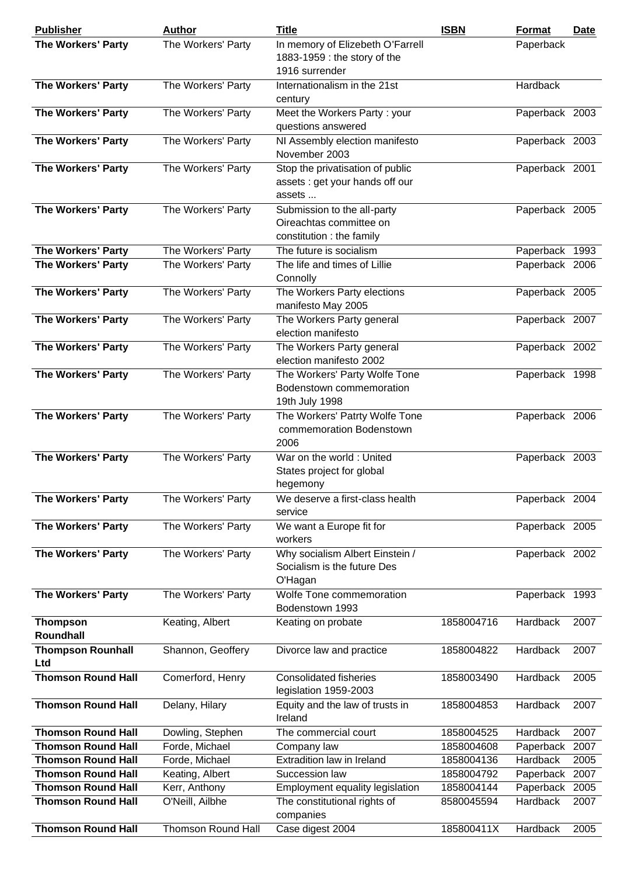| <b>Publisher</b>                | <b>Author</b>             | <b>Title</b>                                                                        | <b>ISBN</b> | Format         | <u>Date</u> |
|---------------------------------|---------------------------|-------------------------------------------------------------------------------------|-------------|----------------|-------------|
| <b>The Workers' Party</b>       | The Workers' Party        | In memory of Elizebeth O'Farrell<br>1883-1959 : the story of the<br>1916 surrender  |             | Paperback      |             |
| The Workers' Party              | The Workers' Party        | Internationalism in the 21st<br>century                                             |             | Hardback       |             |
| The Workers' Party              | The Workers' Party        | Meet the Workers Party: your<br>questions answered                                  |             | Paperback 2003 |             |
| <b>The Workers' Party</b>       | The Workers' Party        | NI Assembly election manifesto<br>November 2003                                     |             | Paperback 2003 |             |
| The Workers' Party              | The Workers' Party        | Stop the privatisation of public<br>assets : get your hands off our<br>assets       |             | Paperback 2001 |             |
| The Workers' Party              | The Workers' Party        | Submission to the all-party<br>Oireachtas committee on<br>constitution : the family |             | Paperback 2005 |             |
| <b>The Workers' Party</b>       | The Workers' Party        | The future is socialism                                                             |             | Paperback 1993 |             |
| <b>The Workers' Party</b>       | The Workers' Party        | The life and times of Lillie<br>Connolly                                            |             | Paperback 2006 |             |
| The Workers' Party              | The Workers' Party        | The Workers Party elections<br>manifesto May 2005                                   |             | Paperback 2005 |             |
| The Workers' Party              | The Workers' Party        | The Workers Party general                                                           |             | Paperback 2007 |             |
| The Workers' Party              | The Workers' Party        | election manifesto<br>The Workers Party general<br>election manifesto 2002          |             | Paperback 2002 |             |
| The Workers' Party              | The Workers' Party        | The Workers' Party Wolfe Tone<br>Bodenstown commemoration<br>19th July 1998         |             | Paperback 1998 |             |
| The Workers' Party              | The Workers' Party        | The Workers' Patrty Wolfe Tone<br>commemoration Bodenstown<br>2006                  |             | Paperback 2006 |             |
| The Workers' Party              | The Workers' Party        | War on the world: United<br>States project for global<br>hegemony                   |             | Paperback 2003 |             |
| <b>The Workers' Party</b>       | The Workers' Party        | We deserve a first-class health<br>service                                          |             | Paperback 2004 |             |
| <b>The Workers' Party</b>       | The Workers' Party        | We want a Europe fit for<br>workers                                                 |             | Paperback 2005 |             |
| The Workers' Party              | The Workers' Party        | Why socialism Albert Einstein /<br>Socialism is the future Des<br>O'Hagan           |             | Paperback 2002 |             |
| The Workers' Party              | The Workers' Party        | Wolfe Tone commemoration<br>Bodenstown 1993                                         |             | Paperback 1993 |             |
| <b>Thompson</b><br>Roundhall    | Keating, Albert           | Keating on probate                                                                  | 1858004716  | Hardback       | 2007        |
| <b>Thompson Rounhall</b><br>Ltd | Shannon, Geoffery         | Divorce law and practice                                                            | 1858004822  | Hardback       | 2007        |
| <b>Thomson Round Hall</b>       | Comerford, Henry          | <b>Consolidated fisheries</b><br>legislation 1959-2003                              | 1858003490  | Hardback       | 2005        |
| <b>Thomson Round Hall</b>       | Delany, Hilary            | Equity and the law of trusts in<br>Ireland                                          | 1858004853  | Hardback       | 2007        |
| <b>Thomson Round Hall</b>       | Dowling, Stephen          | The commercial court                                                                | 1858004525  | Hardback       | 2007        |
| <b>Thomson Round Hall</b>       | Forde, Michael            | Company law                                                                         | 1858004608  | Paperback      | 2007        |
| <b>Thomson Round Hall</b>       | Forde, Michael            | Extradition law in Ireland                                                          | 1858004136  | Hardback       | 2005        |
| <b>Thomson Round Hall</b>       | Keating, Albert           | Succession law                                                                      | 1858004792  | Paperback 2007 |             |
| <b>Thomson Round Hall</b>       | Kerr, Anthony             | Employment equality legislation                                                     | 1858004144  | Paperback      | 2005        |
| <b>Thomson Round Hall</b>       | O'Neill, Ailbhe           | The constitutional rights of<br>companies                                           | 8580045594  | Hardback       | 2007        |
| <b>Thomson Round Hall</b>       | <b>Thomson Round Hall</b> | Case digest 2004                                                                    | 185800411X  | Hardback       | 2005        |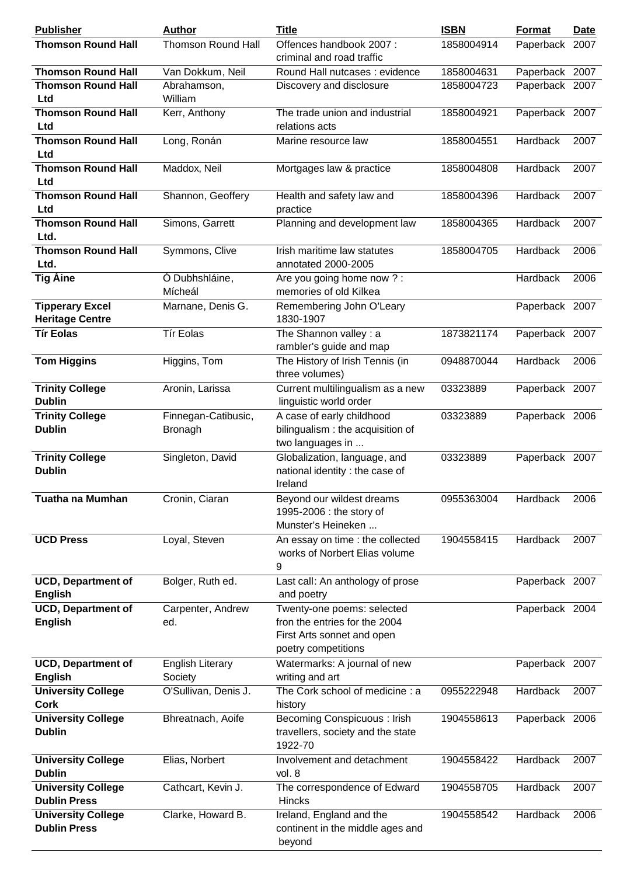| <b>Publisher</b>                                 | <b>Author</b>                         | <b>Title</b>                                                                                                     | <b>ISBN</b> | Format         | <b>Date</b> |
|--------------------------------------------------|---------------------------------------|------------------------------------------------------------------------------------------------------------------|-------------|----------------|-------------|
| <b>Thomson Round Hall</b>                        | <b>Thomson Round Hall</b>             | Offences handbook 2007:<br>criminal and road traffic                                                             | 1858004914  | Paperback 2007 |             |
| <b>Thomson Round Hall</b>                        | Van Dokkum, Neil                      | Round Hall nutcases: evidence                                                                                    | 1858004631  | Paperback 2007 |             |
| <b>Thomson Round Hall</b><br>Ltd                 | Abrahamson,<br>William                | Discovery and disclosure                                                                                         | 1858004723  | Paperback 2007 |             |
| <b>Thomson Round Hall</b><br>Ltd                 | Kerr, Anthony                         | The trade union and industrial<br>relations acts                                                                 | 1858004921  | Paperback 2007 |             |
| <b>Thomson Round Hall</b><br>Ltd                 | Long, Ronán                           | Marine resource law                                                                                              | 1858004551  | Hardback       | 2007        |
| <b>Thomson Round Hall</b><br>Ltd                 | Maddox, Neil                          | Mortgages law & practice                                                                                         | 1858004808  | Hardback       | 2007        |
| <b>Thomson Round Hall</b><br>Ltd                 | Shannon, Geoffery                     | Health and safety law and<br>practice                                                                            | 1858004396  | Hardback       | 2007        |
| <b>Thomson Round Hall</b><br>Ltd.                | Simons, Garrett                       | Planning and development law                                                                                     | 1858004365  | Hardback       | 2007        |
| <b>Thomson Round Hall</b><br>Ltd.                | Symmons, Clive                        | Irish maritime law statutes<br>annotated 2000-2005                                                               | 1858004705  | Hardback       | 2006        |
| <b>Tig Aine</b>                                  | Ó Dubhshláine,<br>Mícheál             | Are you going home now ? :<br>memories of old Kilkea                                                             |             | Hardback       | 2006        |
| <b>Tipperary Excel</b><br><b>Heritage Centre</b> | Marnane, Denis G.                     | Remembering John O'Leary<br>1830-1907                                                                            |             | Paperback 2007 |             |
| <b>Tír Eolas</b>                                 | <b>Tír Eolas</b>                      | The Shannon valley : a<br>rambler's guide and map                                                                | 1873821174  | Paperback 2007 |             |
| <b>Tom Higgins</b>                               | Higgins, Tom                          | The History of Irish Tennis (in<br>three volumes)                                                                | 0948870044  | Hardback       | 2006        |
| <b>Trinity College</b><br><b>Dublin</b>          | Aronin, Larissa                       | Current multilingualism as a new<br>linguistic world order                                                       | 03323889    | Paperback 2007 |             |
| <b>Trinity College</b><br><b>Dublin</b>          | Finnegan-Catibusic,<br><b>Bronagh</b> | A case of early childhood<br>bilingualism : the acquisition of<br>two languages in                               | 03323889    | Paperback 2006 |             |
| <b>Trinity College</b><br><b>Dublin</b>          | Singleton, David                      | Globalization, language, and<br>national identity : the case of<br>Ireland                                       | 03323889    | Paperback 2007 |             |
| Tuatha na Mumhan                                 | Cronin, Ciaran                        | Beyond our wildest dreams<br>1995-2006 : the story of<br>Munster's Heineken                                      | 0955363004  | Hardback       | 2006        |
| <b>UCD Press</b>                                 | Loyal, Steven                         | An essay on time : the collected<br>works of Norbert Elias volume<br>9                                           | 1904558415  | Hardback       | 2007        |
| <b>UCD, Department of</b><br><b>English</b>      | Bolger, Ruth ed.                      | Last call: An anthology of prose<br>and poetry                                                                   |             | Paperback 2007 |             |
| <b>UCD, Department of</b><br><b>English</b>      | Carpenter, Andrew<br>ed.              | Twenty-one poems: selected<br>fron the entries for the 2004<br>First Arts sonnet and open<br>poetry competitions |             | Paperback 2004 |             |
| <b>UCD, Department of</b><br><b>English</b>      | <b>English Literary</b><br>Society    | Watermarks: A journal of new<br>writing and art                                                                  |             | Paperback 2007 |             |
| <b>University College</b><br><b>Cork</b>         | O'Sullivan, Denis J.                  | The Cork school of medicine: a<br>history                                                                        | 0955222948  | Hardback       | 2007        |
| <b>University College</b><br><b>Dublin</b>       | Bhreatnach, Aoife                     | Becoming Conspicuous : Irish<br>travellers, society and the state<br>1922-70                                     | 1904558613  | Paperback 2006 |             |
| <b>University College</b><br><b>Dublin</b>       | Elias, Norbert                        | Involvement and detachment<br>vol. 8                                                                             | 1904558422  | Hardback       | 2007        |
| <b>University College</b><br><b>Dublin Press</b> | Cathcart, Kevin J.                    | The correspondence of Edward<br>Hincks                                                                           | 1904558705  | Hardback       | 2007        |
| <b>University College</b><br><b>Dublin Press</b> | Clarke, Howard B.                     | Ireland, England and the<br>continent in the middle ages and<br>beyond                                           | 1904558542  | Hardback       | 2006        |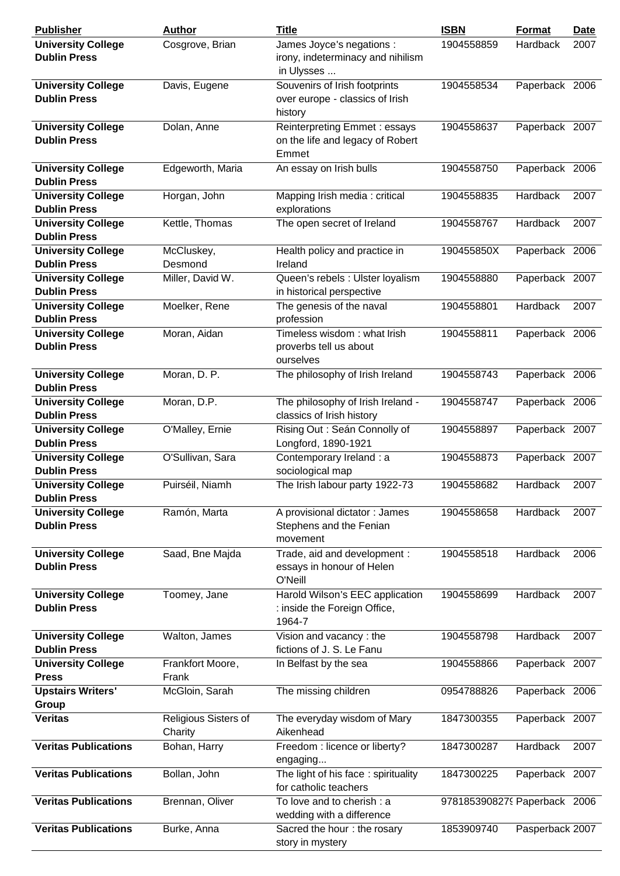| <b>Publisher</b>                                 | <b>Author</b>                   | <b>Title</b>                                                                 | <b>ISBN</b>                  | <b>Format</b>   | <b>Date</b> |
|--------------------------------------------------|---------------------------------|------------------------------------------------------------------------------|------------------------------|-----------------|-------------|
| <b>University College</b><br><b>Dublin Press</b> | Cosgrove, Brian                 | James Joyce's negations :<br>irony, indeterminacy and nihilism<br>in Ulysses | 1904558859                   | Hardback        | 2007        |
| <b>University College</b><br><b>Dublin Press</b> | Davis, Eugene                   | Souvenirs of Irish footprints<br>over europe - classics of Irish<br>history  | 1904558534                   | Paperback 2006  |             |
| <b>University College</b><br><b>Dublin Press</b> | Dolan, Anne                     | Reinterpreting Emmet : essays<br>on the life and legacy of Robert<br>Emmet   | 1904558637                   | Paperback 2007  |             |
| <b>University College</b><br><b>Dublin Press</b> | Edgeworth, Maria                | An essay on Irish bulls                                                      | 1904558750                   | Paperback 2006  |             |
| <b>University College</b><br><b>Dublin Press</b> | Horgan, John                    | Mapping Irish media: critical<br>explorations                                | 1904558835                   | Hardback        | 2007        |
| <b>University College</b><br><b>Dublin Press</b> | Kettle, Thomas                  | The open secret of Ireland                                                   | 1904558767                   | Hardback        | 2007        |
| <b>University College</b><br><b>Dublin Press</b> | McCluskey,<br>Desmond           | Health policy and practice in<br>Ireland                                     | 190455850X                   | Paperback 2006  |             |
| <b>University College</b><br><b>Dublin Press</b> | Miller, David W.                | Queen's rebels : Ulster loyalism<br>in historical perspective                | 1904558880                   | Paperback 2007  |             |
| <b>University College</b><br><b>Dublin Press</b> | Moelker, Rene                   | The genesis of the naval<br>profession                                       | 1904558801                   | Hardback        | 2007        |
| <b>University College</b><br><b>Dublin Press</b> | Moran, Aidan                    | Timeless wisdom: what Irish<br>proverbs tell us about<br>ourselves           | 1904558811                   | Paperback 2006  |             |
| <b>University College</b><br><b>Dublin Press</b> | Moran, D. P.                    | The philosophy of Irish Ireland                                              | 1904558743                   | Paperback 2006  |             |
| <b>University College</b><br><b>Dublin Press</b> | Moran, D.P.                     | The philosophy of Irish Ireland -<br>classics of Irish history               | 1904558747                   | Paperback 2006  |             |
| <b>University College</b><br><b>Dublin Press</b> | O'Malley, Ernie                 | Rising Out : Seán Connolly of<br>Longford, 1890-1921                         | 1904558897                   | Paperback 2007  |             |
| <b>University College</b><br><b>Dublin Press</b> | O'Sullivan, Sara                | Contemporary Ireland : a<br>sociological map                                 | 1904558873                   | Paperback 2007  |             |
| <b>University College</b><br><b>Dublin Press</b> | Puirséil, Niamh                 | The Irish labour party 1922-73                                               | 1904558682                   | Hardback        | 2007        |
| <b>University College</b><br><b>Dublin Press</b> | Ramón, Marta                    | A provisional dictator: James<br>Stephens and the Fenian<br>movement         | 1904558658                   | Hardback        | 2007        |
| <b>University College</b><br><b>Dublin Press</b> | Saad, Bne Majda                 | Trade, aid and development :<br>essays in honour of Helen<br>O'Neill         | 1904558518                   | Hardback        | 2006        |
| <b>University College</b><br><b>Dublin Press</b> | Toomey, Jane                    | Harold Wilson's EEC application<br>: inside the Foreign Office,<br>1964-7    | 1904558699                   | Hardback        | 2007        |
| <b>University College</b><br><b>Dublin Press</b> | Walton, James                   | Vision and vacancy: the<br>fictions of J. S. Le Fanu                         | 1904558798                   | Hardback        | 2007        |
| <b>University College</b><br><b>Press</b>        | Frankfort Moore,<br>Frank       | In Belfast by the sea                                                        | 1904558866                   | Paperback 2007  |             |
| <b>Upstairs Writers'</b><br>Group                | McGloin, Sarah                  | The missing children                                                         | 0954788826                   | Paperback 2006  |             |
| <b>Veritas</b>                                   | Religious Sisters of<br>Charity | The everyday wisdom of Mary<br>Aikenhead                                     | 1847300355                   | Paperback 2007  |             |
| <b>Veritas Publications</b>                      | Bohan, Harry                    | Freedom : licence or liberty?<br>engaging                                    | 1847300287                   | Hardback        | 2007        |
| <b>Veritas Publications</b>                      | Bollan, John                    | The light of his face: spirituality<br>for catholic teachers                 | 1847300225                   | Paperback 2007  |             |
| <b>Veritas Publications</b>                      | Brennan, Oliver                 | To love and to cherish : a<br>wedding with a difference                      | 9781853908279 Paperback 2006 |                 |             |
| <b>Veritas Publications</b>                      | Burke, Anna                     | Sacred the hour: the rosary<br>story in mystery                              | 1853909740                   | Pasperback 2007 |             |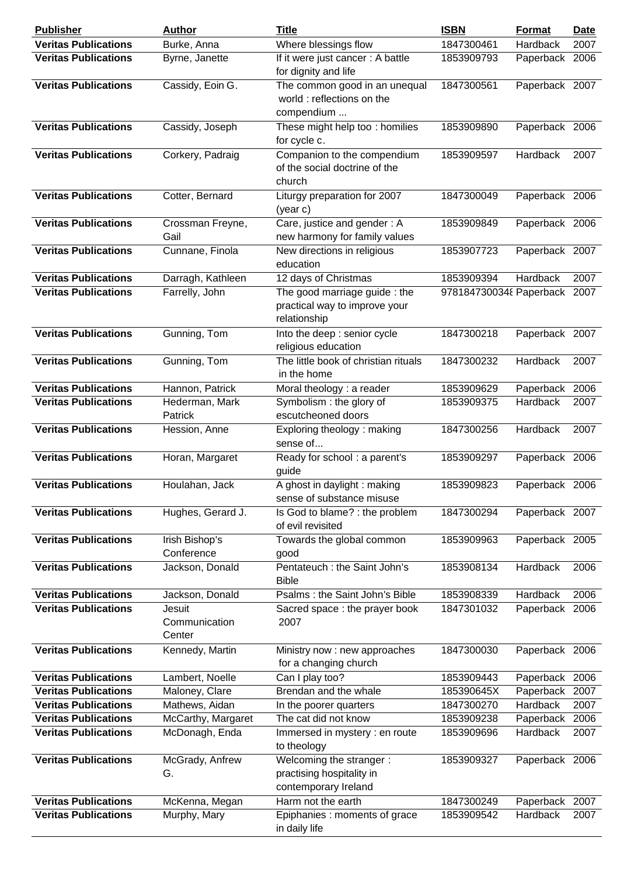| <b>Publisher</b>            | <b>Author</b>                     | <b>Title</b>                                                             | <b>ISBN</b>             | <b>Format</b>   | <u>Date</u> |
|-----------------------------|-----------------------------------|--------------------------------------------------------------------------|-------------------------|-----------------|-------------|
| <b>Veritas Publications</b> | Burke, Anna                       | Where blessings flow                                                     | 1847300461              | Hardback        | 2007        |
| <b>Veritas Publications</b> | Byrne, Janette                    | If it were just cancer: A battle<br>for dignity and life                 | 1853909793              | Paperback 2006  |             |
| <b>Veritas Publications</b> | Cassidy, Eoin G.                  | The common good in an unequal<br>world: reflections on the<br>compendium | 1847300561              | Paperback 2007  |             |
| <b>Veritas Publications</b> | Cassidy, Joseph                   | These might help too: homilies<br>for cycle c.                           | 1853909890              | Paperback 2006  |             |
| <b>Veritas Publications</b> | Corkery, Padraig                  | Companion to the compendium<br>of the social doctrine of the<br>church   | 1853909597              | <b>Hardback</b> | 2007        |
| <b>Veritas Publications</b> | Cotter, Bernard                   | Liturgy preparation for 2007<br>(year c)                                 | 1847300049              | Paperback 2006  |             |
| <b>Veritas Publications</b> | Crossman Freyne,<br>Gail          | Care, justice and gender: A<br>new harmony for family values             | 1853909849              | Paperback 2006  |             |
| <b>Veritas Publications</b> | Cunnane, Finola                   | New directions in religious<br>education                                 | 1853907723              | Paperback 2007  |             |
| <b>Veritas Publications</b> | Darragh, Kathleen                 | 12 days of Christmas                                                     | 1853909394              | Hardback        | 2007        |
| <b>Veritas Publications</b> | Farrelly, John                    | The good marriage guide: the                                             | 9781847300348 Paperback |                 | 2007        |
|                             |                                   | practical way to improve your<br>relationship                            |                         |                 |             |
| <b>Veritas Publications</b> | Gunning, Tom                      | Into the deep : senior cycle<br>religious education                      | 1847300218              | Paperback 2007  |             |
| <b>Veritas Publications</b> | Gunning, Tom                      | The little book of christian rituals<br>in the home                      | 1847300232              | Hardback        | 2007        |
| <b>Veritas Publications</b> | Hannon, Patrick                   | Moral theology : a reader                                                | 1853909629              | Paperback       | 2006        |
| <b>Veritas Publications</b> | Hederman, Mark<br>Patrick         | Symbolism: the glory of<br>escutcheoned doors                            | 1853909375              | Hardback        | 2007        |
| <b>Veritas Publications</b> | Hession, Anne                     | Exploring theology: making<br>sense of                                   | 1847300256              | Hardback        | 2007        |
| <b>Veritas Publications</b> | Horan, Margaret                   | Ready for school: a parent's<br>guide                                    | 1853909297              | Paperback 2006  |             |
| <b>Veritas Publications</b> | Houlahan, Jack                    | A ghost in daylight: making<br>sense of substance misuse                 | 1853909823              | Paperback 2006  |             |
| <b>Veritas Publications</b> | Hughes, Gerard J.                 | Is God to blame? : the problem<br>of evil revisited                      | 1847300294              | Paperback 2007  |             |
| <b>Veritas Publications</b> | Irish Bishop's<br>Conference      | Towards the global common<br>good                                        | 1853909963              | Paperback 2005  |             |
| <b>Veritas Publications</b> | Jackson, Donald                   | Pentateuch : the Saint John's<br><b>Bible</b>                            | 1853908134              | Hardback        | 2006        |
| <b>Veritas Publications</b> | Jackson, Donald                   | Psalms: the Saint John's Bible                                           | 1853908339              | Hardback        | 2006        |
| <b>Veritas Publications</b> | Jesuit<br>Communication<br>Center | Sacred space: the prayer book<br>2007                                    | 1847301032              | Paperback 2006  |             |
| <b>Veritas Publications</b> | Kennedy, Martin                   | Ministry now : new approaches<br>for a changing church                   | 1847300030              | Paperback 2006  |             |
| <b>Veritas Publications</b> | Lambert, Noelle                   | Can I play too?                                                          | 1853909443              | Paperback 2006  |             |
| <b>Veritas Publications</b> | Maloney, Clare                    | Brendan and the whale                                                    | 185390645X              | Paperback       | 2007        |
| <b>Veritas Publications</b> | Mathews, Aidan                    | In the poorer quarters                                                   | 1847300270              | Hardback        | 2007        |
| <b>Veritas Publications</b> | McCarthy, Margaret                | The cat did not know                                                     | 1853909238              | Paperback       | 2006        |
| <b>Veritas Publications</b> | McDonagh, Enda                    | Immersed in mystery : en route<br>to theology                            | 1853909696              | Hardback        | 2007        |
| <b>Veritas Publications</b> | McGrady, Anfrew                   | Welcoming the stranger:                                                  | 1853909327              | Paperback 2006  |             |
|                             | G.                                | practising hospitality in<br>contemporary Ireland                        |                         |                 |             |
| <b>Veritas Publications</b> | McKenna, Megan                    | Harm not the earth                                                       | 1847300249              | Paperback       | 2007        |
| <b>Veritas Publications</b> | Murphy, Mary                      | Epiphanies : moments of grace<br>in daily life                           | 1853909542              | Hardback        | 2007        |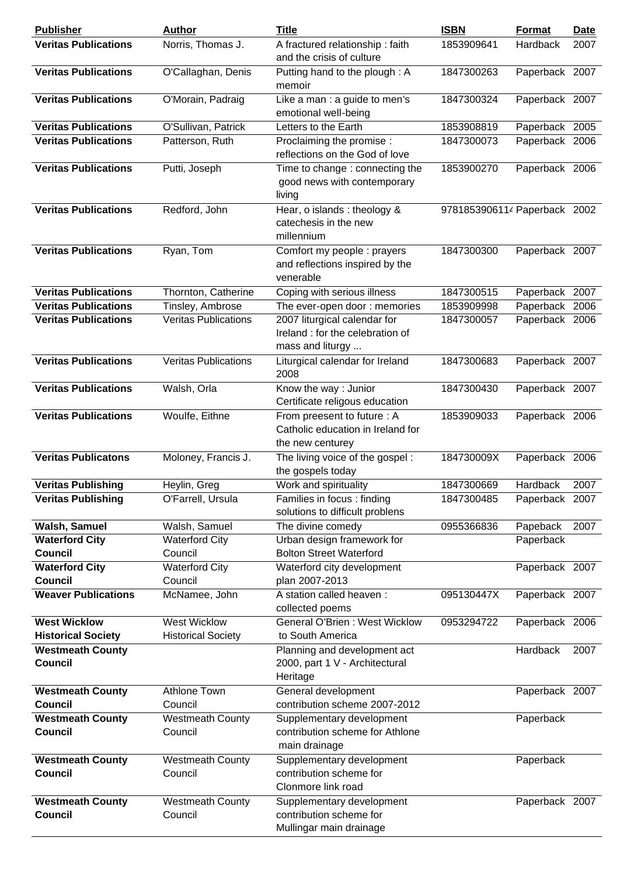| <b>Publisher</b>                                 | <b>Author</b>                                    | <b>Title</b>                                                                         | <b>ISBN</b>                  | Format         | <b>Date</b> |
|--------------------------------------------------|--------------------------------------------------|--------------------------------------------------------------------------------------|------------------------------|----------------|-------------|
| <b>Veritas Publications</b>                      | Norris, Thomas J.                                | A fractured relationship: faith<br>and the crisis of culture                         | 1853909641                   | Hardback       | 2007        |
| <b>Veritas Publications</b>                      | O'Callaghan, Denis                               | Putting hand to the plough: A<br>memoir                                              | 1847300263                   | Paperback 2007 |             |
| <b>Veritas Publications</b>                      | O'Morain, Padraig                                | Like a man : a guide to men's<br>emotional well-being                                | 1847300324                   | Paperback 2007 |             |
| <b>Veritas Publications</b>                      | O'Sullivan, Patrick                              | Letters to the Earth                                                                 | 1853908819                   | Paperback 2005 |             |
| <b>Veritas Publications</b>                      | Patterson, Ruth                                  | Proclaiming the promise :<br>reflections on the God of love                          | 1847300073                   | Paperback 2006 |             |
| <b>Veritas Publications</b>                      | Putti, Joseph                                    | Time to change: connecting the<br>good news with contemporary<br>living              | 1853900270                   | Paperback 2006 |             |
| <b>Veritas Publications</b>                      | Redford, John                                    | Hear, o islands : theology &<br>catechesis in the new<br>millennium                  | 9781853906114 Paperback 2002 |                |             |
| <b>Veritas Publications</b>                      | Ryan, Tom                                        | Comfort my people : prayers<br>and reflections inspired by the<br>venerable          | 1847300300                   | Paperback 2007 |             |
| <b>Veritas Publications</b>                      | Thornton, Catherine                              | Coping with serious illness                                                          | 1847300515                   | Paperback 2007 |             |
| <b>Veritas Publications</b>                      | Tinsley, Ambrose                                 | The ever-open door: memories                                                         | 1853909998                   | Paperback 2006 |             |
| <b>Veritas Publications</b>                      | <b>Veritas Publications</b>                      | 2007 liturgical calendar for<br>Ireland : for the celebration of<br>mass and liturgy | 1847300057                   | Paperback 2006 |             |
| <b>Veritas Publications</b>                      | Veritas Publications                             | Liturgical calendar for Ireland<br>2008                                              | 1847300683                   | Paperback 2007 |             |
| <b>Veritas Publications</b>                      | Walsh, Orla                                      | Know the way: Junior<br>Certificate religous education                               | 1847300430                   | Paperback 2007 |             |
| <b>Veritas Publications</b>                      | Woulfe, Eithne                                   | From preesent to future : A<br>Catholic education in Ireland for<br>the new centurey | 1853909033                   | Paperback 2006 |             |
| <b>Veritas Publicatons</b>                       | Moloney, Francis J.                              | The living voice of the gospel:<br>the gospels today                                 | 184730009X                   | Paperback 2006 |             |
| <b>Veritas Publishing</b>                        | Heylin, Greg                                     | Work and spirituality                                                                | 1847300669                   | Hardback       | 2007        |
| <b>Veritas Publishing</b>                        | O'Farrell, Ursula                                | Families in focus: finding<br>solutions to difficult problens                        | 1847300485                   | Paperback 2007 |             |
| Walsh, Samuel                                    | Walsh, Samuel                                    | The divine comedy                                                                    | 0955366836                   | Papeback       | 2007        |
| <b>Waterford City</b>                            | <b>Waterford City</b>                            | Urban design framework for                                                           |                              | Paperback      |             |
| <b>Council</b>                                   | Council                                          | <b>Bolton Street Waterford</b>                                                       |                              |                |             |
| <b>Waterford City</b><br><b>Council</b>          | <b>Waterford City</b><br>Council                 | Waterford city development<br>plan 2007-2013                                         |                              | Paperback 2007 |             |
| <b>Weaver Publications</b>                       | McNamee, John                                    | A station called heaven:<br>collected poems                                          | 095130447X                   | Paperback 2007 |             |
| <b>West Wicklow</b><br><b>Historical Society</b> | <b>West Wicklow</b><br><b>Historical Society</b> | General O'Brien: West Wicklow<br>to South America                                    | 0953294722                   | Paperback 2006 |             |
| <b>Westmeath County</b><br><b>Council</b>        |                                                  | Planning and development act<br>2000, part 1 V - Architectural<br>Heritage           |                              | Hardback       | 2007        |
| <b>Westmeath County</b>                          | <b>Athlone Town</b>                              | General development                                                                  |                              | Paperback 2007 |             |
| Council                                          | Council                                          | contribution scheme 2007-2012                                                        |                              |                |             |
| <b>Westmeath County</b><br><b>Council</b>        | <b>Westmeath County</b><br>Council               | Supplementary development<br>contribution scheme for Athlone<br>main drainage        |                              | Paperback      |             |
| <b>Westmeath County</b>                          | <b>Westmeath County</b>                          | Supplementary development                                                            |                              | Paperback      |             |
| <b>Council</b>                                   | Council                                          | contribution scheme for<br>Clonmore link road                                        |                              |                |             |
| <b>Westmeath County</b>                          | <b>Westmeath County</b>                          | Supplementary development                                                            |                              | Paperback 2007 |             |
| <b>Council</b>                                   | Council                                          | contribution scheme for<br>Mullingar main drainage                                   |                              |                |             |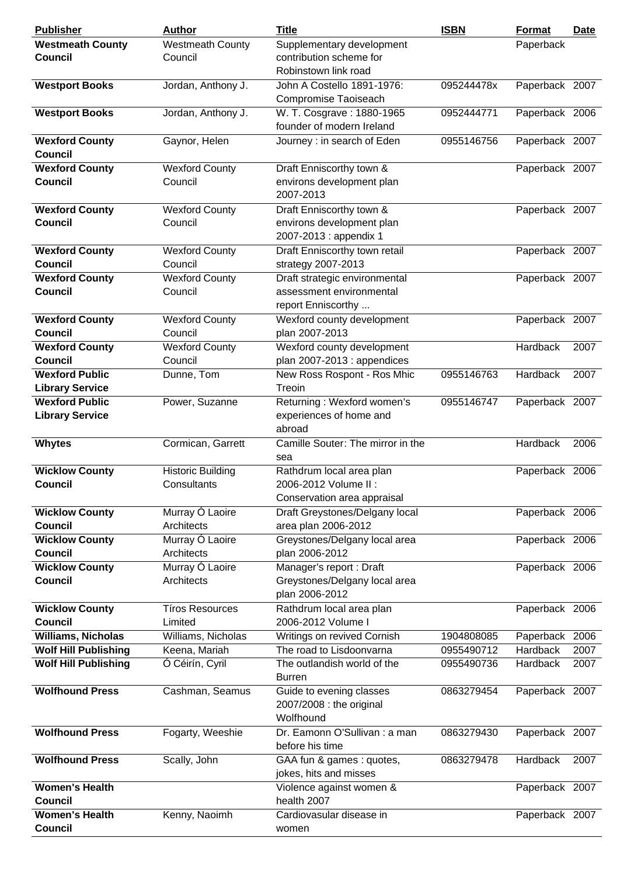| <b>Publisher</b>                        | <b>Author</b>            | <b>Title</b>                      | <b>ISBN</b> | Format         | <u>Date</u> |
|-----------------------------------------|--------------------------|-----------------------------------|-------------|----------------|-------------|
| <b>Westmeath County</b>                 | <b>Westmeath County</b>  | Supplementary development         |             | Paperback      |             |
| <b>Council</b>                          | Council                  | contribution scheme for           |             |                |             |
|                                         |                          | Robinstown link road              |             |                |             |
| <b>Westport Books</b>                   | Jordan, Anthony J.       | John A Costello 1891-1976:        | 095244478x  | Paperback 2007 |             |
|                                         |                          | Compromise Taoiseach              |             |                |             |
| <b>Westport Books</b>                   | Jordan, Anthony J.       | W. T. Cosgrave: 1880-1965         | 0952444771  | Paperback 2006 |             |
|                                         |                          | founder of modern Ireland         |             |                |             |
| <b>Wexford County</b>                   | Gaynor, Helen            | Journey : in search of Eden       | 0955146756  | Paperback 2007 |             |
| <b>Council</b>                          |                          |                                   |             |                |             |
| <b>Wexford County</b>                   | <b>Wexford County</b>    | Draft Enniscorthy town &          |             | Paperback 2007 |             |
| <b>Council</b>                          | Council                  | environs development plan         |             |                |             |
|                                         |                          | 2007-2013                         |             |                |             |
|                                         |                          |                                   |             |                |             |
| <b>Wexford County</b><br><b>Council</b> | Wexford County           | Draft Enniscorthy town &          |             | Paperback 2007 |             |
|                                         | Council                  | environs development plan         |             |                |             |
|                                         |                          | 2007-2013 : appendix 1            |             |                |             |
| <b>Wexford County</b>                   | <b>Wexford County</b>    | Draft Enniscorthy town retail     |             | Paperback 2007 |             |
| <b>Council</b>                          | Council                  | strategy 2007-2013                |             |                |             |
| <b>Wexford County</b>                   | <b>Wexford County</b>    | Draft strategic environmental     |             | Paperback 2007 |             |
| <b>Council</b>                          | Council                  | assessment environmental          |             |                |             |
|                                         |                          | report Enniscorthy                |             |                |             |
| <b>Wexford County</b>                   | <b>Wexford County</b>    | Wexford county development        |             | Paperback 2007 |             |
| <b>Council</b>                          | Council                  | plan 2007-2013                    |             |                |             |
| <b>Wexford County</b>                   | <b>Wexford County</b>    | Wexford county development        |             | Hardback       | 2007        |
| <b>Council</b>                          | Council                  | plan 2007-2013 : appendices       |             |                |             |
| <b>Wexford Public</b>                   | Dunne, Tom               | New Ross Rospont - Ros Mhic       | 0955146763  | Hardback       | 2007        |
| <b>Library Service</b>                  |                          | Treoin                            |             |                |             |
| <b>Wexford Public</b>                   | Power, Suzanne           | Returning: Wexford women's        | 0955146747  | Paperback 2007 |             |
| <b>Library Service</b>                  |                          | experiences of home and           |             |                |             |
|                                         |                          | abroad                            |             |                |             |
| <b>Whytes</b>                           | Cormican, Garrett        | Camille Souter: The mirror in the |             | Hardback       | 2006        |
|                                         |                          | sea                               |             |                |             |
| <b>Wicklow County</b>                   | <b>Historic Building</b> | Rathdrum local area plan          |             | Paperback 2006 |             |
| <b>Council</b>                          | Consultants              | 2006-2012 Volume II:              |             |                |             |
|                                         |                          | Conservation area appraisal       |             |                |             |
|                                         |                          |                                   |             |                |             |
| <b>Wicklow County</b>                   | Murray Ó Laoire          | Draft Greystones/Delgany local    |             | Paperback 2006 |             |
| <b>Council</b>                          | Architects               | area plan 2006-2012               |             |                |             |
| <b>Wicklow County</b>                   | Murray Ó Laoire          | Greystones/Delgany local area     |             | Paperback 2006 |             |
| <b>Council</b>                          | Architects               | plan 2006-2012                    |             |                |             |
| <b>Wicklow County</b>                   | Murray Ó Laoire          | Manager's report: Draft           |             | Paperback 2006 |             |
| <b>Council</b>                          | Architects               | Greystones/Delgany local area     |             |                |             |
|                                         |                          | plan 2006-2012                    |             |                |             |
| <b>Wicklow County</b>                   | <b>Tíros Resources</b>   | Rathdrum local area plan          |             | Paperback 2006 |             |
| <b>Council</b>                          | Limited                  | 2006-2012 Volume I                |             |                |             |
| <b>Williams, Nicholas</b>               | Williams, Nicholas       | Writings on revived Cornish       | 1904808085  | Paperback      | 2006        |
| <b>Wolf Hill Publishing</b>             | Keena, Mariah            | The road to Lisdoonvarna          | 0955490712  | Hardback       | 2007        |
| <b>Wolf Hill Publishing</b>             | Ó Céirín, Cyril          | The outlandish world of the       | 0955490736  | Hardback       | 2007        |
|                                         |                          | <b>Burren</b>                     |             |                |             |
| <b>Wolfhound Press</b>                  | Cashman, Seamus          | Guide to evening classes          | 0863279454  | Paperback 2007 |             |
|                                         |                          | 2007/2008 : the original          |             |                |             |
|                                         |                          | Wolfhound                         |             |                |             |
| <b>Wolfhound Press</b>                  | Fogarty, Weeshie         | Dr. Eamonn O'Sullivan : a man     | 0863279430  | Paperback 2007 |             |
|                                         |                          | before his time                   |             |                |             |
| <b>Wolfhound Press</b>                  | Scally, John             | GAA fun & games : quotes,         | 0863279478  | Hardback       | 2007        |
|                                         |                          | jokes, hits and misses            |             |                |             |
| <b>Women's Health</b>                   |                          | Violence against women &          |             | Paperback 2007 |             |
| <b>Council</b>                          |                          | health 2007                       |             |                |             |
| <b>Women's Health</b>                   | Kenny, Naoimh            | Cardiovasular disease in          |             | Paperback 2007 |             |
| <b>Council</b>                          |                          | women                             |             |                |             |
|                                         |                          |                                   |             |                |             |